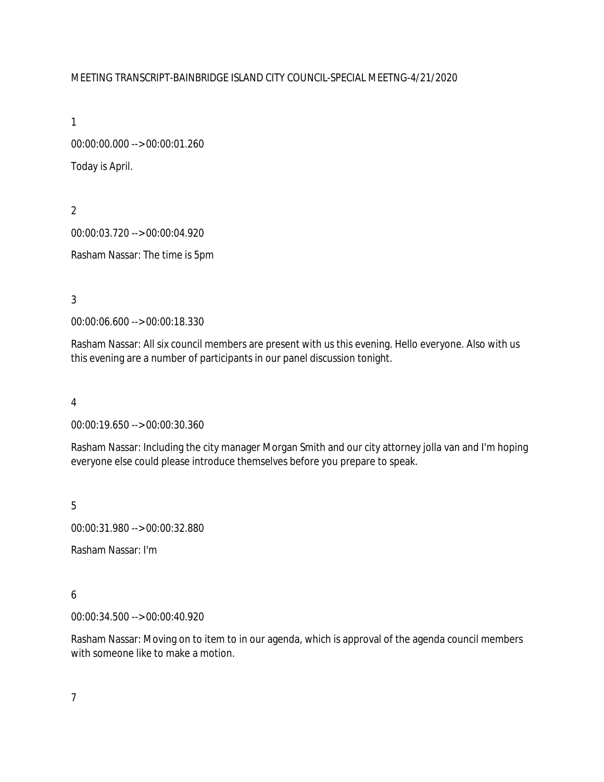#### MEETING TRANSCRIPT-BAINBRIDGE ISLAND CITY COUNCIL-SPECIAL MEETNG-4/21/2020

1

00:00:00.000 --> 00:00:01.260 Today is April.

2 00:00:03.720 --> 00:00:04.920 Rasham Nassar: The time is 5pm

3

00:00:06.600 --> 00:00:18.330

Rasham Nassar: All six council members are present with us this evening. Hello everyone. Also with us this evening are a number of participants in our panel discussion tonight.

4

00:00:19.650 --> 00:00:30.360

Rasham Nassar: Including the city manager Morgan Smith and our city attorney jolla van and I'm hoping everyone else could please introduce themselves before you prepare to speak.

5

00:00:31.980 --> 00:00:32.880

Rasham Nassar: I'm

## 6

00:00:34.500 --> 00:00:40.920

Rasham Nassar: Moving on to item to in our agenda, which is approval of the agenda council members with someone like to make a motion.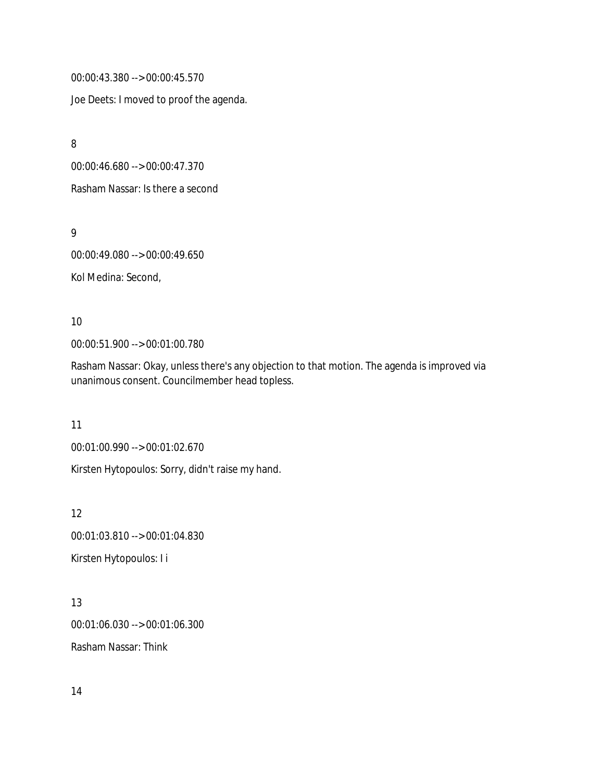00:00:43.380 --> 00:00:45.570

Joe Deets: I moved to proof the agenda.

8

00:00:46.680 --> 00:00:47.370

Rasham Nassar: Is there a second

9

00:00:49.080 --> 00:00:49.650

Kol Medina: Second,

10

00:00:51.900 --> 00:01:00.780

Rasham Nassar: Okay, unless there's any objection to that motion. The agenda is improved via unanimous consent. Councilmember head topless.

11

00:01:00.990 --> 00:01:02.670

Kirsten Hytopoulos: Sorry, didn't raise my hand.

12 00:01:03.810 --> 00:01:04.830 Kirsten Hytopoulos: I i

13 00:01:06.030 --> 00:01:06.300 Rasham Nassar: Think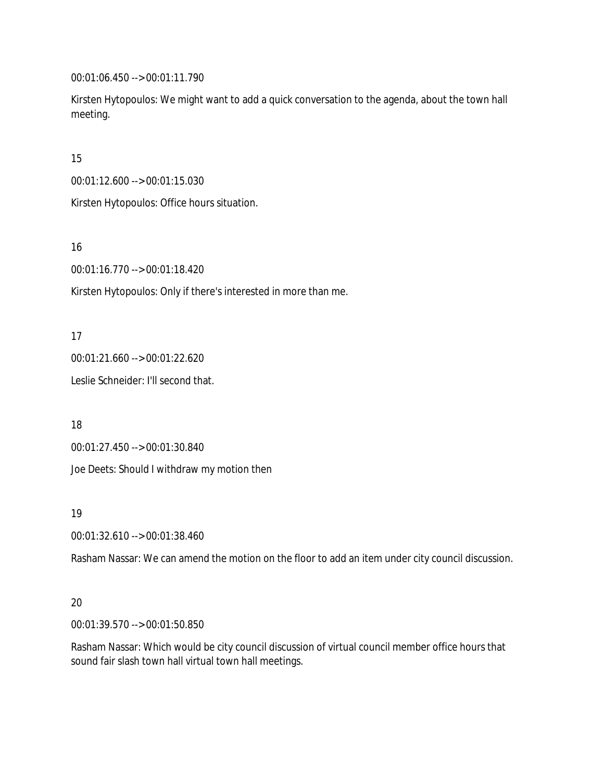00:01:06.450 --> 00:01:11.790

Kirsten Hytopoulos: We might want to add a quick conversation to the agenda, about the town hall meeting.

15

00:01:12.600 --> 00:01:15.030

Kirsten Hytopoulos: Office hours situation.

16

00:01:16.770 --> 00:01:18.420

Kirsten Hytopoulos: Only if there's interested in more than me.

17

00:01:21.660 --> 00:01:22.620 Leslie Schneider: I'll second that.

18

00:01:27.450 --> 00:01:30.840

Joe Deets: Should I withdraw my motion then

19

00:01:32.610 --> 00:01:38.460

Rasham Nassar: We can amend the motion on the floor to add an item under city council discussion.

### 20

00:01:39.570 --> 00:01:50.850

Rasham Nassar: Which would be city council discussion of virtual council member office hours that sound fair slash town hall virtual town hall meetings.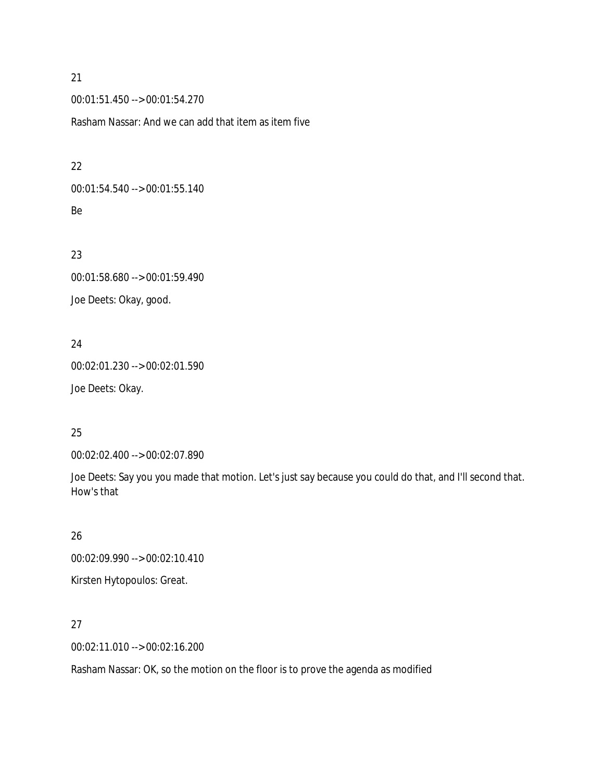00:01:51.450 --> 00:01:54.270

Rasham Nassar: And we can add that item as item five

#### 22

00:01:54.540 --> 00:01:55.140 Be

## 23

00:01:58.680 --> 00:01:59.490 Joe Deets: Okay, good.

## 24

00:02:01.230 --> 00:02:01.590 Joe Deets: Okay.

### 25

00:02:02.400 --> 00:02:07.890

Joe Deets: Say you you made that motion. Let's just say because you could do that, and I'll second that. How's that

### 26

00:02:09.990 --> 00:02:10.410

Kirsten Hytopoulos: Great.

## 27

00:02:11.010 --> 00:02:16.200

Rasham Nassar: OK, so the motion on the floor is to prove the agenda as modified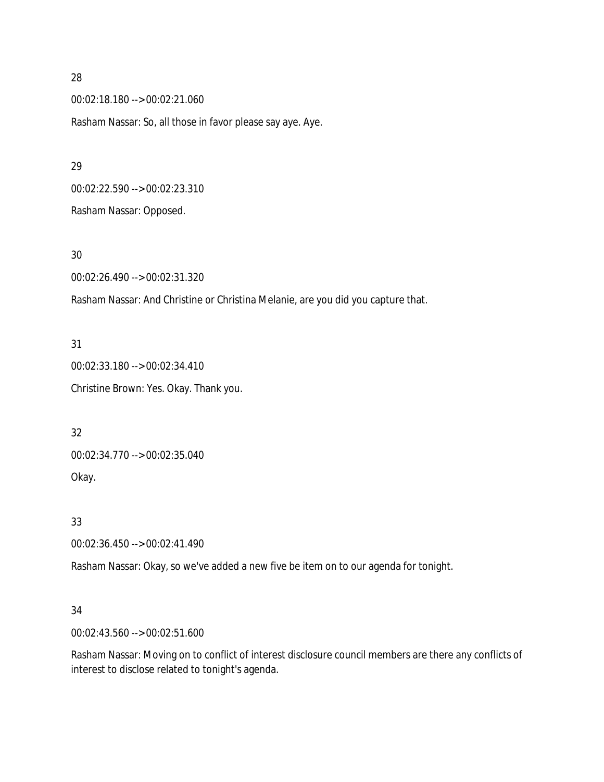00:02:18.180 --> 00:02:21.060 Rasham Nassar: So, all those in favor please say aye. Aye.

00:02:22.590 --> 00:02:23.310 Rasham Nassar: Opposed.

30

00:02:26.490 --> 00:02:31.320

Rasham Nassar: And Christine or Christina Melanie, are you did you capture that.

31 00:02:33.180 --> 00:02:34.410 Christine Brown: Yes. Okay. Thank you.

32 00:02:34.770 --> 00:02:35.040 Okay.

33

00:02:36.450 --> 00:02:41.490

Rasham Nassar: Okay, so we've added a new five be item on to our agenda for tonight.

#### 34

00:02:43.560 --> 00:02:51.600

Rasham Nassar: Moving on to conflict of interest disclosure council members are there any conflicts of interest to disclose related to tonight's agenda.

28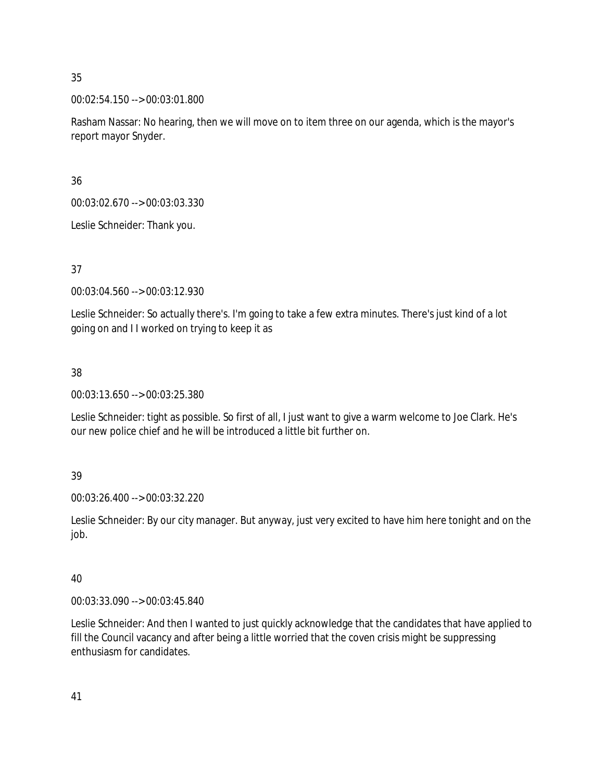00:02:54.150 --> 00:03:01.800

Rasham Nassar: No hearing, then we will move on to item three on our agenda, which is the mayor's report mayor Snyder.

36

00:03:02.670 --> 00:03:03.330

Leslie Schneider: Thank you.

37

00:03:04.560 --> 00:03:12.930

Leslie Schneider: So actually there's. I'm going to take a few extra minutes. There's just kind of a lot going on and I I worked on trying to keep it as

38

00:03:13.650 --> 00:03:25.380

Leslie Schneider: tight as possible. So first of all, I just want to give a warm welcome to Joe Clark. He's our new police chief and he will be introduced a little bit further on.

39

00:03:26.400 --> 00:03:32.220

Leslie Schneider: By our city manager. But anyway, just very excited to have him here tonight and on the job.

40

00:03:33.090 --> 00:03:45.840

Leslie Schneider: And then I wanted to just quickly acknowledge that the candidates that have applied to fill the Council vacancy and after being a little worried that the coven crisis might be suppressing enthusiasm for candidates.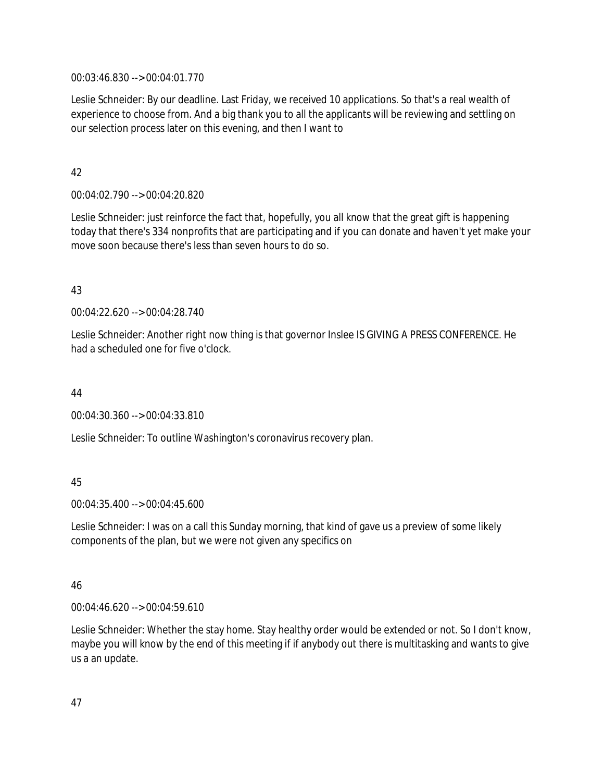00:03:46.830 --> 00:04:01.770

Leslie Schneider: By our deadline. Last Friday, we received 10 applications. So that's a real wealth of experience to choose from. And a big thank you to all the applicants will be reviewing and settling on our selection process later on this evening, and then I want to

### 42

00:04:02.790 --> 00:04:20.820

Leslie Schneider: just reinforce the fact that, hopefully, you all know that the great gift is happening today that there's 334 nonprofits that are participating and if you can donate and haven't yet make your move soon because there's less than seven hours to do so.

### 43

00:04:22.620 --> 00:04:28.740

Leslie Schneider: Another right now thing is that governor Inslee IS GIVING A PRESS CONFERENCE. He had a scheduled one for five o'clock.

### 44

00:04:30.360 --> 00:04:33.810

Leslie Schneider: To outline Washington's coronavirus recovery plan.

### 45

00:04:35.400 --> 00:04:45.600

Leslie Schneider: I was on a call this Sunday morning, that kind of gave us a preview of some likely components of the plan, but we were not given any specifics on

### 46

00:04:46.620 --> 00:04:59.610

Leslie Schneider: Whether the stay home. Stay healthy order would be extended or not. So I don't know, maybe you will know by the end of this meeting if if anybody out there is multitasking and wants to give us a an update.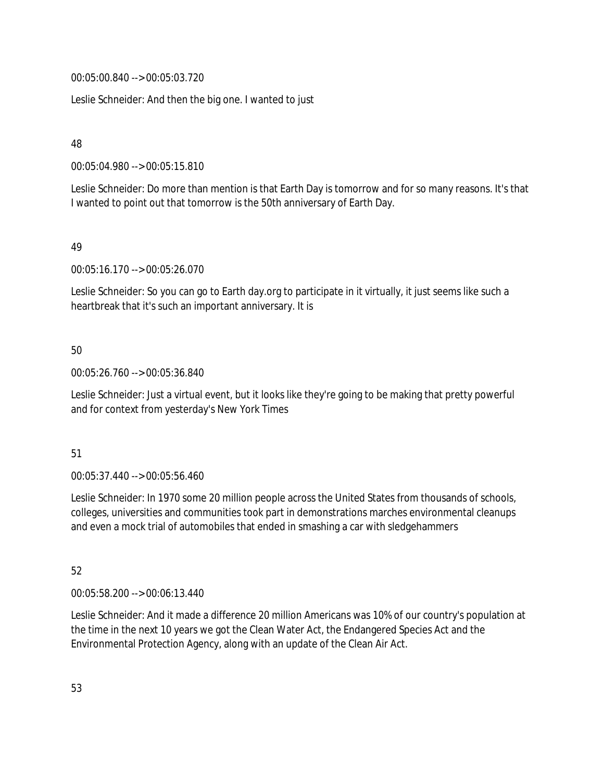00:05:00.840 --> 00:05:03.720

Leslie Schneider: And then the big one. I wanted to just

48

00:05:04.980 --> 00:05:15.810

Leslie Schneider: Do more than mention is that Earth Day is tomorrow and for so many reasons. It's that I wanted to point out that tomorrow is the 50th anniversary of Earth Day.

#### 49

00:05:16.170 --> 00:05:26.070

Leslie Schneider: So you can go to Earth day.org to participate in it virtually, it just seems like such a heartbreak that it's such an important anniversary. It is

### 50

00:05:26.760 --> 00:05:36.840

Leslie Schneider: Just a virtual event, but it looks like they're going to be making that pretty powerful and for context from yesterday's New York Times

### 51

00:05:37.440 --> 00:05:56.460

Leslie Schneider: In 1970 some 20 million people across the United States from thousands of schools, colleges, universities and communities took part in demonstrations marches environmental cleanups and even a mock trial of automobiles that ended in smashing a car with sledgehammers

# 52

00:05:58.200 --> 00:06:13.440

Leslie Schneider: And it made a difference 20 million Americans was 10% of our country's population at the time in the next 10 years we got the Clean Water Act, the Endangered Species Act and the Environmental Protection Agency, along with an update of the Clean Air Act.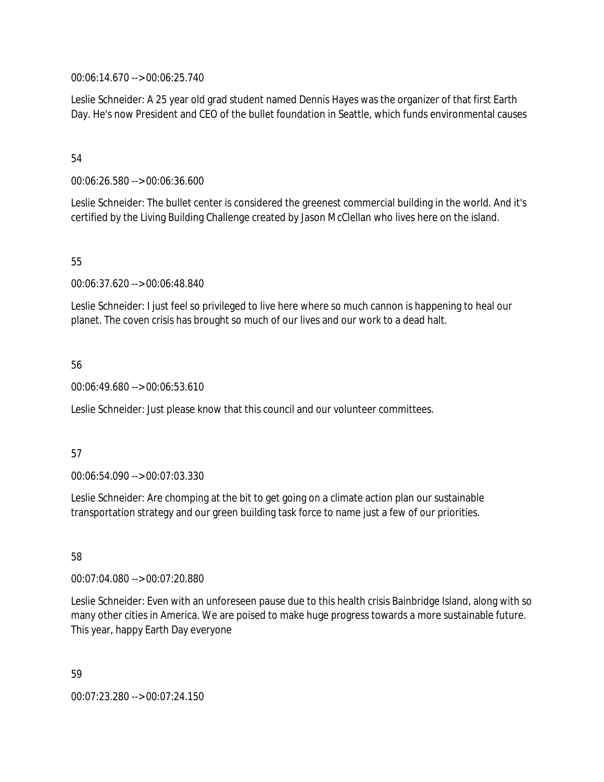00:06:14.670 --> 00:06:25.740

Leslie Schneider: A 25 year old grad student named Dennis Hayes was the organizer of that first Earth Day. He's now President and CEO of the bullet foundation in Seattle, which funds environmental causes

#### 54

00:06:26.580 --> 00:06:36.600

Leslie Schneider: The bullet center is considered the greenest commercial building in the world. And it's certified by the Living Building Challenge created by Jason McClellan who lives here on the island.

### 55

00:06:37.620 --> 00:06:48.840

Leslie Schneider: I just feel so privileged to live here where so much cannon is happening to heal our planet. The coven crisis has brought so much of our lives and our work to a dead halt.

#### 56

00:06:49.680 --> 00:06:53.610

Leslie Schneider: Just please know that this council and our volunteer committees.

#### 57

00:06:54.090 --> 00:07:03.330

Leslie Schneider: Are chomping at the bit to get going on a climate action plan our sustainable transportation strategy and our green building task force to name just a few of our priorities.

## 58

00:07:04.080 --> 00:07:20.880

Leslie Schneider: Even with an unforeseen pause due to this health crisis Bainbridge Island, along with so many other cities in America. We are poised to make huge progress towards a more sustainable future. This year, happy Earth Day everyone

59 00:07:23.280 --> 00:07:24.150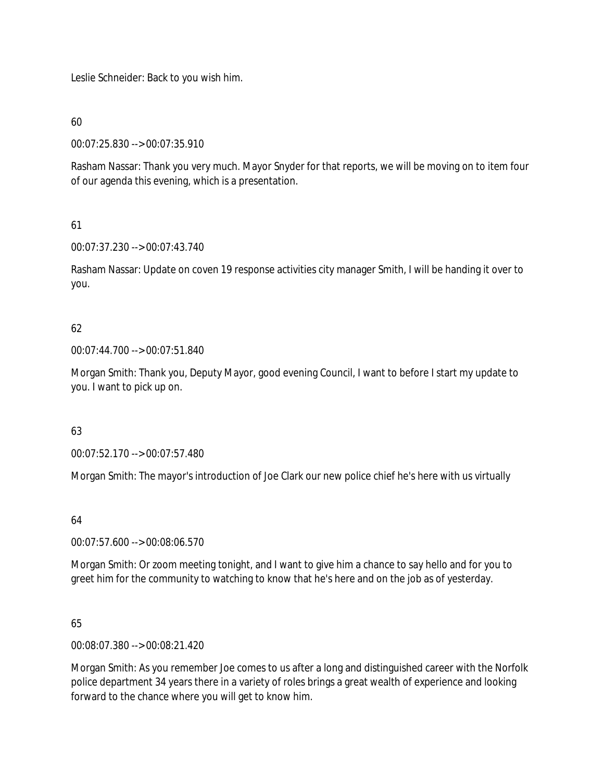Leslie Schneider: Back to you wish him.

60

00:07:25.830 --> 00:07:35.910

Rasham Nassar: Thank you very much. Mayor Snyder for that reports, we will be moving on to item four of our agenda this evening, which is a presentation.

## 61

00:07:37.230 --> 00:07:43.740

Rasham Nassar: Update on coven 19 response activities city manager Smith, I will be handing it over to you.

## 62

00:07:44.700 --> 00:07:51.840

Morgan Smith: Thank you, Deputy Mayor, good evening Council, I want to before I start my update to you. I want to pick up on.

### 63

00:07:52.170 --> 00:07:57.480

Morgan Smith: The mayor's introduction of Joe Clark our new police chief he's here with us virtually

### 64

00:07:57.600 --> 00:08:06.570

Morgan Smith: Or zoom meeting tonight, and I want to give him a chance to say hello and for you to greet him for the community to watching to know that he's here and on the job as of yesterday.

### 65

00:08:07.380 --> 00:08:21.420

Morgan Smith: As you remember Joe comes to us after a long and distinguished career with the Norfolk police department 34 years there in a variety of roles brings a great wealth of experience and looking forward to the chance where you will get to know him.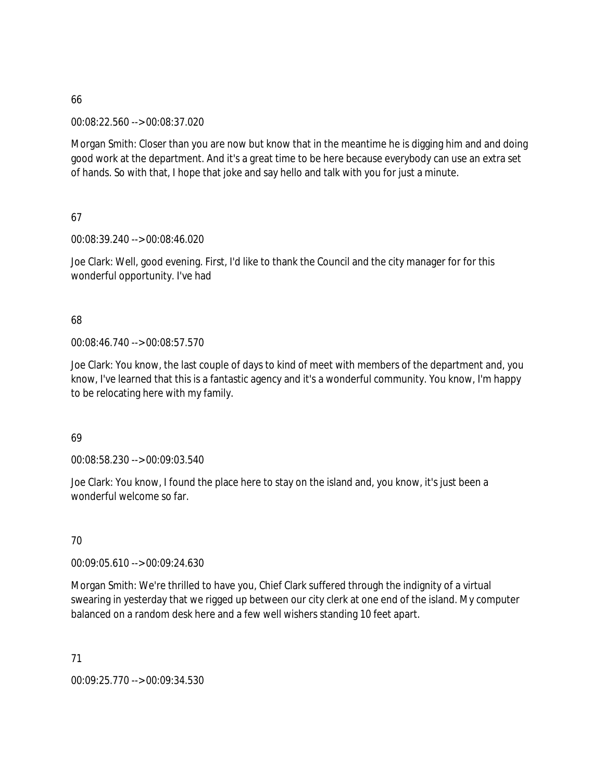00:08:22.560 --> 00:08:37.020

Morgan Smith: Closer than you are now but know that in the meantime he is digging him and and doing good work at the department. And it's a great time to be here because everybody can use an extra set of hands. So with that, I hope that joke and say hello and talk with you for just a minute.

67

00:08:39.240 --> 00:08:46.020

Joe Clark: Well, good evening. First, I'd like to thank the Council and the city manager for for this wonderful opportunity. I've had

### 68

00:08:46.740 --> 00:08:57.570

Joe Clark: You know, the last couple of days to kind of meet with members of the department and, you know, I've learned that this is a fantastic agency and it's a wonderful community. You know, I'm happy to be relocating here with my family.

69

00:08:58.230 --> 00:09:03.540

Joe Clark: You know, I found the place here to stay on the island and, you know, it's just been a wonderful welcome so far.

70

00:09:05.610 --> 00:09:24.630

Morgan Smith: We're thrilled to have you, Chief Clark suffered through the indignity of a virtual swearing in yesterday that we rigged up between our city clerk at one end of the island. My computer balanced on a random desk here and a few well wishers standing 10 feet apart.

71

00:09:25.770 --> 00:09:34.530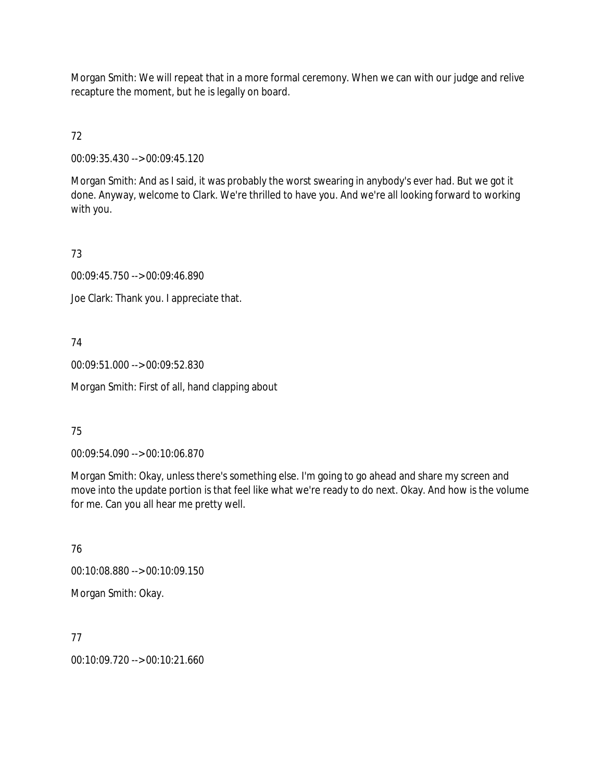Morgan Smith: We will repeat that in a more formal ceremony. When we can with our judge and relive recapture the moment, but he is legally on board.

72

00:09:35.430 --> 00:09:45.120

Morgan Smith: And as I said, it was probably the worst swearing in anybody's ever had. But we got it done. Anyway, welcome to Clark. We're thrilled to have you. And we're all looking forward to working with you.

73

00:09:45.750 --> 00:09:46.890

Joe Clark: Thank you. I appreciate that.

## 74

00:09:51.000 --> 00:09:52.830

Morgan Smith: First of all, hand clapping about

## 75

00:09:54.090 --> 00:10:06.870

Morgan Smith: Okay, unless there's something else. I'm going to go ahead and share my screen and move into the update portion is that feel like what we're ready to do next. Okay. And how is the volume for me. Can you all hear me pretty well.

76 00:10:08.880 --> 00:10:09.150 Morgan Smith: Okay.

77

00:10:09.720 --> 00:10:21.660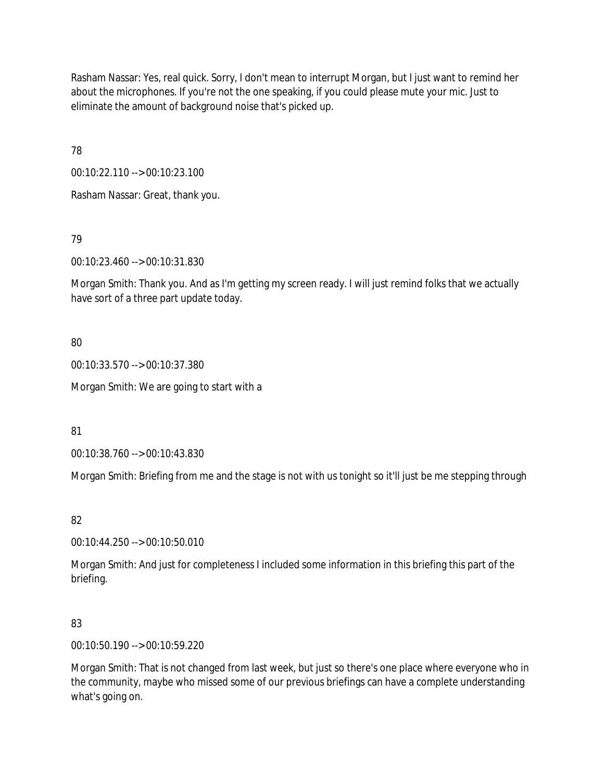Rasham Nassar: Yes, real quick. Sorry, I don't mean to interrupt Morgan, but I just want to remind her about the microphones. If you're not the one speaking, if you could please mute your mic. Just to eliminate the amount of background noise that's picked up.

78

00:10:22.110 --> 00:10:23.100

Rasham Nassar: Great, thank you.

79

00:10:23.460 --> 00:10:31.830

Morgan Smith: Thank you. And as I'm getting my screen ready. I will just remind folks that we actually have sort of a three part update today.

80

00:10:33.570 --> 00:10:37.380

Morgan Smith: We are going to start with a

81

00:10:38.760 --> 00:10:43.830

Morgan Smith: Briefing from me and the stage is not with us tonight so it'll just be me stepping through

82

00:10:44.250 --> 00:10:50.010

Morgan Smith: And just for completeness I included some information in this briefing this part of the briefing.

83

00:10:50.190 --> 00:10:59.220

Morgan Smith: That is not changed from last week, but just so there's one place where everyone who in the community, maybe who missed some of our previous briefings can have a complete understanding what's going on.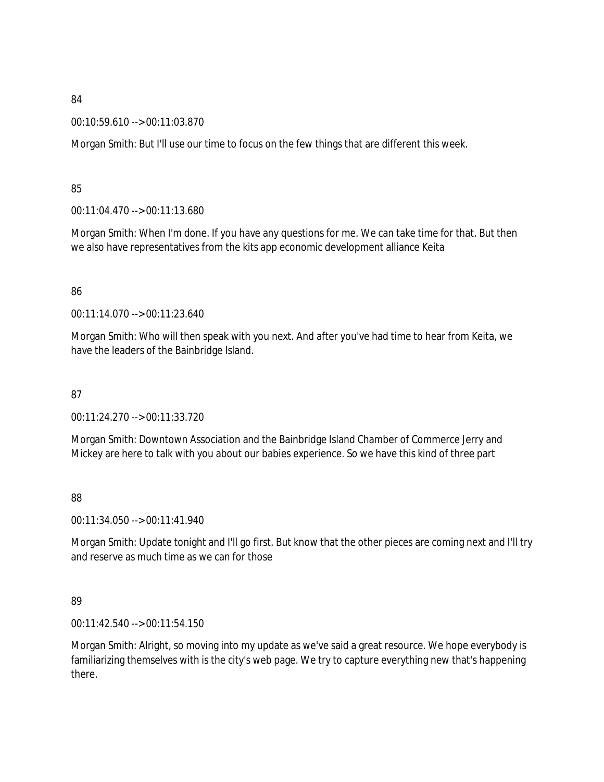00:10:59.610 --> 00:11:03.870

Morgan Smith: But I'll use our time to focus on the few things that are different this week.

## 85

00:11:04.470 --> 00:11:13.680

Morgan Smith: When I'm done. If you have any questions for me. We can take time for that. But then we also have representatives from the kits app economic development alliance Keita

## 86

00:11:14.070 --> 00:11:23.640

Morgan Smith: Who will then speak with you next. And after you've had time to hear from Keita, we have the leaders of the Bainbridge Island.

## 87

00:11:24.270 --> 00:11:33.720

Morgan Smith: Downtown Association and the Bainbridge Island Chamber of Commerce Jerry and Mickey are here to talk with you about our babies experience. So we have this kind of three part

### 88

00:11:34.050 --> 00:11:41.940

Morgan Smith: Update tonight and I'll go first. But know that the other pieces are coming next and I'll try and reserve as much time as we can for those

### 89

00:11:42.540 --> 00:11:54.150

Morgan Smith: Alright, so moving into my update as we've said a great resource. We hope everybody is familiarizing themselves with is the city's web page. We try to capture everything new that's happening there.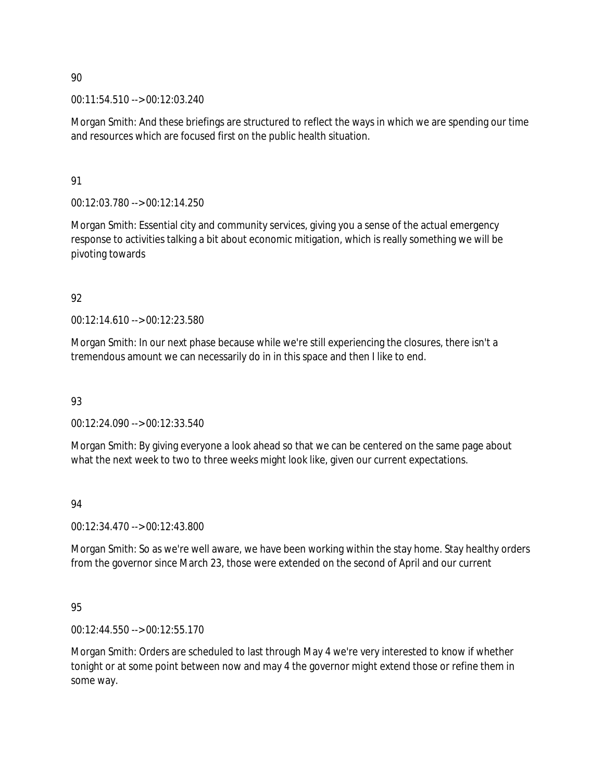00:11:54.510 --> 00:12:03.240

Morgan Smith: And these briefings are structured to reflect the ways in which we are spending our time and resources which are focused first on the public health situation.

91

00:12:03.780 --> 00:12:14.250

Morgan Smith: Essential city and community services, giving you a sense of the actual emergency response to activities talking a bit about economic mitigation, which is really something we will be pivoting towards

92

00:12:14.610 --> 00:12:23.580

Morgan Smith: In our next phase because while we're still experiencing the closures, there isn't a tremendous amount we can necessarily do in in this space and then I like to end.

93

00:12:24.090 --> 00:12:33.540

Morgan Smith: By giving everyone a look ahead so that we can be centered on the same page about what the next week to two to three weeks might look like, given our current expectations.

94

00:12:34.470 --> 00:12:43.800

Morgan Smith: So as we're well aware, we have been working within the stay home. Stay healthy orders from the governor since March 23, those were extended on the second of April and our current

95

00:12:44.550 --> 00:12:55.170

Morgan Smith: Orders are scheduled to last through May 4 we're very interested to know if whether tonight or at some point between now and may 4 the governor might extend those or refine them in some way.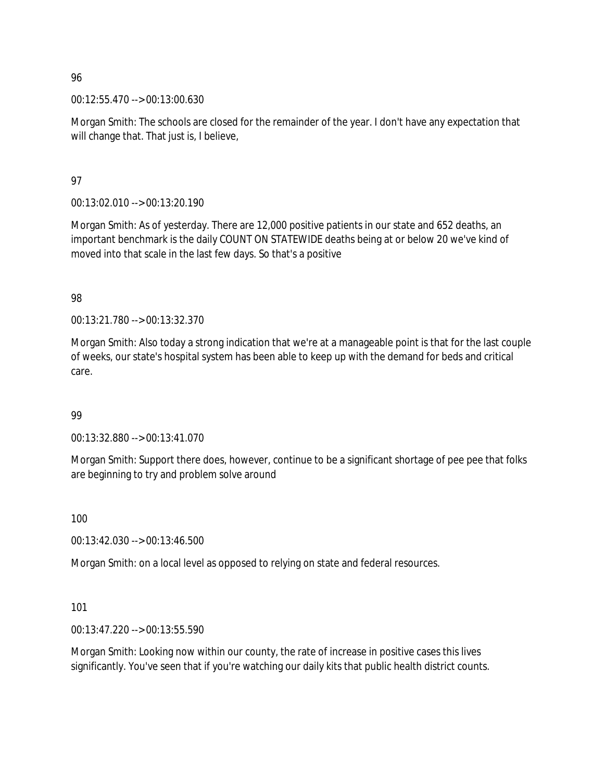00:12:55.470 --> 00:13:00.630

Morgan Smith: The schools are closed for the remainder of the year. I don't have any expectation that will change that. That just is, I believe,

97

00:13:02.010 --> 00:13:20.190

Morgan Smith: As of yesterday. There are 12,000 positive patients in our state and 652 deaths, an important benchmark is the daily COUNT ON STATEWIDE deaths being at or below 20 we've kind of moved into that scale in the last few days. So that's a positive

98

00:13:21.780 --> 00:13:32.370

Morgan Smith: Also today a strong indication that we're at a manageable point is that for the last couple of weeks, our state's hospital system has been able to keep up with the demand for beds and critical care.

### 99

00:13:32.880 --> 00:13:41.070

Morgan Smith: Support there does, however, continue to be a significant shortage of pee pee that folks are beginning to try and problem solve around

100

00:13:42.030 --> 00:13:46.500

Morgan Smith: on a local level as opposed to relying on state and federal resources.

101

00:13:47.220 --> 00:13:55.590

Morgan Smith: Looking now within our county, the rate of increase in positive cases this lives significantly. You've seen that if you're watching our daily kits that public health district counts.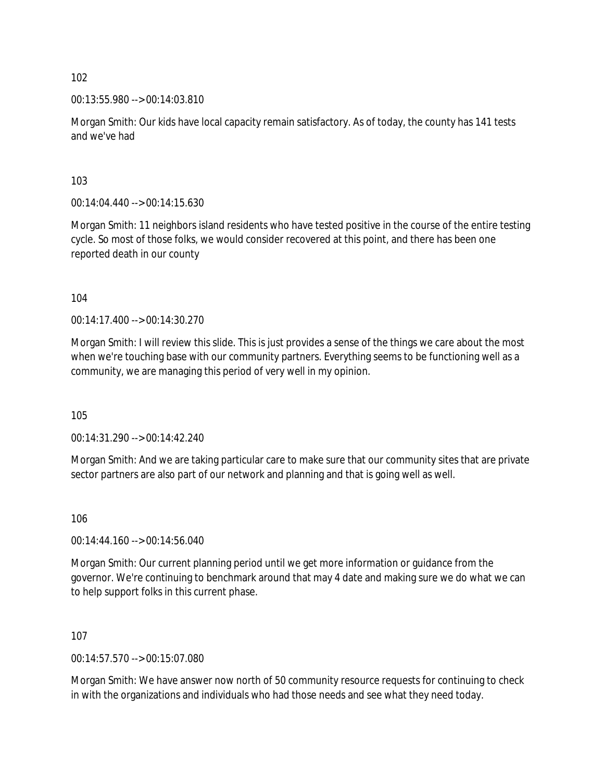00:13:55.980 --> 00:14:03.810

Morgan Smith: Our kids have local capacity remain satisfactory. As of today, the county has 141 tests and we've had

103

00:14:04.440 --> 00:14:15.630

Morgan Smith: 11 neighbors island residents who have tested positive in the course of the entire testing cycle. So most of those folks, we would consider recovered at this point, and there has been one reported death in our county

104

00:14:17.400 --> 00:14:30.270

Morgan Smith: I will review this slide. This is just provides a sense of the things we care about the most when we're touching base with our community partners. Everything seems to be functioning well as a community, we are managing this period of very well in my opinion.

105

00:14:31.290 --> 00:14:42.240

Morgan Smith: And we are taking particular care to make sure that our community sites that are private sector partners are also part of our network and planning and that is going well as well.

106

00:14:44.160 --> 00:14:56.040

Morgan Smith: Our current planning period until we get more information or guidance from the governor. We're continuing to benchmark around that may 4 date and making sure we do what we can to help support folks in this current phase.

107

00:14:57.570 --> 00:15:07.080

Morgan Smith: We have answer now north of 50 community resource requests for continuing to check in with the organizations and individuals who had those needs and see what they need today.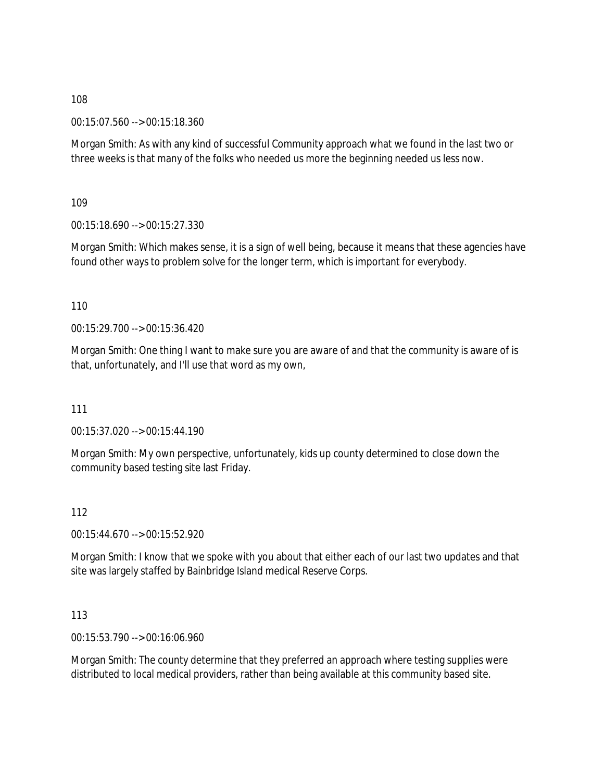00:15:07.560 --> 00:15:18.360

Morgan Smith: As with any kind of successful Community approach what we found in the last two or three weeks is that many of the folks who needed us more the beginning needed us less now.

109

00:15:18.690 --> 00:15:27.330

Morgan Smith: Which makes sense, it is a sign of well being, because it means that these agencies have found other ways to problem solve for the longer term, which is important for everybody.

110

00:15:29.700 --> 00:15:36.420

Morgan Smith: One thing I want to make sure you are aware of and that the community is aware of is that, unfortunately, and I'll use that word as my own,

111

00:15:37.020 --> 00:15:44.190

Morgan Smith: My own perspective, unfortunately, kids up county determined to close down the community based testing site last Friday.

112

00:15:44.670 --> 00:15:52.920

Morgan Smith: I know that we spoke with you about that either each of our last two updates and that site was largely staffed by Bainbridge Island medical Reserve Corps.

113

00:15:53.790 --> 00:16:06.960

Morgan Smith: The county determine that they preferred an approach where testing supplies were distributed to local medical providers, rather than being available at this community based site.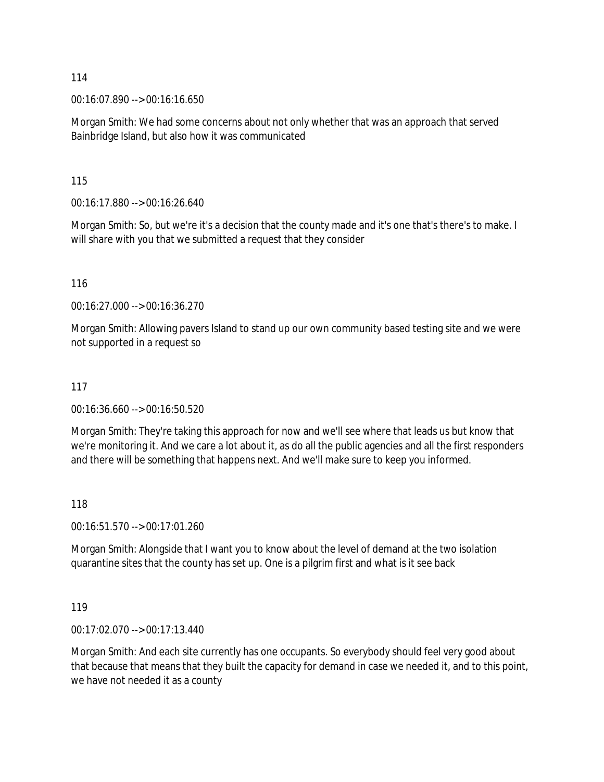00:16:07.890 --> 00:16:16.650

Morgan Smith: We had some concerns about not only whether that was an approach that served Bainbridge Island, but also how it was communicated

115

00:16:17.880 --> 00:16:26.640

Morgan Smith: So, but we're it's a decision that the county made and it's one that's there's to make. I will share with you that we submitted a request that they consider

116

00:16:27.000 --> 00:16:36.270

Morgan Smith: Allowing pavers Island to stand up our own community based testing site and we were not supported in a request so

#### 117

00:16:36.660 --> 00:16:50.520

Morgan Smith: They're taking this approach for now and we'll see where that leads us but know that we're monitoring it. And we care a lot about it, as do all the public agencies and all the first responders and there will be something that happens next. And we'll make sure to keep you informed.

#### 118

00:16:51.570 --> 00:17:01.260

Morgan Smith: Alongside that I want you to know about the level of demand at the two isolation quarantine sites that the county has set up. One is a pilgrim first and what is it see back

119

00:17:02.070 --> 00:17:13.440

Morgan Smith: And each site currently has one occupants. So everybody should feel very good about that because that means that they built the capacity for demand in case we needed it, and to this point, we have not needed it as a county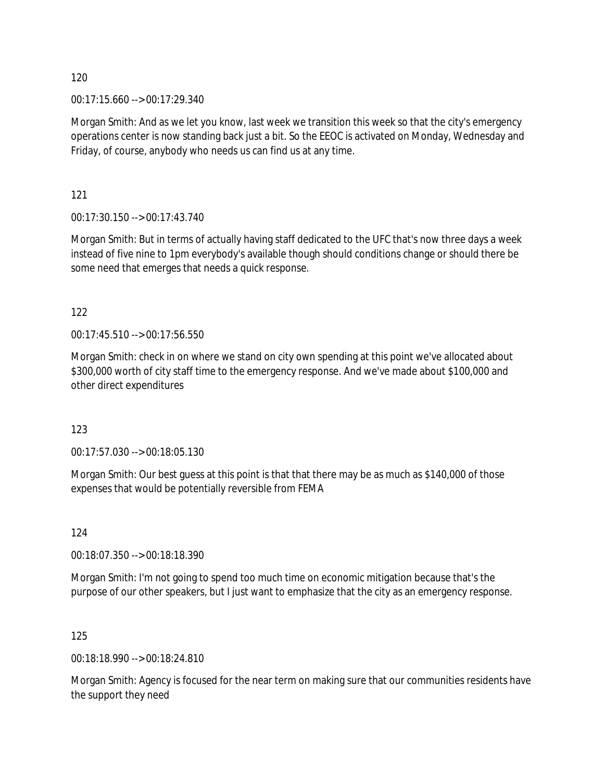00:17:15.660 --> 00:17:29.340

Morgan Smith: And as we let you know, last week we transition this week so that the city's emergency operations center is now standing back just a bit. So the EEOC is activated on Monday, Wednesday and Friday, of course, anybody who needs us can find us at any time.

121

00:17:30.150 --> 00:17:43.740

Morgan Smith: But in terms of actually having staff dedicated to the UFC that's now three days a week instead of five nine to 1pm everybody's available though should conditions change or should there be some need that emerges that needs a quick response.

122

00:17:45.510 --> 00:17:56.550

Morgan Smith: check in on where we stand on city own spending at this point we've allocated about \$300,000 worth of city staff time to the emergency response. And we've made about \$100,000 and other direct expenditures

123

00:17:57.030 --> 00:18:05.130

Morgan Smith: Our best guess at this point is that that there may be as much as \$140,000 of those expenses that would be potentially reversible from FEMA

124

00:18:07.350 --> 00:18:18.390

Morgan Smith: I'm not going to spend too much time on economic mitigation because that's the purpose of our other speakers, but I just want to emphasize that the city as an emergency response.

125

00:18:18.990 --> 00:18:24.810

Morgan Smith: Agency is focused for the near term on making sure that our communities residents have the support they need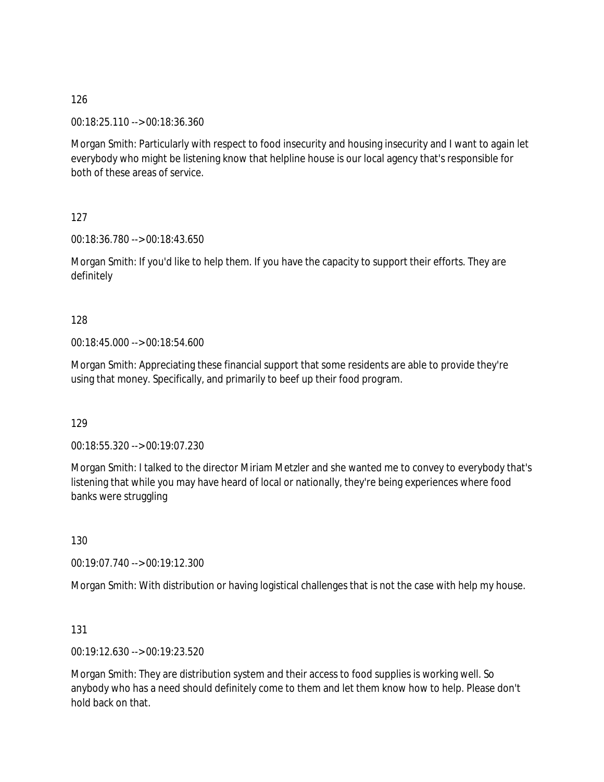00:18:25.110 --> 00:18:36.360

Morgan Smith: Particularly with respect to food insecurity and housing insecurity and I want to again let everybody who might be listening know that helpline house is our local agency that's responsible for both of these areas of service.

127

00:18:36.780 --> 00:18:43.650

Morgan Smith: If you'd like to help them. If you have the capacity to support their efforts. They are definitely

128

00:18:45.000 --> 00:18:54.600

Morgan Smith: Appreciating these financial support that some residents are able to provide they're using that money. Specifically, and primarily to beef up their food program.

129

00:18:55.320 --> 00:19:07.230

Morgan Smith: I talked to the director Miriam Metzler and she wanted me to convey to everybody that's listening that while you may have heard of local or nationally, they're being experiences where food banks were struggling

130

00:19:07.740 --> 00:19:12.300

Morgan Smith: With distribution or having logistical challenges that is not the case with help my house.

131

00:19:12.630 --> 00:19:23.520

Morgan Smith: They are distribution system and their access to food supplies is working well. So anybody who has a need should definitely come to them and let them know how to help. Please don't hold back on that.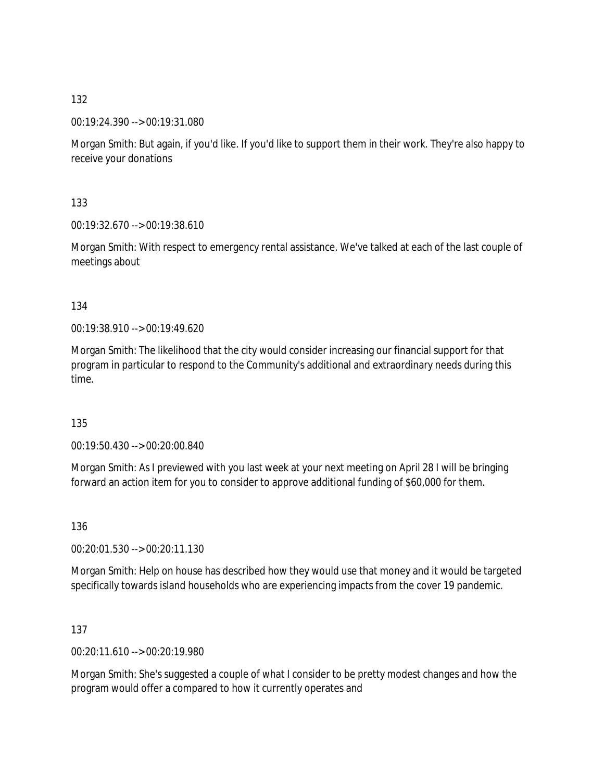00:19:24.390 --> 00:19:31.080

Morgan Smith: But again, if you'd like. If you'd like to support them in their work. They're also happy to receive your donations

133

00:19:32.670 --> 00:19:38.610

Morgan Smith: With respect to emergency rental assistance. We've talked at each of the last couple of meetings about

134

00:19:38.910 --> 00:19:49.620

Morgan Smith: The likelihood that the city would consider increasing our financial support for that program in particular to respond to the Community's additional and extraordinary needs during this time.

135

00:19:50.430 --> 00:20:00.840

Morgan Smith: As I previewed with you last week at your next meeting on April 28 I will be bringing forward an action item for you to consider to approve additional funding of \$60,000 for them.

136

00:20:01.530 --> 00:20:11.130

Morgan Smith: Help on house has described how they would use that money and it would be targeted specifically towards island households who are experiencing impacts from the cover 19 pandemic.

137

00:20:11.610 --> 00:20:19.980

Morgan Smith: She's suggested a couple of what I consider to be pretty modest changes and how the program would offer a compared to how it currently operates and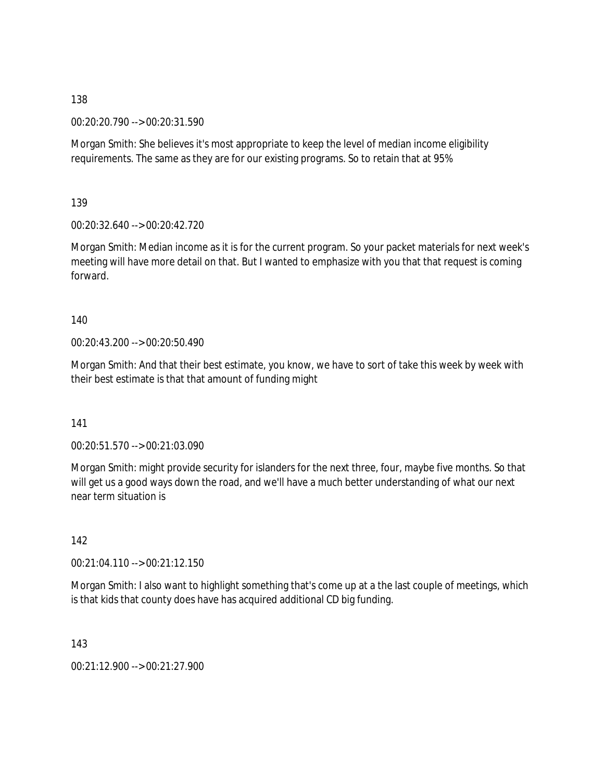00:20:20.790 --> 00:20:31.590

Morgan Smith: She believes it's most appropriate to keep the level of median income eligibility requirements. The same as they are for our existing programs. So to retain that at 95%

139

00:20:32.640 --> 00:20:42.720

Morgan Smith: Median income as it is for the current program. So your packet materials for next week's meeting will have more detail on that. But I wanted to emphasize with you that that request is coming forward.

140

00:20:43.200 --> 00:20:50.490

Morgan Smith: And that their best estimate, you know, we have to sort of take this week by week with their best estimate is that that amount of funding might

141

00:20:51.570 --> 00:21:03.090

Morgan Smith: might provide security for islanders for the next three, four, maybe five months. So that will get us a good ways down the road, and we'll have a much better understanding of what our next near term situation is

142

00:21:04.110 --> 00:21:12.150

Morgan Smith: I also want to highlight something that's come up at a the last couple of meetings, which is that kids that county does have has acquired additional CD big funding.

143

00:21:12.900 --> 00:21:27.900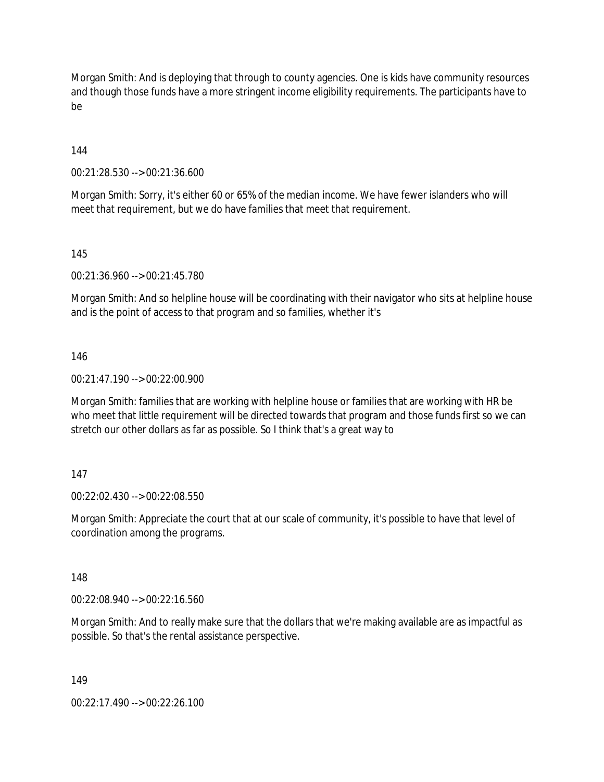Morgan Smith: And is deploying that through to county agencies. One is kids have community resources and though those funds have a more stringent income eligibility requirements. The participants have to be

144

00:21:28.530 --> 00:21:36.600

Morgan Smith: Sorry, it's either 60 or 65% of the median income. We have fewer islanders who will meet that requirement, but we do have families that meet that requirement.

145

00:21:36.960 --> 00:21:45.780

Morgan Smith: And so helpline house will be coordinating with their navigator who sits at helpline house and is the point of access to that program and so families, whether it's

146

00:21:47.190 --> 00:22:00.900

Morgan Smith: families that are working with helpline house or families that are working with HR be who meet that little requirement will be directed towards that program and those funds first so we can stretch our other dollars as far as possible. So I think that's a great way to

#### 147

00:22:02.430 --> 00:22:08.550

Morgan Smith: Appreciate the court that at our scale of community, it's possible to have that level of coordination among the programs.

148

00:22:08.940 --> 00:22:16.560

Morgan Smith: And to really make sure that the dollars that we're making available are as impactful as possible. So that's the rental assistance perspective.

149

00:22:17.490 --> 00:22:26.100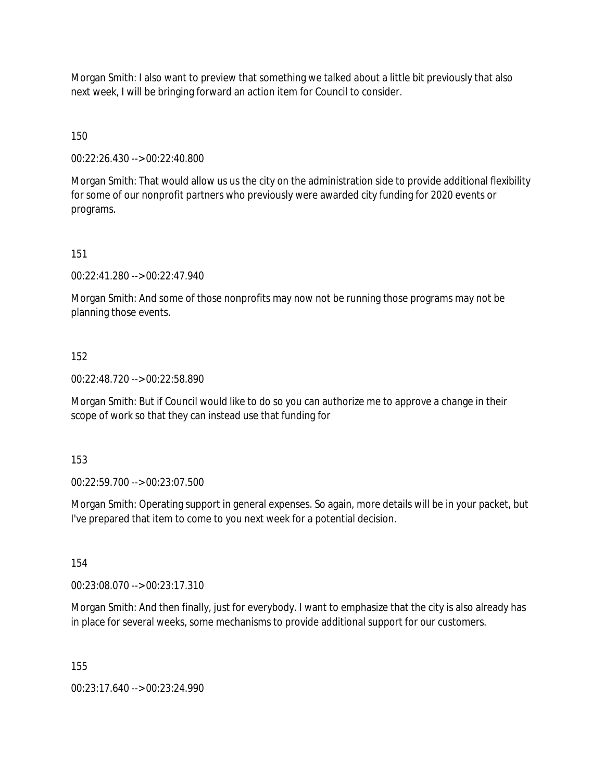Morgan Smith: I also want to preview that something we talked about a little bit previously that also next week, I will be bringing forward an action item for Council to consider.

150

00:22:26.430 --> 00:22:40.800

Morgan Smith: That would allow us us the city on the administration side to provide additional flexibility for some of our nonprofit partners who previously were awarded city funding for 2020 events or programs.

151

00:22:41.280 --> 00:22:47.940

Morgan Smith: And some of those nonprofits may now not be running those programs may not be planning those events.

152

00:22:48.720 --> 00:22:58.890

Morgan Smith: But if Council would like to do so you can authorize me to approve a change in their scope of work so that they can instead use that funding for

153

00:22:59.700 --> 00:23:07.500

Morgan Smith: Operating support in general expenses. So again, more details will be in your packet, but I've prepared that item to come to you next week for a potential decision.

154

00:23:08.070 --> 00:23:17.310

Morgan Smith: And then finally, just for everybody. I want to emphasize that the city is also already has in place for several weeks, some mechanisms to provide additional support for our customers.

155

00:23:17.640 --> 00:23:24.990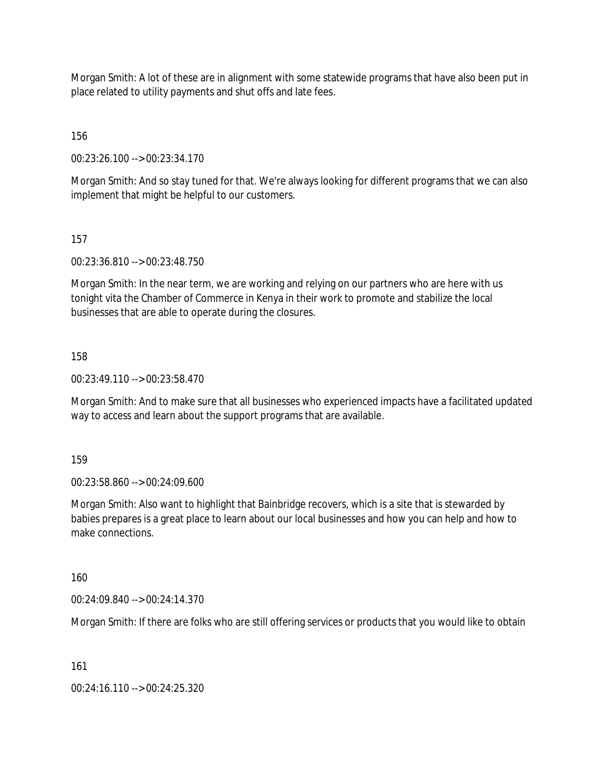Morgan Smith: A lot of these are in alignment with some statewide programs that have also been put in place related to utility payments and shut offs and late fees.

156

00:23:26.100 --> 00:23:34.170

Morgan Smith: And so stay tuned for that. We're always looking for different programs that we can also implement that might be helpful to our customers.

157

00:23:36.810 --> 00:23:48.750

Morgan Smith: In the near term, we are working and relying on our partners who are here with us tonight vita the Chamber of Commerce in Kenya in their work to promote and stabilize the local businesses that are able to operate during the closures.

158

00:23:49.110 --> 00:23:58.470

Morgan Smith: And to make sure that all businesses who experienced impacts have a facilitated updated way to access and learn about the support programs that are available.

159

00:23:58.860 --> 00:24:09.600

Morgan Smith: Also want to highlight that Bainbridge recovers, which is a site that is stewarded by babies prepares is a great place to learn about our local businesses and how you can help and how to make connections.

160

00:24:09.840 --> 00:24:14.370

Morgan Smith: If there are folks who are still offering services or products that you would like to obtain

161

00:24:16.110 --> 00:24:25.320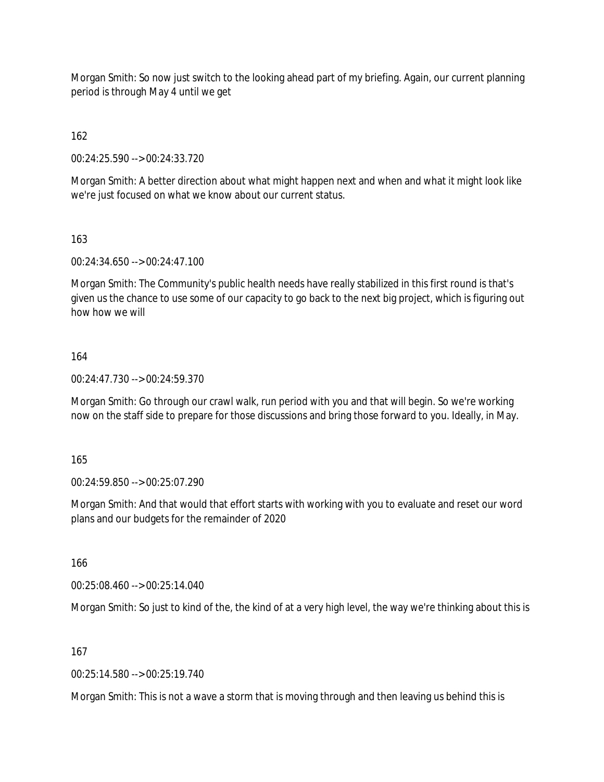Morgan Smith: So now just switch to the looking ahead part of my briefing. Again, our current planning period is through May 4 until we get

162

00:24:25.590 --> 00:24:33.720

Morgan Smith: A better direction about what might happen next and when and what it might look like we're just focused on what we know about our current status.

163

00:24:34.650 --> 00:24:47.100

Morgan Smith: The Community's public health needs have really stabilized in this first round is that's given us the chance to use some of our capacity to go back to the next big project, which is figuring out how how we will

#### 164

00:24:47.730 --> 00:24:59.370

Morgan Smith: Go through our crawl walk, run period with you and that will begin. So we're working now on the staff side to prepare for those discussions and bring those forward to you. Ideally, in May.

165

00:24:59.850 --> 00:25:07.290

Morgan Smith: And that would that effort starts with working with you to evaluate and reset our word plans and our budgets for the remainder of 2020

166

00:25:08.460 --> 00:25:14.040

Morgan Smith: So just to kind of the, the kind of at a very high level, the way we're thinking about this is

167

00:25:14.580 --> 00:25:19.740

Morgan Smith: This is not a wave a storm that is moving through and then leaving us behind this is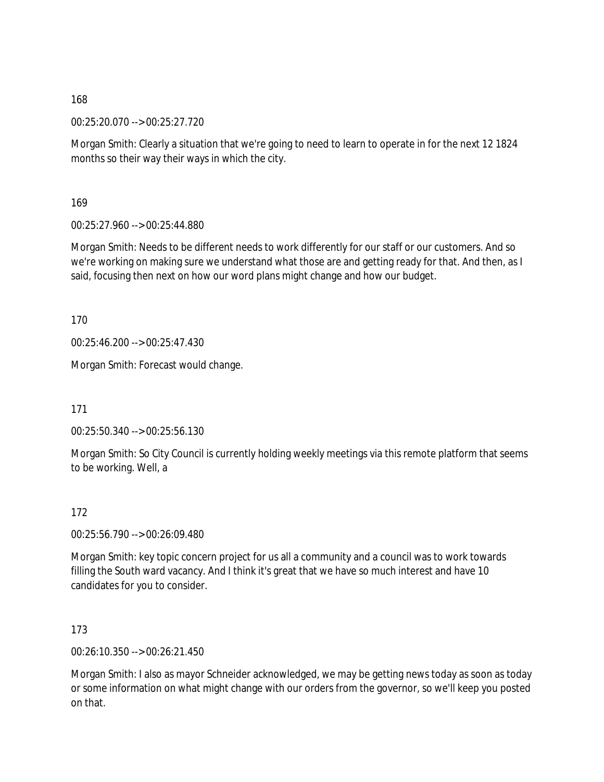00:25:20.070 --> 00:25:27.720

Morgan Smith: Clearly a situation that we're going to need to learn to operate in for the next 12 1824 months so their way their ways in which the city.

169

00:25:27.960 --> 00:25:44.880

Morgan Smith: Needs to be different needs to work differently for our staff or our customers. And so we're working on making sure we understand what those are and getting ready for that. And then, as I said, focusing then next on how our word plans might change and how our budget.

170

00:25:46.200 --> 00:25:47.430

Morgan Smith: Forecast would change.

171

00:25:50.340 --> 00:25:56.130

Morgan Smith: So City Council is currently holding weekly meetings via this remote platform that seems to be working. Well, a

#### 172

00:25:56.790 --> 00:26:09.480

Morgan Smith: key topic concern project for us all a community and a council was to work towards filling the South ward vacancy. And I think it's great that we have so much interest and have 10 candidates for you to consider.

173

00:26:10.350 --> 00:26:21.450

Morgan Smith: I also as mayor Schneider acknowledged, we may be getting news today as soon as today or some information on what might change with our orders from the governor, so we'll keep you posted on that.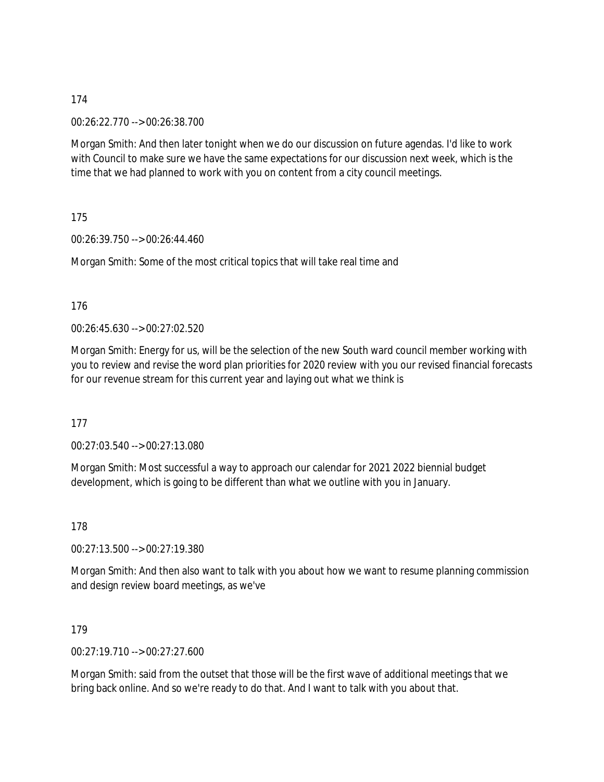00:26:22.770 --> 00:26:38.700

Morgan Smith: And then later tonight when we do our discussion on future agendas. I'd like to work with Council to make sure we have the same expectations for our discussion next week, which is the time that we had planned to work with you on content from a city council meetings.

175

00:26:39.750 --> 00:26:44.460

Morgan Smith: Some of the most critical topics that will take real time and

176

00:26:45.630 --> 00:27:02.520

Morgan Smith: Energy for us, will be the selection of the new South ward council member working with you to review and revise the word plan priorities for 2020 review with you our revised financial forecasts for our revenue stream for this current year and laying out what we think is

177

00:27:03.540 --> 00:27:13.080

Morgan Smith: Most successful a way to approach our calendar for 2021 2022 biennial budget development, which is going to be different than what we outline with you in January.

178

00:27:13.500 --> 00:27:19.380

Morgan Smith: And then also want to talk with you about how we want to resume planning commission and design review board meetings, as we've

179

00:27:19.710 --> 00:27:27.600

Morgan Smith: said from the outset that those will be the first wave of additional meetings that we bring back online. And so we're ready to do that. And I want to talk with you about that.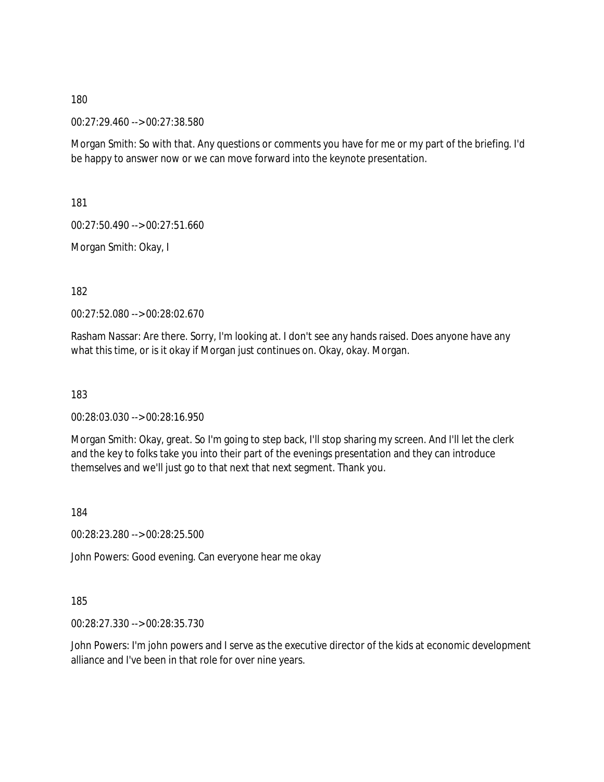00:27:29.460 --> 00:27:38.580

Morgan Smith: So with that. Any questions or comments you have for me or my part of the briefing. I'd be happy to answer now or we can move forward into the keynote presentation.

181

00:27:50.490 --> 00:27:51.660

Morgan Smith: Okay, I

182

00:27:52.080 --> 00:28:02.670

Rasham Nassar: Are there. Sorry, I'm looking at. I don't see any hands raised. Does anyone have any what this time, or is it okay if Morgan just continues on. Okay, okay. Morgan.

183

00:28:03.030 --> 00:28:16.950

Morgan Smith: Okay, great. So I'm going to step back, I'll stop sharing my screen. And I'll let the clerk and the key to folks take you into their part of the evenings presentation and they can introduce themselves and we'll just go to that next that next segment. Thank you.

184

00:28:23.280 --> 00:28:25.500

John Powers: Good evening. Can everyone hear me okay

185

00:28:27.330 --> 00:28:35.730

John Powers: I'm john powers and I serve as the executive director of the kids at economic development alliance and I've been in that role for over nine years.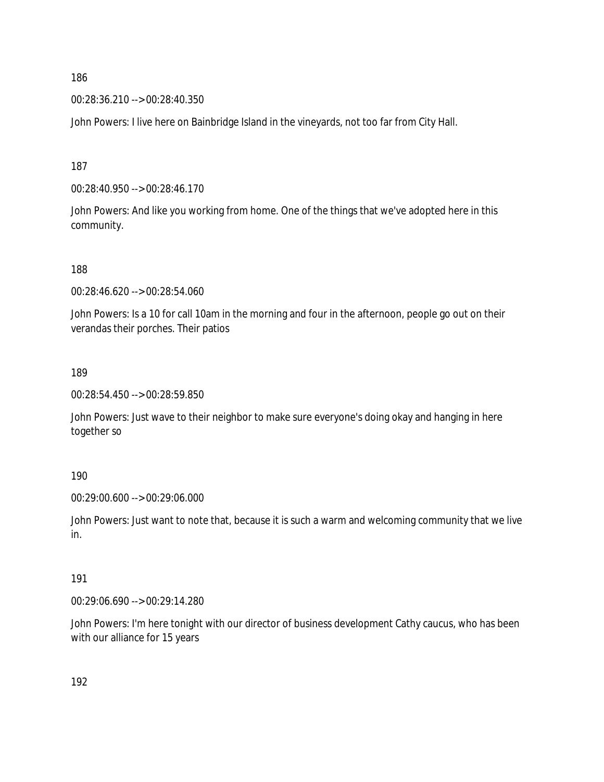00:28:36.210 --> 00:28:40.350

John Powers: I live here on Bainbridge Island in the vineyards, not too far from City Hall.

187

00:28:40.950 --> 00:28:46.170

John Powers: And like you working from home. One of the things that we've adopted here in this community.

188

00:28:46.620 --> 00:28:54.060

John Powers: Is a 10 for call 10am in the morning and four in the afternoon, people go out on their verandas their porches. Their patios

189

00:28:54.450 --> 00:28:59.850

John Powers: Just wave to their neighbor to make sure everyone's doing okay and hanging in here together so

190

00:29:00.600 --> 00:29:06.000

John Powers: Just want to note that, because it is such a warm and welcoming community that we live in.

#### 191

00:29:06.690 --> 00:29:14.280

John Powers: I'm here tonight with our director of business development Cathy caucus, who has been with our alliance for 15 years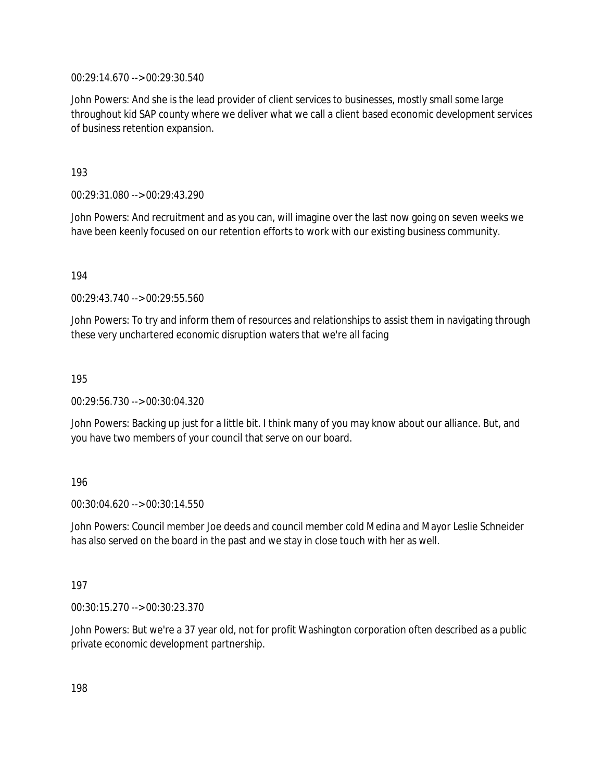00:29:14.670 --> 00:29:30.540

John Powers: And she is the lead provider of client services to businesses, mostly small some large throughout kid SAP county where we deliver what we call a client based economic development services of business retention expansion.

193

00:29:31.080 --> 00:29:43.290

John Powers: And recruitment and as you can, will imagine over the last now going on seven weeks we have been keenly focused on our retention efforts to work with our existing business community.

194

00:29:43.740 --> 00:29:55.560

John Powers: To try and inform them of resources and relationships to assist them in navigating through these very unchartered economic disruption waters that we're all facing

195

00:29:56.730 --> 00:30:04.320

John Powers: Backing up just for a little bit. I think many of you may know about our alliance. But, and you have two members of your council that serve on our board.

#### 196

00:30:04.620 --> 00:30:14.550

John Powers: Council member Joe deeds and council member cold Medina and Mayor Leslie Schneider has also served on the board in the past and we stay in close touch with her as well.

#### 197

00:30:15.270 --> 00:30:23.370

John Powers: But we're a 37 year old, not for profit Washington corporation often described as a public private economic development partnership.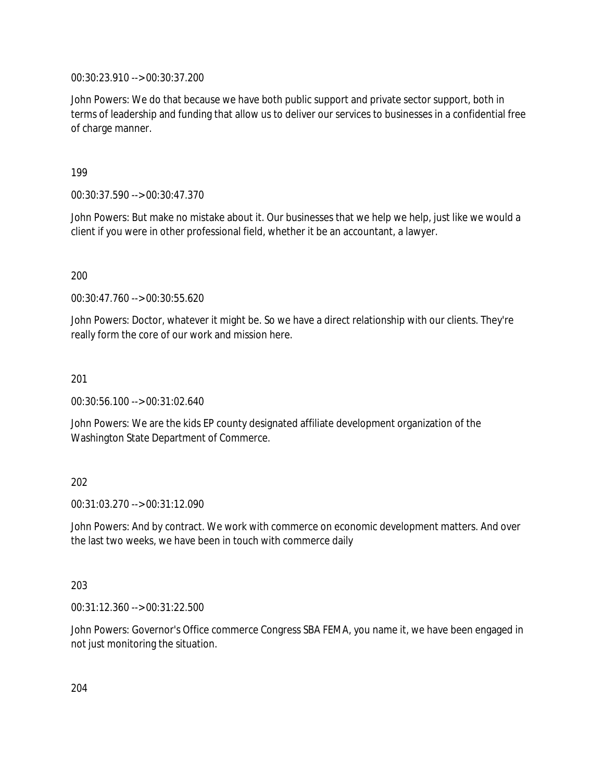00:30:23.910 --> 00:30:37.200

John Powers: We do that because we have both public support and private sector support, both in terms of leadership and funding that allow us to deliver our services to businesses in a confidential free of charge manner.

199

00:30:37.590 --> 00:30:47.370

John Powers: But make no mistake about it. Our businesses that we help we help, just like we would a client if you were in other professional field, whether it be an accountant, a lawyer.

200

00:30:47.760 --> 00:30:55.620

John Powers: Doctor, whatever it might be. So we have a direct relationship with our clients. They're really form the core of our work and mission here.

201

00:30:56.100 --> 00:31:02.640

John Powers: We are the kids EP county designated affiliate development organization of the Washington State Department of Commerce.

#### 202

00:31:03.270 --> 00:31:12.090

John Powers: And by contract. We work with commerce on economic development matters. And over the last two weeks, we have been in touch with commerce daily

#### 203

00:31:12.360 --> 00:31:22.500

John Powers: Governor's Office commerce Congress SBA FEMA, you name it, we have been engaged in not just monitoring the situation.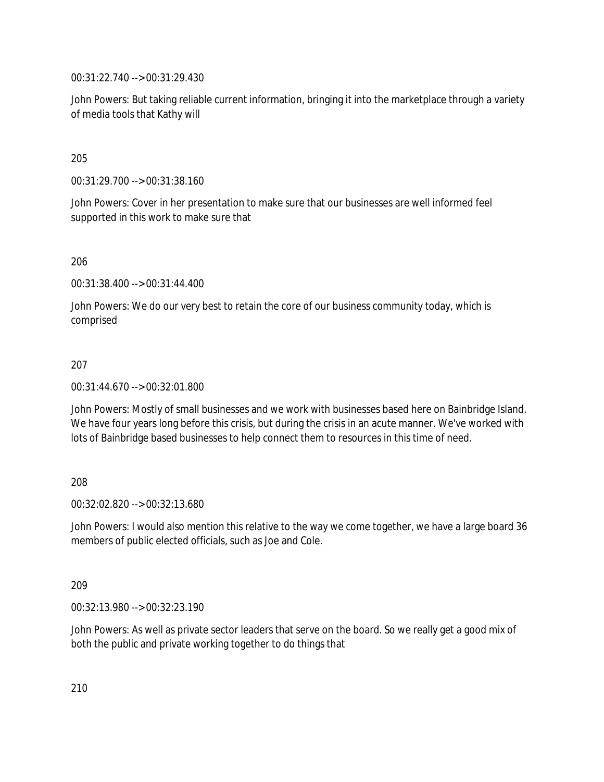00:31:22.740 --> 00:31:29.430

John Powers: But taking reliable current information, bringing it into the marketplace through a variety of media tools that Kathy will

205

00:31:29.700 --> 00:31:38.160

John Powers: Cover in her presentation to make sure that our businesses are well informed feel supported in this work to make sure that

206

00:31:38.400 --> 00:31:44.400

John Powers: We do our very best to retain the core of our business community today, which is comprised

#### 207

00:31:44.670 --> 00:32:01.800

John Powers: Mostly of small businesses and we work with businesses based here on Bainbridge Island. We have four years long before this crisis, but during the crisis in an acute manner. We've worked with lots of Bainbridge based businesses to help connect them to resources in this time of need.

#### 208

00:32:02.820 --> 00:32:13.680

John Powers: I would also mention this relative to the way we come together, we have a large board 36 members of public elected officials, such as Joe and Cole.

#### 209

00:32:13.980 --> 00:32:23.190

John Powers: As well as private sector leaders that serve on the board. So we really get a good mix of both the public and private working together to do things that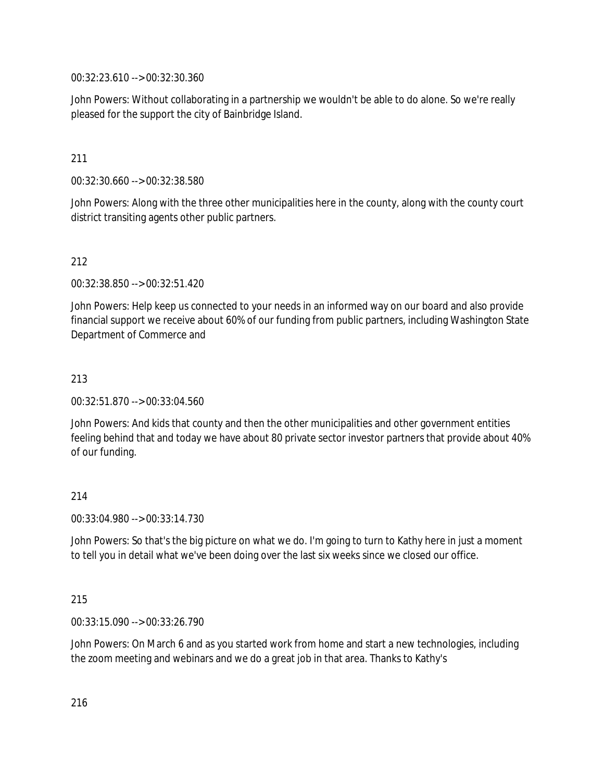00:32:23.610 --> 00:32:30.360

John Powers: Without collaborating in a partnership we wouldn't be able to do alone. So we're really pleased for the support the city of Bainbridge Island.

### 211

00:32:30.660 --> 00:32:38.580

John Powers: Along with the three other municipalities here in the county, along with the county court district transiting agents other public partners.

#### 212

00:32:38.850 --> 00:32:51.420

John Powers: Help keep us connected to your needs in an informed way on our board and also provide financial support we receive about 60% of our funding from public partners, including Washington State Department of Commerce and

#### 213

00:32:51.870 --> 00:33:04.560

John Powers: And kids that county and then the other municipalities and other government entities feeling behind that and today we have about 80 private sector investor partners that provide about 40% of our funding.

#### 214

00:33:04.980 --> 00:33:14.730

John Powers: So that's the big picture on what we do. I'm going to turn to Kathy here in just a moment to tell you in detail what we've been doing over the last six weeks since we closed our office.

#### 215

00:33:15.090 --> 00:33:26.790

John Powers: On March 6 and as you started work from home and start a new technologies, including the zoom meeting and webinars and we do a great job in that area. Thanks to Kathy's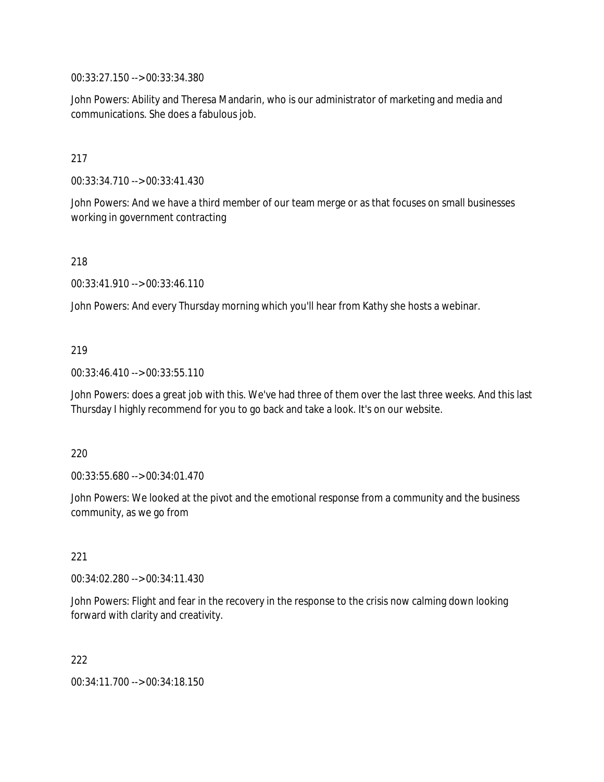00:33:27.150 --> 00:33:34.380

John Powers: Ability and Theresa Mandarin, who is our administrator of marketing and media and communications. She does a fabulous job.

### 217

00:33:34.710 --> 00:33:41.430

John Powers: And we have a third member of our team merge or as that focuses on small businesses working in government contracting

218

00:33:41.910 --> 00:33:46.110

John Powers: And every Thursday morning which you'll hear from Kathy she hosts a webinar.

#### 219

00:33:46.410 --> 00:33:55.110

John Powers: does a great job with this. We've had three of them over the last three weeks. And this last Thursday I highly recommend for you to go back and take a look. It's on our website.

#### 220

00:33:55.680 --> 00:34:01.470

John Powers: We looked at the pivot and the emotional response from a community and the business community, as we go from

#### 221

00:34:02.280 --> 00:34:11.430

John Powers: Flight and fear in the recovery in the response to the crisis now calming down looking forward with clarity and creativity.

222

00:34:11.700 --> 00:34:18.150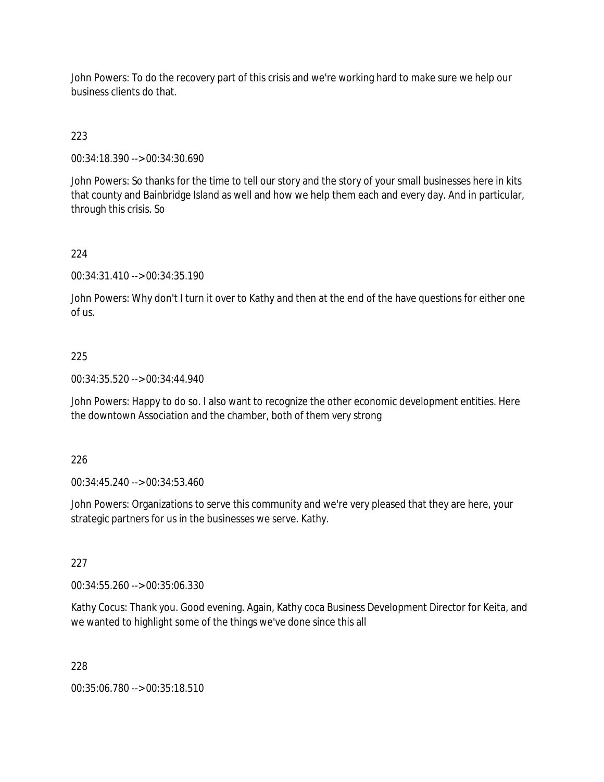John Powers: To do the recovery part of this crisis and we're working hard to make sure we help our business clients do that.

223

00:34:18.390 --> 00:34:30.690

John Powers: So thanks for the time to tell our story and the story of your small businesses here in kits that county and Bainbridge Island as well and how we help them each and every day. And in particular, through this crisis. So

### 224

00:34:31.410 --> 00:34:35.190

John Powers: Why don't I turn it over to Kathy and then at the end of the have questions for either one of us.

### 225

00:34:35.520 --> 00:34:44.940

John Powers: Happy to do so. I also want to recognize the other economic development entities. Here the downtown Association and the chamber, both of them very strong

#### 226

00:34:45.240 --> 00:34:53.460

John Powers: Organizations to serve this community and we're very pleased that they are here, your strategic partners for us in the businesses we serve. Kathy.

#### 227

00:34:55.260 --> 00:35:06.330

Kathy Cocus: Thank you. Good evening. Again, Kathy coca Business Development Director for Keita, and we wanted to highlight some of the things we've done since this all

#### 228

00:35:06.780 --> 00:35:18.510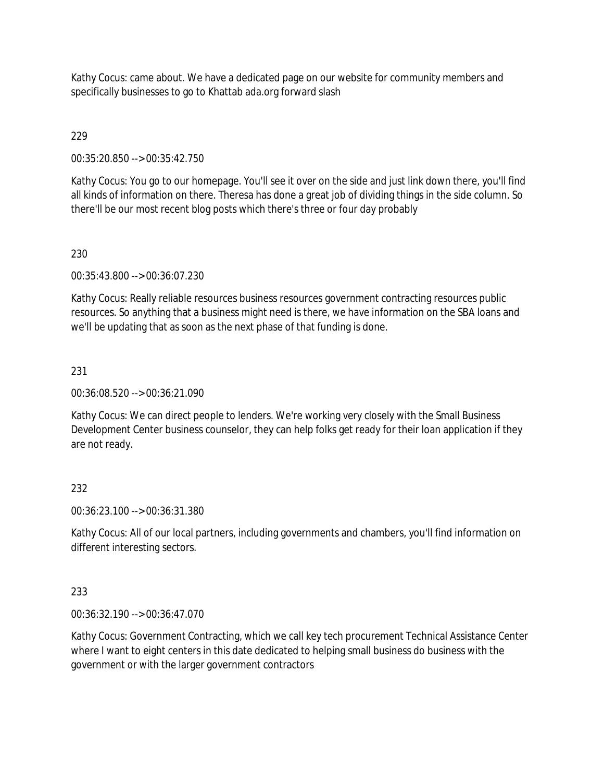Kathy Cocus: came about. We have a dedicated page on our website for community members and specifically businesses to go to Khattab ada.org forward slash

229

00:35:20.850 --> 00:35:42.750

Kathy Cocus: You go to our homepage. You'll see it over on the side and just link down there, you'll find all kinds of information on there. Theresa has done a great job of dividing things in the side column. So there'll be our most recent blog posts which there's three or four day probably

# 230

00:35:43.800 --> 00:36:07.230

Kathy Cocus: Really reliable resources business resources government contracting resources public resources. So anything that a business might need is there, we have information on the SBA loans and we'll be updating that as soon as the next phase of that funding is done.

# 231

00:36:08.520 --> 00:36:21.090

Kathy Cocus: We can direct people to lenders. We're working very closely with the Small Business Development Center business counselor, they can help folks get ready for their loan application if they are not ready.

# 232

00:36:23.100 --> 00:36:31.380

Kathy Cocus: All of our local partners, including governments and chambers, you'll find information on different interesting sectors.

### 233

00:36:32.190 --> 00:36:47.070

Kathy Cocus: Government Contracting, which we call key tech procurement Technical Assistance Center where I want to eight centers in this date dedicated to helping small business do business with the government or with the larger government contractors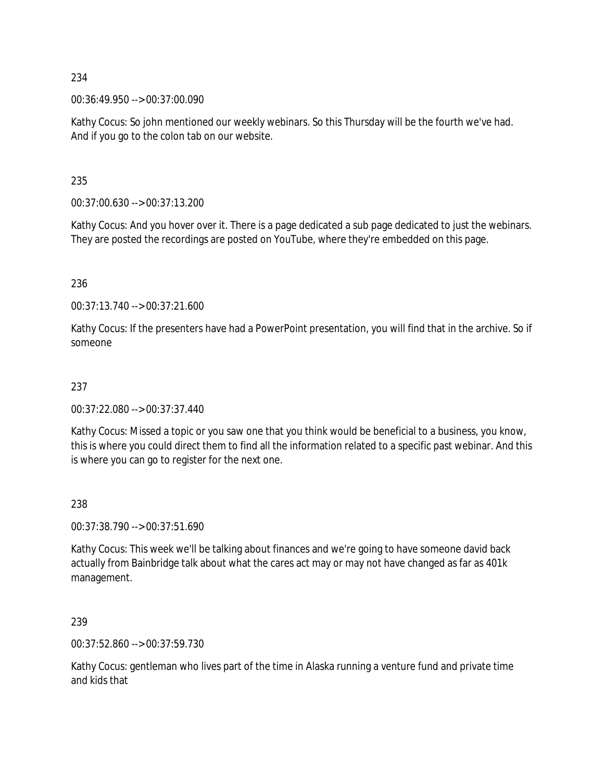00:36:49.950 --> 00:37:00.090

Kathy Cocus: So john mentioned our weekly webinars. So this Thursday will be the fourth we've had. And if you go to the colon tab on our website.

235

00:37:00.630 --> 00:37:13.200

Kathy Cocus: And you hover over it. There is a page dedicated a sub page dedicated to just the webinars. They are posted the recordings are posted on YouTube, where they're embedded on this page.

236

00:37:13.740 --> 00:37:21.600

Kathy Cocus: If the presenters have had a PowerPoint presentation, you will find that in the archive. So if someone

### 237

00:37:22.080 --> 00:37:37.440

Kathy Cocus: Missed a topic or you saw one that you think would be beneficial to a business, you know, this is where you could direct them to find all the information related to a specific past webinar. And this is where you can go to register for the next one.

#### 238

00:37:38.790 --> 00:37:51.690

Kathy Cocus: This week we'll be talking about finances and we're going to have someone david back actually from Bainbridge talk about what the cares act may or may not have changed as far as 401k management.

239

00:37:52.860 --> 00:37:59.730

Kathy Cocus: gentleman who lives part of the time in Alaska running a venture fund and private time and kids that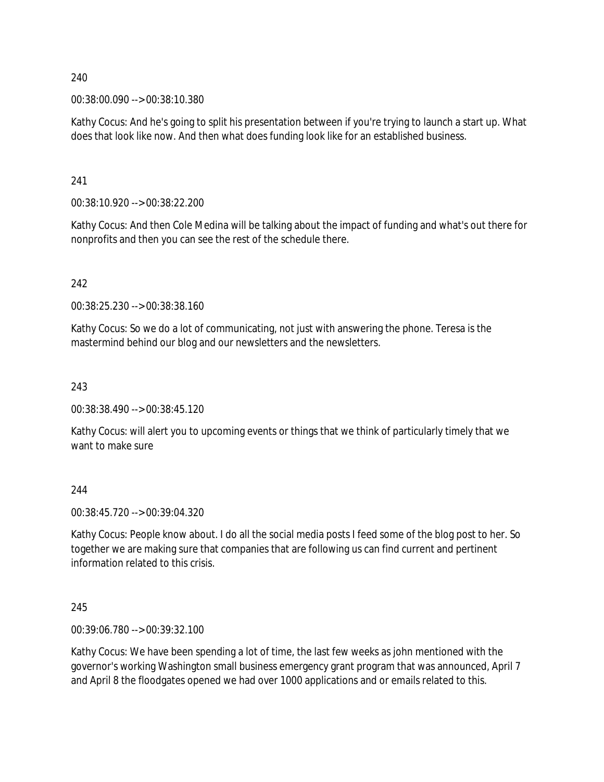00:38:00.090 --> 00:38:10.380

Kathy Cocus: And he's going to split his presentation between if you're trying to launch a start up. What does that look like now. And then what does funding look like for an established business.

241

00:38:10.920 --> 00:38:22.200

Kathy Cocus: And then Cole Medina will be talking about the impact of funding and what's out there for nonprofits and then you can see the rest of the schedule there.

242

00:38:25.230 --> 00:38:38.160

Kathy Cocus: So we do a lot of communicating, not just with answering the phone. Teresa is the mastermind behind our blog and our newsletters and the newsletters.

243

00:38:38.490 --> 00:38:45.120

Kathy Cocus: will alert you to upcoming events or things that we think of particularly timely that we want to make sure

244

00:38:45.720 --> 00:39:04.320

Kathy Cocus: People know about. I do all the social media posts I feed some of the blog post to her. So together we are making sure that companies that are following us can find current and pertinent information related to this crisis.

245

00:39:06.780 --> 00:39:32.100

Kathy Cocus: We have been spending a lot of time, the last few weeks as john mentioned with the governor's working Washington small business emergency grant program that was announced, April 7 and April 8 the floodgates opened we had over 1000 applications and or emails related to this.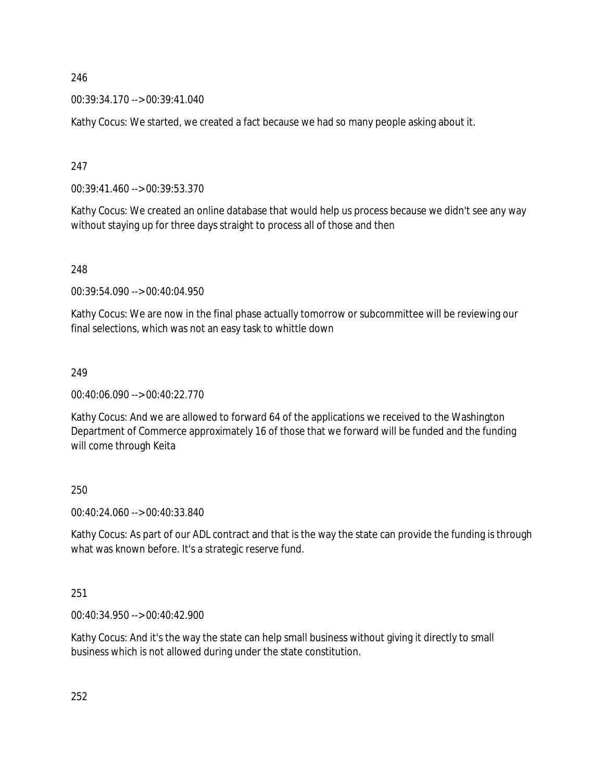00:39:34.170 --> 00:39:41.040

Kathy Cocus: We started, we created a fact because we had so many people asking about it.

247

00:39:41.460 --> 00:39:53.370

Kathy Cocus: We created an online database that would help us process because we didn't see any way without staying up for three days straight to process all of those and then

248

00:39:54.090 --> 00:40:04.950

Kathy Cocus: We are now in the final phase actually tomorrow or subcommittee will be reviewing our final selections, which was not an easy task to whittle down

249

00:40:06.090 --> 00:40:22.770

Kathy Cocus: And we are allowed to forward 64 of the applications we received to the Washington Department of Commerce approximately 16 of those that we forward will be funded and the funding will come through Keita

250

00:40:24.060 --> 00:40:33.840

Kathy Cocus: As part of our ADL contract and that is the way the state can provide the funding is through what was known before. It's a strategic reserve fund.

251

00:40:34.950 --> 00:40:42.900

Kathy Cocus: And it's the way the state can help small business without giving it directly to small business which is not allowed during under the state constitution.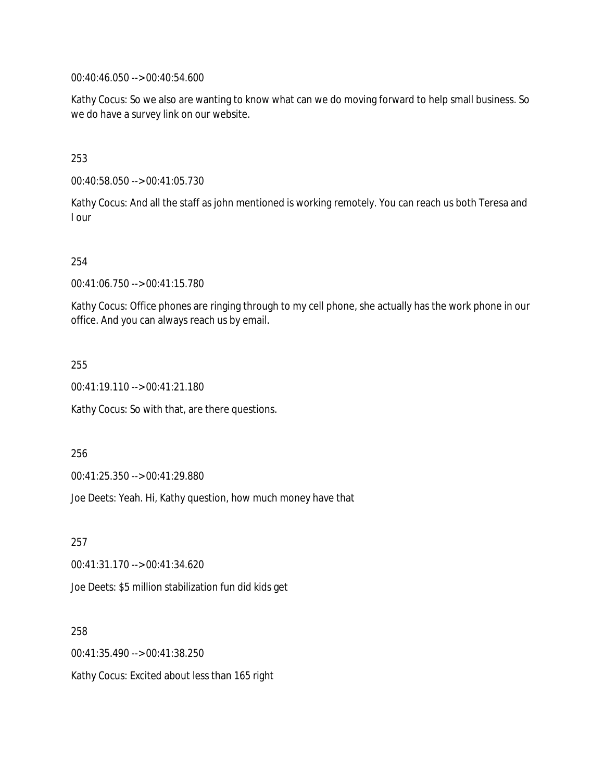00:40:46.050 --> 00:40:54.600

Kathy Cocus: So we also are wanting to know what can we do moving forward to help small business. So we do have a survey link on our website.

253

00:40:58.050 --> 00:41:05.730

Kathy Cocus: And all the staff as john mentioned is working remotely. You can reach us both Teresa and I our

254

00:41:06.750 --> 00:41:15.780

Kathy Cocus: Office phones are ringing through to my cell phone, she actually has the work phone in our office. And you can always reach us by email.

255

00:41:19.110 --> 00:41:21.180

Kathy Cocus: So with that, are there questions.

256

00:41:25.350 --> 00:41:29.880

Joe Deets: Yeah. Hi, Kathy question, how much money have that

257 00:41:31.170 --> 00:41:34.620 Joe Deets: \$5 million stabilization fun did kids get

258 00:41:35.490 --> 00:41:38.250 Kathy Cocus: Excited about less than 165 right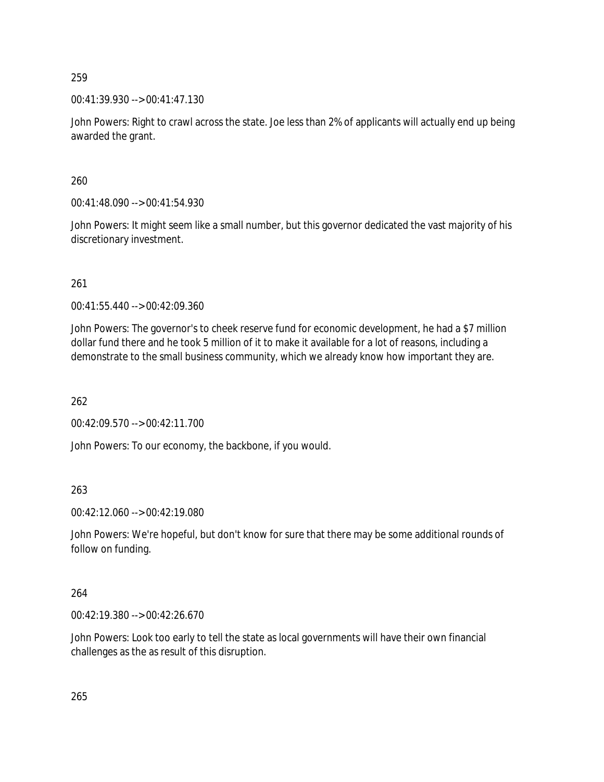00:41:39.930 --> 00:41:47.130

John Powers: Right to crawl across the state. Joe less than 2% of applicants will actually end up being awarded the grant.

260

00:41:48.090 --> 00:41:54.930

John Powers: It might seem like a small number, but this governor dedicated the vast majority of his discretionary investment.

261

00:41:55.440 --> 00:42:09.360

John Powers: The governor's to cheek reserve fund for economic development, he had a \$7 million dollar fund there and he took 5 million of it to make it available for a lot of reasons, including a demonstrate to the small business community, which we already know how important they are.

262

00:42:09.570 --> 00:42:11.700

John Powers: To our economy, the backbone, if you would.

263

00:42:12.060 --> 00:42:19.080

John Powers: We're hopeful, but don't know for sure that there may be some additional rounds of follow on funding.

264

00:42:19.380 --> 00:42:26.670

John Powers: Look too early to tell the state as local governments will have their own financial challenges as the as result of this disruption.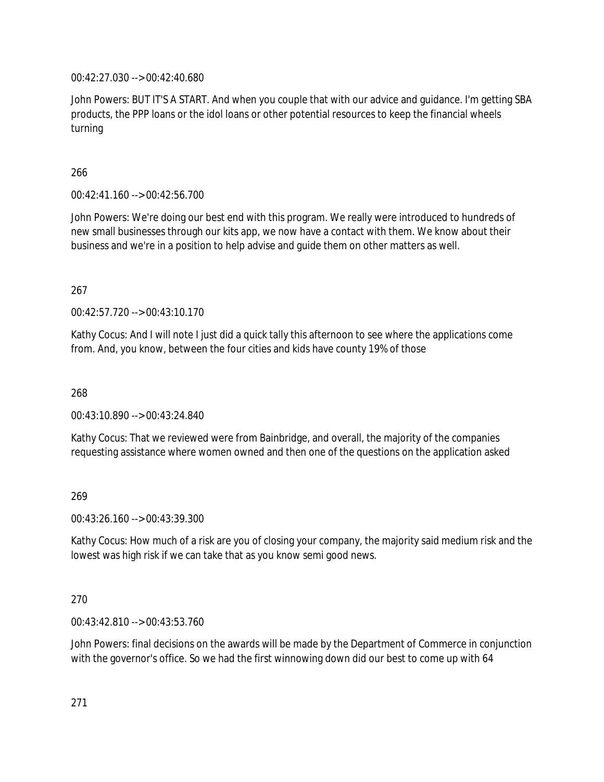00:42:27.030 --> 00:42:40.680

John Powers: BUT IT'S A START. And when you couple that with our advice and guidance. I'm getting SBA products, the PPP loans or the idol loans or other potential resources to keep the financial wheels turning

266

00:42:41.160 --> 00:42:56.700

John Powers: We're doing our best end with this program. We really were introduced to hundreds of new small businesses through our kits app, we now have a contact with them. We know about their business and we're in a position to help advise and guide them on other matters as well.

267

00:42:57.720 --> 00:43:10.170

Kathy Cocus: And I will note I just did a quick tally this afternoon to see where the applications come from. And, you know, between the four cities and kids have county 19% of those

268

00:43:10.890 --> 00:43:24.840

Kathy Cocus: That we reviewed were from Bainbridge, and overall, the majority of the companies requesting assistance where women owned and then one of the questions on the application asked

269

00:43:26.160 --> 00:43:39.300

Kathy Cocus: How much of a risk are you of closing your company, the majority said medium risk and the lowest was high risk if we can take that as you know semi good news.

270

00:43:42.810 --> 00:43:53.760

John Powers: final decisions on the awards will be made by the Department of Commerce in conjunction with the governor's office. So we had the first winnowing down did our best to come up with 64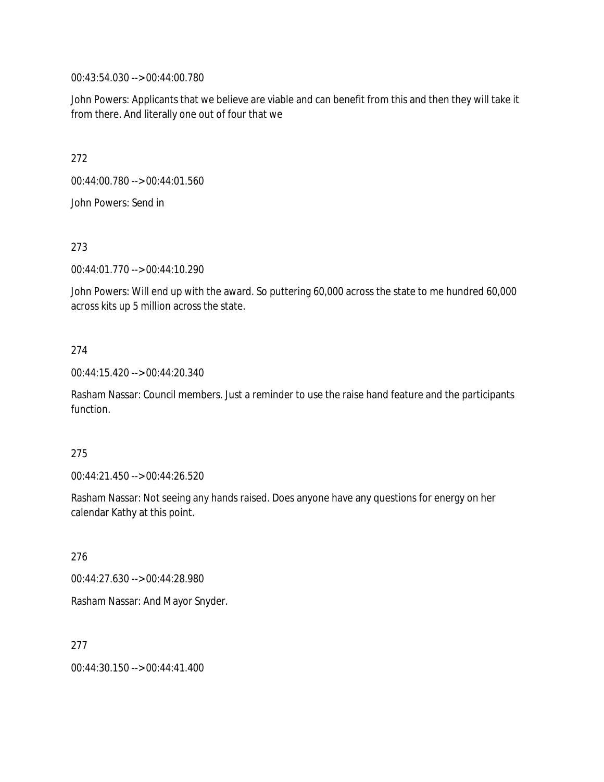00:43:54.030 --> 00:44:00.780

John Powers: Applicants that we believe are viable and can benefit from this and then they will take it from there. And literally one out of four that we

272

00:44:00.780 --> 00:44:01.560

John Powers: Send in

273

00:44:01.770 --> 00:44:10.290

John Powers: Will end up with the award. So puttering 60,000 across the state to me hundred 60,000 across kits up 5 million across the state.

### 274

00:44:15.420 --> 00:44:20.340

Rasham Nassar: Council members. Just a reminder to use the raise hand feature and the participants function.

#### 275

00:44:21.450 --> 00:44:26.520

Rasham Nassar: Not seeing any hands raised. Does anyone have any questions for energy on her calendar Kathy at this point.

276

00:44:27.630 --> 00:44:28.980

Rasham Nassar: And Mayor Snyder.

277

00:44:30.150 --> 00:44:41.400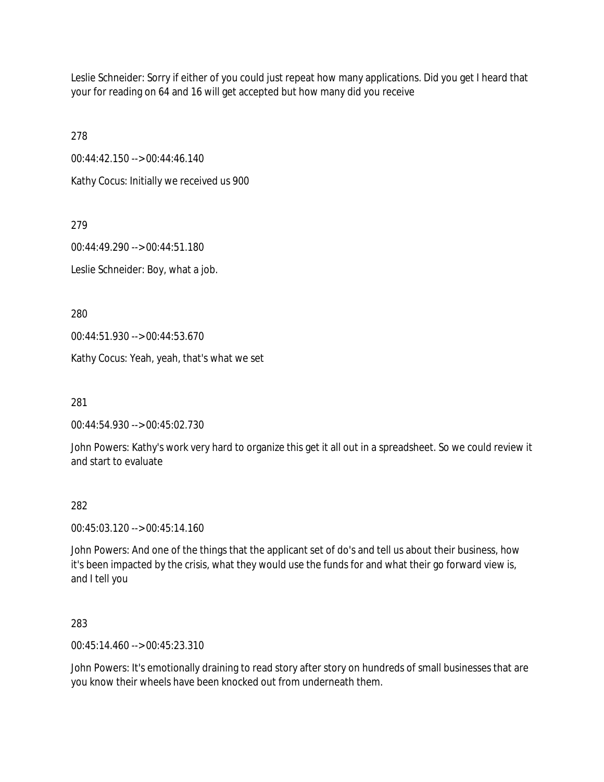Leslie Schneider: Sorry if either of you could just repeat how many applications. Did you get I heard that your for reading on 64 and 16 will get accepted but how many did you receive

278

00:44:42.150 --> 00:44:46.140

Kathy Cocus: Initially we received us 900

279

00:44:49.290 --> 00:44:51.180

Leslie Schneider: Boy, what a job.

280

00:44:51.930 --> 00:44:53.670

Kathy Cocus: Yeah, yeah, that's what we set

281

00:44:54.930 --> 00:45:02.730

John Powers: Kathy's work very hard to organize this get it all out in a spreadsheet. So we could review it and start to evaluate

### 282

00:45:03.120 --> 00:45:14.160

John Powers: And one of the things that the applicant set of do's and tell us about their business, how it's been impacted by the crisis, what they would use the funds for and what their go forward view is, and I tell you

283

00:45:14.460 --> 00:45:23.310

John Powers: It's emotionally draining to read story after story on hundreds of small businesses that are you know their wheels have been knocked out from underneath them.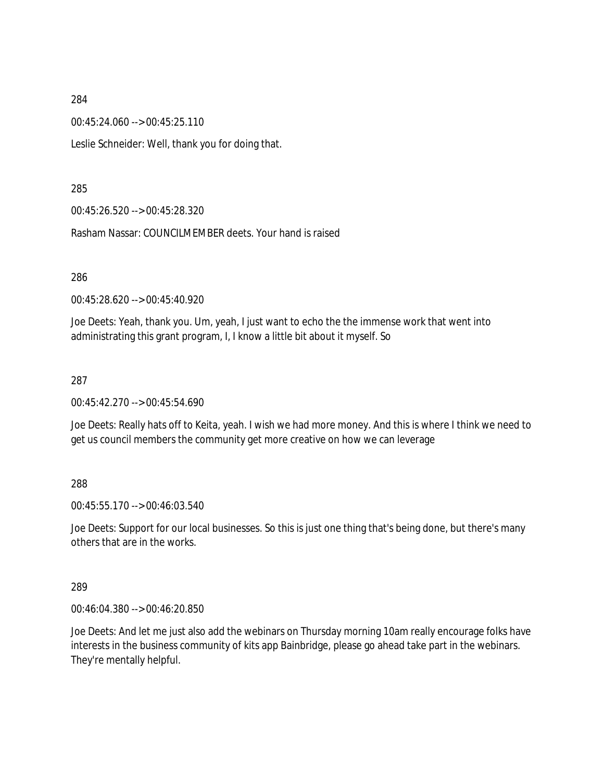00:45:24.060 --> 00:45:25.110

Leslie Schneider: Well, thank you for doing that.

### 285

00:45:26.520 --> 00:45:28.320

Rasham Nassar: COUNCILMEMBER deets. Your hand is raised

286

00:45:28.620 --> 00:45:40.920

Joe Deets: Yeah, thank you. Um, yeah, I just want to echo the the immense work that went into administrating this grant program, I, I know a little bit about it myself. So

### 287

00:45:42.270 --> 00:45:54.690

Joe Deets: Really hats off to Keita, yeah. I wish we had more money. And this is where I think we need to get us council members the community get more creative on how we can leverage

### 288

00:45:55.170 --> 00:46:03.540

Joe Deets: Support for our local businesses. So this is just one thing that's being done, but there's many others that are in the works.

#### 289

00:46:04.380 --> 00:46:20.850

Joe Deets: And let me just also add the webinars on Thursday morning 10am really encourage folks have interests in the business community of kits app Bainbridge, please go ahead take part in the webinars. They're mentally helpful.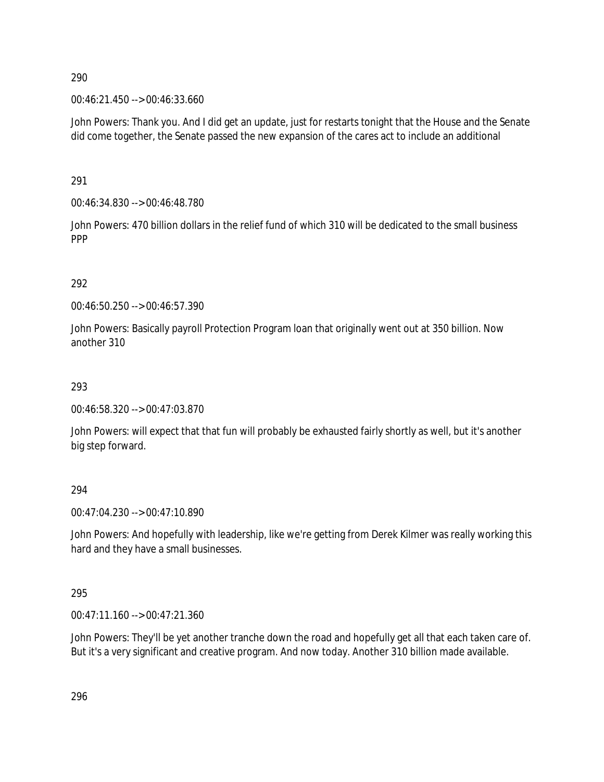00:46:21.450 --> 00:46:33.660

John Powers: Thank you. And I did get an update, just for restarts tonight that the House and the Senate did come together, the Senate passed the new expansion of the cares act to include an additional

291

00:46:34.830 --> 00:46:48.780

John Powers: 470 billion dollars in the relief fund of which 310 will be dedicated to the small business PPP

292

00:46:50.250 --> 00:46:57.390

John Powers: Basically payroll Protection Program loan that originally went out at 350 billion. Now another 310

293

00:46:58.320 --> 00:47:03.870

John Powers: will expect that that fun will probably be exhausted fairly shortly as well, but it's another big step forward.

294

00:47:04.230 --> 00:47:10.890

John Powers: And hopefully with leadership, like we're getting from Derek Kilmer was really working this hard and they have a small businesses.

295

00:47:11.160 --> 00:47:21.360

John Powers: They'll be yet another tranche down the road and hopefully get all that each taken care of. But it's a very significant and creative program. And now today. Another 310 billion made available.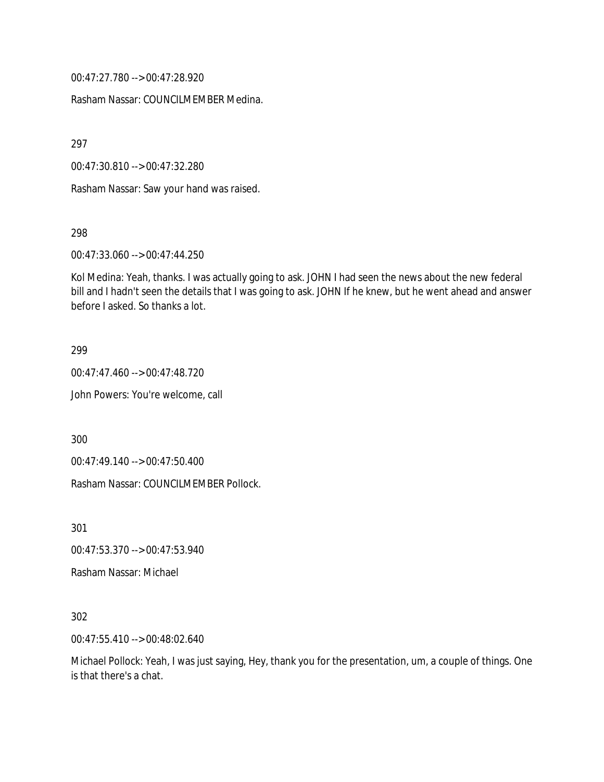00:47:27.780 --> 00:47:28.920

Rasham Nassar: COUNCILMEMBER Medina.

297

00:47:30.810 --> 00:47:32.280

Rasham Nassar: Saw your hand was raised.

298

00:47:33.060 --> 00:47:44.250

Kol Medina: Yeah, thanks. I was actually going to ask. JOHN I had seen the news about the new federal bill and I hadn't seen the details that I was going to ask. JOHN If he knew, but he went ahead and answer before I asked. So thanks a lot.

299

00:47:47.460 --> 00:47:48.720 John Powers: You're welcome, call

300

00:47:49.140 --> 00:47:50.400

Rasham Nassar: COUNCILMEMBER Pollock.

301

00:47:53.370 --> 00:47:53.940

Rasham Nassar: Michael

302

00:47:55.410 --> 00:48:02.640

Michael Pollock: Yeah, I was just saying, Hey, thank you for the presentation, um, a couple of things. One is that there's a chat.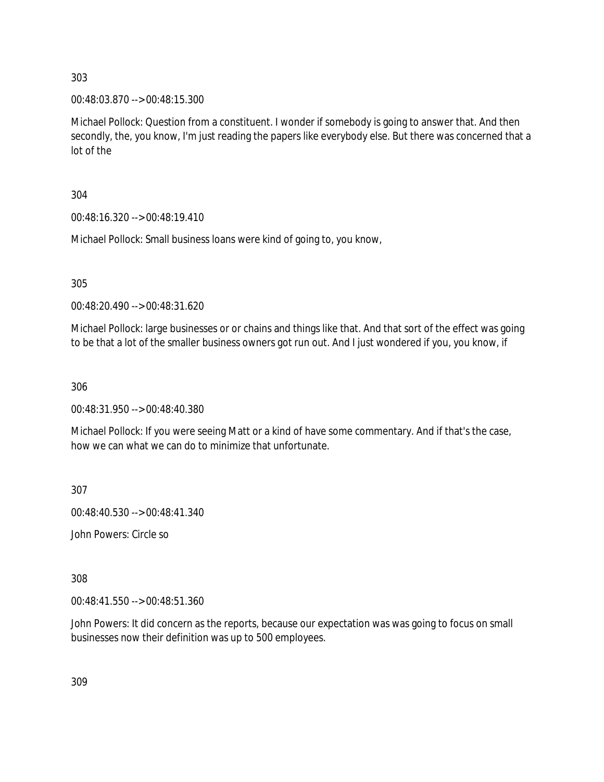00:48:03.870 --> 00:48:15.300

Michael Pollock: Question from a constituent. I wonder if somebody is going to answer that. And then secondly, the, you know, I'm just reading the papers like everybody else. But there was concerned that a lot of the

304

00:48:16.320 --> 00:48:19.410

Michael Pollock: Small business loans were kind of going to, you know,

305

00:48:20.490 --> 00:48:31.620

Michael Pollock: large businesses or or chains and things like that. And that sort of the effect was going to be that a lot of the smaller business owners got run out. And I just wondered if you, you know, if

306

00:48:31.950 --> 00:48:40.380

Michael Pollock: If you were seeing Matt or a kind of have some commentary. And if that's the case, how we can what we can do to minimize that unfortunate.

307

00:48:40.530 --> 00:48:41.340

John Powers: Circle so

308

00:48:41.550 --> 00:48:51.360

John Powers: It did concern as the reports, because our expectation was was going to focus on small businesses now their definition was up to 500 employees.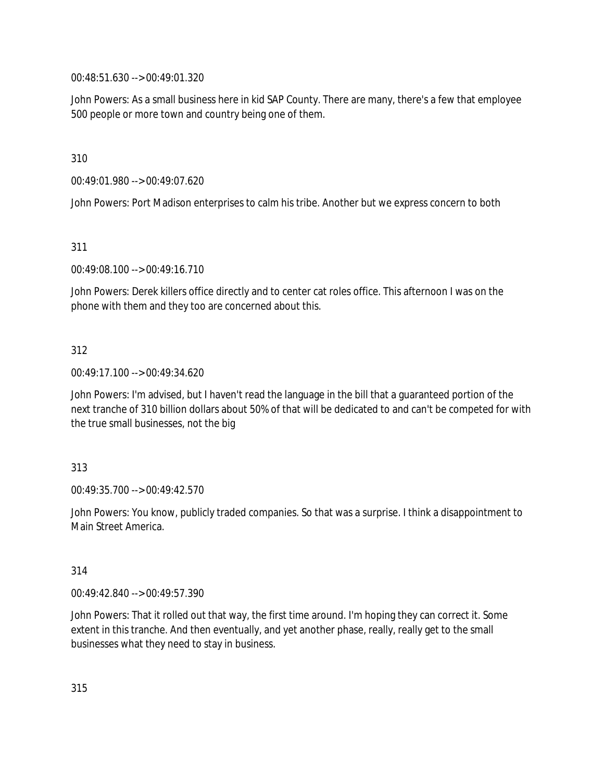00:48:51.630 --> 00:49:01.320

John Powers: As a small business here in kid SAP County. There are many, there's a few that employee 500 people or more town and country being one of them.

310

00:49:01.980 --> 00:49:07.620

John Powers: Port Madison enterprises to calm his tribe. Another but we express concern to both

311

00:49:08.100 --> 00:49:16.710

John Powers: Derek killers office directly and to center cat roles office. This afternoon I was on the phone with them and they too are concerned about this.

312

00:49:17.100 --> 00:49:34.620

John Powers: I'm advised, but I haven't read the language in the bill that a guaranteed portion of the next tranche of 310 billion dollars about 50% of that will be dedicated to and can't be competed for with the true small businesses, not the big

313

00:49:35.700 --> 00:49:42.570

John Powers: You know, publicly traded companies. So that was a surprise. I think a disappointment to Main Street America.

314

00:49:42.840 --> 00:49:57.390

John Powers: That it rolled out that way, the first time around. I'm hoping they can correct it. Some extent in this tranche. And then eventually, and yet another phase, really, really get to the small businesses what they need to stay in business.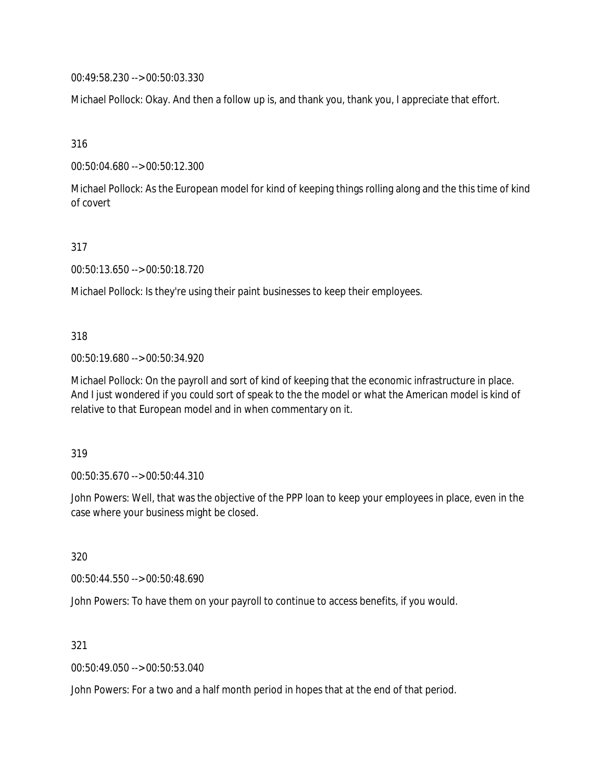00:49:58.230 --> 00:50:03.330

Michael Pollock: Okay. And then a follow up is, and thank you, thank you, I appreciate that effort.

316

00:50:04.680 --> 00:50:12.300

Michael Pollock: As the European model for kind of keeping things rolling along and the this time of kind of covert

317

00:50:13.650 --> 00:50:18.720

Michael Pollock: Is they're using their paint businesses to keep their employees.

318

00:50:19.680 --> 00:50:34.920

Michael Pollock: On the payroll and sort of kind of keeping that the economic infrastructure in place. And I just wondered if you could sort of speak to the the model or what the American model is kind of relative to that European model and in when commentary on it.

319

00:50:35.670 --> 00:50:44.310

John Powers: Well, that was the objective of the PPP loan to keep your employees in place, even in the case where your business might be closed.

320

00:50:44.550 --> 00:50:48.690

John Powers: To have them on your payroll to continue to access benefits, if you would.

321

00:50:49.050 --> 00:50:53.040

John Powers: For a two and a half month period in hopes that at the end of that period.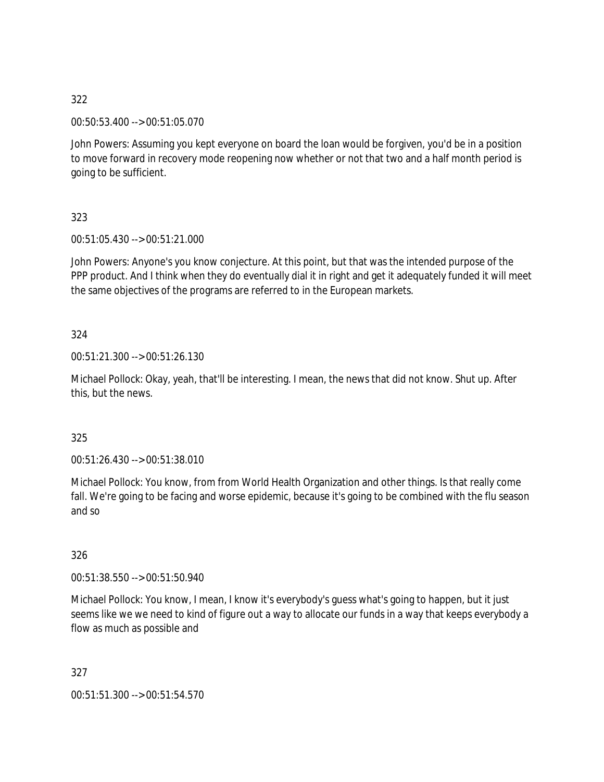00:50:53.400 --> 00:51:05.070

John Powers: Assuming you kept everyone on board the loan would be forgiven, you'd be in a position to move forward in recovery mode reopening now whether or not that two and a half month period is going to be sufficient.

323

00:51:05.430 --> 00:51:21.000

John Powers: Anyone's you know conjecture. At this point, but that was the intended purpose of the PPP product. And I think when they do eventually dial it in right and get it adequately funded it will meet the same objectives of the programs are referred to in the European markets.

324

00:51:21.300 --> 00:51:26.130

Michael Pollock: Okay, yeah, that'll be interesting. I mean, the news that did not know. Shut up. After this, but the news.

325

00:51:26.430 --> 00:51:38.010

Michael Pollock: You know, from from World Health Organization and other things. Is that really come fall. We're going to be facing and worse epidemic, because it's going to be combined with the flu season and so

326

00:51:38.550 --> 00:51:50.940

Michael Pollock: You know, I mean, I know it's everybody's guess what's going to happen, but it just seems like we we need to kind of figure out a way to allocate our funds in a way that keeps everybody a flow as much as possible and

327

00:51:51.300 --> 00:51:54.570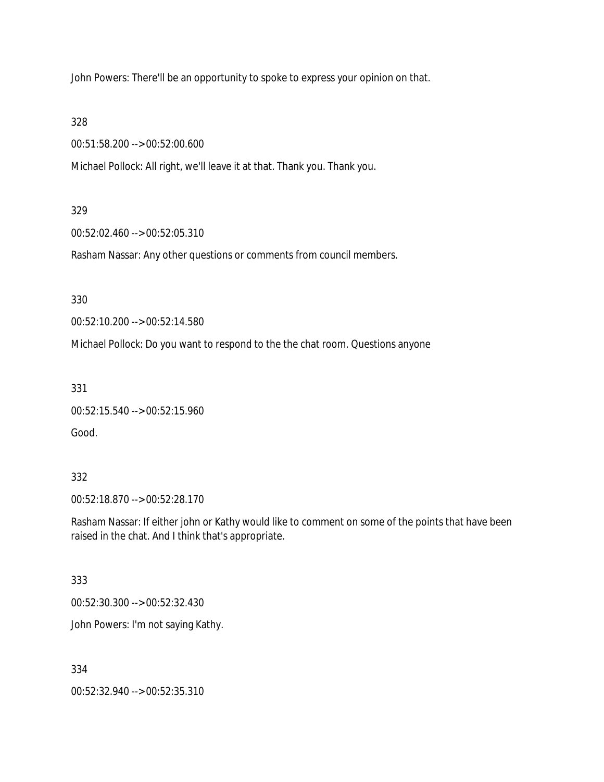John Powers: There'll be an opportunity to spoke to express your opinion on that.

328

00:51:58.200 --> 00:52:00.600

Michael Pollock: All right, we'll leave it at that. Thank you. Thank you.

### 329

00:52:02.460 --> 00:52:05.310

Rasham Nassar: Any other questions or comments from council members.

330

00:52:10.200 --> 00:52:14.580

Michael Pollock: Do you want to respond to the the chat room. Questions anyone

331

00:52:15.540 --> 00:52:15.960

Good.

### 332

00:52:18.870 --> 00:52:28.170

Rasham Nassar: If either john or Kathy would like to comment on some of the points that have been raised in the chat. And I think that's appropriate.

### 333

00:52:30.300 --> 00:52:32.430

John Powers: I'm not saying Kathy.

### 334

00:52:32.940 --> 00:52:35.310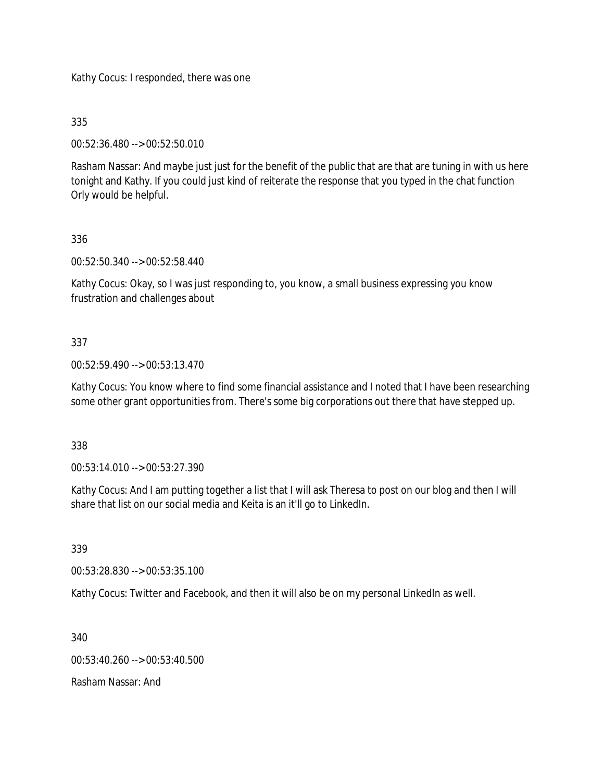Kathy Cocus: I responded, there was one

335

00:52:36.480 --> 00:52:50.010

Rasham Nassar: And maybe just just for the benefit of the public that are that are tuning in with us here tonight and Kathy. If you could just kind of reiterate the response that you typed in the chat function Orly would be helpful.

# 336

00:52:50.340 --> 00:52:58.440

Kathy Cocus: Okay, so I was just responding to, you know, a small business expressing you know frustration and challenges about

# 337

00:52:59.490 --> 00:53:13.470

Kathy Cocus: You know where to find some financial assistance and I noted that I have been researching some other grant opportunities from. There's some big corporations out there that have stepped up.

338

00:53:14.010 --> 00:53:27.390

Kathy Cocus: And I am putting together a list that I will ask Theresa to post on our blog and then I will share that list on our social media and Keita is an it'll go to LinkedIn.

339

00:53:28.830 --> 00:53:35.100

Kathy Cocus: Twitter and Facebook, and then it will also be on my personal LinkedIn as well.

340

00:53:40.260 --> 00:53:40.500

Rasham Nassar: And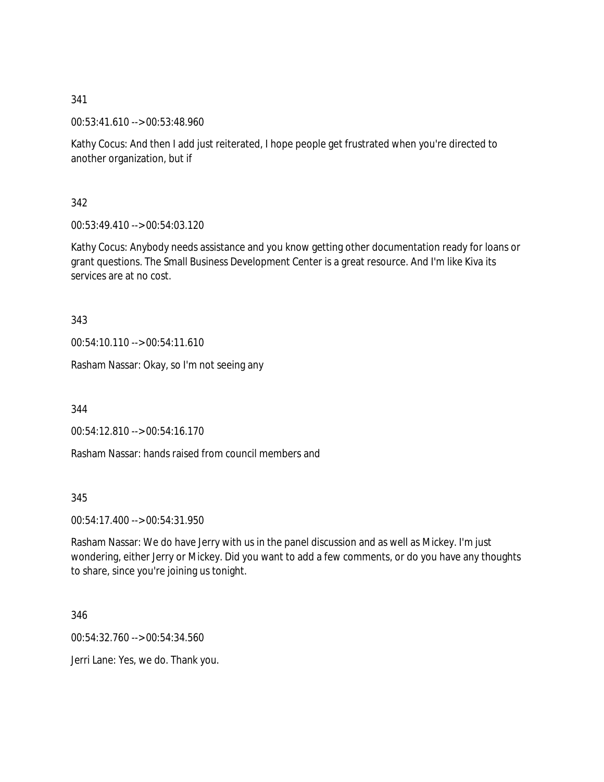00:53:41.610 --> 00:53:48.960

Kathy Cocus: And then I add just reiterated, I hope people get frustrated when you're directed to another organization, but if

342

00:53:49.410 --> 00:54:03.120

Kathy Cocus: Anybody needs assistance and you know getting other documentation ready for loans or grant questions. The Small Business Development Center is a great resource. And I'm like Kiva its services are at no cost.

343

00:54:10.110 --> 00:54:11.610

Rasham Nassar: Okay, so I'm not seeing any

344

00:54:12.810 --> 00:54:16.170

Rasham Nassar: hands raised from council members and

345

00:54:17.400 --> 00:54:31.950

Rasham Nassar: We do have Jerry with us in the panel discussion and as well as Mickey. I'm just wondering, either Jerry or Mickey. Did you want to add a few comments, or do you have any thoughts to share, since you're joining us tonight.

346

00:54:32.760 --> 00:54:34.560

Jerri Lane: Yes, we do. Thank you.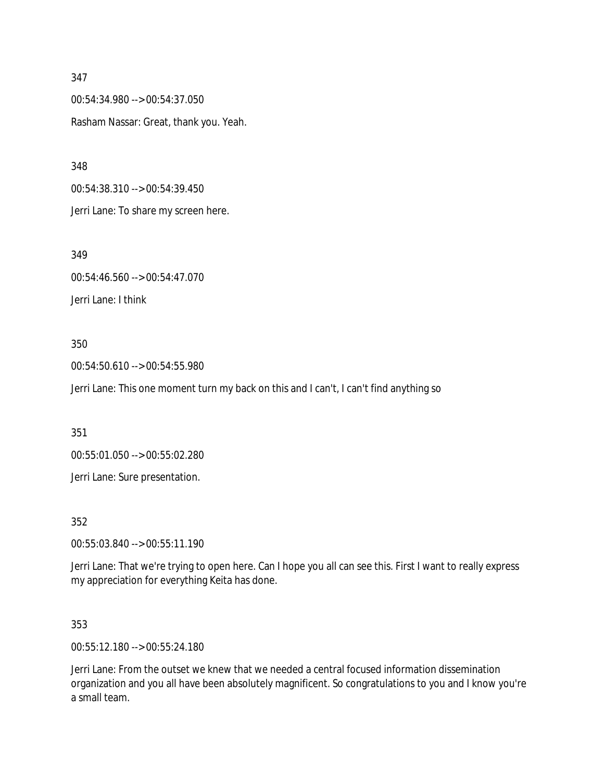00:54:34.980 --> 00:54:37.050 Rasham Nassar: Great, thank you. Yeah.

348

00:54:38.310 --> 00:54:39.450 Jerri Lane: To share my screen here.

349

00:54:46.560 --> 00:54:47.070 Jerri Lane: I think

### 350

00:54:50.610 --> 00:54:55.980

Jerri Lane: This one moment turn my back on this and I can't, I can't find anything so

351

00:55:01.050 --> 00:55:02.280

Jerri Lane: Sure presentation.

352

00:55:03.840 --> 00:55:11.190

Jerri Lane: That we're trying to open here. Can I hope you all can see this. First I want to really express my appreciation for everything Keita has done.

353

00:55:12.180 --> 00:55:24.180

Jerri Lane: From the outset we knew that we needed a central focused information dissemination organization and you all have been absolutely magnificent. So congratulations to you and I know you're a small team.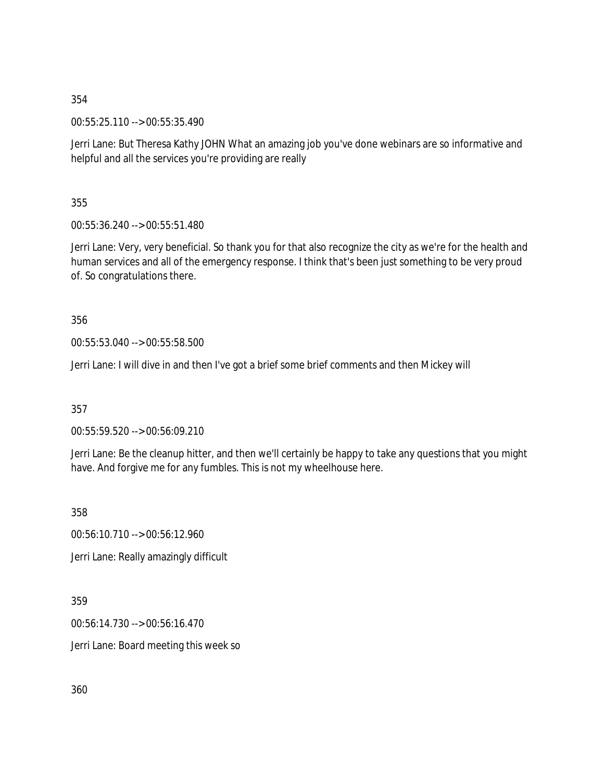00:55:25.110 --> 00:55:35.490

Jerri Lane: But Theresa Kathy JOHN What an amazing job you've done webinars are so informative and helpful and all the services you're providing are really

355

00:55:36.240 --> 00:55:51.480

Jerri Lane: Very, very beneficial. So thank you for that also recognize the city as we're for the health and human services and all of the emergency response. I think that's been just something to be very proud of. So congratulations there.

356

00:55:53.040 --> 00:55:58.500

Jerri Lane: I will dive in and then I've got a brief some brief comments and then Mickey will

357

00:55:59.520 --> 00:56:09.210

Jerri Lane: Be the cleanup hitter, and then we'll certainly be happy to take any questions that you might have. And forgive me for any fumbles. This is not my wheelhouse here.

358

00:56:10.710 --> 00:56:12.960 Jerri Lane: Really amazingly difficult

359

00:56:14.730 --> 00:56:16.470

Jerri Lane: Board meeting this week so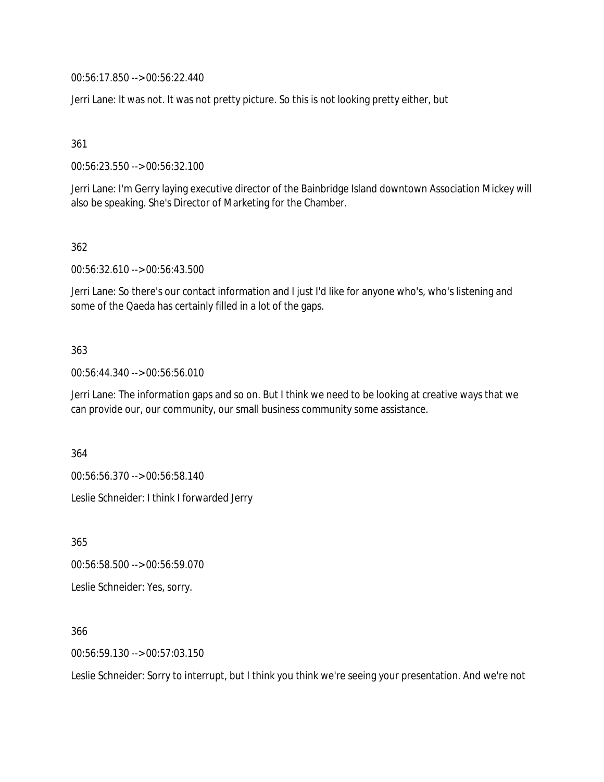00:56:17.850 --> 00:56:22.440

Jerri Lane: It was not. It was not pretty picture. So this is not looking pretty either, but

361

00:56:23.550 --> 00:56:32.100

Jerri Lane: I'm Gerry laying executive director of the Bainbridge Island downtown Association Mickey will also be speaking. She's Director of Marketing for the Chamber.

362

00:56:32.610 --> 00:56:43.500

Jerri Lane: So there's our contact information and I just I'd like for anyone who's, who's listening and some of the Qaeda has certainly filled in a lot of the gaps.

#### 363

00:56:44.340 --> 00:56:56.010

Jerri Lane: The information gaps and so on. But I think we need to be looking at creative ways that we can provide our, our community, our small business community some assistance.

364

00:56:56.370 --> 00:56:58.140

Leslie Schneider: I think I forwarded Jerry

365

00:56:58.500 --> 00:56:59.070 Leslie Schneider: Yes, sorry.

366

00:56:59.130 --> 00:57:03.150

Leslie Schneider: Sorry to interrupt, but I think you think we're seeing your presentation. And we're not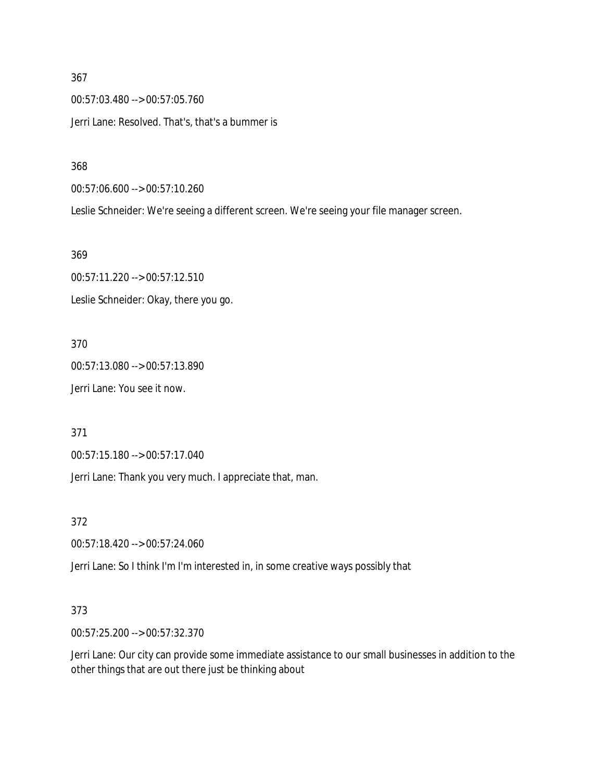00:57:03.480 --> 00:57:05.760 Jerri Lane: Resolved. That's, that's a bummer is

368

00:57:06.600 --> 00:57:10.260

Leslie Schneider: We're seeing a different screen. We're seeing your file manager screen.

369

00:57:11.220 --> 00:57:12.510 Leslie Schneider: Okay, there you go.

370

00:57:13.080 --> 00:57:13.890 Jerri Lane: You see it now.

371

00:57:15.180 --> 00:57:17.040

Jerri Lane: Thank you very much. I appreciate that, man.

372

00:57:18.420 --> 00:57:24.060

Jerri Lane: So I think I'm I'm interested in, in some creative ways possibly that

#### 373

00:57:25.200 --> 00:57:32.370

Jerri Lane: Our city can provide some immediate assistance to our small businesses in addition to the other things that are out there just be thinking about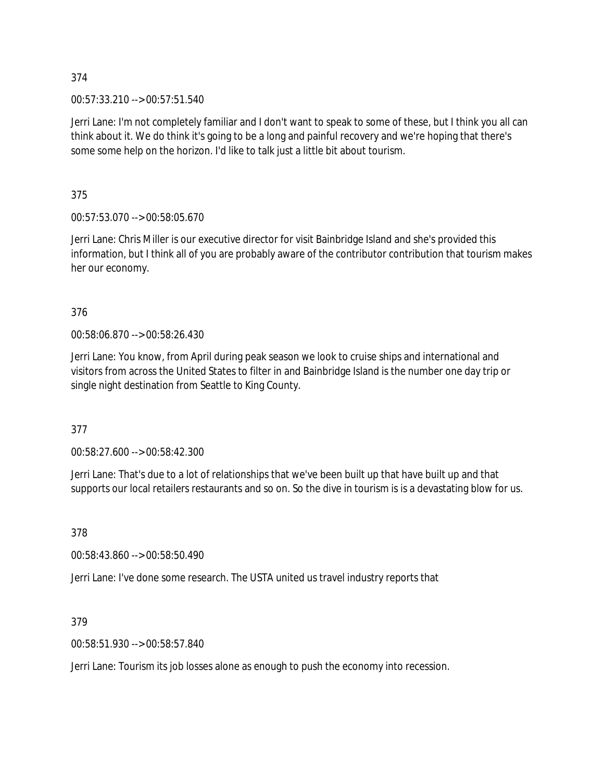00:57:33.210 --> 00:57:51.540

Jerri Lane: I'm not completely familiar and I don't want to speak to some of these, but I think you all can think about it. We do think it's going to be a long and painful recovery and we're hoping that there's some some help on the horizon. I'd like to talk just a little bit about tourism.

375

00:57:53.070 --> 00:58:05.670

Jerri Lane: Chris Miller is our executive director for visit Bainbridge Island and she's provided this information, but I think all of you are probably aware of the contributor contribution that tourism makes her our economy.

376

00:58:06.870 --> 00:58:26.430

Jerri Lane: You know, from April during peak season we look to cruise ships and international and visitors from across the United States to filter in and Bainbridge Island is the number one day trip or single night destination from Seattle to King County.

377

00:58:27.600 --> 00:58:42.300

Jerri Lane: That's due to a lot of relationships that we've been built up that have built up and that supports our local retailers restaurants and so on. So the dive in tourism is is a devastating blow for us.

378

00:58:43.860 --> 00:58:50.490

Jerri Lane: I've done some research. The USTA united us travel industry reports that

379

00:58:51.930 --> 00:58:57.840

Jerri Lane: Tourism its job losses alone as enough to push the economy into recession.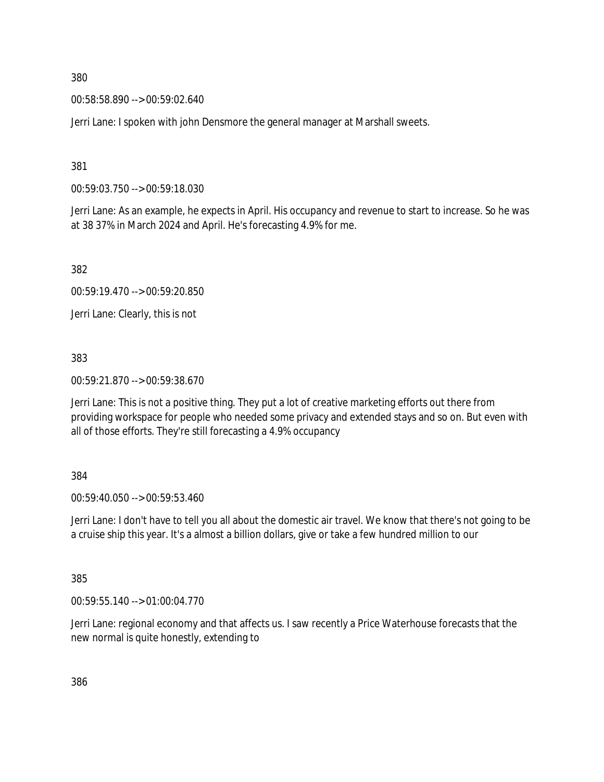00:58:58.890 --> 00:59:02.640

Jerri Lane: I spoken with john Densmore the general manager at Marshall sweets.

381

00:59:03.750 --> 00:59:18.030

Jerri Lane: As an example, he expects in April. His occupancy and revenue to start to increase. So he was at 38 37% in March 2024 and April. He's forecasting 4.9% for me.

382

00:59:19.470 --> 00:59:20.850

Jerri Lane: Clearly, this is not

383

00:59:21.870 --> 00:59:38.670

Jerri Lane: This is not a positive thing. They put a lot of creative marketing efforts out there from providing workspace for people who needed some privacy and extended stays and so on. But even with all of those efforts. They're still forecasting a 4.9% occupancy

#### 384

00:59:40.050 --> 00:59:53.460

Jerri Lane: I don't have to tell you all about the domestic air travel. We know that there's not going to be a cruise ship this year. It's a almost a billion dollars, give or take a few hundred million to our

385

00:59:55.140 --> 01:00:04.770

Jerri Lane: regional economy and that affects us. I saw recently a Price Waterhouse forecasts that the new normal is quite honestly, extending to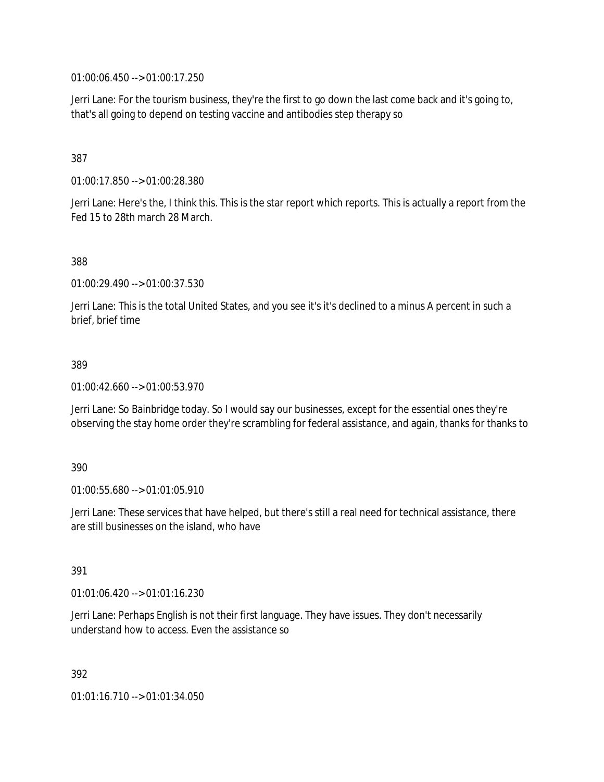01:00:06.450 --> 01:00:17.250

Jerri Lane: For the tourism business, they're the first to go down the last come back and it's going to, that's all going to depend on testing vaccine and antibodies step therapy so

# 387

01:00:17.850 --> 01:00:28.380

Jerri Lane: Here's the, I think this. This is the star report which reports. This is actually a report from the Fed 15 to 28th march 28 March.

388

01:00:29.490 --> 01:00:37.530

Jerri Lane: This is the total United States, and you see it's it's declined to a minus A percent in such a brief, brief time

### 389

01:00:42.660 --> 01:00:53.970

Jerri Lane: So Bainbridge today. So I would say our businesses, except for the essential ones they're observing the stay home order they're scrambling for federal assistance, and again, thanks for thanks to

#### 390

01:00:55.680 --> 01:01:05.910

Jerri Lane: These services that have helped, but there's still a real need for technical assistance, there are still businesses on the island, who have

#### 391

01:01:06.420 --> 01:01:16.230

Jerri Lane: Perhaps English is not their first language. They have issues. They don't necessarily understand how to access. Even the assistance so

392

01:01:16.710 --> 01:01:34.050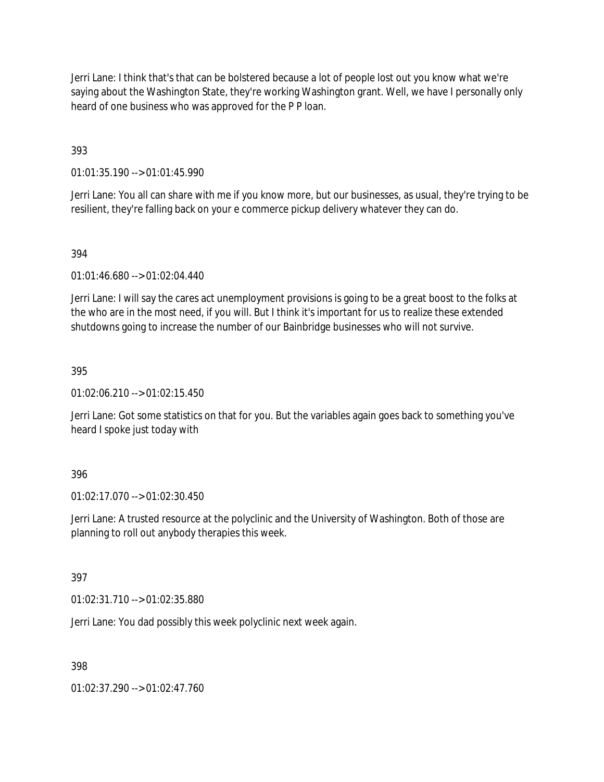Jerri Lane: I think that's that can be bolstered because a lot of people lost out you know what we're saying about the Washington State, they're working Washington grant. Well, we have I personally only heard of one business who was approved for the P P loan.

393

01:01:35.190 --> 01:01:45.990

Jerri Lane: You all can share with me if you know more, but our businesses, as usual, they're trying to be resilient, they're falling back on your e commerce pickup delivery whatever they can do.

### 394

01:01:46.680 --> 01:02:04.440

Jerri Lane: I will say the cares act unemployment provisions is going to be a great boost to the folks at the who are in the most need, if you will. But I think it's important for us to realize these extended shutdowns going to increase the number of our Bainbridge businesses who will not survive.

### 395

01:02:06.210 --> 01:02:15.450

Jerri Lane: Got some statistics on that for you. But the variables again goes back to something you've heard I spoke just today with

### 396

01:02:17.070 --> 01:02:30.450

Jerri Lane: A trusted resource at the polyclinic and the University of Washington. Both of those are planning to roll out anybody therapies this week.

### 397

01:02:31.710 --> 01:02:35.880

Jerri Lane: You dad possibly this week polyclinic next week again.

398

01:02:37.290 --> 01:02:47.760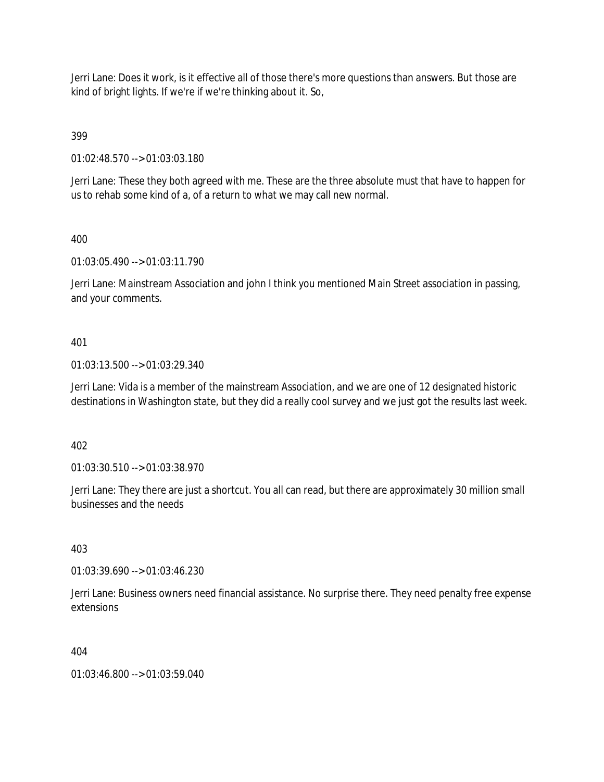Jerri Lane: Does it work, is it effective all of those there's more questions than answers. But those are kind of bright lights. If we're if we're thinking about it. So,

399

01:02:48.570 --> 01:03:03.180

Jerri Lane: These they both agreed with me. These are the three absolute must that have to happen for us to rehab some kind of a, of a return to what we may call new normal.

# 400

01:03:05.490 --> 01:03:11.790

Jerri Lane: Mainstream Association and john I think you mentioned Main Street association in passing, and your comments.

# 401

01:03:13.500 --> 01:03:29.340

Jerri Lane: Vida is a member of the mainstream Association, and we are one of 12 designated historic destinations in Washington state, but they did a really cool survey and we just got the results last week.

402

01:03:30.510 --> 01:03:38.970

Jerri Lane: They there are just a shortcut. You all can read, but there are approximately 30 million small businesses and the needs

403

01:03:39.690 --> 01:03:46.230

Jerri Lane: Business owners need financial assistance. No surprise there. They need penalty free expense extensions

### 404

01:03:46.800 --> 01:03:59.040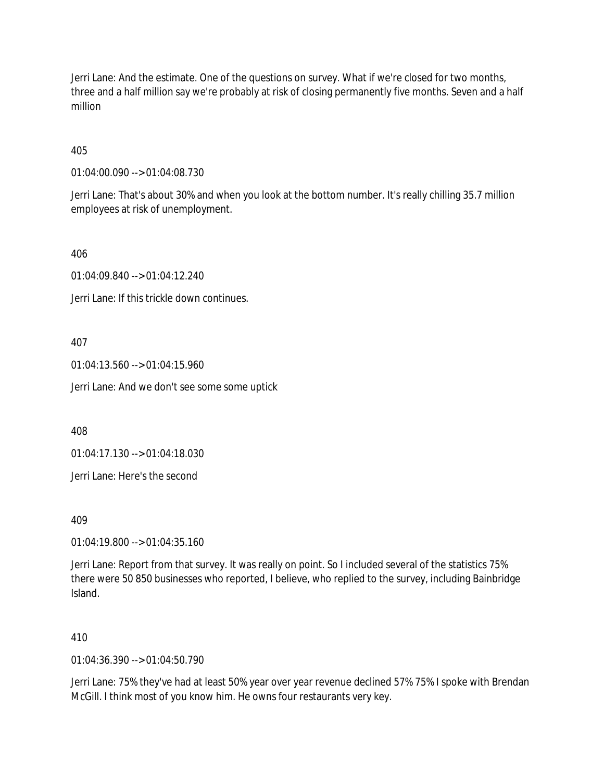Jerri Lane: And the estimate. One of the questions on survey. What if we're closed for two months, three and a half million say we're probably at risk of closing permanently five months. Seven and a half million

405

01:04:00.090 --> 01:04:08.730

Jerri Lane: That's about 30% and when you look at the bottom number. It's really chilling 35.7 million employees at risk of unemployment.

406

01:04:09.840 --> 01:04:12.240

Jerri Lane: If this trickle down continues.

407

01:04:13.560 --> 01:04:15.960

Jerri Lane: And we don't see some some uptick

408

01:04:17.130 --> 01:04:18.030

Jerri Lane: Here's the second

409

01:04:19.800 --> 01:04:35.160

Jerri Lane: Report from that survey. It was really on point. So I included several of the statistics 75% there were 50 850 businesses who reported, I believe, who replied to the survey, including Bainbridge Island.

410

01:04:36.390 --> 01:04:50.790

Jerri Lane: 75% they've had at least 50% year over year revenue declined 57% 75% I spoke with Brendan McGill. I think most of you know him. He owns four restaurants very key.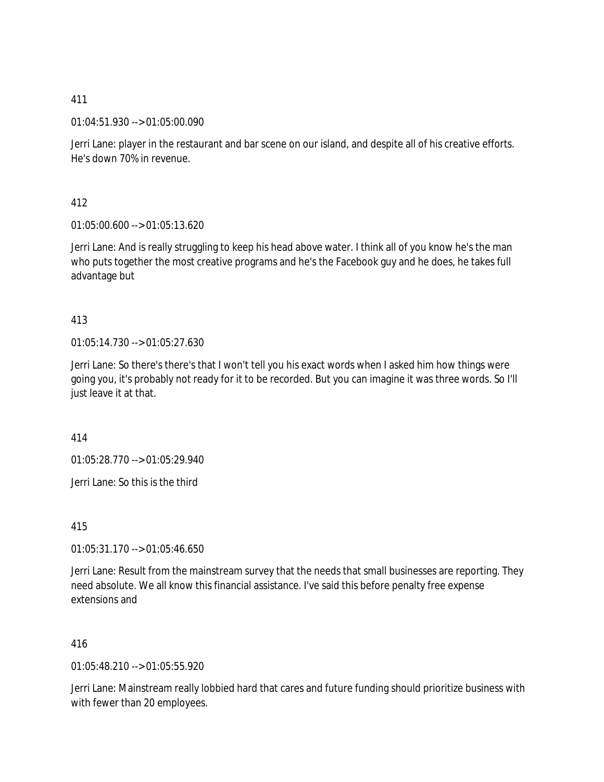01:04:51.930 --> 01:05:00.090

Jerri Lane: player in the restaurant and bar scene on our island, and despite all of his creative efforts. He's down 70% in revenue.

412

01:05:00.600 --> 01:05:13.620

Jerri Lane: And is really struggling to keep his head above water. I think all of you know he's the man who puts together the most creative programs and he's the Facebook guy and he does, he takes full advantage but

413

01:05:14.730 --> 01:05:27.630

Jerri Lane: So there's there's that I won't tell you his exact words when I asked him how things were going you, it's probably not ready for it to be recorded. But you can imagine it was three words. So I'll just leave it at that.

414

01:05:28.770 --> 01:05:29.940

Jerri Lane: So this is the third

415

01:05:31.170 --> 01:05:46.650

Jerri Lane: Result from the mainstream survey that the needs that small businesses are reporting. They need absolute. We all know this financial assistance. I've said this before penalty free expense extensions and

416

01:05:48.210 --> 01:05:55.920

Jerri Lane: Mainstream really lobbied hard that cares and future funding should prioritize business with with fewer than 20 employees.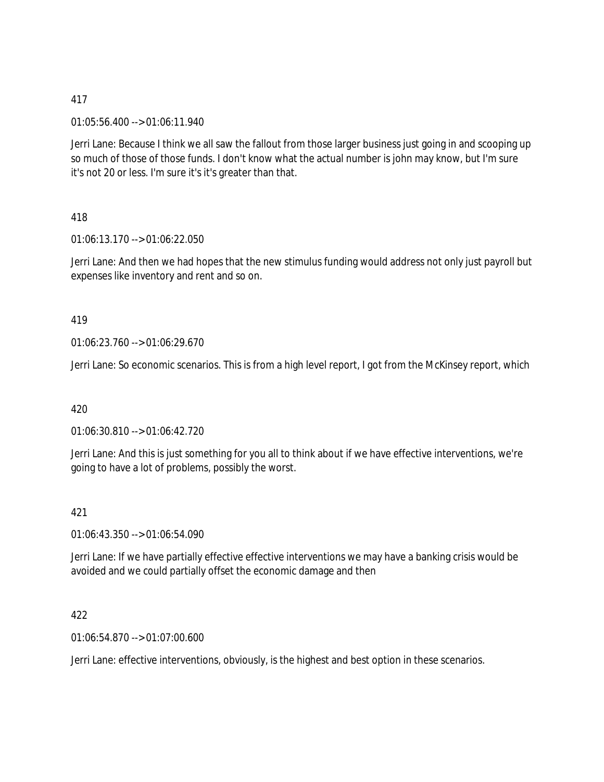01:05:56.400 --> 01:06:11.940

Jerri Lane: Because I think we all saw the fallout from those larger business just going in and scooping up so much of those of those funds. I don't know what the actual number is john may know, but I'm sure it's not 20 or less. I'm sure it's it's greater than that.

# 418

01:06:13.170 --> 01:06:22.050

Jerri Lane: And then we had hopes that the new stimulus funding would address not only just payroll but expenses like inventory and rent and so on.

### 419

01:06:23.760 --> 01:06:29.670

Jerri Lane: So economic scenarios. This is from a high level report, I got from the McKinsey report, which

### 420

01:06:30.810 --> 01:06:42.720

Jerri Lane: And this is just something for you all to think about if we have effective interventions, we're going to have a lot of problems, possibly the worst.

### 421

01:06:43.350 --> 01:06:54.090

Jerri Lane: If we have partially effective effective interventions we may have a banking crisis would be avoided and we could partially offset the economic damage and then

### 422

01:06:54.870 --> 01:07:00.600

Jerri Lane: effective interventions, obviously, is the highest and best option in these scenarios.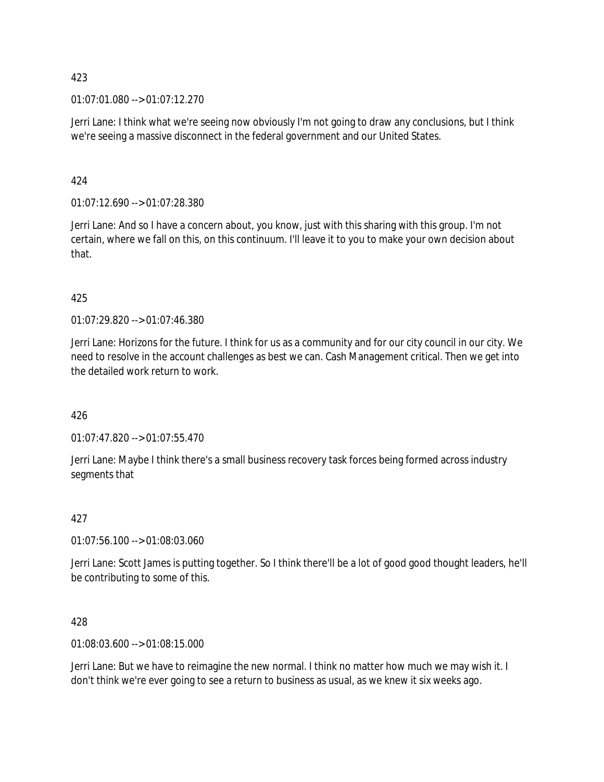01:07:01.080 --> 01:07:12.270

Jerri Lane: I think what we're seeing now obviously I'm not going to draw any conclusions, but I think we're seeing a massive disconnect in the federal government and our United States.

# 424

01:07:12.690 --> 01:07:28.380

Jerri Lane: And so I have a concern about, you know, just with this sharing with this group. I'm not certain, where we fall on this, on this continuum. I'll leave it to you to make your own decision about that.

# 425

01:07:29.820 --> 01:07:46.380

Jerri Lane: Horizons for the future. I think for us as a community and for our city council in our city. We need to resolve in the account challenges as best we can. Cash Management critical. Then we get into the detailed work return to work.

### 426

01:07:47.820 --> 01:07:55.470

Jerri Lane: Maybe I think there's a small business recovery task forces being formed across industry segments that

### 427

01:07:56.100 --> 01:08:03.060

Jerri Lane: Scott James is putting together. So I think there'll be a lot of good good thought leaders, he'll be contributing to some of this.

428

01:08:03.600 --> 01:08:15.000

Jerri Lane: But we have to reimagine the new normal. I think no matter how much we may wish it. I don't think we're ever going to see a return to business as usual, as we knew it six weeks ago.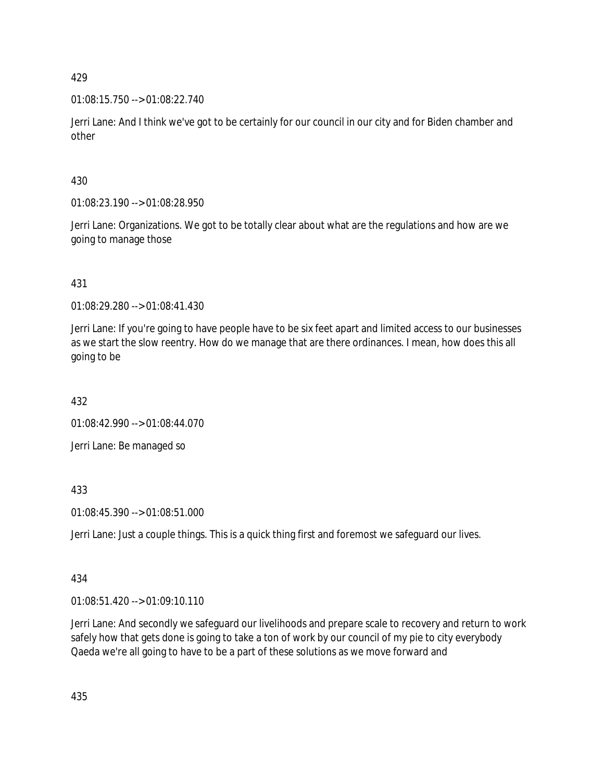01:08:15.750 --> 01:08:22.740

Jerri Lane: And I think we've got to be certainly for our council in our city and for Biden chamber and other

# 430

01:08:23.190 --> 01:08:28.950

Jerri Lane: Organizations. We got to be totally clear about what are the regulations and how are we going to manage those

# 431

01:08:29.280 --> 01:08:41.430

Jerri Lane: If you're going to have people have to be six feet apart and limited access to our businesses as we start the slow reentry. How do we manage that are there ordinances. I mean, how does this all going to be

432

01:08:42.990 --> 01:08:44.070

Jerri Lane: Be managed so

# 433

01:08:45.390 --> 01:08:51.000

Jerri Lane: Just a couple things. This is a quick thing first and foremost we safeguard our lives.

# 434

01:08:51.420 --> 01:09:10.110

Jerri Lane: And secondly we safeguard our livelihoods and prepare scale to recovery and return to work safely how that gets done is going to take a ton of work by our council of my pie to city everybody Qaeda we're all going to have to be a part of these solutions as we move forward and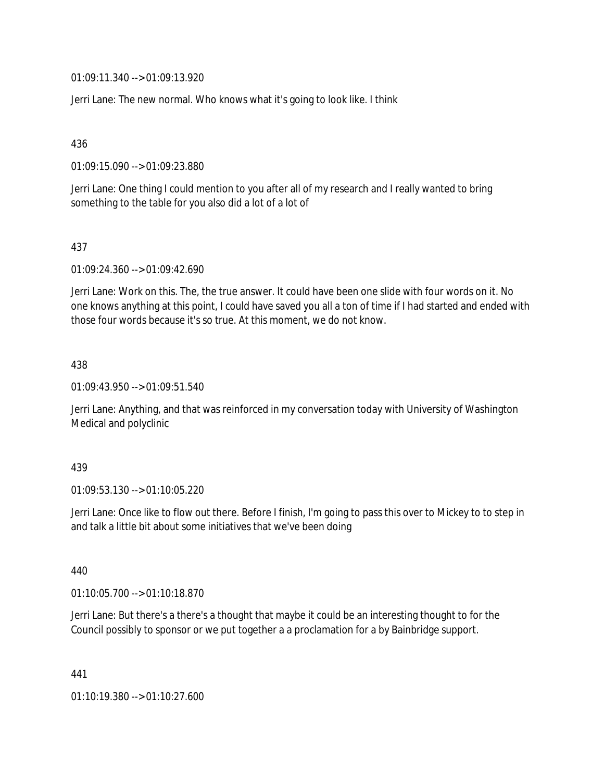01:09:11.340 --> 01:09:13.920

Jerri Lane: The new normal. Who knows what it's going to look like. I think

436

01:09:15.090 --> 01:09:23.880

Jerri Lane: One thing I could mention to you after all of my research and I really wanted to bring something to the table for you also did a lot of a lot of

437

01:09:24.360 --> 01:09:42.690

Jerri Lane: Work on this. The, the true answer. It could have been one slide with four words on it. No one knows anything at this point, I could have saved you all a ton of time if I had started and ended with those four words because it's so true. At this moment, we do not know.

438

01:09:43.950 --> 01:09:51.540

Jerri Lane: Anything, and that was reinforced in my conversation today with University of Washington Medical and polyclinic

439

01:09:53.130 --> 01:10:05.220

Jerri Lane: Once like to flow out there. Before I finish, I'm going to pass this over to Mickey to to step in and talk a little bit about some initiatives that we've been doing

440

01:10:05.700 --> 01:10:18.870

Jerri Lane: But there's a there's a thought that maybe it could be an interesting thought to for the Council possibly to sponsor or we put together a a proclamation for a by Bainbridge support.

441

01:10:19.380 --> 01:10:27.600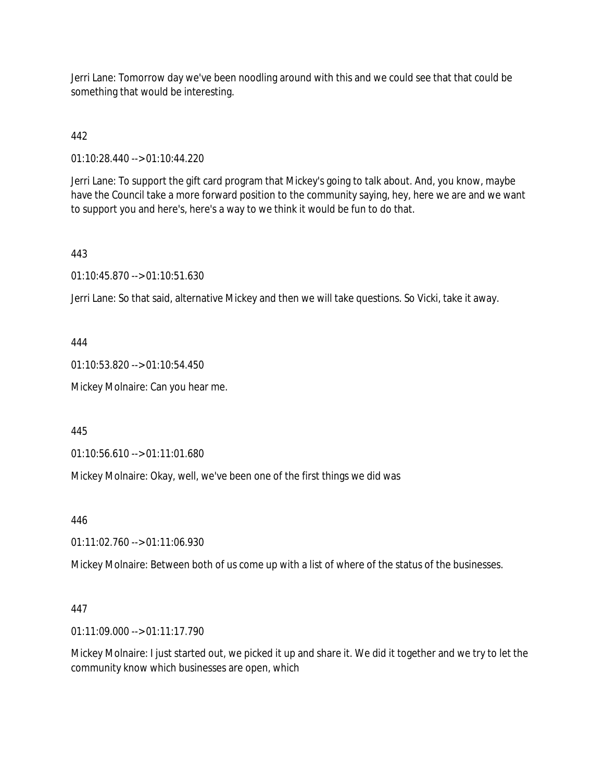Jerri Lane: Tomorrow day we've been noodling around with this and we could see that that could be something that would be interesting.

# 442

01:10:28.440 --> 01:10:44.220

Jerri Lane: To support the gift card program that Mickey's going to talk about. And, you know, maybe have the Council take a more forward position to the community saying, hey, here we are and we want to support you and here's, here's a way to we think it would be fun to do that.

# 443

01:10:45.870 --> 01:10:51.630

Jerri Lane: So that said, alternative Mickey and then we will take questions. So Vicki, take it away.

# 444

01:10:53.820 --> 01:10:54.450

Mickey Molnaire: Can you hear me.

445

01:10:56.610 --> 01:11:01.680

Mickey Molnaire: Okay, well, we've been one of the first things we did was

446

01:11:02.760 --> 01:11:06.930

Mickey Molnaire: Between both of us come up with a list of where of the status of the businesses.

# 447

01:11:09.000 --> 01:11:17.790

Mickey Molnaire: I just started out, we picked it up and share it. We did it together and we try to let the community know which businesses are open, which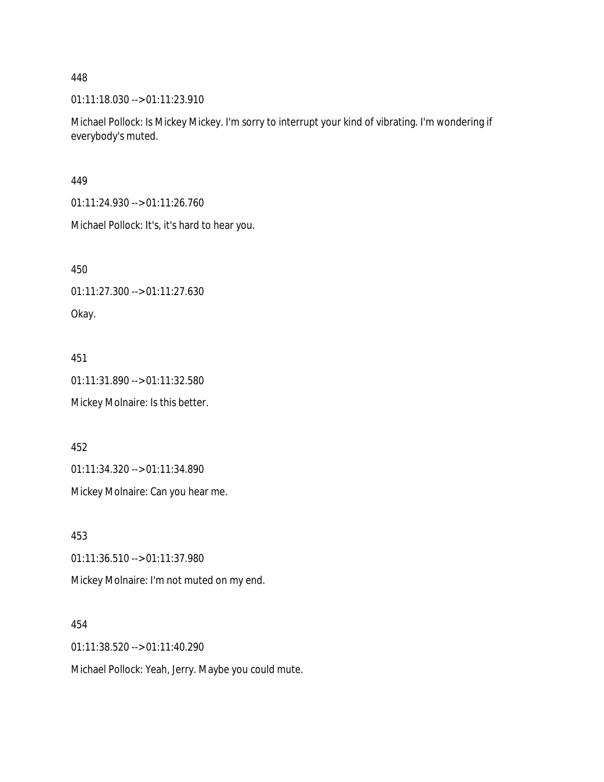01:11:18.030 --> 01:11:23.910

Michael Pollock: Is Mickey Mickey. I'm sorry to interrupt your kind of vibrating. I'm wondering if everybody's muted.

449

01:11:24.930 --> 01:11:26.760

Michael Pollock: It's, it's hard to hear you.

450

01:11:27.300 --> 01:11:27.630

Okay.

451

01:11:31.890 --> 01:11:32.580

Mickey Molnaire: Is this better.

452

01:11:34.320 --> 01:11:34.890

Mickey Molnaire: Can you hear me.

453

01:11:36.510 --> 01:11:37.980

Mickey Molnaire: I'm not muted on my end.

454

01:11:38.520 --> 01:11:40.290

Michael Pollock: Yeah, Jerry. Maybe you could mute.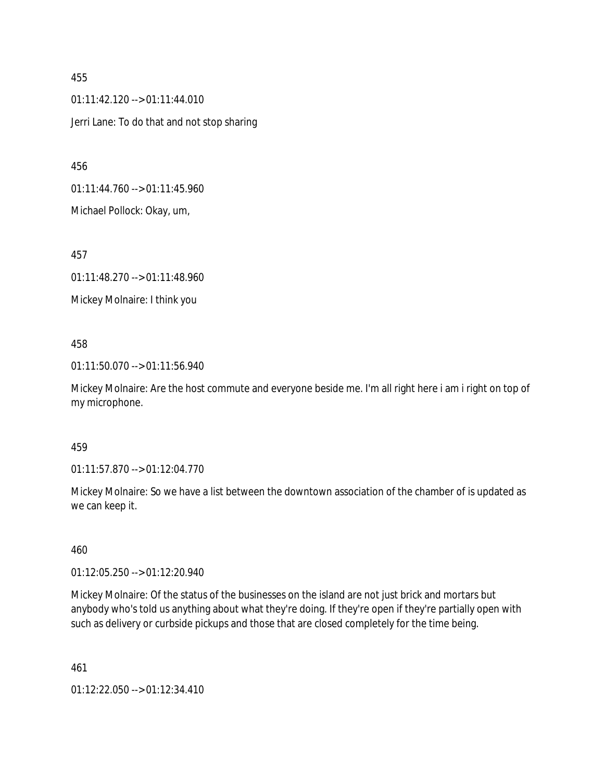01:11:42.120 --> 01:11:44.010 Jerri Lane: To do that and not stop sharing

456

01:11:44.760 --> 01:11:45.960

Michael Pollock: Okay, um,

457

01:11:48.270 --> 01:11:48.960

Mickey Molnaire: I think you

### 458

01:11:50.070 --> 01:11:56.940

Mickey Molnaire: Are the host commute and everyone beside me. I'm all right here i am i right on top of my microphone.

#### 459

01:11:57.870 --> 01:12:04.770

Mickey Molnaire: So we have a list between the downtown association of the chamber of is updated as we can keep it.

#### 460

01:12:05.250 --> 01:12:20.940

Mickey Molnaire: Of the status of the businesses on the island are not just brick and mortars but anybody who's told us anything about what they're doing. If they're open if they're partially open with such as delivery or curbside pickups and those that are closed completely for the time being.

461

01:12:22.050 --> 01:12:34.410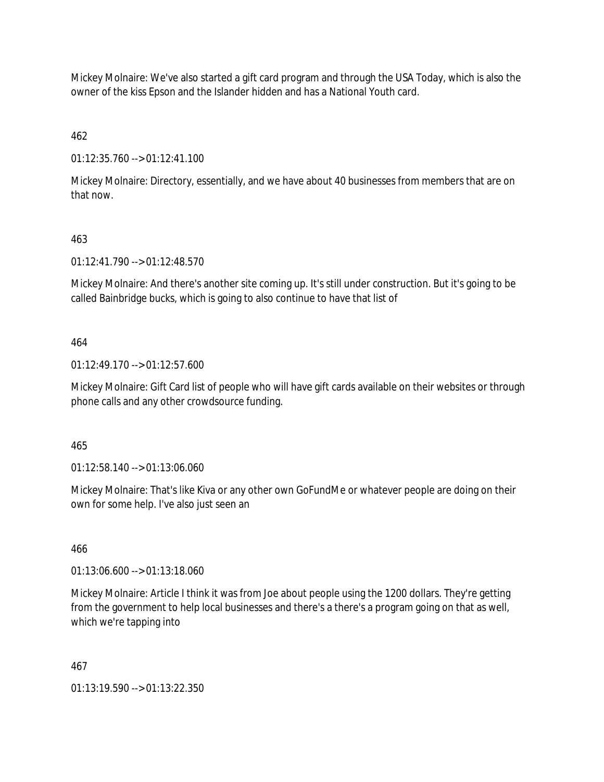Mickey Molnaire: We've also started a gift card program and through the USA Today, which is also the owner of the kiss Epson and the Islander hidden and has a National Youth card.

462

01:12:35.760 --> 01:12:41.100

Mickey Molnaire: Directory, essentially, and we have about 40 businesses from members that are on that now.

# 463

01:12:41.790 --> 01:12:48.570

Mickey Molnaire: And there's another site coming up. It's still under construction. But it's going to be called Bainbridge bucks, which is going to also continue to have that list of

## 464

01:12:49.170 --> 01:12:57.600

Mickey Molnaire: Gift Card list of people who will have gift cards available on their websites or through phone calls and any other crowdsource funding.

465

01:12:58.140 --> 01:13:06.060

Mickey Molnaire: That's like Kiva or any other own GoFundMe or whatever people are doing on their own for some help. I've also just seen an

### 466

01:13:06.600 --> 01:13:18.060

Mickey Molnaire: Article I think it was from Joe about people using the 1200 dollars. They're getting from the government to help local businesses and there's a there's a program going on that as well, which we're tapping into

### 467

01:13:19.590 --> 01:13:22.350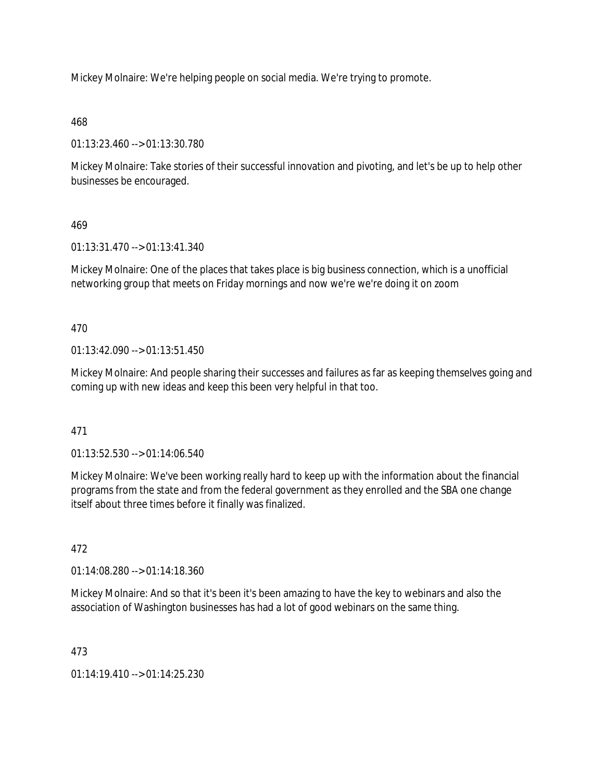Mickey Molnaire: We're helping people on social media. We're trying to promote.

468

01:13:23.460 --> 01:13:30.780

Mickey Molnaire: Take stories of their successful innovation and pivoting, and let's be up to help other businesses be encouraged.

469

01:13:31.470 --> 01:13:41.340

Mickey Molnaire: One of the places that takes place is big business connection, which is a unofficial networking group that meets on Friday mornings and now we're we're doing it on zoom

470

01:13:42.090 --> 01:13:51.450

Mickey Molnaire: And people sharing their successes and failures as far as keeping themselves going and coming up with new ideas and keep this been very helpful in that too.

471

01:13:52.530 --> 01:14:06.540

Mickey Molnaire: We've been working really hard to keep up with the information about the financial programs from the state and from the federal government as they enrolled and the SBA one change itself about three times before it finally was finalized.

472

01:14:08.280 --> 01:14:18.360

Mickey Molnaire: And so that it's been it's been amazing to have the key to webinars and also the association of Washington businesses has had a lot of good webinars on the same thing.

473

01:14:19.410 --> 01:14:25.230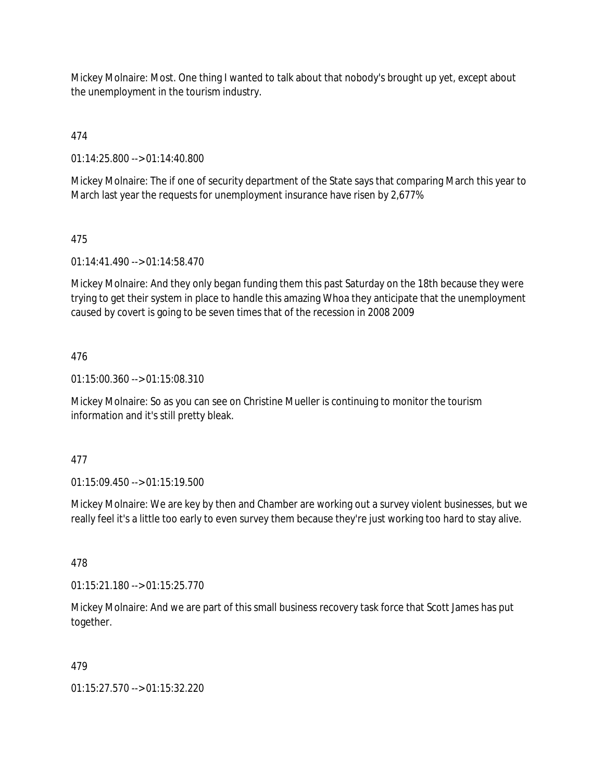Mickey Molnaire: Most. One thing I wanted to talk about that nobody's brought up yet, except about the unemployment in the tourism industry.

474

01:14:25.800 --> 01:14:40.800

Mickey Molnaire: The if one of security department of the State says that comparing March this year to March last year the requests for unemployment insurance have risen by 2,677%

## 475

01:14:41.490 --> 01:14:58.470

Mickey Molnaire: And they only began funding them this past Saturday on the 18th because they were trying to get their system in place to handle this amazing Whoa they anticipate that the unemployment caused by covert is going to be seven times that of the recession in 2008 2009

## 476

01:15:00.360 --> 01:15:08.310

Mickey Molnaire: So as you can see on Christine Mueller is continuing to monitor the tourism information and it's still pretty bleak.

### 477

01:15:09.450 --> 01:15:19.500

Mickey Molnaire: We are key by then and Chamber are working out a survey violent businesses, but we really feel it's a little too early to even survey them because they're just working too hard to stay alive.

### 478

01:15:21.180 --> 01:15:25.770

Mickey Molnaire: And we are part of this small business recovery task force that Scott James has put together.

### 479

01:15:27.570 --> 01:15:32.220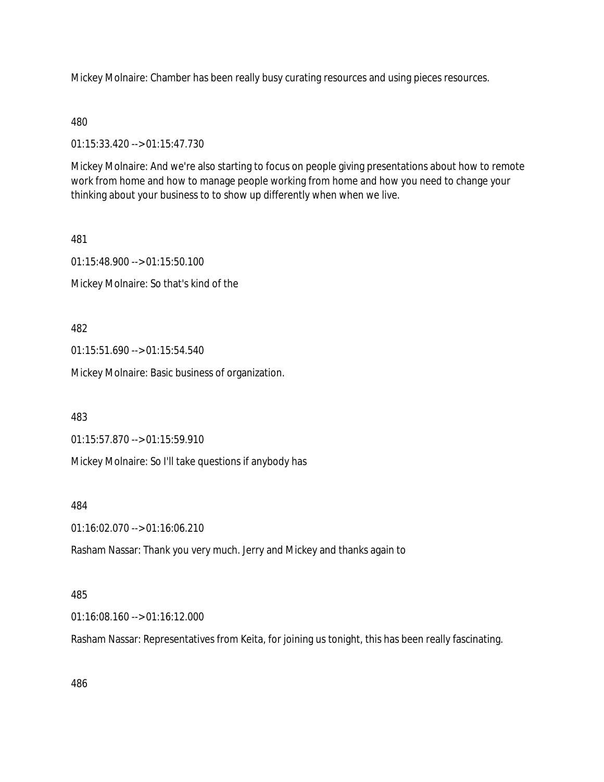Mickey Molnaire: Chamber has been really busy curating resources and using pieces resources.

### 480

01:15:33.420 --> 01:15:47.730

Mickey Molnaire: And we're also starting to focus on people giving presentations about how to remote work from home and how to manage people working from home and how you need to change your thinking about your business to to show up differently when when we live.

### 481

01:15:48.900 --> 01:15:50.100

Mickey Molnaire: So that's kind of the

## 482

01:15:51.690 --> 01:15:54.540

Mickey Molnaire: Basic business of organization.

483

01:15:57.870 --> 01:15:59.910

Mickey Molnaire: So I'll take questions if anybody has

### 484

01:16:02.070 --> 01:16:06.210

Rasham Nassar: Thank you very much. Jerry and Mickey and thanks again to

### 485

01:16:08.160 --> 01:16:12.000

Rasham Nassar: Representatives from Keita, for joining us tonight, this has been really fascinating.

486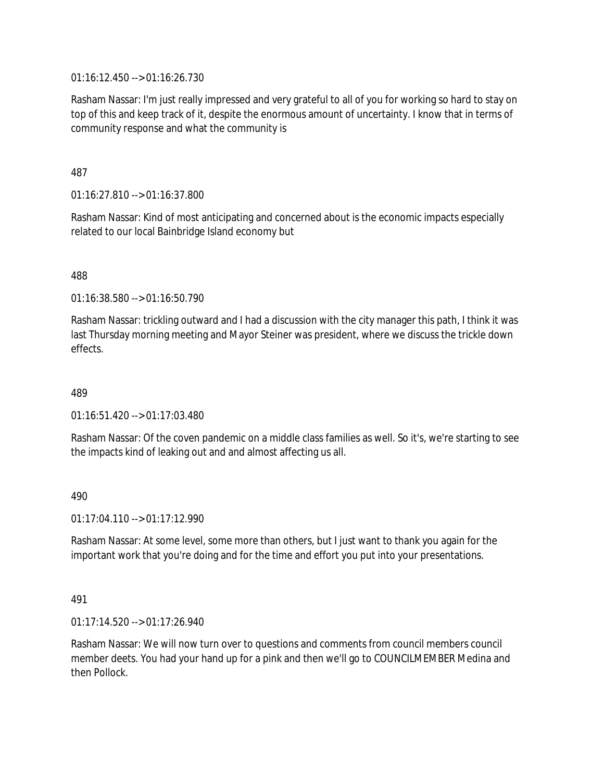01:16:12.450 --> 01:16:26.730

Rasham Nassar: I'm just really impressed and very grateful to all of you for working so hard to stay on top of this and keep track of it, despite the enormous amount of uncertainty. I know that in terms of community response and what the community is

487

01:16:27.810 --> 01:16:37.800

Rasham Nassar: Kind of most anticipating and concerned about is the economic impacts especially related to our local Bainbridge Island economy but

488

01:16:38.580 --> 01:16:50.790

Rasham Nassar: trickling outward and I had a discussion with the city manager this path, I think it was last Thursday morning meeting and Mayor Steiner was president, where we discuss the trickle down effects.

489

 $01:16:51.420 \rightarrow 01:17:03.480$ 

Rasham Nassar: Of the coven pandemic on a middle class families as well. So it's, we're starting to see the impacts kind of leaking out and and almost affecting us all.

490

01:17:04.110 --> 01:17:12.990

Rasham Nassar: At some level, some more than others, but I just want to thank you again for the important work that you're doing and for the time and effort you put into your presentations.

491

01:17:14.520 --> 01:17:26.940

Rasham Nassar: We will now turn over to questions and comments from council members council member deets. You had your hand up for a pink and then we'll go to COUNCILMEMBER Medina and then Pollock.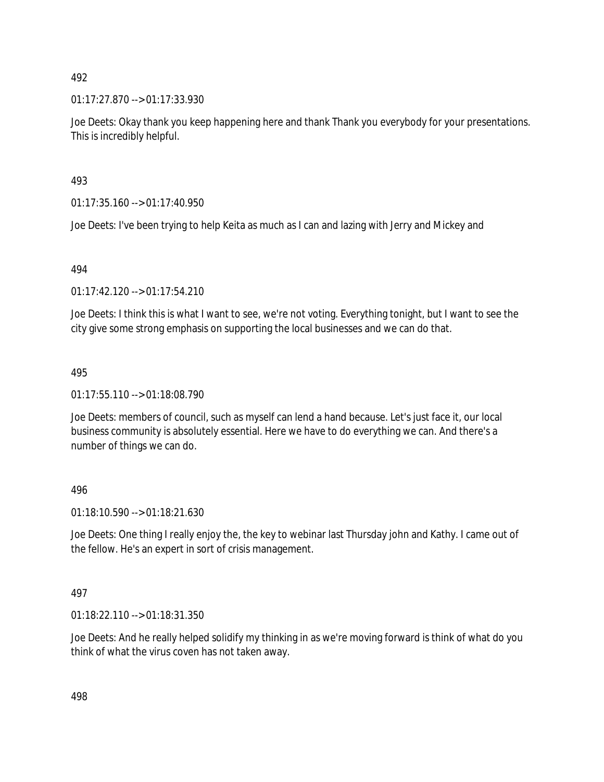01:17:27.870 --> 01:17:33.930

Joe Deets: Okay thank you keep happening here and thank Thank you everybody for your presentations. This is incredibly helpful.

493

01:17:35.160 --> 01:17:40.950

Joe Deets: I've been trying to help Keita as much as I can and lazing with Jerry and Mickey and

494

01:17:42.120 --> 01:17:54.210

Joe Deets: I think this is what I want to see, we're not voting. Everything tonight, but I want to see the city give some strong emphasis on supporting the local businesses and we can do that.

# 495

01:17:55.110 --> 01:18:08.790

Joe Deets: members of council, such as myself can lend a hand because. Let's just face it, our local business community is absolutely essential. Here we have to do everything we can. And there's a number of things we can do.

496

01:18:10.590 --> 01:18:21.630

Joe Deets: One thing I really enjoy the, the key to webinar last Thursday john and Kathy. I came out of the fellow. He's an expert in sort of crisis management.

497

01:18:22.110 --> 01:18:31.350

Joe Deets: And he really helped solidify my thinking in as we're moving forward is think of what do you think of what the virus coven has not taken away.

498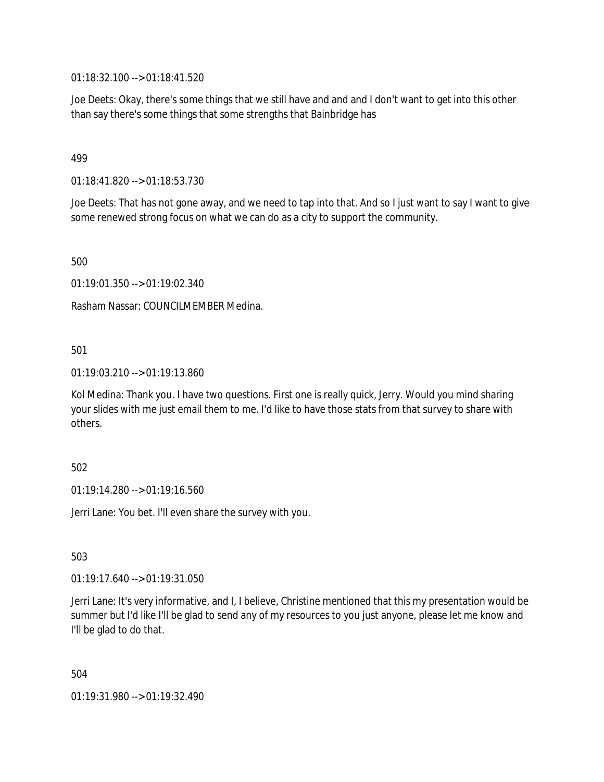01:18:32.100 --> 01:18:41.520

Joe Deets: Okay, there's some things that we still have and and and I don't want to get into this other than say there's some things that some strengths that Bainbridge has

499

01:18:41.820 --> 01:18:53.730

Joe Deets: That has not gone away, and we need to tap into that. And so I just want to say I want to give some renewed strong focus on what we can do as a city to support the community.

500

01:19:01.350 --> 01:19:02.340

Rasham Nassar: COUNCILMEMBER Medina.

501

01:19:03.210 --> 01:19:13.860

Kol Medina: Thank you. I have two questions. First one is really quick, Jerry. Would you mind sharing your slides with me just email them to me. I'd like to have those stats from that survey to share with others.

502

01:19:14.280 --> 01:19:16.560

Jerri Lane: You bet. I'll even share the survey with you.

503

01:19:17.640 --> 01:19:31.050

Jerri Lane: It's very informative, and I, I believe, Christine mentioned that this my presentation would be summer but I'd like I'll be glad to send any of my resources to you just anyone, please let me know and I'll be glad to do that.

504

01:19:31.980 --> 01:19:32.490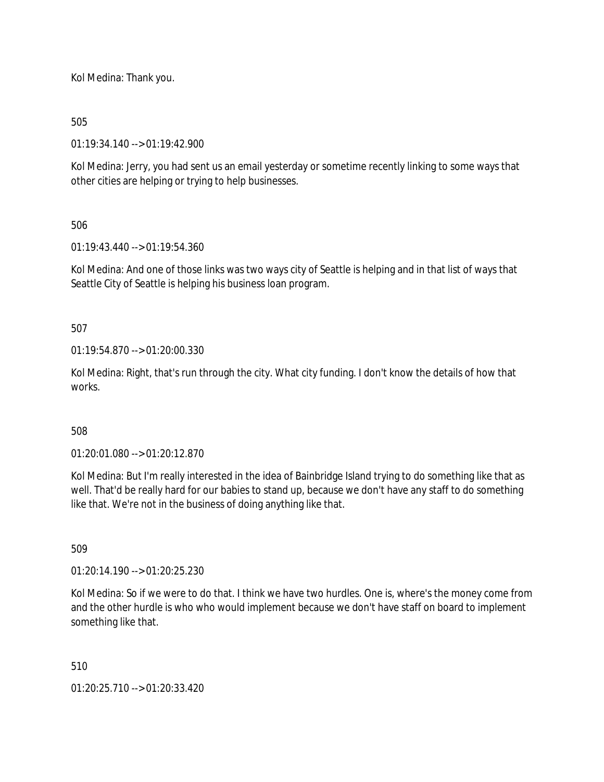Kol Medina: Thank you.

## 505

01:19:34.140 --> 01:19:42.900

Kol Medina: Jerry, you had sent us an email yesterday or sometime recently linking to some ways that other cities are helping or trying to help businesses.

## 506

01:19:43.440 --> 01:19:54.360

Kol Medina: And one of those links was two ways city of Seattle is helping and in that list of ways that Seattle City of Seattle is helping his business loan program.

## 507

01:19:54.870 --> 01:20:00.330

Kol Medina: Right, that's run through the city. What city funding. I don't know the details of how that works.

### 508

01:20:01.080 --> 01:20:12.870

Kol Medina: But I'm really interested in the idea of Bainbridge Island trying to do something like that as well. That'd be really hard for our babies to stand up, because we don't have any staff to do something like that. We're not in the business of doing anything like that.

### 509

01:20:14.190 --> 01:20:25.230

Kol Medina: So if we were to do that. I think we have two hurdles. One is, where's the money come from and the other hurdle is who who would implement because we don't have staff on board to implement something like that.

### 510

01:20:25.710 --> 01:20:33.420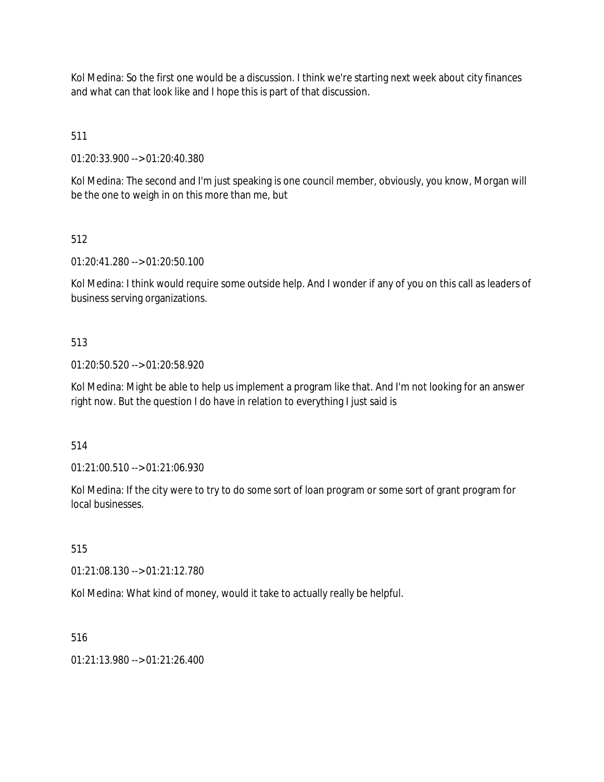Kol Medina: So the first one would be a discussion. I think we're starting next week about city finances and what can that look like and I hope this is part of that discussion.

511

01:20:33.900 --> 01:20:40.380

Kol Medina: The second and I'm just speaking is one council member, obviously, you know, Morgan will be the one to weigh in on this more than me, but

# 512

01:20:41.280 --> 01:20:50.100

Kol Medina: I think would require some outside help. And I wonder if any of you on this call as leaders of business serving organizations.

# 513

01:20:50.520 --> 01:20:58.920

Kol Medina: Might be able to help us implement a program like that. And I'm not looking for an answer right now. But the question I do have in relation to everything I just said is

514

01:21:00.510 --> 01:21:06.930

Kol Medina: If the city were to try to do some sort of loan program or some sort of grant program for local businesses.

515

01:21:08.130 --> 01:21:12.780

Kol Medina: What kind of money, would it take to actually really be helpful.

516

01:21:13.980 --> 01:21:26.400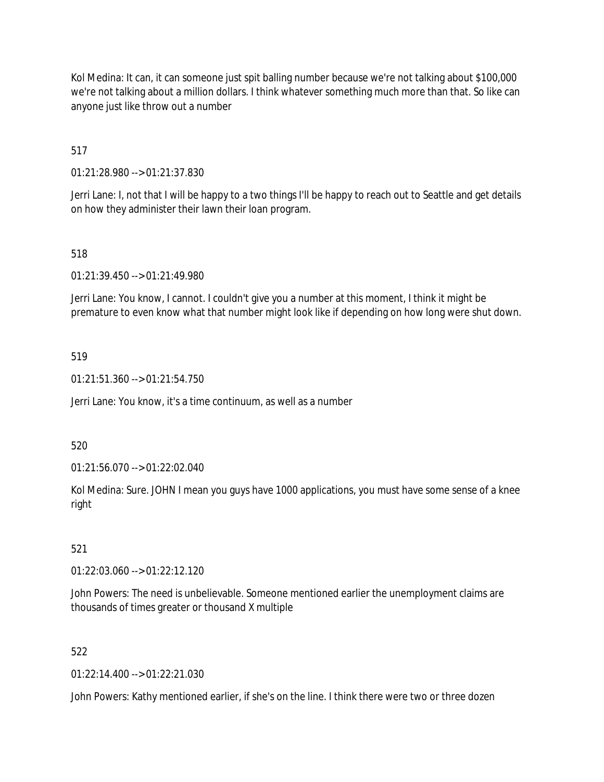Kol Medina: It can, it can someone just spit balling number because we're not talking about \$100,000 we're not talking about a million dollars. I think whatever something much more than that. So like can anyone just like throw out a number

517

01:21:28.980 --> 01:21:37.830

Jerri Lane: I, not that I will be happy to a two things I'll be happy to reach out to Seattle and get details on how they administer their lawn their loan program.

518

01:21:39.450 --> 01:21:49.980

Jerri Lane: You know, I cannot. I couldn't give you a number at this moment, I think it might be premature to even know what that number might look like if depending on how long were shut down.

### 519

01:21:51.360 --> 01:21:54.750

Jerri Lane: You know, it's a time continuum, as well as a number

520

01:21:56.070 --> 01:22:02.040

Kol Medina: Sure. JOHN I mean you guys have 1000 applications, you must have some sense of a knee right

### 521

01:22:03.060 --> 01:22:12.120

John Powers: The need is unbelievable. Someone mentioned earlier the unemployment claims are thousands of times greater or thousand X multiple

### 522

01:22:14.400 --> 01:22:21.030

John Powers: Kathy mentioned earlier, if she's on the line. I think there were two or three dozen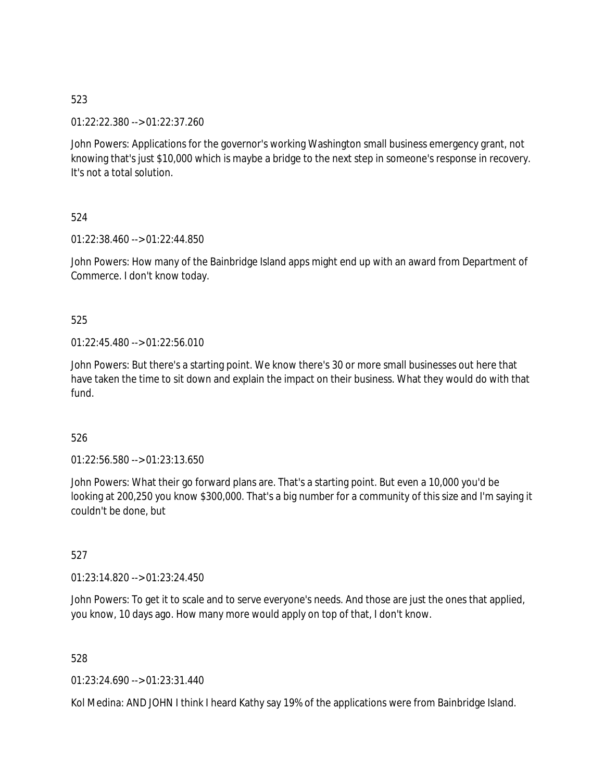01:22:22.380 --> 01:22:37.260

John Powers: Applications for the governor's working Washington small business emergency grant, not knowing that's just \$10,000 which is maybe a bridge to the next step in someone's response in recovery. It's not a total solution.

524

01:22:38.460 --> 01:22:44.850

John Powers: How many of the Bainbridge Island apps might end up with an award from Department of Commerce. I don't know today.

## 525

01:22:45.480 --> 01:22:56.010

John Powers: But there's a starting point. We know there's 30 or more small businesses out here that have taken the time to sit down and explain the impact on their business. What they would do with that fund.

526

01:22:56.580 --> 01:23:13.650

John Powers: What their go forward plans are. That's a starting point. But even a 10,000 you'd be looking at 200,250 you know \$300,000. That's a big number for a community of this size and I'm saying it couldn't be done, but

527

01:23:14.820 --> 01:23:24.450

John Powers: To get it to scale and to serve everyone's needs. And those are just the ones that applied, you know, 10 days ago. How many more would apply on top of that, I don't know.

528

01:23:24.690 --> 01:23:31.440

Kol Medina: AND JOHN I think I heard Kathy say 19% of the applications were from Bainbridge Island.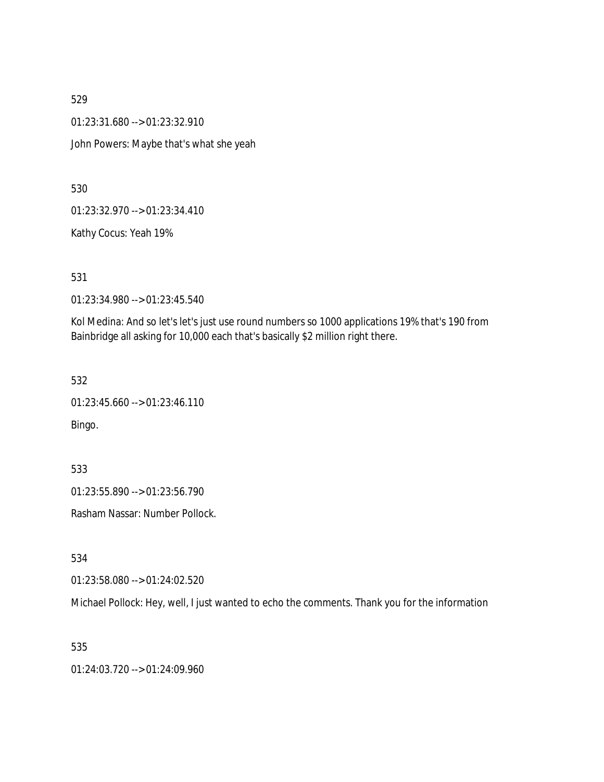01:23:31.680 --> 01:23:32.910

John Powers: Maybe that's what she yeah

530

01:23:32.970 --> 01:23:34.410

Kathy Cocus: Yeah 19%

531

01:23:34.980 --> 01:23:45.540

Kol Medina: And so let's let's just use round numbers so 1000 applications 19% that's 190 from Bainbridge all asking for 10,000 each that's basically \$2 million right there.

532

```
01:23:45.660 --> 01:23:46.110
Bingo.
```
533

01:23:55.890 --> 01:23:56.790

Rasham Nassar: Number Pollock.

534

01:23:58.080 --> 01:24:02.520

Michael Pollock: Hey, well, I just wanted to echo the comments. Thank you for the information

535

01:24:03.720 --> 01:24:09.960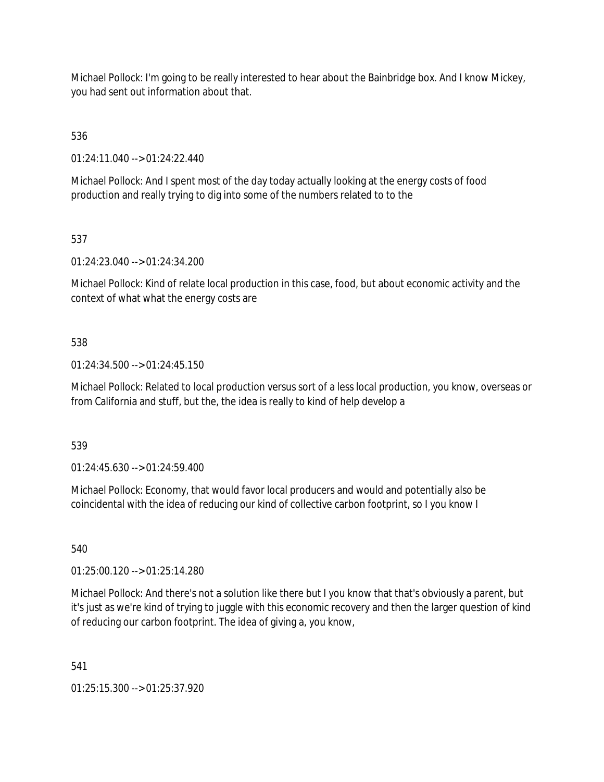Michael Pollock: I'm going to be really interested to hear about the Bainbridge box. And I know Mickey, you had sent out information about that.

536

01:24:11.040 --> 01:24:22.440

Michael Pollock: And I spent most of the day today actually looking at the energy costs of food production and really trying to dig into some of the numbers related to to the

537

01:24:23.040 --> 01:24:34.200

Michael Pollock: Kind of relate local production in this case, food, but about economic activity and the context of what what the energy costs are

### 538

01:24:34.500 --> 01:24:45.150

Michael Pollock: Related to local production versus sort of a less local production, you know, overseas or from California and stuff, but the, the idea is really to kind of help develop a

539

01:24:45.630 --> 01:24:59.400

Michael Pollock: Economy, that would favor local producers and would and potentially also be coincidental with the idea of reducing our kind of collective carbon footprint, so I you know I

540

01:25:00.120 --> 01:25:14.280

Michael Pollock: And there's not a solution like there but I you know that that's obviously a parent, but it's just as we're kind of trying to juggle with this economic recovery and then the larger question of kind of reducing our carbon footprint. The idea of giving a, you know,

541

01:25:15.300 --> 01:25:37.920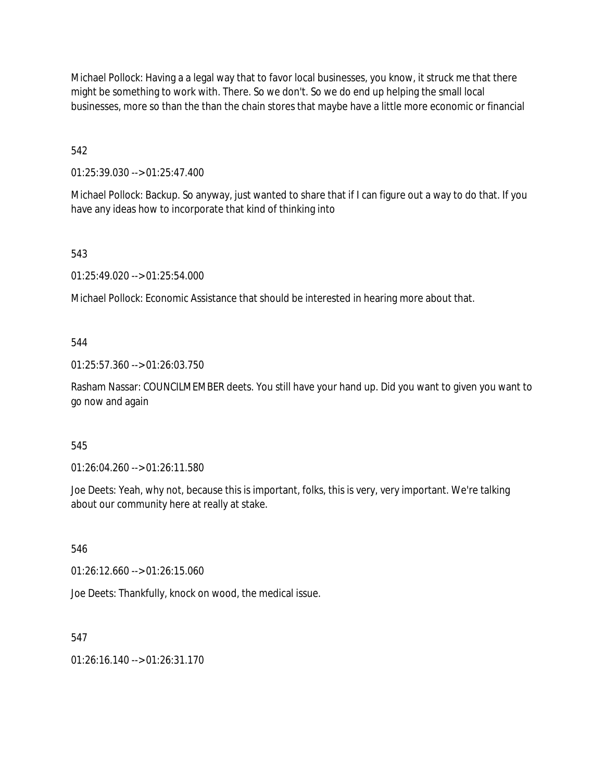Michael Pollock: Having a a legal way that to favor local businesses, you know, it struck me that there might be something to work with. There. So we don't. So we do end up helping the small local businesses, more so than the than the chain stores that maybe have a little more economic or financial

542

01:25:39.030 --> 01:25:47.400

Michael Pollock: Backup. So anyway, just wanted to share that if I can figure out a way to do that. If you have any ideas how to incorporate that kind of thinking into

543

01:25:49.020 --> 01:25:54.000

Michael Pollock: Economic Assistance that should be interested in hearing more about that.

544

01:25:57.360 --> 01:26:03.750

Rasham Nassar: COUNCILMEMBER deets. You still have your hand up. Did you want to given you want to go now and again

545

01:26:04.260 --> 01:26:11.580

Joe Deets: Yeah, why not, because this is important, folks, this is very, very important. We're talking about our community here at really at stake.

546

01:26:12.660 --> 01:26:15.060

Joe Deets: Thankfully, knock on wood, the medical issue.

547

 $01:26:16:140 \rightarrow 01:26:31:170$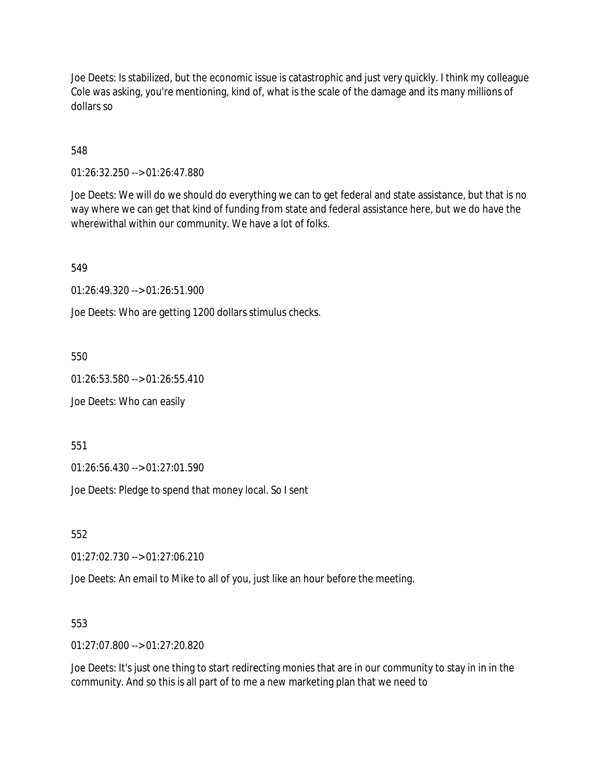Joe Deets: Is stabilized, but the economic issue is catastrophic and just very quickly. I think my colleague Cole was asking, you're mentioning, kind of, what is the scale of the damage and its many millions of dollars so

548

01:26:32.250 --> 01:26:47.880

Joe Deets: We will do we should do everything we can to get federal and state assistance, but that is no way where we can get that kind of funding from state and federal assistance here, but we do have the wherewithal within our community. We have a lot of folks.

549

01:26:49.320 --> 01:26:51.900

Joe Deets: Who are getting 1200 dollars stimulus checks.

550

01:26:53.580 --> 01:26:55.410

Joe Deets: Who can easily

551

01:26:56.430 --> 01:27:01.590

Joe Deets: Pledge to spend that money local. So I sent

552

01:27:02.730 --> 01:27:06.210

Joe Deets: An email to Mike to all of you, just like an hour before the meeting.

553

01:27:07.800 --> 01:27:20.820

Joe Deets: It's just one thing to start redirecting monies that are in our community to stay in in in the community. And so this is all part of to me a new marketing plan that we need to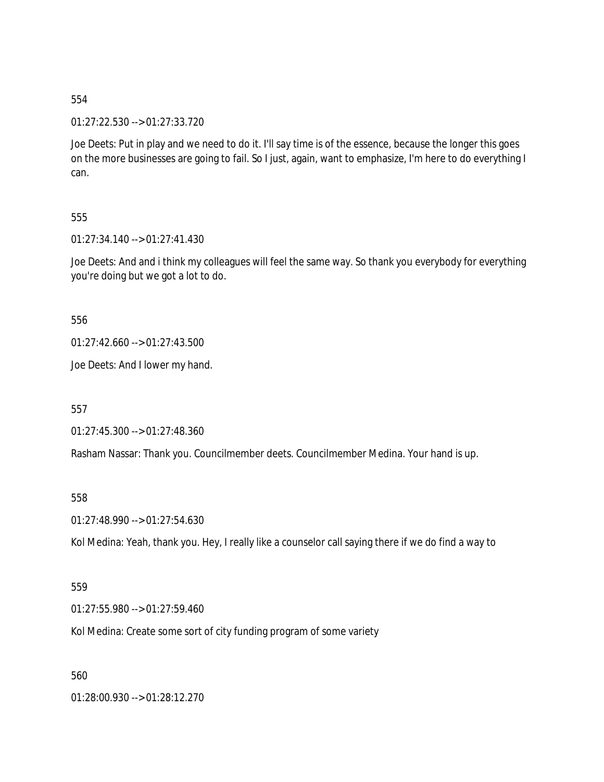01:27:22.530 --> 01:27:33.720

Joe Deets: Put in play and we need to do it. I'll say time is of the essence, because the longer this goes on the more businesses are going to fail. So I just, again, want to emphasize, I'm here to do everything I can.

### 555

01:27:34.140 --> 01:27:41.430

Joe Deets: And and i think my colleagues will feel the same way. So thank you everybody for everything you're doing but we got a lot to do.

#### 556

01:27:42.660 --> 01:27:43.500

Joe Deets: And I lower my hand.

557

01:27:45.300 --> 01:27:48.360

Rasham Nassar: Thank you. Councilmember deets. Councilmember Medina. Your hand is up.

#### 558

01:27:48.990 --> 01:27:54.630

Kol Medina: Yeah, thank you. Hey, I really like a counselor call saying there if we do find a way to

#### 559

01:27:55.980 --> 01:27:59.460

Kol Medina: Create some sort of city funding program of some variety

560

01:28:00.930 --> 01:28:12.270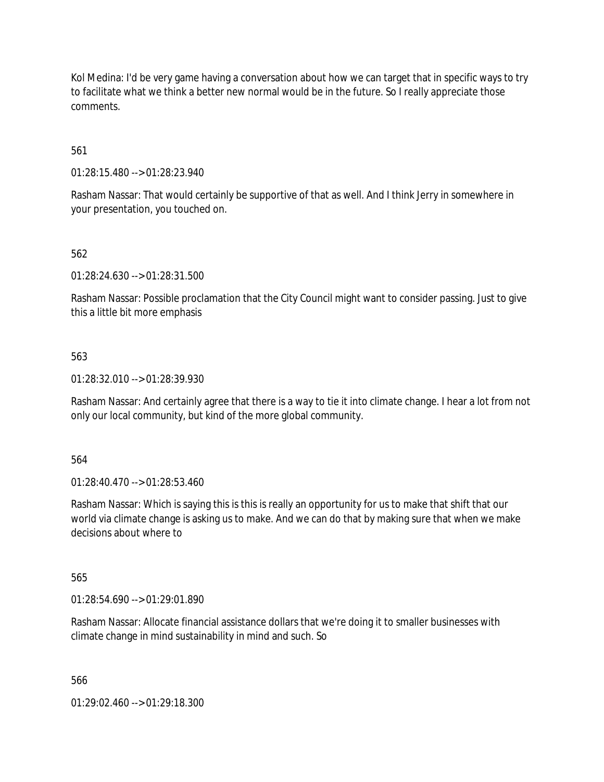Kol Medina: I'd be very game having a conversation about how we can target that in specific ways to try to facilitate what we think a better new normal would be in the future. So I really appreciate those comments.

561

01:28:15.480 --> 01:28:23.940

Rasham Nassar: That would certainly be supportive of that as well. And I think Jerry in somewhere in your presentation, you touched on.

### 562

01:28:24.630 --> 01:28:31.500

Rasham Nassar: Possible proclamation that the City Council might want to consider passing. Just to give this a little bit more emphasis

#### 563

01:28:32.010 --> 01:28:39.930

Rasham Nassar: And certainly agree that there is a way to tie it into climate change. I hear a lot from not only our local community, but kind of the more global community.

#### 564

01:28:40.470 --> 01:28:53.460

Rasham Nassar: Which is saying this is this is really an opportunity for us to make that shift that our world via climate change is asking us to make. And we can do that by making sure that when we make decisions about where to

#### 565

01:28:54.690 --> 01:29:01.890

Rasham Nassar: Allocate financial assistance dollars that we're doing it to smaller businesses with climate change in mind sustainability in mind and such. So

566

01:29:02.460 --> 01:29:18.300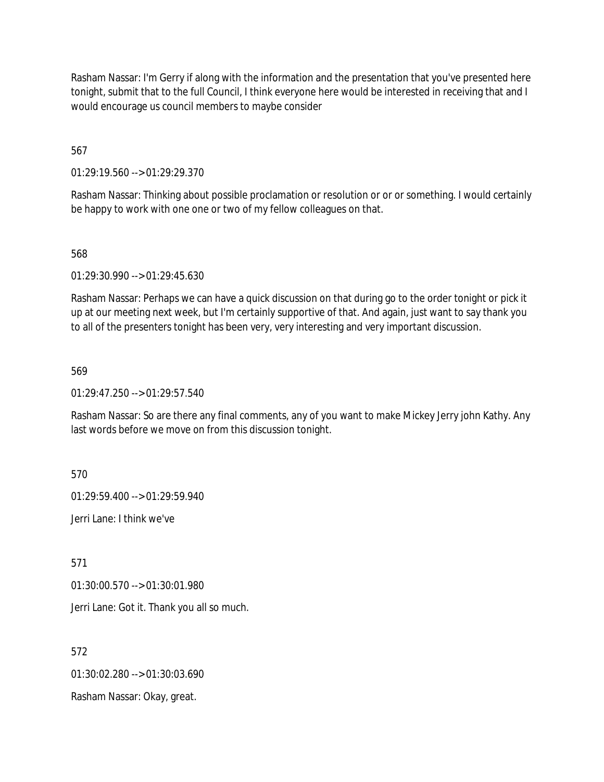Rasham Nassar: I'm Gerry if along with the information and the presentation that you've presented here tonight, submit that to the full Council, I think everyone here would be interested in receiving that and I would encourage us council members to maybe consider

567

01:29:19.560 --> 01:29:29.370

Rasham Nassar: Thinking about possible proclamation or resolution or or or something. I would certainly be happy to work with one one or two of my fellow colleagues on that.

568

01:29:30.990 --> 01:29:45.630

Rasham Nassar: Perhaps we can have a quick discussion on that during go to the order tonight or pick it up at our meeting next week, but I'm certainly supportive of that. And again, just want to say thank you to all of the presenters tonight has been very, very interesting and very important discussion.

569

01:29:47.250 --> 01:29:57.540

Rasham Nassar: So are there any final comments, any of you want to make Mickey Jerry john Kathy. Any last words before we move on from this discussion tonight.

570

01:29:59.400 --> 01:29:59.940

Jerri Lane: I think we've

571

01:30:00.570 --> 01:30:01.980

Jerri Lane: Got it. Thank you all so much.

572

01:30:02.280 --> 01:30:03.690

Rasham Nassar: Okay, great.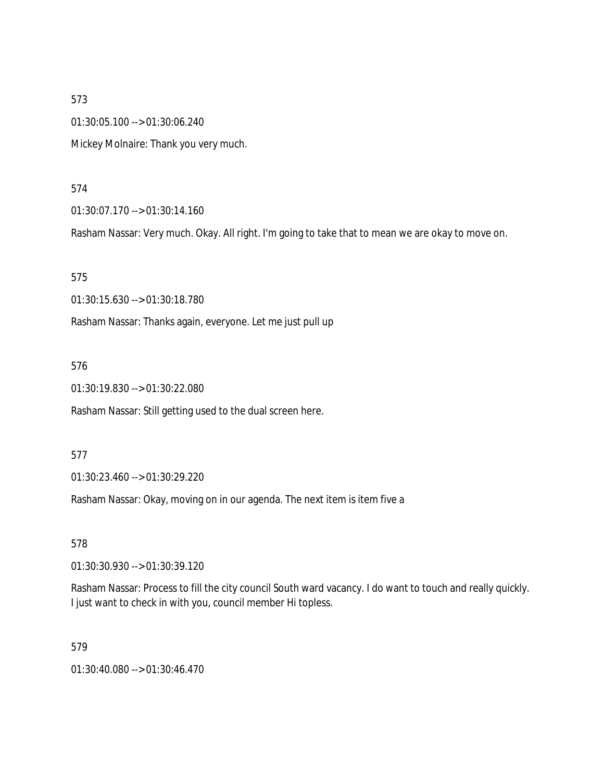01:30:05.100 --> 01:30:06.240 Mickey Molnaire: Thank you very much.

#### 574

01:30:07.170 --> 01:30:14.160

Rasham Nassar: Very much. Okay. All right. I'm going to take that to mean we are okay to move on.

575

01:30:15.630 --> 01:30:18.780

Rasham Nassar: Thanks again, everyone. Let me just pull up

576

01:30:19.830 --> 01:30:22.080

Rasham Nassar: Still getting used to the dual screen here.

577

01:30:23.460 --> 01:30:29.220

Rasham Nassar: Okay, moving on in our agenda. The next item is item five a

578

01:30:30.930 --> 01:30:39.120

Rasham Nassar: Process to fill the city council South ward vacancy. I do want to touch and really quickly. I just want to check in with you, council member Hi topless.

579

01:30:40.080 --> 01:30:46.470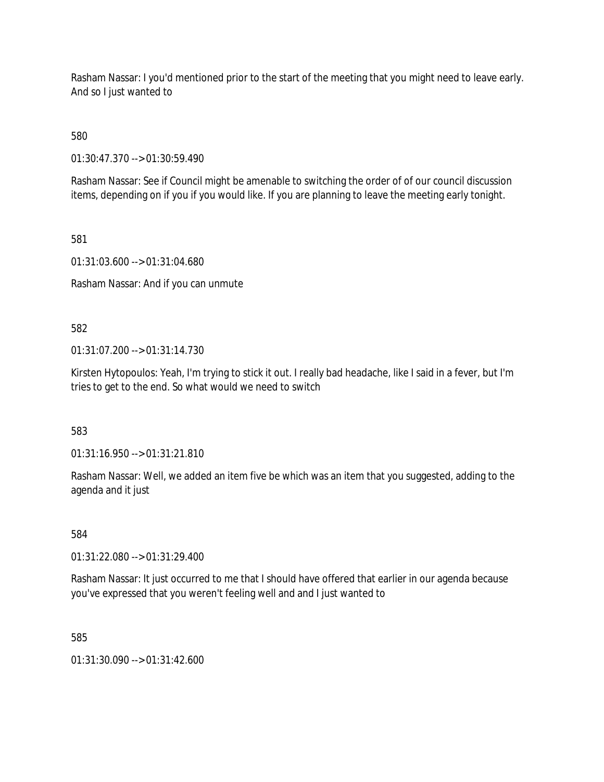Rasham Nassar: I you'd mentioned prior to the start of the meeting that you might need to leave early. And so I just wanted to

580

01:30:47.370 --> 01:30:59.490

Rasham Nassar: See if Council might be amenable to switching the order of of our council discussion items, depending on if you if you would like. If you are planning to leave the meeting early tonight.

581

01:31:03.600 --> 01:31:04.680

Rasham Nassar: And if you can unmute

582

01:31:07.200 --> 01:31:14.730

Kirsten Hytopoulos: Yeah, I'm trying to stick it out. I really bad headache, like I said in a fever, but I'm tries to get to the end. So what would we need to switch

583

01:31:16.950 --> 01:31:21.810

Rasham Nassar: Well, we added an item five be which was an item that you suggested, adding to the agenda and it just

584

01:31:22.080 --> 01:31:29.400

Rasham Nassar: It just occurred to me that I should have offered that earlier in our agenda because you've expressed that you weren't feeling well and and I just wanted to

585

01:31:30.090 --> 01:31:42.600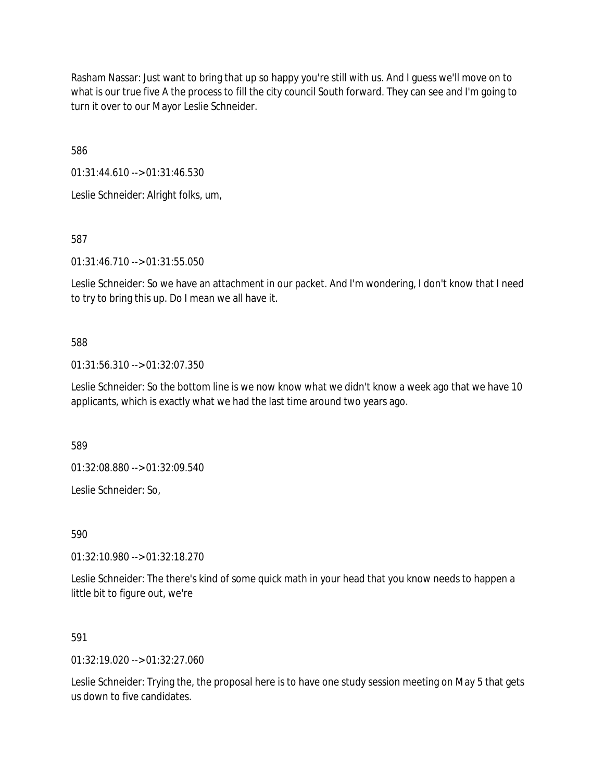Rasham Nassar: Just want to bring that up so happy you're still with us. And I guess we'll move on to what is our true five A the process to fill the city council South forward. They can see and I'm going to turn it over to our Mayor Leslie Schneider.

586

01:31:44.610 --> 01:31:46.530

Leslie Schneider: Alright folks, um,

587

01:31:46.710 --> 01:31:55.050

Leslie Schneider: So we have an attachment in our packet. And I'm wondering, I don't know that I need to try to bring this up. Do I mean we all have it.

## 588

01:31:56.310 --> 01:32:07.350

Leslie Schneider: So the bottom line is we now know what we didn't know a week ago that we have 10 applicants, which is exactly what we had the last time around two years ago.

589

01:32:08.880 --> 01:32:09.540

Leslie Schneider: So,

590

01:32:10.980 --> 01:32:18.270

Leslie Schneider: The there's kind of some quick math in your head that you know needs to happen a little bit to figure out, we're

# 591

01:32:19.020 --> 01:32:27.060

Leslie Schneider: Trying the, the proposal here is to have one study session meeting on May 5 that gets us down to five candidates.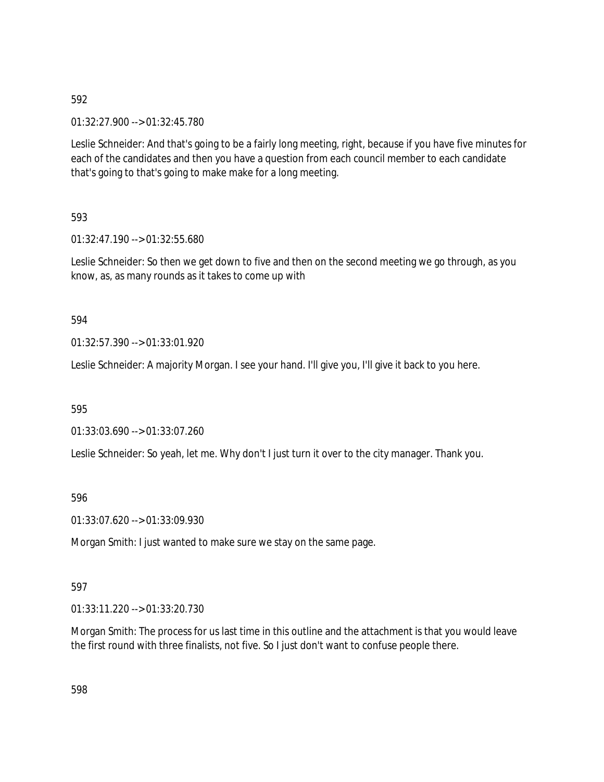01:32:27.900 --> 01:32:45.780

Leslie Schneider: And that's going to be a fairly long meeting, right, because if you have five minutes for each of the candidates and then you have a question from each council member to each candidate that's going to that's going to make make for a long meeting.

## 593

01:32:47.190 --> 01:32:55.680

Leslie Schneider: So then we get down to five and then on the second meeting we go through, as you know, as, as many rounds as it takes to come up with

## 594

01:32:57.390 --> 01:33:01.920

Leslie Schneider: A majority Morgan. I see your hand. I'll give you, I'll give it back to you here.

### 595

01:33:03.690 --> 01:33:07.260

Leslie Schneider: So yeah, let me. Why don't I just turn it over to the city manager. Thank you.

### 596

01:33:07.620 --> 01:33:09.930

Morgan Smith: I just wanted to make sure we stay on the same page.

### 597

01:33:11.220 --> 01:33:20.730

Morgan Smith: The process for us last time in this outline and the attachment is that you would leave the first round with three finalists, not five. So I just don't want to confuse people there.

598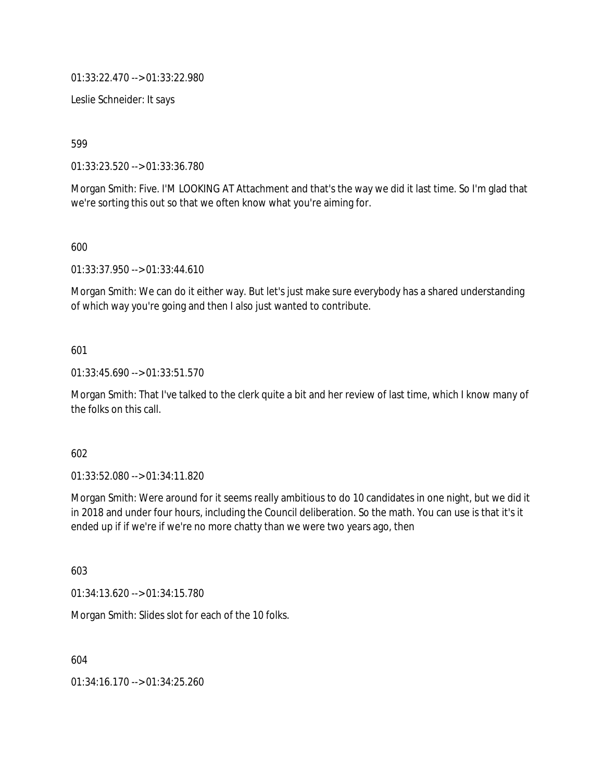01:33:22.470 --> 01:33:22.980

Leslie Schneider: It says

599

01:33:23.520 --> 01:33:36.780

Morgan Smith: Five. I'M LOOKING AT Attachment and that's the way we did it last time. So I'm glad that we're sorting this out so that we often know what you're aiming for.

600

01:33:37.950 --> 01:33:44.610

Morgan Smith: We can do it either way. But let's just make sure everybody has a shared understanding of which way you're going and then I also just wanted to contribute.

## 601

01:33:45.690 --> 01:33:51.570

Morgan Smith: That I've talked to the clerk quite a bit and her review of last time, which I know many of the folks on this call.

602

01:33:52.080 --> 01:34:11.820

Morgan Smith: Were around for it seems really ambitious to do 10 candidates in one night, but we did it in 2018 and under four hours, including the Council deliberation. So the math. You can use is that it's it ended up if if we're if we're no more chatty than we were two years ago, then

603

01:34:13.620 --> 01:34:15.780

Morgan Smith: Slides slot for each of the 10 folks.

604

01:34:16.170 --> 01:34:25.260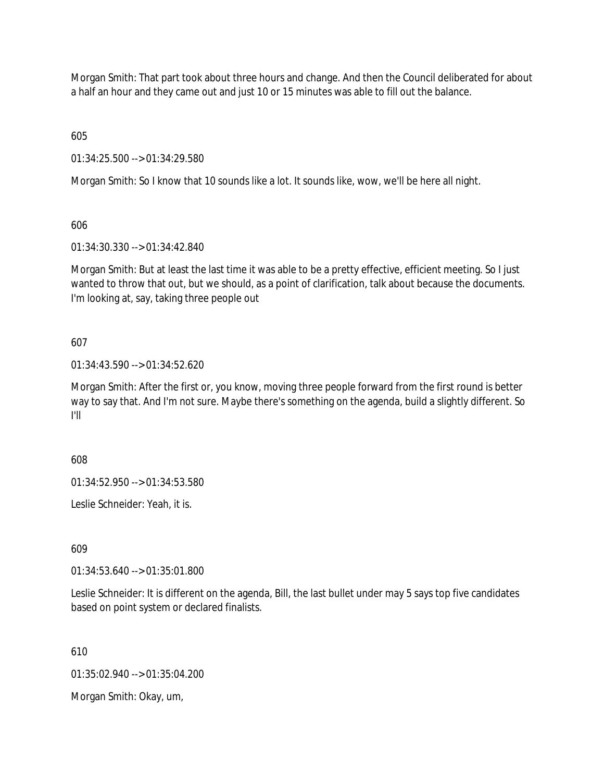Morgan Smith: That part took about three hours and change. And then the Council deliberated for about a half an hour and they came out and just 10 or 15 minutes was able to fill out the balance.

605

01:34:25.500 --> 01:34:29.580

Morgan Smith: So I know that 10 sounds like a lot. It sounds like, wow, we'll be here all night.

606

01:34:30.330 --> 01:34:42.840

Morgan Smith: But at least the last time it was able to be a pretty effective, efficient meeting. So I just wanted to throw that out, but we should, as a point of clarification, talk about because the documents. I'm looking at, say, taking three people out

607

01:34:43.590 --> 01:34:52.620

Morgan Smith: After the first or, you know, moving three people forward from the first round is better way to say that. And I'm not sure. Maybe there's something on the agenda, build a slightly different. So I'll

608

01:34:52.950 --> 01:34:53.580

Leslie Schneider: Yeah, it is.

609

01:34:53.640 --> 01:35:01.800

Leslie Schneider: It is different on the agenda, Bill, the last bullet under may 5 says top five candidates based on point system or declared finalists.

610

01:35:02.940 --> 01:35:04.200

Morgan Smith: Okay, um,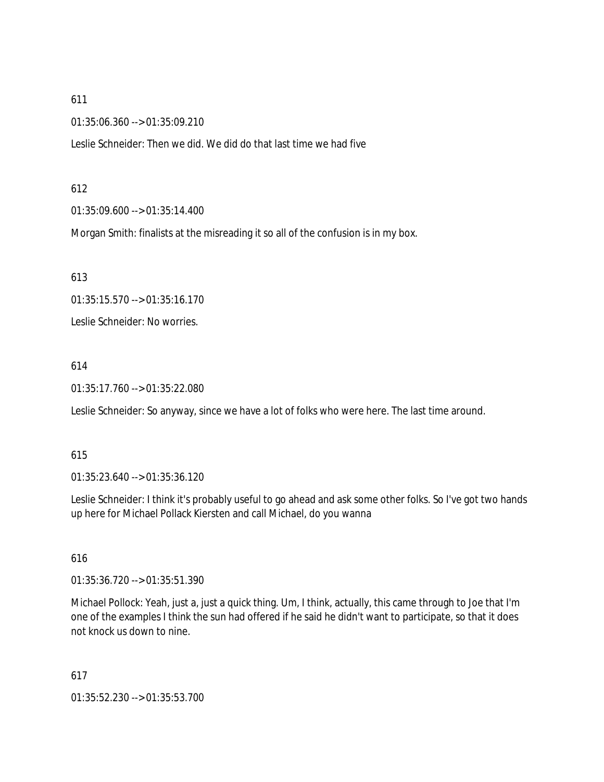01:35:06.360 --> 01:35:09.210

Leslie Schneider: Then we did. We did do that last time we had five

#### 612

01:35:09.600 --> 01:35:14.400

Morgan Smith: finalists at the misreading it so all of the confusion is in my box.

613

01:35:15.570 --> 01:35:16.170

Leslie Schneider: No worries.

### 614

01:35:17.760 --> 01:35:22.080

Leslie Schneider: So anyway, since we have a lot of folks who were here. The last time around.

### 615

01:35:23.640 --> 01:35:36.120

Leslie Schneider: I think it's probably useful to go ahead and ask some other folks. So I've got two hands up here for Michael Pollack Kiersten and call Michael, do you wanna

### 616

01:35:36.720 --> 01:35:51.390

Michael Pollock: Yeah, just a, just a quick thing. Um, I think, actually, this came through to Joe that I'm one of the examples I think the sun had offered if he said he didn't want to participate, so that it does not knock us down to nine.

617

01:35:52.230 --> 01:35:53.700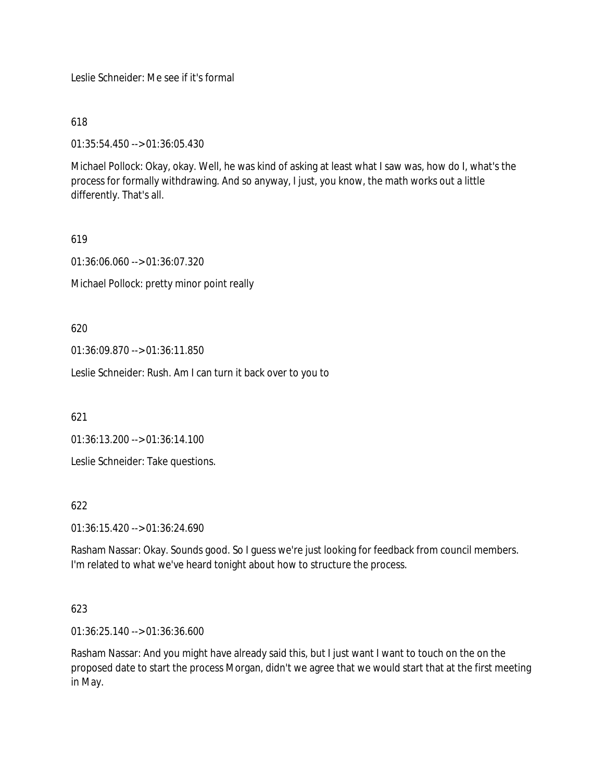Leslie Schneider: Me see if it's formal

618

01:35:54.450 --> 01:36:05.430

Michael Pollock: Okay, okay. Well, he was kind of asking at least what I saw was, how do I, what's the process for formally withdrawing. And so anyway, I just, you know, the math works out a little differently. That's all.

## 619

01:36:06.060 --> 01:36:07.320

Michael Pollock: pretty minor point really

620

01:36:09.870 --> 01:36:11.850

Leslie Schneider: Rush. Am I can turn it back over to you to

621

01:36:13.200 --> 01:36:14.100

Leslie Schneider: Take questions.

622

01:36:15.420 --> 01:36:24.690

Rasham Nassar: Okay. Sounds good. So I guess we're just looking for feedback from council members. I'm related to what we've heard tonight about how to structure the process.

### 623

01:36:25.140 --> 01:36:36.600

Rasham Nassar: And you might have already said this, but I just want I want to touch on the on the proposed date to start the process Morgan, didn't we agree that we would start that at the first meeting in May.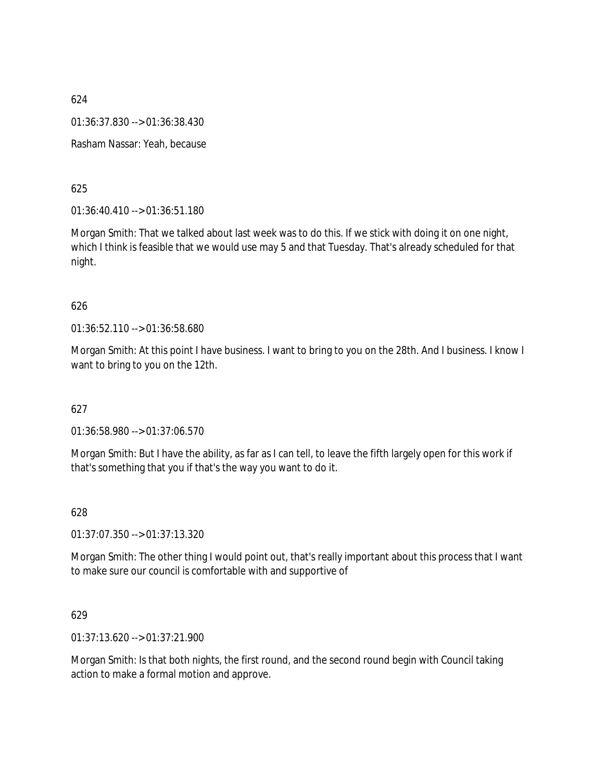624 01:36:37.830 --> 01:36:38.430 Rasham Nassar: Yeah, because

625

01:36:40.410 --> 01:36:51.180

Morgan Smith: That we talked about last week was to do this. If we stick with doing it on one night, which I think is feasible that we would use may 5 and that Tuesday. That's already scheduled for that night.

### 626

01:36:52.110 --> 01:36:58.680

Morgan Smith: At this point I have business. I want to bring to you on the 28th. And I business. I know I want to bring to you on the 12th.

### 627

01:36:58.980 --> 01:37:06.570

Morgan Smith: But I have the ability, as far as I can tell, to leave the fifth largely open for this work if that's something that you if that's the way you want to do it.

### 628

01:37:07.350 --> 01:37:13.320

Morgan Smith: The other thing I would point out, that's really important about this process that I want to make sure our council is comfortable with and supportive of

### 629

01:37:13.620 --> 01:37:21.900

Morgan Smith: Is that both nights, the first round, and the second round begin with Council taking action to make a formal motion and approve.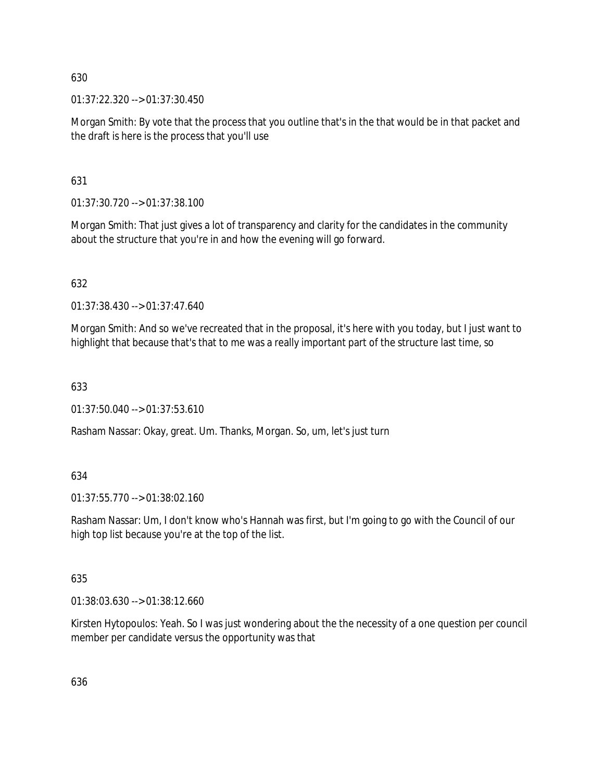01:37:22.320 --> 01:37:30.450

Morgan Smith: By vote that the process that you outline that's in the that would be in that packet and the draft is here is the process that you'll use

631

01:37:30.720 --> 01:37:38.100

Morgan Smith: That just gives a lot of transparency and clarity for the candidates in the community about the structure that you're in and how the evening will go forward.

632

01:37:38.430 --> 01:37:47.640

Morgan Smith: And so we've recreated that in the proposal, it's here with you today, but I just want to highlight that because that's that to me was a really important part of the structure last time, so

633

 $01:37:50.040 \rightarrow 01:37:53.610$ 

Rasham Nassar: Okay, great. Um. Thanks, Morgan. So, um, let's just turn

# 634

01:37:55.770 --> 01:38:02.160

Rasham Nassar: Um, I don't know who's Hannah was first, but I'm going to go with the Council of our high top list because you're at the top of the list.

# 635

01:38:03.630 --> 01:38:12.660

Kirsten Hytopoulos: Yeah. So I was just wondering about the the necessity of a one question per council member per candidate versus the opportunity was that

636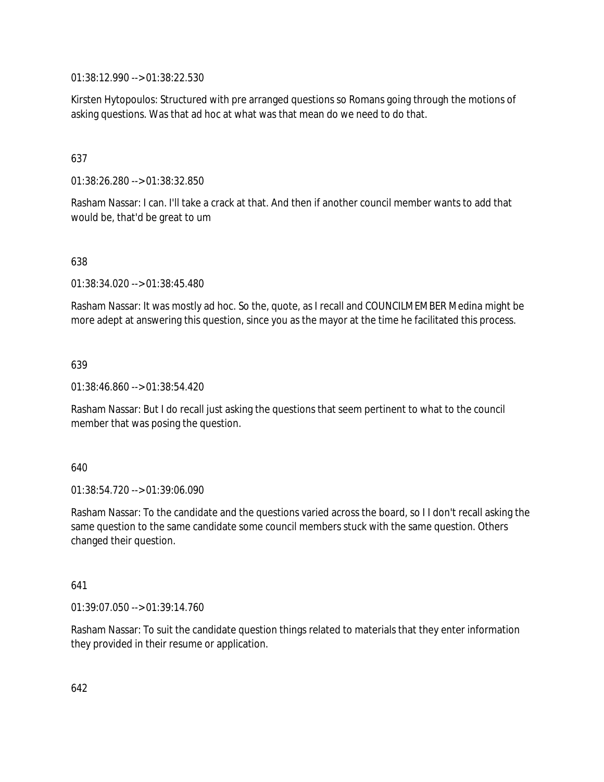01:38:12.990 --> 01:38:22.530

Kirsten Hytopoulos: Structured with pre arranged questions so Romans going through the motions of asking questions. Was that ad hoc at what was that mean do we need to do that.

## 637

01:38:26.280 --> 01:38:32.850

Rasham Nassar: I can. I'll take a crack at that. And then if another council member wants to add that would be, that'd be great to um

### 638

01:38:34.020 --> 01:38:45.480

Rasham Nassar: It was mostly ad hoc. So the, quote, as I recall and COUNCILMEMBER Medina might be more adept at answering this question, since you as the mayor at the time he facilitated this process.

### 639

01:38:46.860 --> 01:38:54.420

Rasham Nassar: But I do recall just asking the questions that seem pertinent to what to the council member that was posing the question.

#### 640

01:38:54.720 --> 01:39:06.090

Rasham Nassar: To the candidate and the questions varied across the board, so I I don't recall asking the same question to the same candidate some council members stuck with the same question. Others changed their question.

### 641

01:39:07.050 --> 01:39:14.760

Rasham Nassar: To suit the candidate question things related to materials that they enter information they provided in their resume or application.

642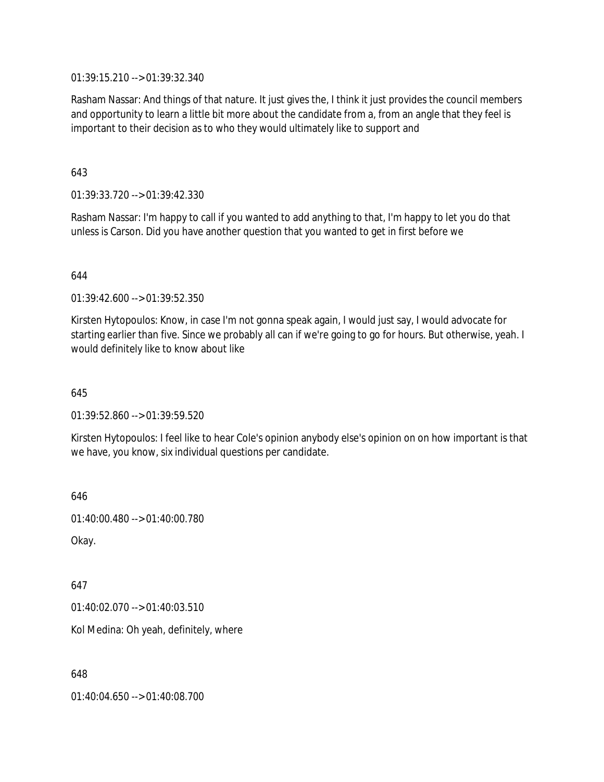01:39:15.210 --> 01:39:32.340

Rasham Nassar: And things of that nature. It just gives the, I think it just provides the council members and opportunity to learn a little bit more about the candidate from a, from an angle that they feel is important to their decision as to who they would ultimately like to support and

643

01:39:33.720 --> 01:39:42.330

Rasham Nassar: I'm happy to call if you wanted to add anything to that, I'm happy to let you do that unless is Carson. Did you have another question that you wanted to get in first before we

644

01:39:42.600 --> 01:39:52.350

Kirsten Hytopoulos: Know, in case I'm not gonna speak again, I would just say, I would advocate for starting earlier than five. Since we probably all can if we're going to go for hours. But otherwise, yeah. I would definitely like to know about like

645

01:39:52.860 --> 01:39:59.520

Kirsten Hytopoulos: I feel like to hear Cole's opinion anybody else's opinion on on how important is that we have, you know, six individual questions per candidate.

646

01:40:00.480 --> 01:40:00.780

Okay.

647

01:40:02.070 --> 01:40:03.510

Kol Medina: Oh yeah, definitely, where

648

01:40:04.650 --> 01:40:08.700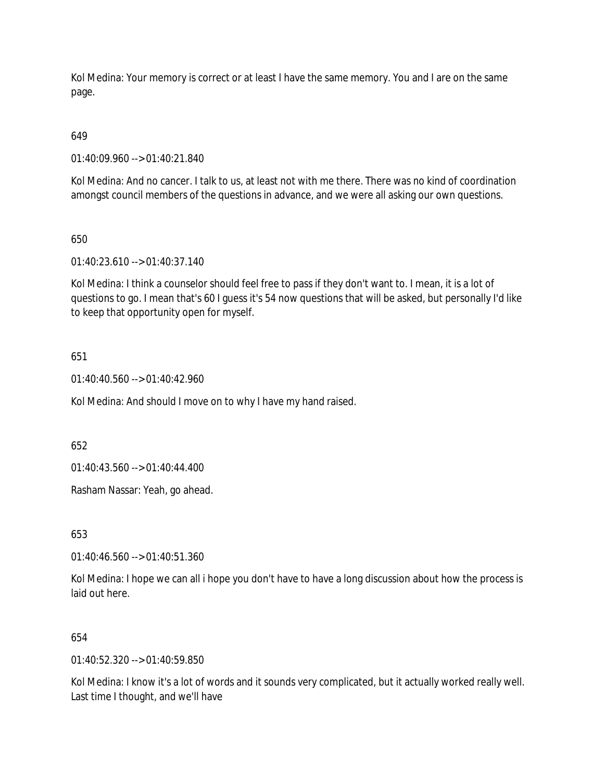Kol Medina: Your memory is correct or at least I have the same memory. You and I are on the same page.

# 649

01:40:09.960 --> 01:40:21.840

Kol Medina: And no cancer. I talk to us, at least not with me there. There was no kind of coordination amongst council members of the questions in advance, and we were all asking our own questions.

## 650

01:40:23.610 --> 01:40:37.140

Kol Medina: I think a counselor should feel free to pass if they don't want to. I mean, it is a lot of questions to go. I mean that's 60 I guess it's 54 now questions that will be asked, but personally I'd like to keep that opportunity open for myself.

# 651

 $01:40:40.560 \rightarrow 01:40:42.960$ 

Kol Medina: And should I move on to why I have my hand raised.

652

01:40:43.560 --> 01:40:44.400

Rasham Nassar: Yeah, go ahead.

653

01:40:46.560 --> 01:40:51.360

Kol Medina: I hope we can all i hope you don't have to have a long discussion about how the process is laid out here.

### 654

01:40:52.320 --> 01:40:59.850

Kol Medina: I know it's a lot of words and it sounds very complicated, but it actually worked really well. Last time I thought, and we'll have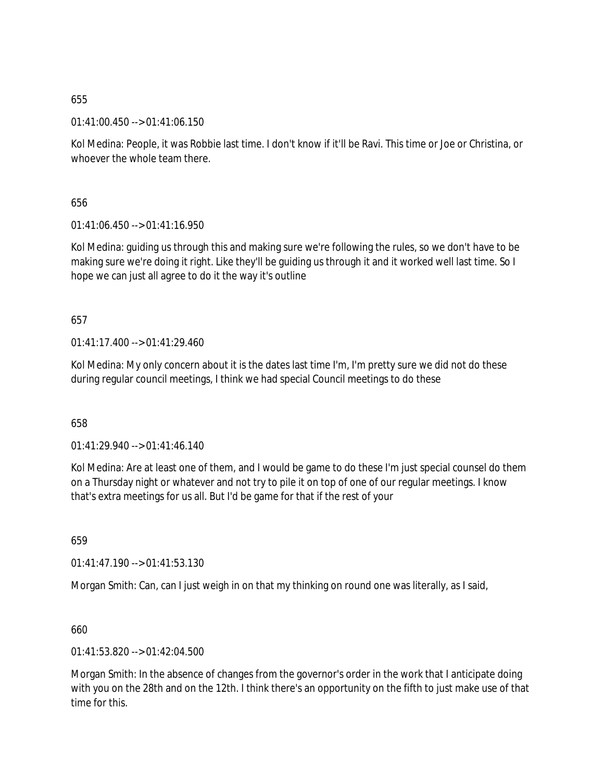01:41:00.450 --> 01:41:06.150

Kol Medina: People, it was Robbie last time. I don't know if it'll be Ravi. This time or Joe or Christina, or whoever the whole team there.

656

01:41:06.450 --> 01:41:16.950

Kol Medina: guiding us through this and making sure we're following the rules, so we don't have to be making sure we're doing it right. Like they'll be guiding us through it and it worked well last time. So I hope we can just all agree to do it the way it's outline

657

01:41:17.400 --> 01:41:29.460

Kol Medina: My only concern about it is the dates last time I'm, I'm pretty sure we did not do these during regular council meetings, I think we had special Council meetings to do these

658

01:41:29.940 --> 01:41:46.140

Kol Medina: Are at least one of them, and I would be game to do these I'm just special counsel do them on a Thursday night or whatever and not try to pile it on top of one of our regular meetings. I know that's extra meetings for us all. But I'd be game for that if the rest of your

659

01:41:47.190 --> 01:41:53.130

Morgan Smith: Can, can I just weigh in on that my thinking on round one was literally, as I said,

660

01:41:53.820 --> 01:42:04.500

Morgan Smith: In the absence of changes from the governor's order in the work that I anticipate doing with you on the 28th and on the 12th. I think there's an opportunity on the fifth to just make use of that time for this.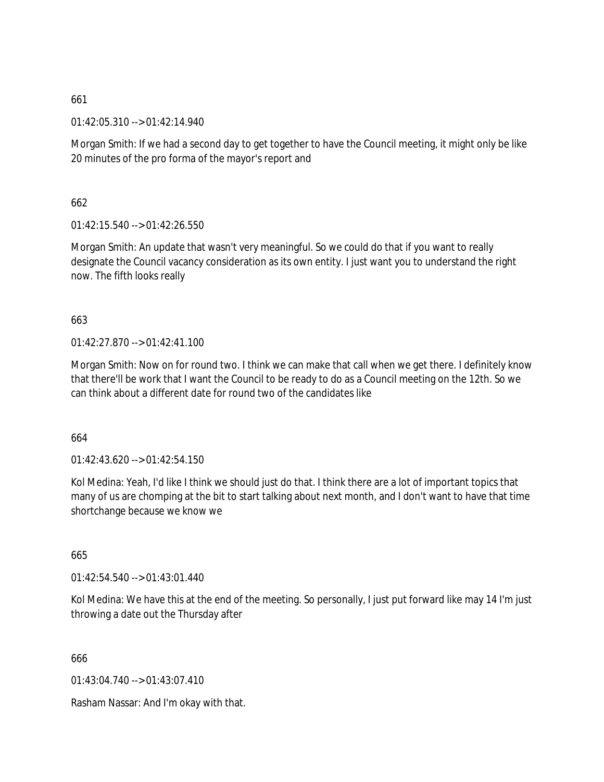01:42:05.310 --> 01:42:14.940

Morgan Smith: If we had a second day to get together to have the Council meeting, it might only be like 20 minutes of the pro forma of the mayor's report and

662

01:42:15.540 --> 01:42:26.550

Morgan Smith: An update that wasn't very meaningful. So we could do that if you want to really designate the Council vacancy consideration as its own entity. I just want you to understand the right now. The fifth looks really

663

01:42:27.870 --> 01:42:41.100

Morgan Smith: Now on for round two. I think we can make that call when we get there. I definitely know that there'll be work that I want the Council to be ready to do as a Council meeting on the 12th. So we can think about a different date for round two of the candidates like

664

 $01:42:43.620 \rightarrow 01:42:54.150$ 

Kol Medina: Yeah, I'd like I think we should just do that. I think there are a lot of important topics that many of us are chomping at the bit to start talking about next month, and I don't want to have that time shortchange because we know we

665

01:42:54.540 --> 01:43:01.440

Kol Medina: We have this at the end of the meeting. So personally, I just put forward like may 14 I'm just throwing a date out the Thursday after

666

01:43:04.740 --> 01:43:07.410

Rasham Nassar: And I'm okay with that.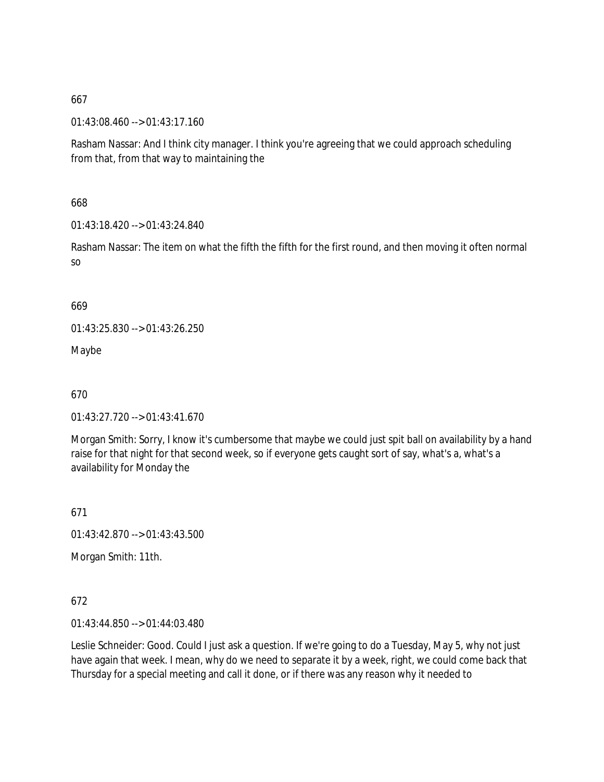01:43:08.460 --> 01:43:17.160

Rasham Nassar: And I think city manager. I think you're agreeing that we could approach scheduling from that, from that way to maintaining the

668

01:43:18.420 --> 01:43:24.840

Rasham Nassar: The item on what the fifth the fifth for the first round, and then moving it often normal so

669

01:43:25.830 --> 01:43:26.250

Maybe

670

01:43:27.720 --> 01:43:41.670

Morgan Smith: Sorry, I know it's cumbersome that maybe we could just spit ball on availability by a hand raise for that night for that second week, so if everyone gets caught sort of say, what's a, what's a availability for Monday the

671

01:43:42.870 --> 01:43:43.500

Morgan Smith: 11th.

672

01:43:44.850 --> 01:44:03.480

Leslie Schneider: Good. Could I just ask a question. If we're going to do a Tuesday, May 5, why not just have again that week. I mean, why do we need to separate it by a week, right, we could come back that Thursday for a special meeting and call it done, or if there was any reason why it needed to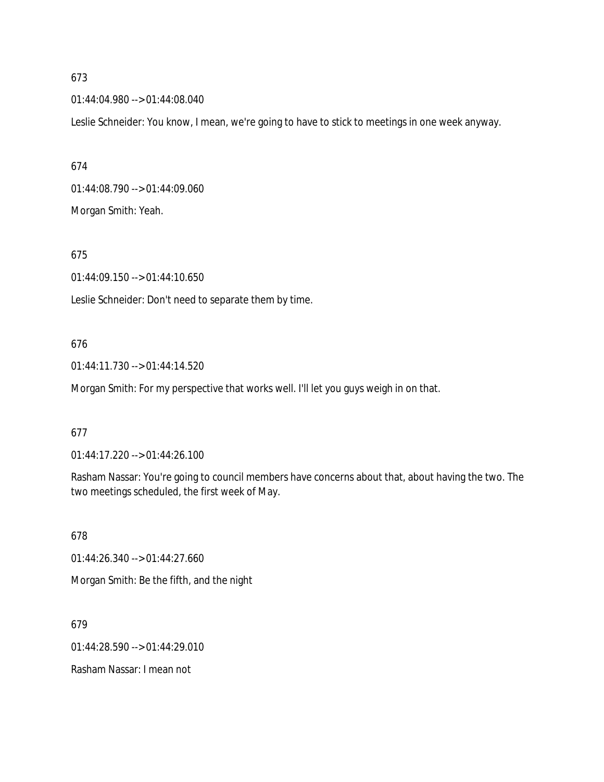01:44:04.980 --> 01:44:08.040

Leslie Schneider: You know, I mean, we're going to have to stick to meetings in one week anyway.

674 01:44:08.790 --> 01:44:09.060 Morgan Smith: Yeah.

## 675

01:44:09.150 --> 01:44:10.650

Leslie Schneider: Don't need to separate them by time.

### 676

01:44:11.730 --> 01:44:14.520

Morgan Smith: For my perspective that works well. I'll let you guys weigh in on that.

### 677

01:44:17.220 --> 01:44:26.100

Rasham Nassar: You're going to council members have concerns about that, about having the two. The two meetings scheduled, the first week of May.

678

01:44:26.340 --> 01:44:27.660

Morgan Smith: Be the fifth, and the night

679

01:44:28.590 --> 01:44:29.010

Rasham Nassar: I mean not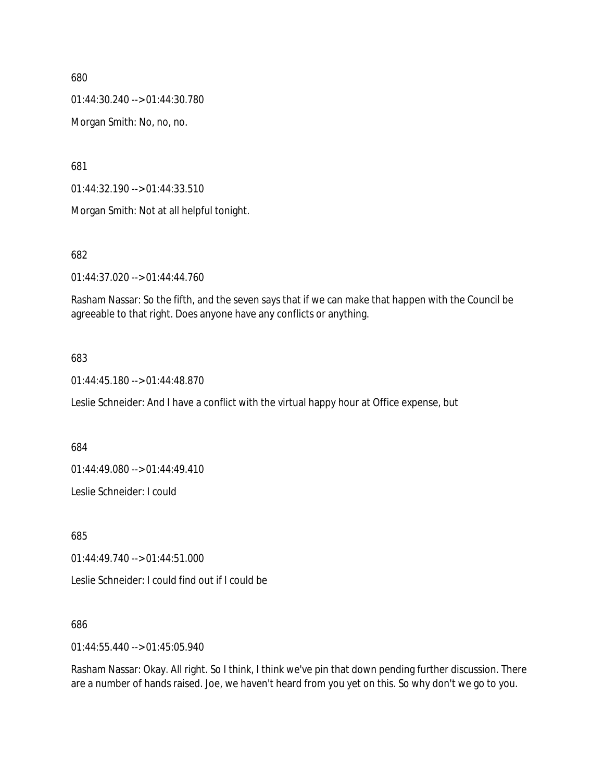01:44:30.240 --> 01:44:30.780

Morgan Smith: No, no, no.

681

01:44:32.190 --> 01:44:33.510

Morgan Smith: Not at all helpful tonight.

682

01:44:37.020 --> 01:44:44.760

Rasham Nassar: So the fifth, and the seven says that if we can make that happen with the Council be agreeable to that right. Does anyone have any conflicts or anything.

### 683

01:44:45.180 --> 01:44:48.870

Leslie Schneider: And I have a conflict with the virtual happy hour at Office expense, but

684

01:44:49.080 --> 01:44:49.410

Leslie Schneider: I could

685

01:44:49.740 --> 01:44:51.000

Leslie Schneider: I could find out if I could be

686

01:44:55.440 --> 01:45:05.940

Rasham Nassar: Okay. All right. So I think, I think we've pin that down pending further discussion. There are a number of hands raised. Joe, we haven't heard from you yet on this. So why don't we go to you.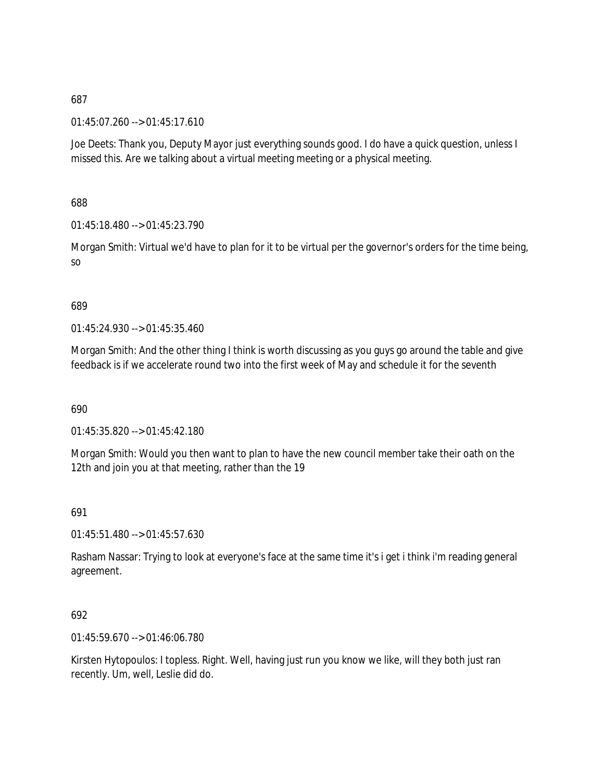01:45:07.260 --> 01:45:17.610

Joe Deets: Thank you, Deputy Mayor just everything sounds good. I do have a quick question, unless I missed this. Are we talking about a virtual meeting meeting or a physical meeting.

688

01:45:18.480 --> 01:45:23.790

Morgan Smith: Virtual we'd have to plan for it to be virtual per the governor's orders for the time being, so

### 689

01:45:24.930 --> 01:45:35.460

Morgan Smith: And the other thing I think is worth discussing as you guys go around the table and give feedback is if we accelerate round two into the first week of May and schedule it for the seventh

690

01:45:35.820 --> 01:45:42.180

Morgan Smith: Would you then want to plan to have the new council member take their oath on the 12th and join you at that meeting, rather than the 19

691

01:45:51.480 --> 01:45:57.630

Rasham Nassar: Trying to look at everyone's face at the same time it's i get i think i'm reading general agreement.

### 692

01:45:59.670 --> 01:46:06.780

Kirsten Hytopoulos: I topless. Right. Well, having just run you know we like, will they both just ran recently. Um, well, Leslie did do.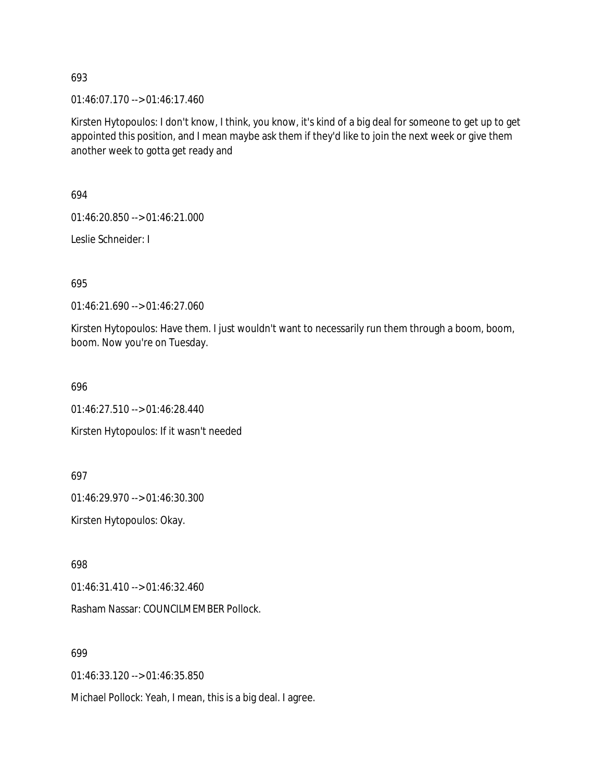01:46:07.170 --> 01:46:17.460

Kirsten Hytopoulos: I don't know, I think, you know, it's kind of a big deal for someone to get up to get appointed this position, and I mean maybe ask them if they'd like to join the next week or give them another week to gotta get ready and

694

01:46:20.850 --> 01:46:21.000

Leslie Schneider: I

695

01:46:21.690 --> 01:46:27.060

Kirsten Hytopoulos: Have them. I just wouldn't want to necessarily run them through a boom, boom, boom. Now you're on Tuesday.

696

01:46:27.510 --> 01:46:28.440 Kirsten Hytopoulos: If it wasn't needed

697

01:46:29.970 --> 01:46:30.300

Kirsten Hytopoulos: Okay.

698

01:46:31.410 --> 01:46:32.460

Rasham Nassar: COUNCILMEMBER Pollock.

699

01:46:33.120 --> 01:46:35.850

Michael Pollock: Yeah, I mean, this is a big deal. I agree.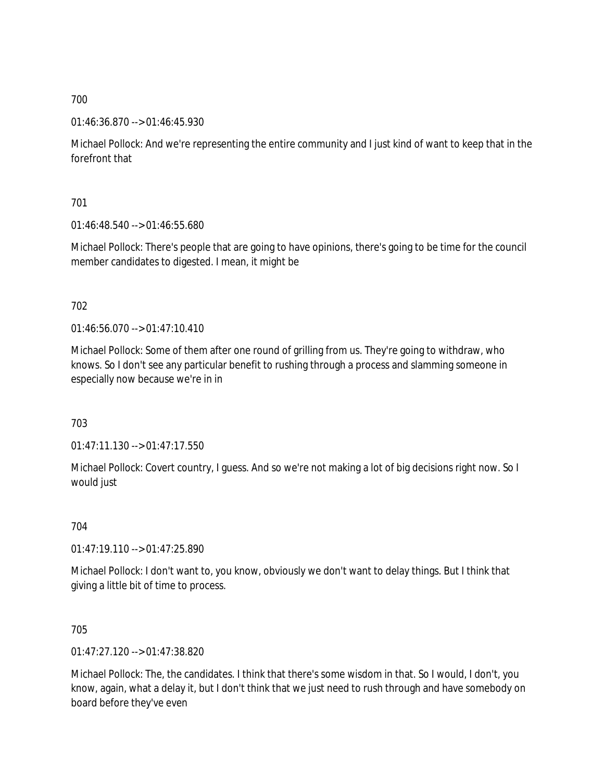01:46:36.870 --> 01:46:45.930

Michael Pollock: And we're representing the entire community and I just kind of want to keep that in the forefront that

701

01:46:48.540 --> 01:46:55.680

Michael Pollock: There's people that are going to have opinions, there's going to be time for the council member candidates to digested. I mean, it might be

702

01:46:56.070 --> 01:47:10.410

Michael Pollock: Some of them after one round of grilling from us. They're going to withdraw, who knows. So I don't see any particular benefit to rushing through a process and slamming someone in especially now because we're in in

703

01:47:11.130 --> 01:47:17.550

Michael Pollock: Covert country, I guess. And so we're not making a lot of big decisions right now. So I would just

704

01:47:19.110 --> 01:47:25.890

Michael Pollock: I don't want to, you know, obviously we don't want to delay things. But I think that giving a little bit of time to process.

705

01:47:27.120 --> 01:47:38.820

Michael Pollock: The, the candidates. I think that there's some wisdom in that. So I would, I don't, you know, again, what a delay it, but I don't think that we just need to rush through and have somebody on board before they've even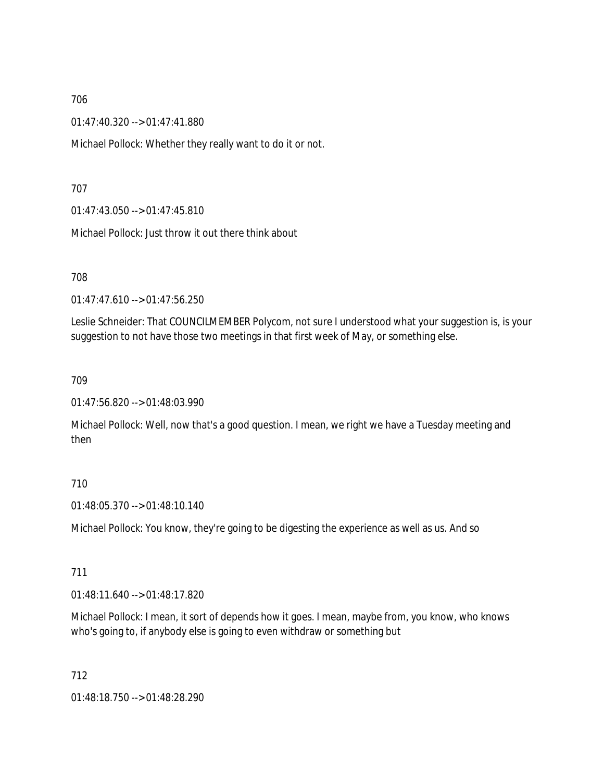01:47:40.320 --> 01:47:41.880

Michael Pollock: Whether they really want to do it or not.

707

01:47:43.050 --> 01:47:45.810

Michael Pollock: Just throw it out there think about

708

01:47:47.610 --> 01:47:56.250

Leslie Schneider: That COUNCILMEMBER Polycom, not sure I understood what your suggestion is, is your suggestion to not have those two meetings in that first week of May, or something else.

709

01:47:56.820 --> 01:48:03.990

Michael Pollock: Well, now that's a good question. I mean, we right we have a Tuesday meeting and then

### 710

01:48:05.370 --> 01:48:10.140

Michael Pollock: You know, they're going to be digesting the experience as well as us. And so

711

01:48:11.640 --> 01:48:17.820

Michael Pollock: I mean, it sort of depends how it goes. I mean, maybe from, you know, who knows who's going to, if anybody else is going to even withdraw or something but

712

01:48:18.750 --> 01:48:28.290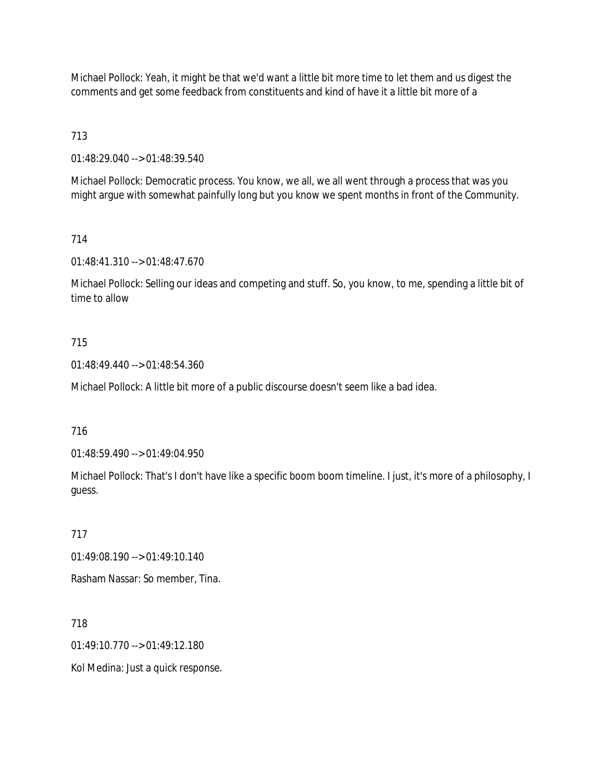Michael Pollock: Yeah, it might be that we'd want a little bit more time to let them and us digest the comments and get some feedback from constituents and kind of have it a little bit more of a

713

01:48:29.040 --> 01:48:39.540

Michael Pollock: Democratic process. You know, we all, we all went through a process that was you might argue with somewhat painfully long but you know we spent months in front of the Community.

714

01:48:41.310 --> 01:48:47.670

Michael Pollock: Selling our ideas and competing and stuff. So, you know, to me, spending a little bit of time to allow

## 715

01:48:49.440 --> 01:48:54.360

Michael Pollock: A little bit more of a public discourse doesn't seem like a bad idea.

716

01:48:59.490 --> 01:49:04.950

Michael Pollock: That's I don't have like a specific boom boom timeline. I just, it's more of a philosophy, I guess.

# 717

01:49:08.190 --> 01:49:10.140

Rasham Nassar: So member, Tina.

718

01:49:10.770 --> 01:49:12.180

Kol Medina: Just a quick response.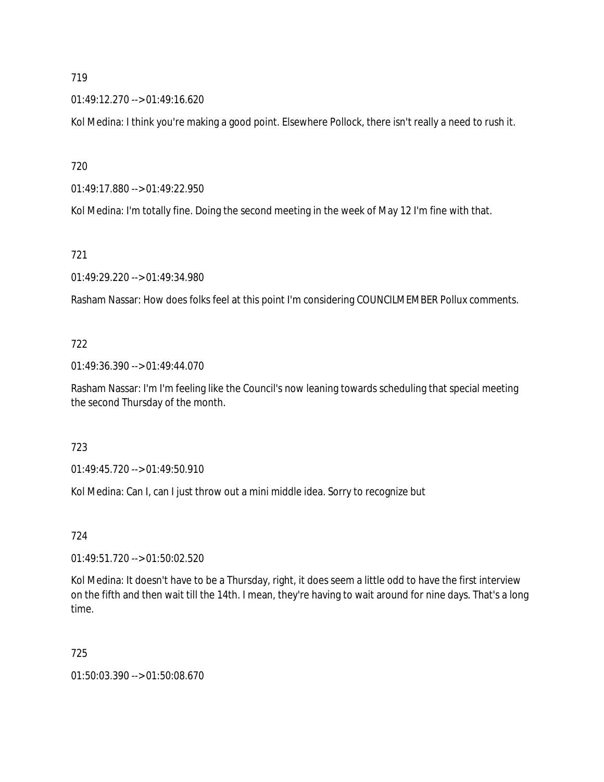01:49:12.270 --> 01:49:16.620

Kol Medina: I think you're making a good point. Elsewhere Pollock, there isn't really a need to rush it.

720

01:49:17.880 --> 01:49:22.950

Kol Medina: I'm totally fine. Doing the second meeting in the week of May 12 I'm fine with that.

721

01:49:29.220 --> 01:49:34.980

Rasham Nassar: How does folks feel at this point I'm considering COUNCILMEMBER Pollux comments.

# 722

01:49:36.390 --> 01:49:44.070

Rasham Nassar: I'm I'm feeling like the Council's now leaning towards scheduling that special meeting the second Thursday of the month.

### 723

01:49:45.720 --> 01:49:50.910

Kol Medina: Can I, can I just throw out a mini middle idea. Sorry to recognize but

# 724

01:49:51.720 --> 01:50:02.520

Kol Medina: It doesn't have to be a Thursday, right, it does seem a little odd to have the first interview on the fifth and then wait till the 14th. I mean, they're having to wait around for nine days. That's a long time.

# 725

01:50:03.390 --> 01:50:08.670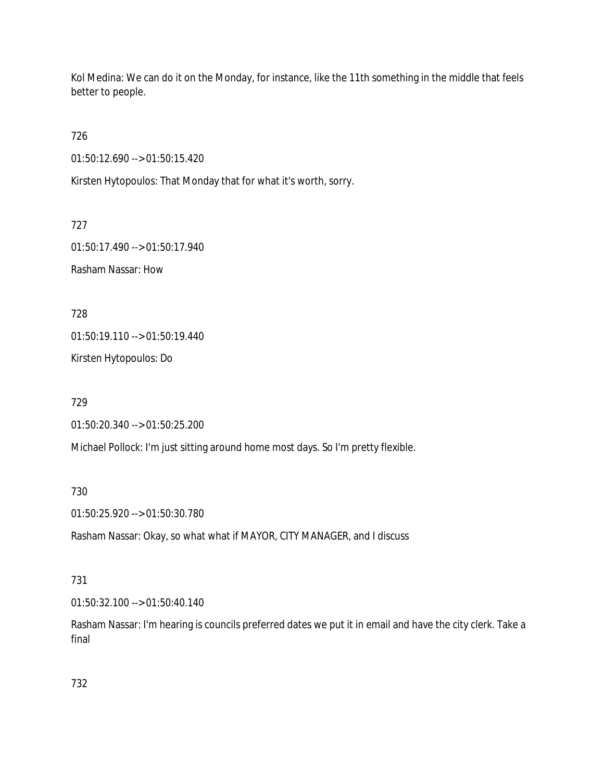Kol Medina: We can do it on the Monday, for instance, like the 11th something in the middle that feels better to people.

726

01:50:12.690 --> 01:50:15.420

Kirsten Hytopoulos: That Monday that for what it's worth, sorry.

727

01:50:17.490 --> 01:50:17.940 Rasham Nassar: How

728

01:50:19.110 --> 01:50:19.440

Kirsten Hytopoulos: Do

729

01:50:20.340 --> 01:50:25.200

Michael Pollock: I'm just sitting around home most days. So I'm pretty flexible.

730

01:50:25.920 --> 01:50:30.780

Rasham Nassar: Okay, so what what if MAYOR, CITY MANAGER, and I discuss

### 731

01:50:32.100 --> 01:50:40.140

Rasham Nassar: I'm hearing is councils preferred dates we put it in email and have the city clerk. Take a final

732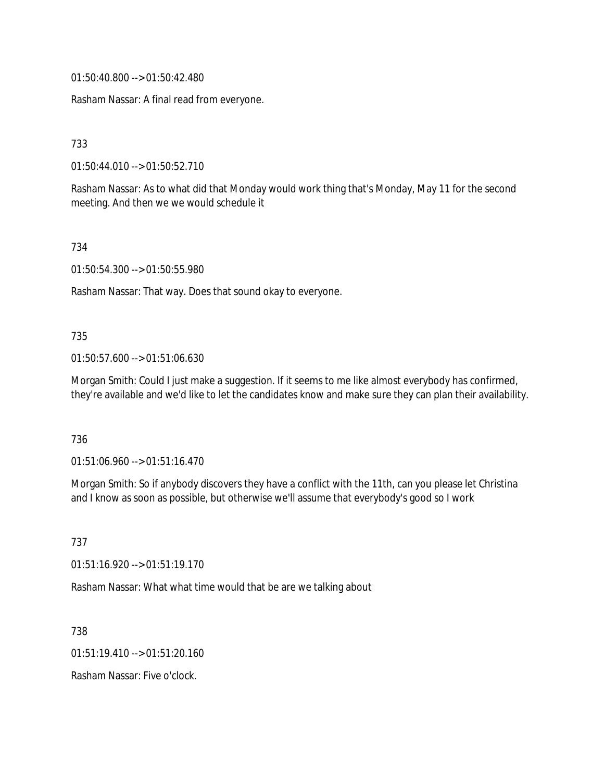01:50:40.800 --> 01:50:42.480

Rasham Nassar: A final read from everyone.

733

01:50:44.010 --> 01:50:52.710

Rasham Nassar: As to what did that Monday would work thing that's Monday, May 11 for the second meeting. And then we we would schedule it

734

01:50:54.300 --> 01:50:55.980

Rasham Nassar: That way. Does that sound okay to everyone.

#### 735

01:50:57.600 --> 01:51:06.630

Morgan Smith: Could I just make a suggestion. If it seems to me like almost everybody has confirmed, they're available and we'd like to let the candidates know and make sure they can plan their availability.

736

01:51:06.960 --> 01:51:16.470

Morgan Smith: So if anybody discovers they have a conflict with the 11th, can you please let Christina and I know as soon as possible, but otherwise we'll assume that everybody's good so I work

737

01:51:16.920 --> 01:51:19.170

Rasham Nassar: What what time would that be are we talking about

738

01:51:19.410 --> 01:51:20.160

Rasham Nassar: Five o'clock.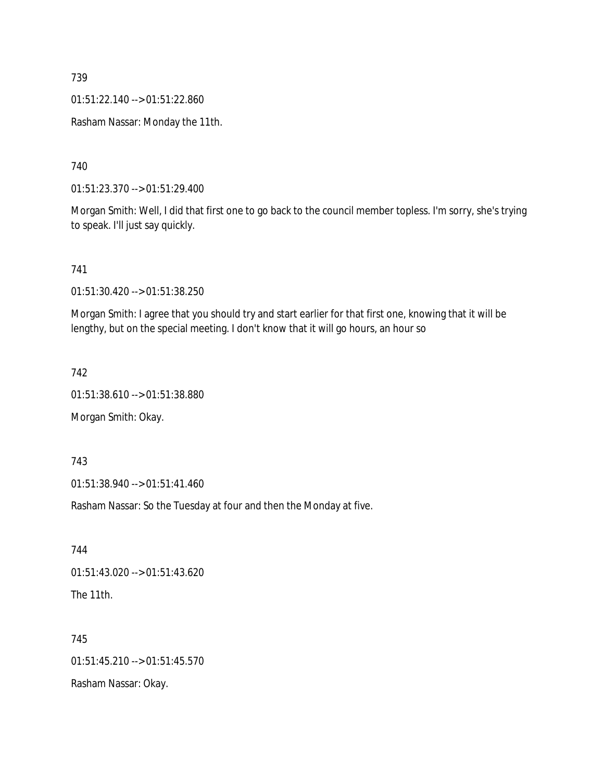01:51:22.140 --> 01:51:22.860

Rasham Nassar: Monday the 11th.

740

01:51:23.370 --> 01:51:29.400

Morgan Smith: Well, I did that first one to go back to the council member topless. I'm sorry, she's trying to speak. I'll just say quickly.

741

01:51:30.420 --> 01:51:38.250

Morgan Smith: I agree that you should try and start earlier for that first one, knowing that it will be lengthy, but on the special meeting. I don't know that it will go hours, an hour so

742

01:51:38.610 --> 01:51:38.880

Morgan Smith: Okay.

743

01:51:38.940 --> 01:51:41.460

Rasham Nassar: So the Tuesday at four and then the Monday at five.

744 01:51:43.020 --> 01:51:43.620 The 11th.

745 01:51:45.210 --> 01:51:45.570 Rasham Nassar: Okay.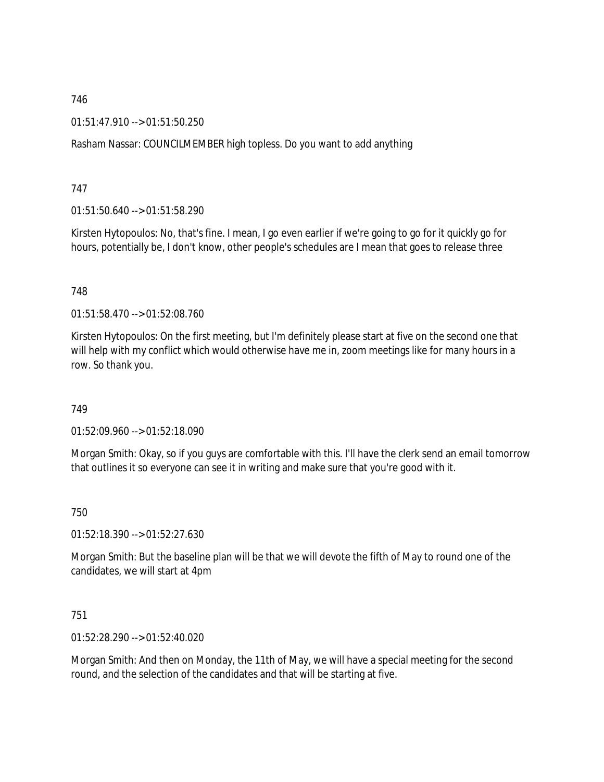01:51:47.910 --> 01:51:50.250

Rasham Nassar: COUNCILMEMBER high topless. Do you want to add anything

747

01:51:50.640 --> 01:51:58.290

Kirsten Hytopoulos: No, that's fine. I mean, I go even earlier if we're going to go for it quickly go for hours, potentially be, I don't know, other people's schedules are I mean that goes to release three

748

01:51:58.470 --> 01:52:08.760

Kirsten Hytopoulos: On the first meeting, but I'm definitely please start at five on the second one that will help with my conflict which would otherwise have me in, zoom meetings like for many hours in a row. So thank you.

749

01:52:09.960 --> 01:52:18.090

Morgan Smith: Okay, so if you guys are comfortable with this. I'll have the clerk send an email tomorrow that outlines it so everyone can see it in writing and make sure that you're good with it.

750

01:52:18.390 --> 01:52:27.630

Morgan Smith: But the baseline plan will be that we will devote the fifth of May to round one of the candidates, we will start at 4pm

751

01:52:28.290 --> 01:52:40.020

Morgan Smith: And then on Monday, the 11th of May, we will have a special meeting for the second round, and the selection of the candidates and that will be starting at five.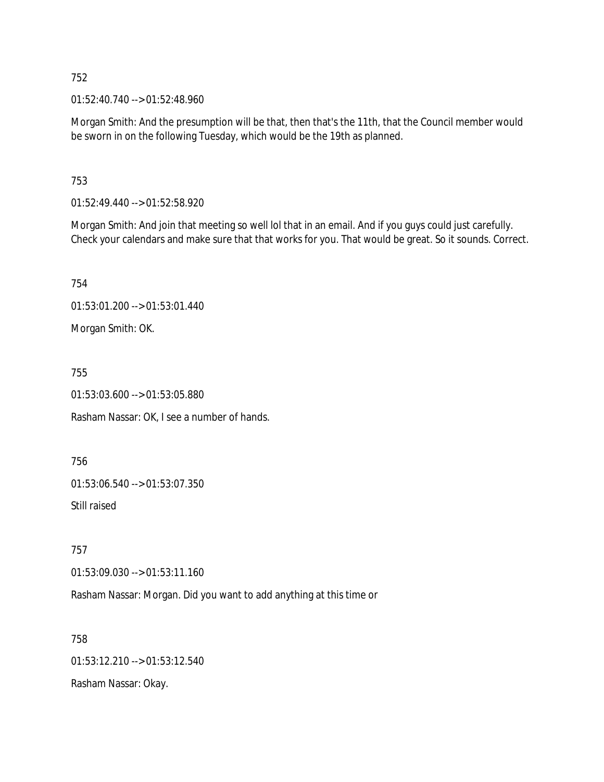01:52:40.740 --> 01:52:48.960

Morgan Smith: And the presumption will be that, then that's the 11th, that the Council member would be sworn in on the following Tuesday, which would be the 19th as planned.

753

01:52:49.440 --> 01:52:58.920

Morgan Smith: And join that meeting so well lol that in an email. And if you guys could just carefully. Check your calendars and make sure that that works for you. That would be great. So it sounds. Correct.

754

01:53:01.200 --> 01:53:01.440

Morgan Smith: OK.

755

01:53:03.600 --> 01:53:05.880

Rasham Nassar: OK, I see a number of hands.

756

01:53:06.540 --> 01:53:07.350

Still raised

757

01:53:09.030 --> 01:53:11.160

Rasham Nassar: Morgan. Did you want to add anything at this time or

758 01:53:12.210 --> 01:53:12.540 Rasham Nassar: Okay.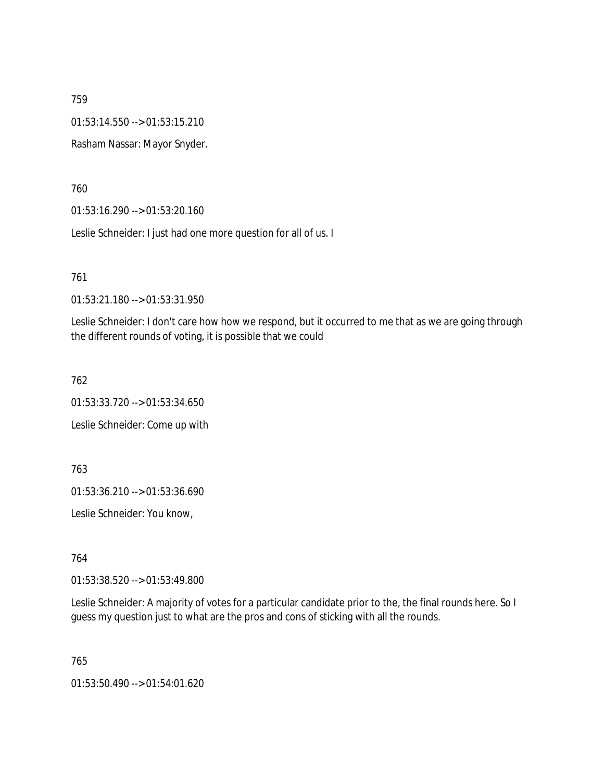01:53:14.550 --> 01:53:15.210

Rasham Nassar: Mayor Snyder.

760

01:53:16.290 --> 01:53:20.160

Leslie Schneider: I just had one more question for all of us. I

761

01:53:21.180 --> 01:53:31.950

Leslie Schneider: I don't care how how we respond, but it occurred to me that as we are going through the different rounds of voting, it is possible that we could

762

01:53:33.720 --> 01:53:34.650 Leslie Schneider: Come up with

763

01:53:36.210 --> 01:53:36.690

Leslie Schneider: You know,

764

01:53:38.520 --> 01:53:49.800

Leslie Schneider: A majority of votes for a particular candidate prior to the, the final rounds here. So I guess my question just to what are the pros and cons of sticking with all the rounds.

765

01:53:50.490 --> 01:54:01.620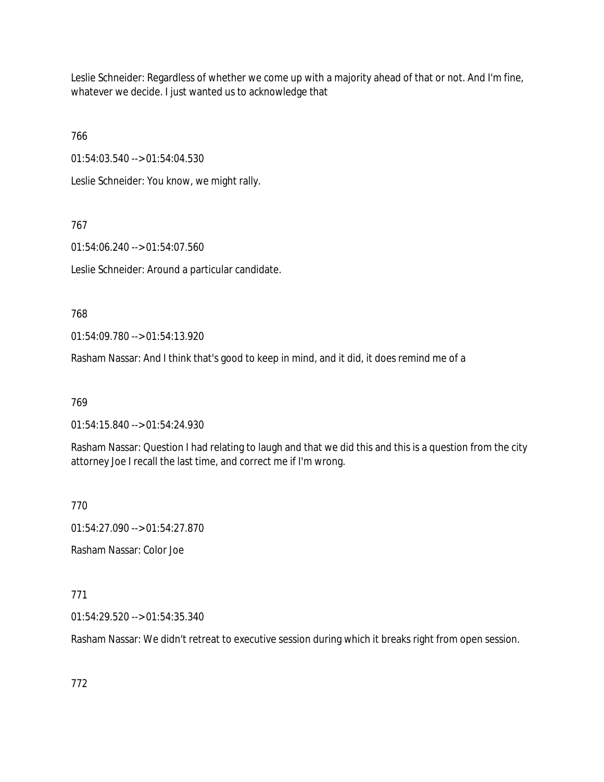Leslie Schneider: Regardless of whether we come up with a majority ahead of that or not. And I'm fine, whatever we decide. I just wanted us to acknowledge that

766

01:54:03.540 --> 01:54:04.530

Leslie Schneider: You know, we might rally.

767

01:54:06.240 --> 01:54:07.560

Leslie Schneider: Around a particular candidate.

768

01:54:09.780 --> 01:54:13.920

Rasham Nassar: And I think that's good to keep in mind, and it did, it does remind me of a

769

01:54:15.840 --> 01:54:24.930

Rasham Nassar: Question I had relating to laugh and that we did this and this is a question from the city attorney Joe I recall the last time, and correct me if I'm wrong.

770

01:54:27.090 --> 01:54:27.870

Rasham Nassar: Color Joe

771

01:54:29.520 --> 01:54:35.340

Rasham Nassar: We didn't retreat to executive session during which it breaks right from open session.

772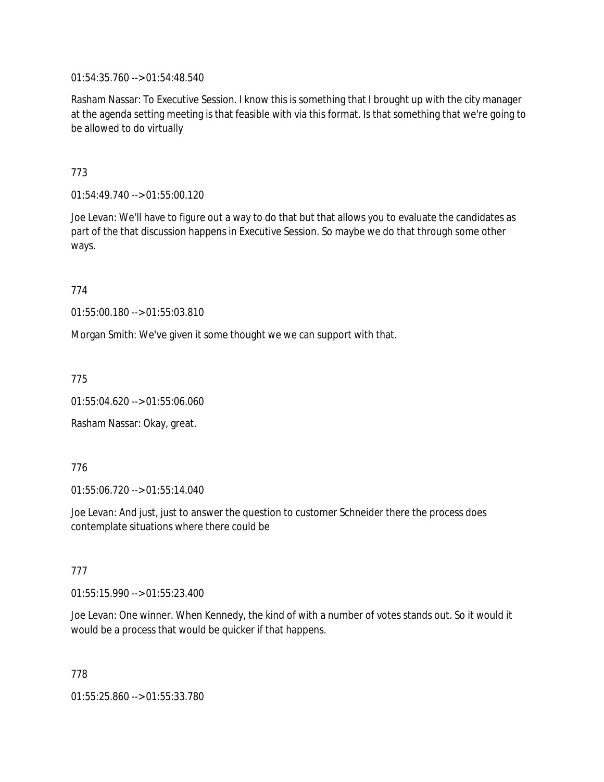01:54:35.760 --> 01:54:48.540

Rasham Nassar: To Executive Session. I know this is something that I brought up with the city manager at the agenda setting meeting is that feasible with via this format. Is that something that we're going to be allowed to do virtually

773

01:54:49.740 --> 01:55:00.120

Joe Levan: We'll have to figure out a way to do that but that allows you to evaluate the candidates as part of the that discussion happens in Executive Session. So maybe we do that through some other ways.

774

01:55:00.180 --> 01:55:03.810

Morgan Smith: We've given it some thought we we can support with that.

775

01:55:04.620 --> 01:55:06.060

Rasham Nassar: Okay, great.

776

01:55:06.720 --> 01:55:14.040

Joe Levan: And just, just to answer the question to customer Schneider there the process does contemplate situations where there could be

777

01:55:15.990 --> 01:55:23.400

Joe Levan: One winner. When Kennedy, the kind of with a number of votes stands out. So it would it would be a process that would be quicker if that happens.

778

01:55:25.860 --> 01:55:33.780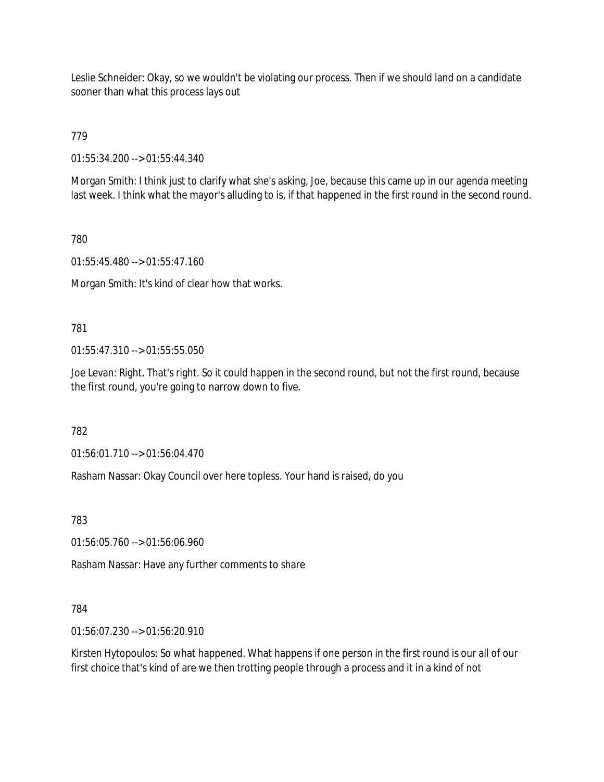Leslie Schneider: Okay, so we wouldn't be violating our process. Then if we should land on a candidate sooner than what this process lays out

779

01:55:34.200 --> 01:55:44.340

Morgan Smith: I think just to clarify what she's asking, Joe, because this came up in our agenda meeting last week. I think what the mayor's alluding to is, if that happened in the first round in the second round.

780

01:55:45.480 --> 01:55:47.160

Morgan Smith: It's kind of clear how that works.

781

01:55:47.310 --> 01:55:55.050

Joe Levan: Right. That's right. So it could happen in the second round, but not the first round, because the first round, you're going to narrow down to five.

782

01:56:01.710 --> 01:56:04.470

Rasham Nassar: Okay Council over here topless. Your hand is raised, do you

783

01:56:05.760 --> 01:56:06.960

Rasham Nassar: Have any further comments to share

### 784

01:56:07.230 --> 01:56:20.910

Kirsten Hytopoulos: So what happened. What happens if one person in the first round is our all of our first choice that's kind of are we then trotting people through a process and it in a kind of not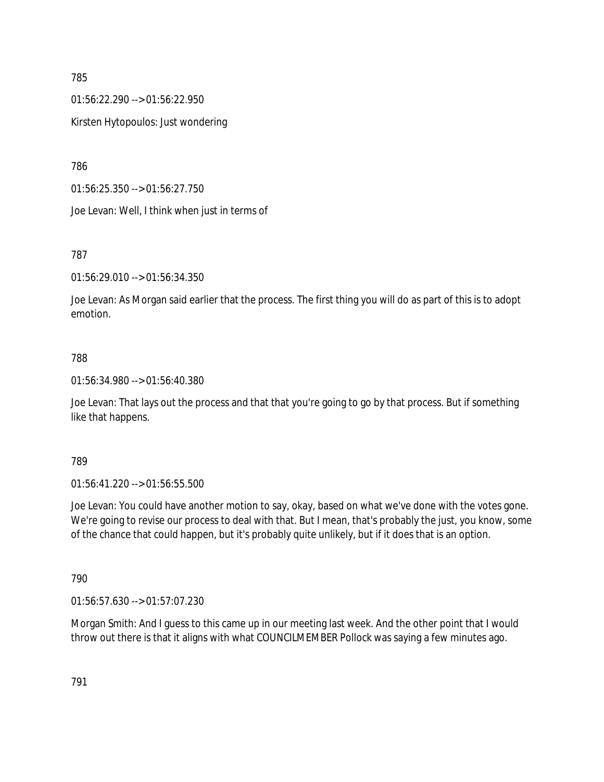01:56:22.290 --> 01:56:22.950

Kirsten Hytopoulos: Just wondering

786

01:56:25.350 --> 01:56:27.750

Joe Levan: Well, I think when just in terms of

787

01:56:29.010 --> 01:56:34.350

Joe Levan: As Morgan said earlier that the process. The first thing you will do as part of this is to adopt emotion.

## 788

01:56:34.980 --> 01:56:40.380

Joe Levan: That lays out the process and that that you're going to go by that process. But if something like that happens.

789

01:56:41.220 --> 01:56:55.500

Joe Levan: You could have another motion to say, okay, based on what we've done with the votes gone. We're going to revise our process to deal with that. But I mean, that's probably the just, you know, some of the chance that could happen, but it's probably quite unlikely, but if it does that is an option.

790

01:56:57.630 --> 01:57:07.230

Morgan Smith: And I guess to this came up in our meeting last week. And the other point that I would throw out there is that it aligns with what COUNCILMEMBER Pollock was saying a few minutes ago.

791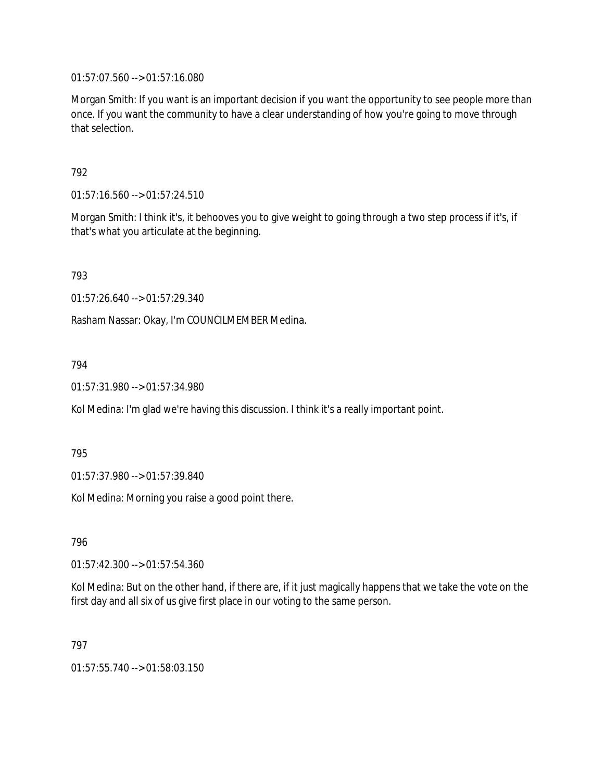01:57:07.560 --> 01:57:16.080

Morgan Smith: If you want is an important decision if you want the opportunity to see people more than once. If you want the community to have a clear understanding of how you're going to move through that selection.

# 792

01:57:16.560 --> 01:57:24.510

Morgan Smith: I think it's, it behooves you to give weight to going through a two step process if it's, if that's what you articulate at the beginning.

793

01:57:26.640 --> 01:57:29.340

Rasham Nassar: Okay, I'm COUNCILMEMBER Medina.

### 794

01:57:31.980 --> 01:57:34.980

Kol Medina: I'm glad we're having this discussion. I think it's a really important point.

795

01:57:37.980 --> 01:57:39.840

Kol Medina: Morning you raise a good point there.

796

01:57:42.300 --> 01:57:54.360

Kol Medina: But on the other hand, if there are, if it just magically happens that we take the vote on the first day and all six of us give first place in our voting to the same person.

### 797

01:57:55.740 --> 01:58:03.150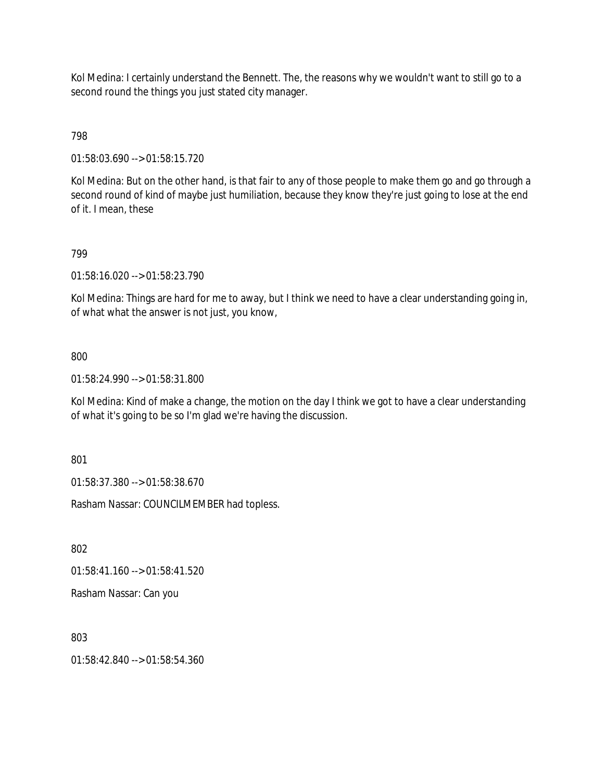Kol Medina: I certainly understand the Bennett. The, the reasons why we wouldn't want to still go to a second round the things you just stated city manager.

798

01:58:03.690 --> 01:58:15.720

Kol Medina: But on the other hand, is that fair to any of those people to make them go and go through a second round of kind of maybe just humiliation, because they know they're just going to lose at the end of it. I mean, these

## 799

01:58:16.020 --> 01:58:23.790

Kol Medina: Things are hard for me to away, but I think we need to have a clear understanding going in, of what what the answer is not just, you know,

### 800

01:58:24.990 --> 01:58:31.800

Kol Medina: Kind of make a change, the motion on the day I think we got to have a clear understanding of what it's going to be so I'm glad we're having the discussion.

801

01:58:37.380 --> 01:58:38.670

Rasham Nassar: COUNCILMEMBER had topless.

802

01:58:41.160 --> 01:58:41.520

Rasham Nassar: Can you

803

01:58:42.840 --> 01:58:54.360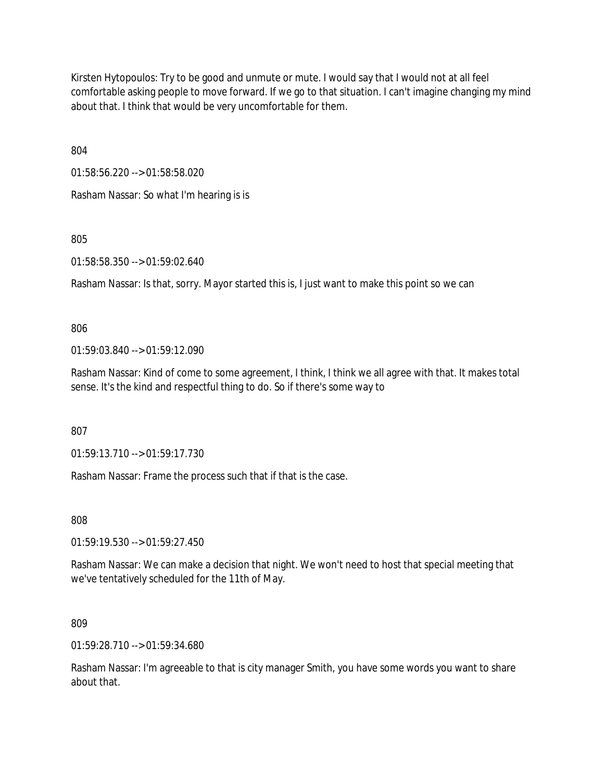Kirsten Hytopoulos: Try to be good and unmute or mute. I would say that I would not at all feel comfortable asking people to move forward. If we go to that situation. I can't imagine changing my mind about that. I think that would be very uncomfortable for them.

804

01:58:56.220 --> 01:58:58.020

Rasham Nassar: So what I'm hearing is is

805

01:58:58.350 --> 01:59:02.640

Rasham Nassar: Is that, sorry. Mayor started this is, I just want to make this point so we can

806

01:59:03.840 --> 01:59:12.090

Rasham Nassar: Kind of come to some agreement, I think, I think we all agree with that. It makes total sense. It's the kind and respectful thing to do. So if there's some way to

807

01:59:13.710 --> 01:59:17.730

Rasham Nassar: Frame the process such that if that is the case.

808

01:59:19.530 --> 01:59:27.450

Rasham Nassar: We can make a decision that night. We won't need to host that special meeting that we've tentatively scheduled for the 11th of May.

809

01:59:28.710 --> 01:59:34.680

Rasham Nassar: I'm agreeable to that is city manager Smith, you have some words you want to share about that.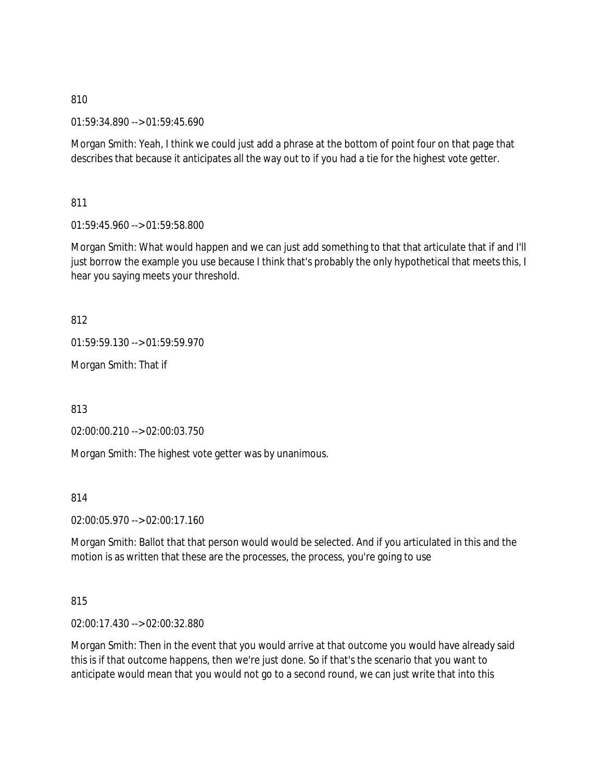01:59:34.890 --> 01:59:45.690

Morgan Smith: Yeah, I think we could just add a phrase at the bottom of point four on that page that describes that because it anticipates all the way out to if you had a tie for the highest vote getter.

811

01:59:45.960 --> 01:59:58.800

Morgan Smith: What would happen and we can just add something to that that articulate that if and I'll just borrow the example you use because I think that's probably the only hypothetical that meets this, I hear you saying meets your threshold.

812

01:59:59.130 --> 01:59:59.970

Morgan Smith: That if

813

02:00:00.210 --> 02:00:03.750

Morgan Smith: The highest vote getter was by unanimous.

814

02:00:05.970 --> 02:00:17.160

Morgan Smith: Ballot that that person would would be selected. And if you articulated in this and the motion is as written that these are the processes, the process, you're going to use

815

02:00:17.430 --> 02:00:32.880

Morgan Smith: Then in the event that you would arrive at that outcome you would have already said this is if that outcome happens, then we're just done. So if that's the scenario that you want to anticipate would mean that you would not go to a second round, we can just write that into this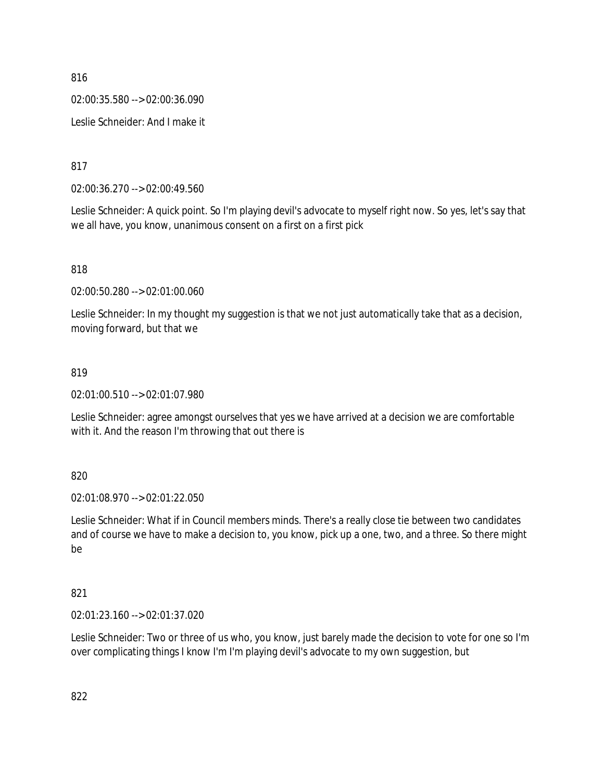02:00:35.580 --> 02:00:36.090

Leslie Schneider: And I make it

817

02:00:36.270 --> 02:00:49.560

Leslie Schneider: A quick point. So I'm playing devil's advocate to myself right now. So yes, let's say that we all have, you know, unanimous consent on a first on a first pick

818

02:00:50.280 --> 02:01:00.060

Leslie Schneider: In my thought my suggestion is that we not just automatically take that as a decision, moving forward, but that we

### 819

02:01:00.510 --> 02:01:07.980

Leslie Schneider: agree amongst ourselves that yes we have arrived at a decision we are comfortable with it. And the reason I'm throwing that out there is

820

02:01:08.970 --> 02:01:22.050

Leslie Schneider: What if in Council members minds. There's a really close tie between two candidates and of course we have to make a decision to, you know, pick up a one, two, and a three. So there might be

## 821

02:01:23.160 --> 02:01:37.020

Leslie Schneider: Two or three of us who, you know, just barely made the decision to vote for one so I'm over complicating things I know I'm I'm playing devil's advocate to my own suggestion, but

822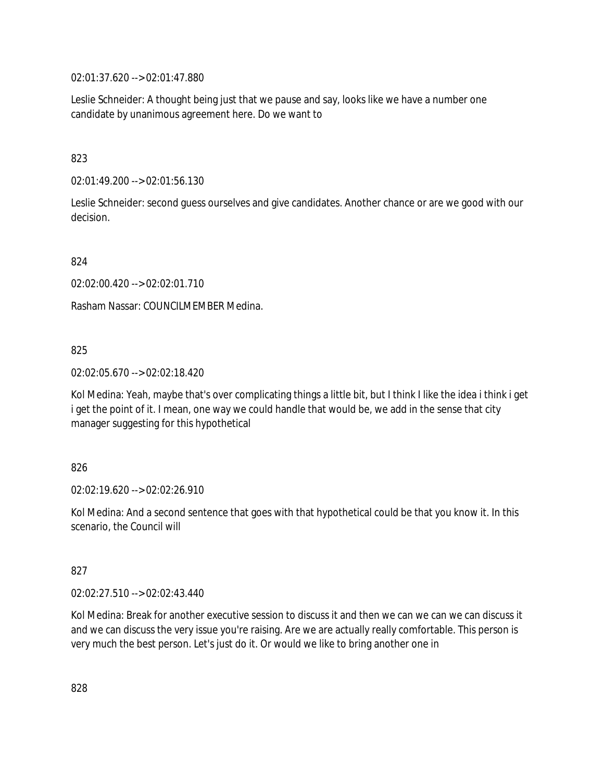02:01:37.620 --> 02:01:47.880

Leslie Schneider: A thought being just that we pause and say, looks like we have a number one candidate by unanimous agreement here. Do we want to

823

02:01:49.200 --> 02:01:56.130

Leslie Schneider: second guess ourselves and give candidates. Another chance or are we good with our decision.

824

02:02:00.420 --> 02:02:01.710

Rasham Nassar: COUNCILMEMBER Medina.

825

02:02:05.670 --> 02:02:18.420

Kol Medina: Yeah, maybe that's over complicating things a little bit, but I think I like the idea i think i get i get the point of it. I mean, one way we could handle that would be, we add in the sense that city manager suggesting for this hypothetical

826

02:02:19.620 --> 02:02:26.910

Kol Medina: And a second sentence that goes with that hypothetical could be that you know it. In this scenario, the Council will

827

02:02:27.510 --> 02:02:43.440

Kol Medina: Break for another executive session to discuss it and then we can we can we can discuss it and we can discuss the very issue you're raising. Are we are actually really comfortable. This person is very much the best person. Let's just do it. Or would we like to bring another one in

828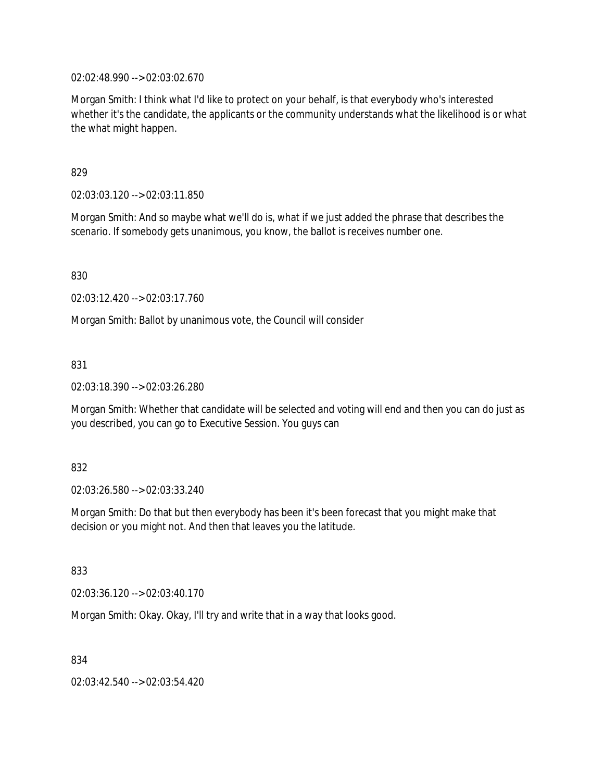02:02:48.990 --> 02:03:02.670

Morgan Smith: I think what I'd like to protect on your behalf, is that everybody who's interested whether it's the candidate, the applicants or the community understands what the likelihood is or what the what might happen.

#### 829

02:03:03.120 --> 02:03:11.850

Morgan Smith: And so maybe what we'll do is, what if we just added the phrase that describes the scenario. If somebody gets unanimous, you know, the ballot is receives number one.

830

02:03:12.420 --> 02:03:17.760

Morgan Smith: Ballot by unanimous vote, the Council will consider

831

02:03:18.390 --> 02:03:26.280

Morgan Smith: Whether that candidate will be selected and voting will end and then you can do just as you described, you can go to Executive Session. You guys can

#### 832

02:03:26.580 --> 02:03:33.240

Morgan Smith: Do that but then everybody has been it's been forecast that you might make that decision or you might not. And then that leaves you the latitude.

833

02:03:36.120 --> 02:03:40.170

Morgan Smith: Okay. Okay, I'll try and write that in a way that looks good.

834

02:03:42.540 --> 02:03:54.420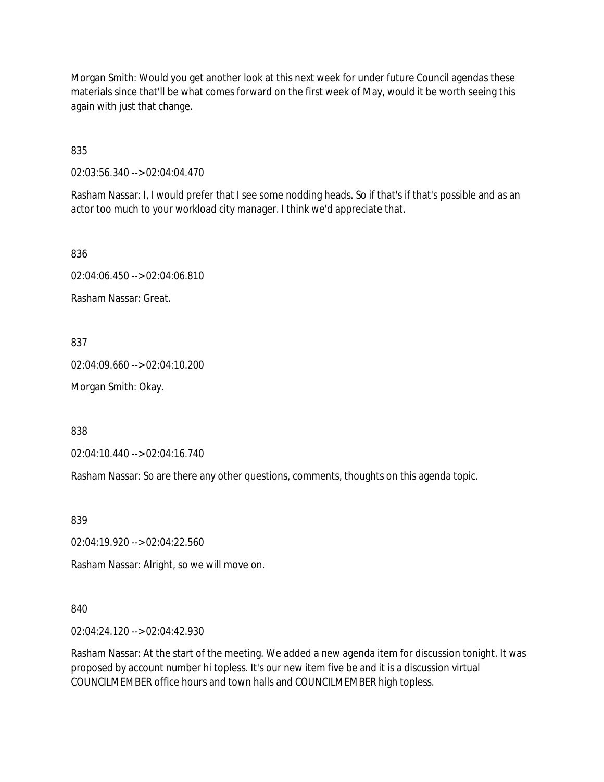Morgan Smith: Would you get another look at this next week for under future Council agendas these materials since that'll be what comes forward on the first week of May, would it be worth seeing this again with just that change.

835

02:03:56.340 --> 02:04:04.470

Rasham Nassar: I, I would prefer that I see some nodding heads. So if that's if that's possible and as an actor too much to your workload city manager. I think we'd appreciate that.

836

02:04:06.450 --> 02:04:06.810

Rasham Nassar: Great.

837

02:04:09.660 --> 02:04:10.200

Morgan Smith: Okay.

838

02:04:10.440 --> 02:04:16.740

Rasham Nassar: So are there any other questions, comments, thoughts on this agenda topic.

839

02:04:19.920 --> 02:04:22.560

Rasham Nassar: Alright, so we will move on.

840

02:04:24.120 --> 02:04:42.930

Rasham Nassar: At the start of the meeting. We added a new agenda item for discussion tonight. It was proposed by account number hi topless. It's our new item five be and it is a discussion virtual COUNCILMEMBER office hours and town halls and COUNCILMEMBER high topless.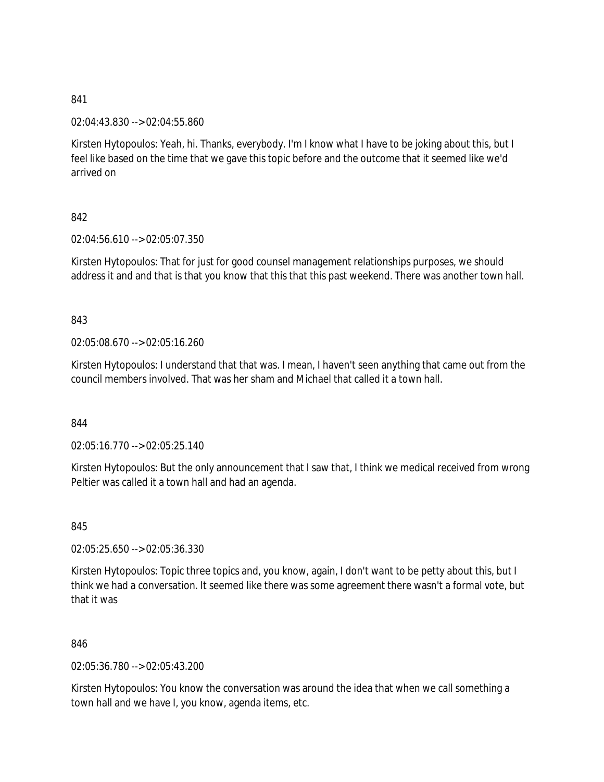02:04:43.830 --> 02:04:55.860

Kirsten Hytopoulos: Yeah, hi. Thanks, everybody. I'm I know what I have to be joking about this, but I feel like based on the time that we gave this topic before and the outcome that it seemed like we'd arrived on

## 842

02:04:56.610 --> 02:05:07.350

Kirsten Hytopoulos: That for just for good counsel management relationships purposes, we should address it and and that is that you know that this that this past weekend. There was another town hall.

### 843

02:05:08.670 --> 02:05:16.260

Kirsten Hytopoulos: I understand that that was. I mean, I haven't seen anything that came out from the council members involved. That was her sham and Michael that called it a town hall.

### 844

02:05:16.770 --> 02:05:25.140

Kirsten Hytopoulos: But the only announcement that I saw that, I think we medical received from wrong Peltier was called it a town hall and had an agenda.

845

02:05:25.650 --> 02:05:36.330

Kirsten Hytopoulos: Topic three topics and, you know, again, I don't want to be petty about this, but I think we had a conversation. It seemed like there was some agreement there wasn't a formal vote, but that it was

846

02:05:36.780 --> 02:05:43.200

Kirsten Hytopoulos: You know the conversation was around the idea that when we call something a town hall and we have I, you know, agenda items, etc.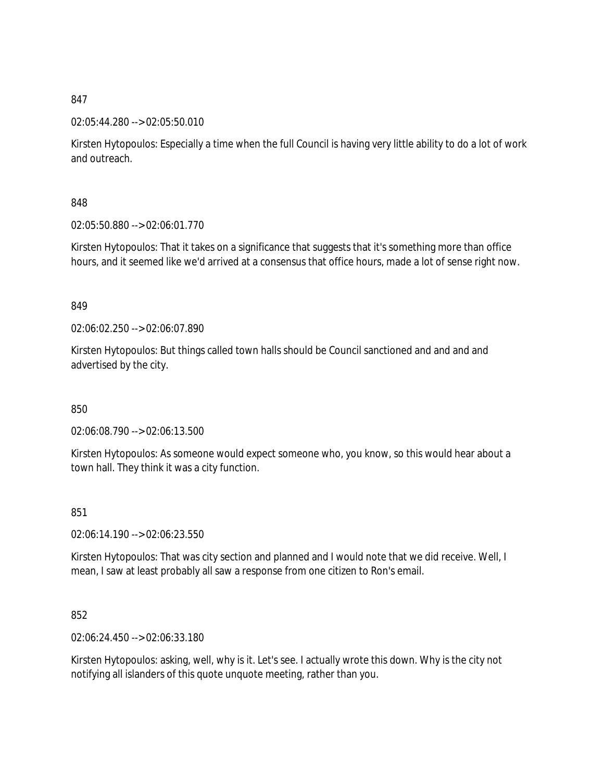### 02:05:44.280 --> 02:05:50.010

Kirsten Hytopoulos: Especially a time when the full Council is having very little ability to do a lot of work and outreach.

# 848

02:05:50.880 --> 02:06:01.770

Kirsten Hytopoulos: That it takes on a significance that suggests that it's something more than office hours, and it seemed like we'd arrived at a consensus that office hours, made a lot of sense right now.

### 849

02:06:02.250 --> 02:06:07.890

Kirsten Hytopoulos: But things called town halls should be Council sanctioned and and and and advertised by the city.

850

02:06:08.790 --> 02:06:13.500

Kirsten Hytopoulos: As someone would expect someone who, you know, so this would hear about a town hall. They think it was a city function.

### 851

02:06:14.190 --> 02:06:23.550

Kirsten Hytopoulos: That was city section and planned and I would note that we did receive. Well, I mean, I saw at least probably all saw a response from one citizen to Ron's email.

# 852

02:06:24.450 --> 02:06:33.180

Kirsten Hytopoulos: asking, well, why is it. Let's see. I actually wrote this down. Why is the city not notifying all islanders of this quote unquote meeting, rather than you.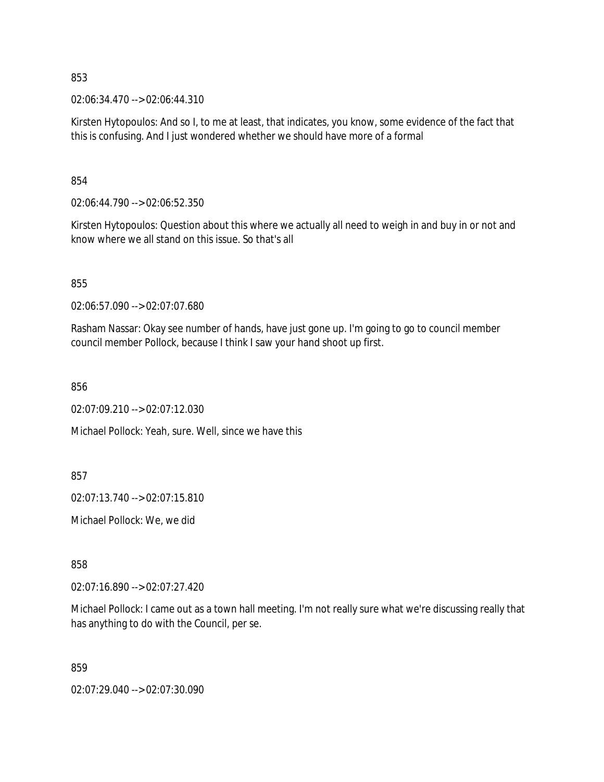02:06:34.470 --> 02:06:44.310

Kirsten Hytopoulos: And so I, to me at least, that indicates, you know, some evidence of the fact that this is confusing. And I just wondered whether we should have more of a formal

854

02:06:44.790 --> 02:06:52.350

Kirsten Hytopoulos: Question about this where we actually all need to weigh in and buy in or not and know where we all stand on this issue. So that's all

855

02:06:57.090 --> 02:07:07.680

Rasham Nassar: Okay see number of hands, have just gone up. I'm going to go to council member council member Pollock, because I think I saw your hand shoot up first.

856

02:07:09.210 --> 02:07:12.030

Michael Pollock: Yeah, sure. Well, since we have this

857

02:07:13.740 --> 02:07:15.810

Michael Pollock: We, we did

858

02:07:16.890 --> 02:07:27.420

Michael Pollock: I came out as a town hall meeting. I'm not really sure what we're discussing really that has anything to do with the Council, per se.

859

02:07:29.040 --> 02:07:30.090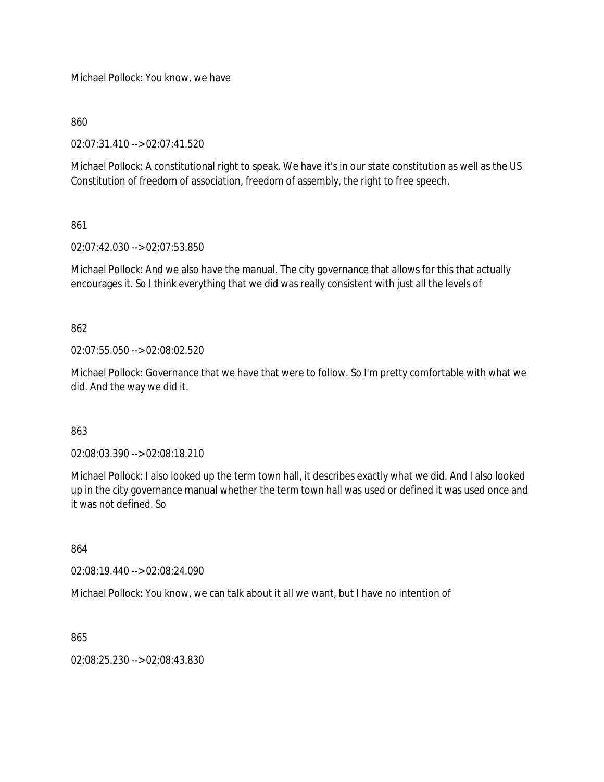Michael Pollock: You know, we have

860

02:07:31.410 --> 02:07:41.520

Michael Pollock: A constitutional right to speak. We have it's in our state constitution as well as the US Constitution of freedom of association, freedom of assembly, the right to free speech.

861

02:07:42.030 --> 02:07:53.850

Michael Pollock: And we also have the manual. The city governance that allows for this that actually encourages it. So I think everything that we did was really consistent with just all the levels of

862

02:07:55.050 --> 02:08:02.520

Michael Pollock: Governance that we have that were to follow. So I'm pretty comfortable with what we did. And the way we did it.

863

02:08:03.390 --> 02:08:18.210

Michael Pollock: I also looked up the term town hall, it describes exactly what we did. And I also looked up in the city governance manual whether the term town hall was used or defined it was used once and it was not defined. So

864

02:08:19.440 --> 02:08:24.090

Michael Pollock: You know, we can talk about it all we want, but I have no intention of

865

02:08:25.230 --> 02:08:43.830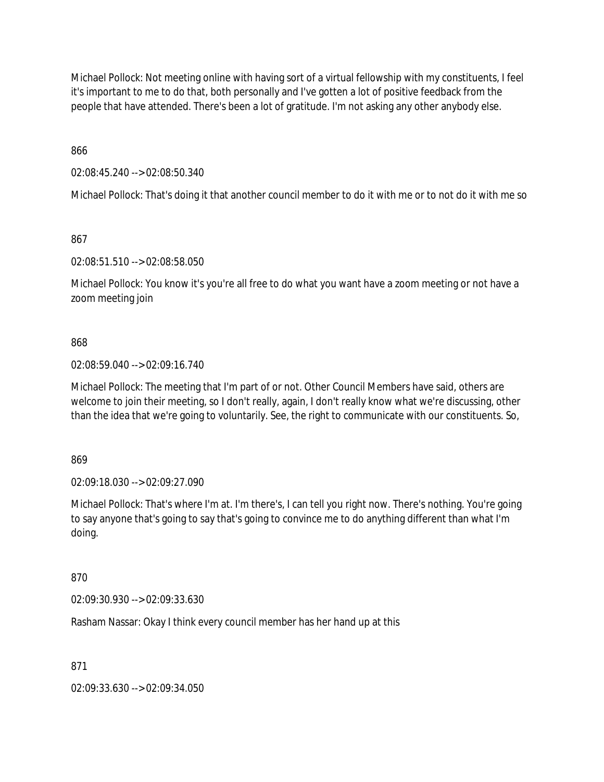Michael Pollock: Not meeting online with having sort of a virtual fellowship with my constituents, I feel it's important to me to do that, both personally and I've gotten a lot of positive feedback from the people that have attended. There's been a lot of gratitude. I'm not asking any other anybody else.

866

02:08:45.240 --> 02:08:50.340

Michael Pollock: That's doing it that another council member to do it with me or to not do it with me so

867

02:08:51.510 --> 02:08:58.050

Michael Pollock: You know it's you're all free to do what you want have a zoom meeting or not have a zoom meeting join

### 868

02:08:59.040 --> 02:09:16.740

Michael Pollock: The meeting that I'm part of or not. Other Council Members have said, others are welcome to join their meeting, so I don't really, again, I don't really know what we're discussing, other than the idea that we're going to voluntarily. See, the right to communicate with our constituents. So,

869

02:09:18.030 --> 02:09:27.090

Michael Pollock: That's where I'm at. I'm there's, I can tell you right now. There's nothing. You're going to say anyone that's going to say that's going to convince me to do anything different than what I'm doing.

870

02:09:30.930 --> 02:09:33.630

Rasham Nassar: Okay I think every council member has her hand up at this

871

02:09:33.630 --> 02:09:34.050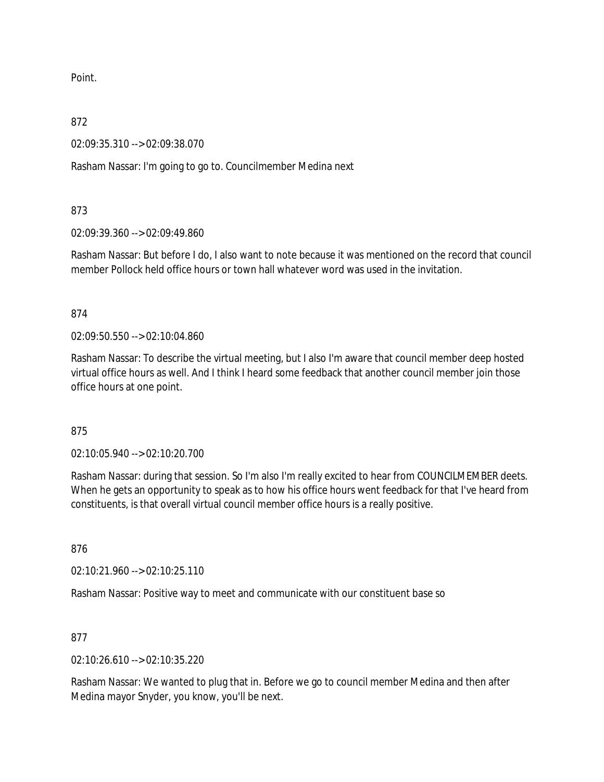Point.

872

02:09:35.310 --> 02:09:38.070

Rasham Nassar: I'm going to go to. Councilmember Medina next

873

02:09:39.360 --> 02:09:49.860

Rasham Nassar: But before I do, I also want to note because it was mentioned on the record that council member Pollock held office hours or town hall whatever word was used in the invitation.

874

02:09:50.550 --> 02:10:04.860

Rasham Nassar: To describe the virtual meeting, but I also I'm aware that council member deep hosted virtual office hours as well. And I think I heard some feedback that another council member join those office hours at one point.

### 875

02:10:05.940 --> 02:10:20.700

Rasham Nassar: during that session. So I'm also I'm really excited to hear from COUNCILMEMBER deets. When he gets an opportunity to speak as to how his office hours went feedback for that I've heard from constituents, is that overall virtual council member office hours is a really positive.

876

02:10:21.960 --> 02:10:25.110

Rasham Nassar: Positive way to meet and communicate with our constituent base so

877

02:10:26.610 --> 02:10:35.220

Rasham Nassar: We wanted to plug that in. Before we go to council member Medina and then after Medina mayor Snyder, you know, you'll be next.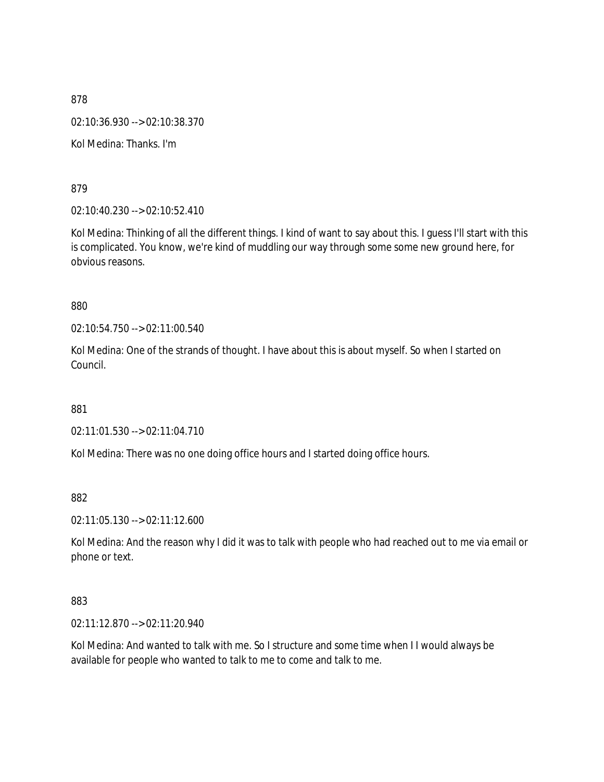878 02:10:36.930 --> 02:10:38.370 Kol Medina: Thanks. I'm

879

02:10:40.230 --> 02:10:52.410

Kol Medina: Thinking of all the different things. I kind of want to say about this. I guess I'll start with this is complicated. You know, we're kind of muddling our way through some some new ground here, for obvious reasons.

880

02:10:54.750 --> 02:11:00.540

Kol Medina: One of the strands of thought. I have about this is about myself. So when I started on Council.

881

02:11:01.530 --> 02:11:04.710

Kol Medina: There was no one doing office hours and I started doing office hours.

882

02:11:05.130 --> 02:11:12.600

Kol Medina: And the reason why I did it was to talk with people who had reached out to me via email or phone or text.

883

02:11:12.870 --> 02:11:20.940

Kol Medina: And wanted to talk with me. So I structure and some time when I I would always be available for people who wanted to talk to me to come and talk to me.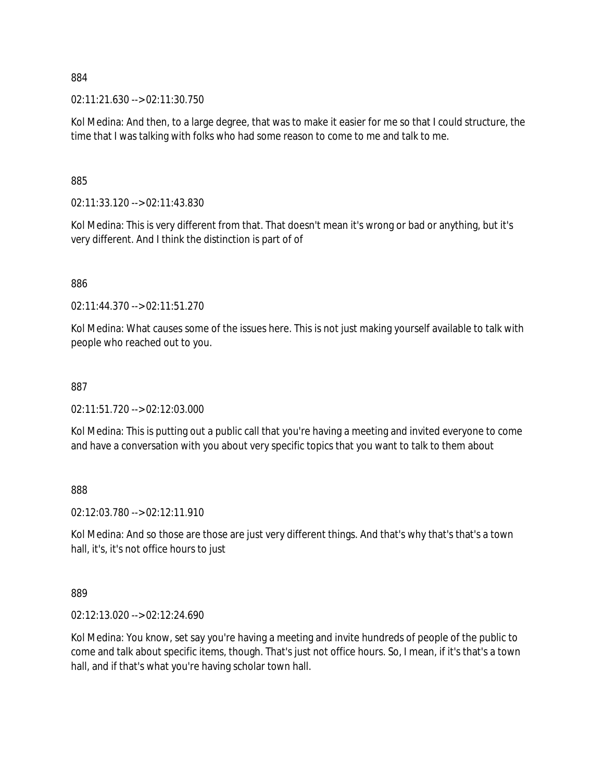02:11:21.630 --> 02:11:30.750

Kol Medina: And then, to a large degree, that was to make it easier for me so that I could structure, the time that I was talking with folks who had some reason to come to me and talk to me.

885

02:11:33.120 --> 02:11:43.830

Kol Medina: This is very different from that. That doesn't mean it's wrong or bad or anything, but it's very different. And I think the distinction is part of of

886

02:11:44.370 --> 02:11:51.270

Kol Medina: What causes some of the issues here. This is not just making yourself available to talk with people who reached out to you.

#### 887

02:11:51.720 --> 02:12:03.000

Kol Medina: This is putting out a public call that you're having a meeting and invited everyone to come and have a conversation with you about very specific topics that you want to talk to them about

888

02:12:03.780 --> 02:12:11.910

Kol Medina: And so those are those are just very different things. And that's why that's that's a town hall, it's, it's not office hours to just

889

02:12:13.020 --> 02:12:24.690

Kol Medina: You know, set say you're having a meeting and invite hundreds of people of the public to come and talk about specific items, though. That's just not office hours. So, I mean, if it's that's a town hall, and if that's what you're having scholar town hall.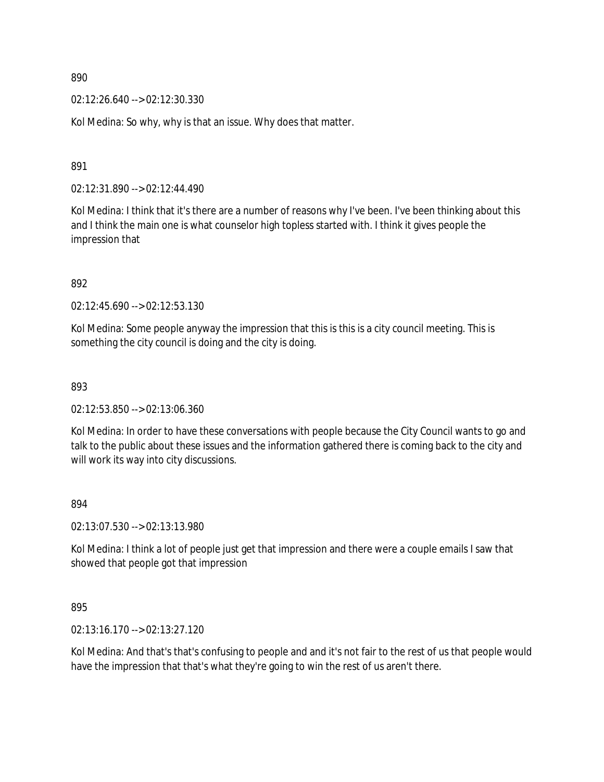02:12:26.640 --> 02:12:30.330

Kol Medina: So why, why is that an issue. Why does that matter.

891

02:12:31.890 --> 02:12:44.490

Kol Medina: I think that it's there are a number of reasons why I've been. I've been thinking about this and I think the main one is what counselor high topless started with. I think it gives people the impression that

892

02:12:45.690 --> 02:12:53.130

Kol Medina: Some people anyway the impression that this is this is a city council meeting. This is something the city council is doing and the city is doing.

893

02:12:53.850 --> 02:13:06.360

Kol Medina: In order to have these conversations with people because the City Council wants to go and talk to the public about these issues and the information gathered there is coming back to the city and will work its way into city discussions.

#### 894

02:13:07.530 --> 02:13:13.980

Kol Medina: I think a lot of people just get that impression and there were a couple emails I saw that showed that people got that impression

895

02:13:16.170 --> 02:13:27.120

Kol Medina: And that's that's confusing to people and and it's not fair to the rest of us that people would have the impression that that's what they're going to win the rest of us aren't there.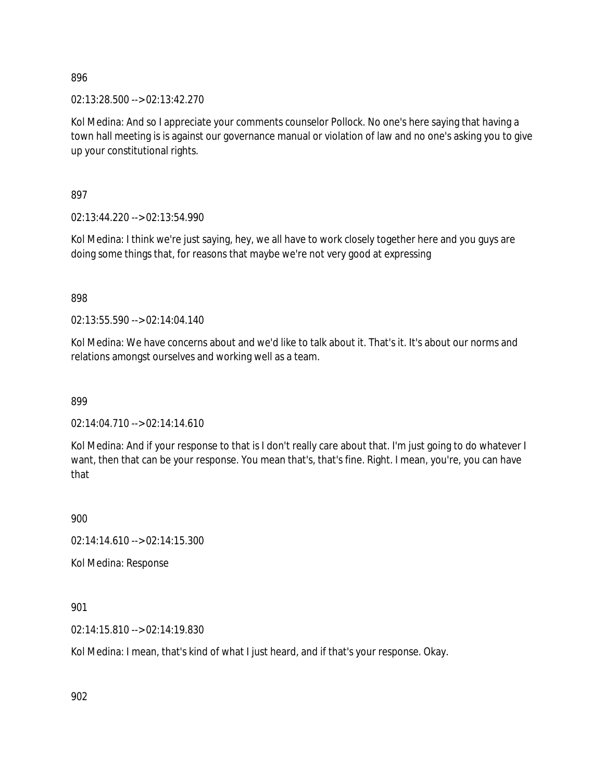02:13:28.500 --> 02:13:42.270

Kol Medina: And so I appreciate your comments counselor Pollock. No one's here saying that having a town hall meeting is is against our governance manual or violation of law and no one's asking you to give up your constitutional rights.

897

02:13:44.220 --> 02:13:54.990

Kol Medina: I think we're just saying, hey, we all have to work closely together here and you guys are doing some things that, for reasons that maybe we're not very good at expressing

898

02:13:55.590 --> 02:14:04.140

Kol Medina: We have concerns about and we'd like to talk about it. That's it. It's about our norms and relations amongst ourselves and working well as a team.

899

02:14:04.710 --> 02:14:14.610

Kol Medina: And if your response to that is I don't really care about that. I'm just going to do whatever I want, then that can be your response. You mean that's, that's fine. Right. I mean, you're, you can have that

900

02:14:14.610 --> 02:14:15.300

Kol Medina: Response

901

02:14:15.810 --> 02:14:19.830

Kol Medina: I mean, that's kind of what I just heard, and if that's your response. Okay.

902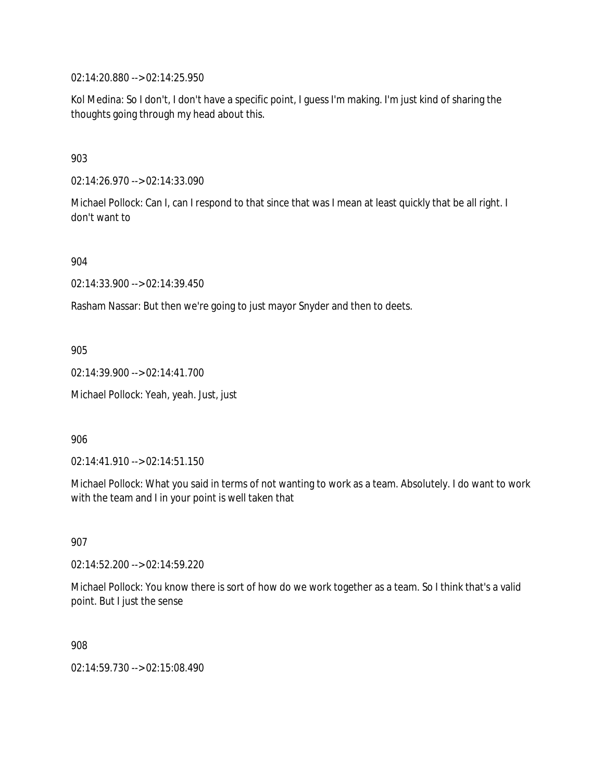02:14:20.880 --> 02:14:25.950

Kol Medina: So I don't, I don't have a specific point, I guess I'm making. I'm just kind of sharing the thoughts going through my head about this.

903

02:14:26.970 --> 02:14:33.090

Michael Pollock: Can I, can I respond to that since that was I mean at least quickly that be all right. I don't want to

904

02:14:33.900 --> 02:14:39.450

Rasham Nassar: But then we're going to just mayor Snyder and then to deets.

905

02:14:39.900 --> 02:14:41.700

Michael Pollock: Yeah, yeah. Just, just

906

02:14:41.910 --> 02:14:51.150

Michael Pollock: What you said in terms of not wanting to work as a team. Absolutely. I do want to work with the team and I in your point is well taken that

907

02:14:52.200 --> 02:14:59.220

Michael Pollock: You know there is sort of how do we work together as a team. So I think that's a valid point. But I just the sense

908

02:14:59.730 --> 02:15:08.490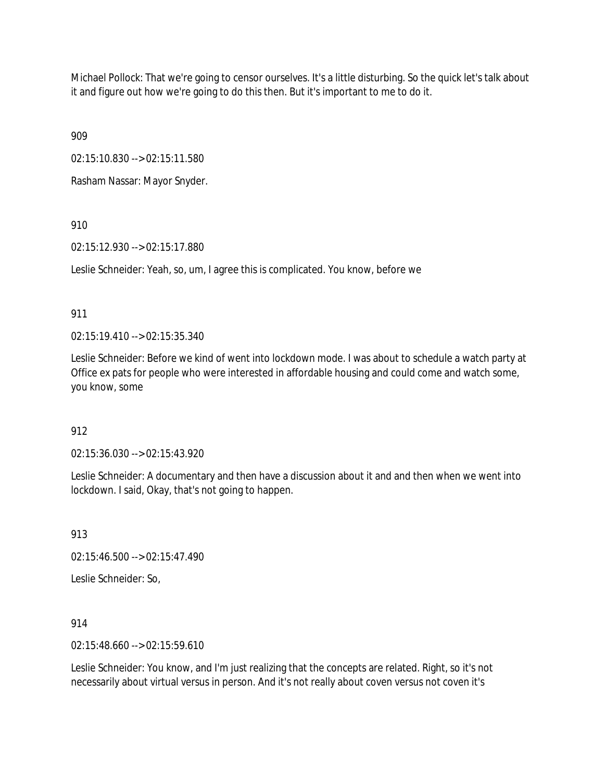Michael Pollock: That we're going to censor ourselves. It's a little disturbing. So the quick let's talk about it and figure out how we're going to do this then. But it's important to me to do it.

909

02:15:10.830 --> 02:15:11.580

Rasham Nassar: Mayor Snyder.

910

02:15:12.930 --> 02:15:17.880

Leslie Schneider: Yeah, so, um, I agree this is complicated. You know, before we

911

02:15:19.410 --> 02:15:35.340

Leslie Schneider: Before we kind of went into lockdown mode. I was about to schedule a watch party at Office ex pats for people who were interested in affordable housing and could come and watch some, you know, some

912

02:15:36.030 --> 02:15:43.920

Leslie Schneider: A documentary and then have a discussion about it and and then when we went into lockdown. I said, Okay, that's not going to happen.

913

02:15:46.500 --> 02:15:47.490

Leslie Schneider: So,

914

02:15:48.660 --> 02:15:59.610

Leslie Schneider: You know, and I'm just realizing that the concepts are related. Right, so it's not necessarily about virtual versus in person. And it's not really about coven versus not coven it's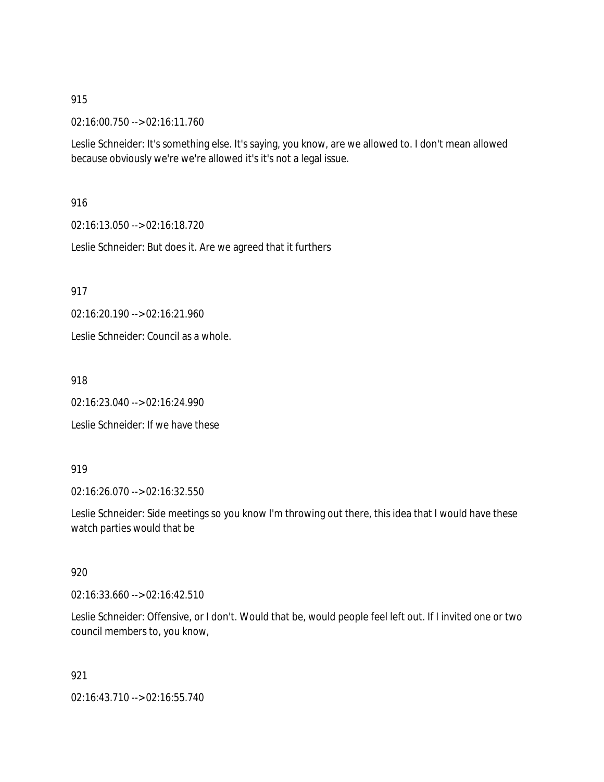02:16:00.750 --> 02:16:11.760

Leslie Schneider: It's something else. It's saying, you know, are we allowed to. I don't mean allowed because obviously we're we're allowed it's it's not a legal issue.

916

02:16:13.050 --> 02:16:18.720

Leslie Schneider: But does it. Are we agreed that it furthers

917

02:16:20.190 --> 02:16:21.960

Leslie Schneider: Council as a whole.

918

02:16:23.040 --> 02:16:24.990

Leslie Schneider: If we have these

919

02:16:26.070 --> 02:16:32.550

Leslie Schneider: Side meetings so you know I'm throwing out there, this idea that I would have these watch parties would that be

### 920

02:16:33.660 --> 02:16:42.510

Leslie Schneider: Offensive, or I don't. Would that be, would people feel left out. If I invited one or two council members to, you know,

921

02:16:43.710 --> 02:16:55.740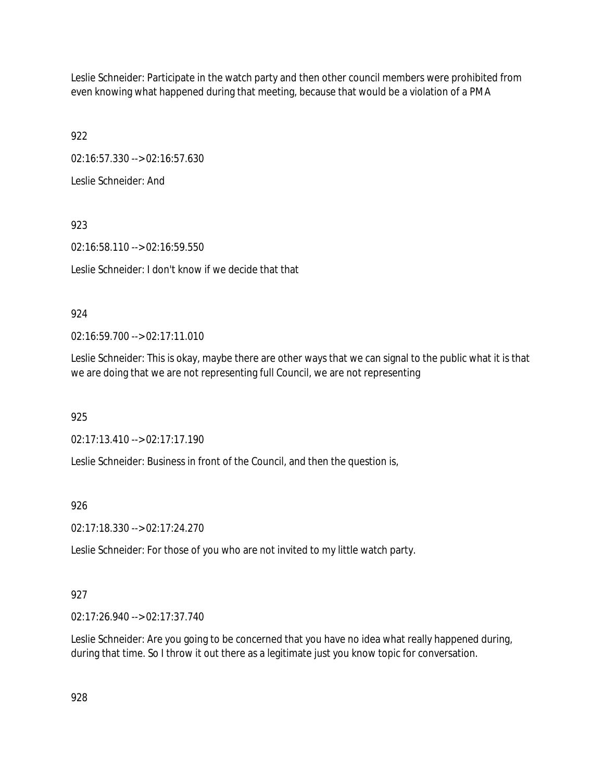Leslie Schneider: Participate in the watch party and then other council members were prohibited from even knowing what happened during that meeting, because that would be a violation of a PMA

922

02:16:57.330 --> 02:16:57.630

Leslie Schneider: And

923

02:16:58.110 --> 02:16:59.550 Leslie Schneider: I don't know if we decide that that

# 924

02:16:59.700 --> 02:17:11.010

Leslie Schneider: This is okay, maybe there are other ways that we can signal to the public what it is that we are doing that we are not representing full Council, we are not representing

925

02:17:13.410 --> 02:17:17.190

Leslie Schneider: Business in front of the Council, and then the question is,

926

02:17:18.330 --> 02:17:24.270

Leslie Schneider: For those of you who are not invited to my little watch party.

# 927

02:17:26.940 --> 02:17:37.740

Leslie Schneider: Are you going to be concerned that you have no idea what really happened during, during that time. So I throw it out there as a legitimate just you know topic for conversation.

928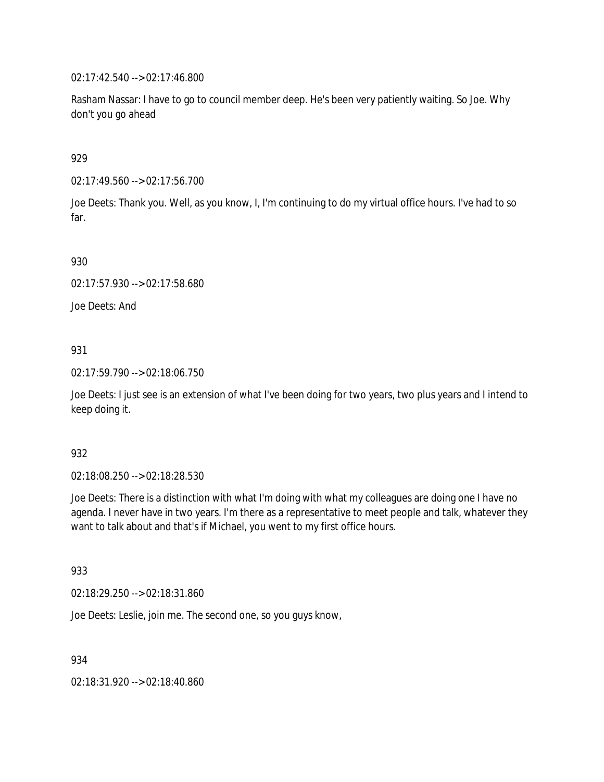02:17:42.540 --> 02:17:46.800

Rasham Nassar: I have to go to council member deep. He's been very patiently waiting. So Joe. Why don't you go ahead

929

02:17:49.560 --> 02:17:56.700

Joe Deets: Thank you. Well, as you know, I, I'm continuing to do my virtual office hours. I've had to so far.

930

02:17:57.930 --> 02:17:58.680

Joe Deets: And

931

02:17:59.790 --> 02:18:06.750

Joe Deets: I just see is an extension of what I've been doing for two years, two plus years and I intend to keep doing it.

932

02:18:08.250 --> 02:18:28.530

Joe Deets: There is a distinction with what I'm doing with what my colleagues are doing one I have no agenda. I never have in two years. I'm there as a representative to meet people and talk, whatever they want to talk about and that's if Michael, you went to my first office hours.

933

02:18:29.250 --> 02:18:31.860

Joe Deets: Leslie, join me. The second one, so you guys know,

934

02:18:31.920 --> 02:18:40.860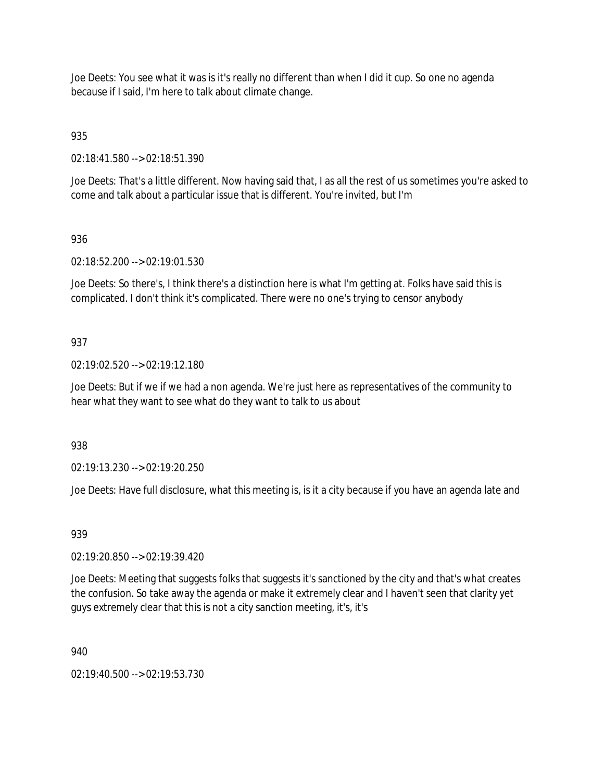Joe Deets: You see what it was is it's really no different than when I did it cup. So one no agenda because if I said, I'm here to talk about climate change.

935

02:18:41.580 --> 02:18:51.390

Joe Deets: That's a little different. Now having said that, I as all the rest of us sometimes you're asked to come and talk about a particular issue that is different. You're invited, but I'm

### 936

02:18:52.200 --> 02:19:01.530

Joe Deets: So there's, I think there's a distinction here is what I'm getting at. Folks have said this is complicated. I don't think it's complicated. There were no one's trying to censor anybody

### 937

02:19:02.520 --> 02:19:12.180

Joe Deets: But if we if we had a non agenda. We're just here as representatives of the community to hear what they want to see what do they want to talk to us about

938

02:19:13.230 --> 02:19:20.250

Joe Deets: Have full disclosure, what this meeting is, is it a city because if you have an agenda late and

### 939

02:19:20.850 --> 02:19:39.420

Joe Deets: Meeting that suggests folks that suggests it's sanctioned by the city and that's what creates the confusion. So take away the agenda or make it extremely clear and I haven't seen that clarity yet guys extremely clear that this is not a city sanction meeting, it's, it's

940

02:19:40.500 --> 02:19:53.730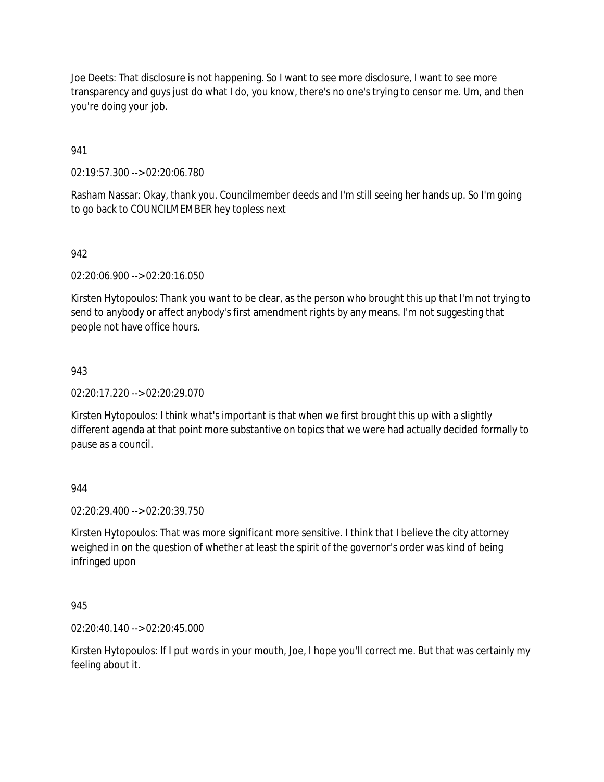Joe Deets: That disclosure is not happening. So I want to see more disclosure, I want to see more transparency and guys just do what I do, you know, there's no one's trying to censor me. Um, and then you're doing your job.

941

02:19:57.300 --> 02:20:06.780

Rasham Nassar: Okay, thank you. Councilmember deeds and I'm still seeing her hands up. So I'm going to go back to COUNCILMEMBER hey topless next

### 942

02:20:06.900 --> 02:20:16.050

Kirsten Hytopoulos: Thank you want to be clear, as the person who brought this up that I'm not trying to send to anybody or affect anybody's first amendment rights by any means. I'm not suggesting that people not have office hours.

### 943

02:20:17.220 --> 02:20:29.070

Kirsten Hytopoulos: I think what's important is that when we first brought this up with a slightly different agenda at that point more substantive on topics that we were had actually decided formally to pause as a council.

944

02:20:29.400 --> 02:20:39.750

Kirsten Hytopoulos: That was more significant more sensitive. I think that I believe the city attorney weighed in on the question of whether at least the spirit of the governor's order was kind of being infringed upon

945

02:20:40.140 --> 02:20:45.000

Kirsten Hytopoulos: If I put words in your mouth, Joe, I hope you'll correct me. But that was certainly my feeling about it.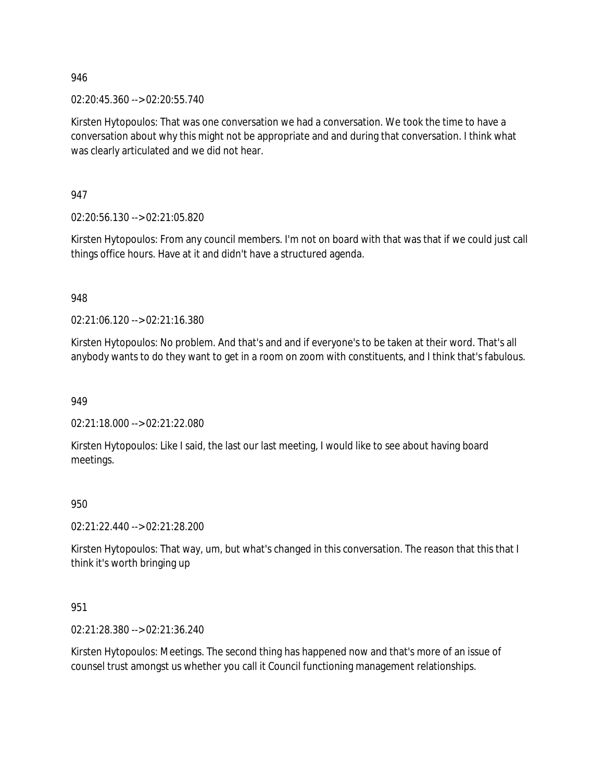02:20:45.360 --> 02:20:55.740

Kirsten Hytopoulos: That was one conversation we had a conversation. We took the time to have a conversation about why this might not be appropriate and and during that conversation. I think what was clearly articulated and we did not hear.

947

02:20:56.130 --> 02:21:05.820

Kirsten Hytopoulos: From any council members. I'm not on board with that was that if we could just call things office hours. Have at it and didn't have a structured agenda.

948

02:21:06.120 --> 02:21:16.380

Kirsten Hytopoulos: No problem. And that's and and if everyone's to be taken at their word. That's all anybody wants to do they want to get in a room on zoom with constituents, and I think that's fabulous.

949

02:21:18.000 --> 02:21:22.080

Kirsten Hytopoulos: Like I said, the last our last meeting, I would like to see about having board meetings.

950

02:21:22.440 --> 02:21:28.200

Kirsten Hytopoulos: That way, um, but what's changed in this conversation. The reason that this that I think it's worth bringing up

951

02:21:28.380 --> 02:21:36.240

Kirsten Hytopoulos: Meetings. The second thing has happened now and that's more of an issue of counsel trust amongst us whether you call it Council functioning management relationships.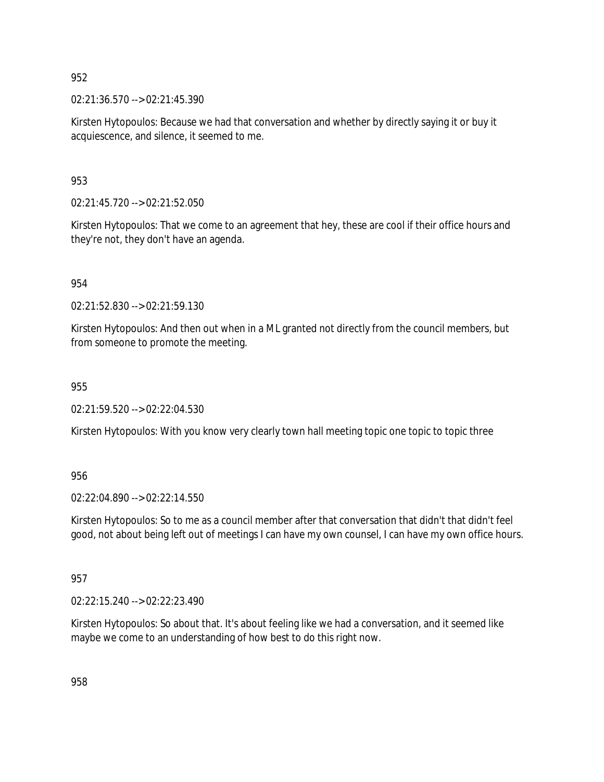02:21:36.570 --> 02:21:45.390

Kirsten Hytopoulos: Because we had that conversation and whether by directly saying it or buy it acquiescence, and silence, it seemed to me.

953

02:21:45.720 --> 02:21:52.050

Kirsten Hytopoulos: That we come to an agreement that hey, these are cool if their office hours and they're not, they don't have an agenda.

954

02:21:52.830 --> 02:21:59.130

Kirsten Hytopoulos: And then out when in a ML granted not directly from the council members, but from someone to promote the meeting.

955

02:21:59.520 --> 02:22:04.530

Kirsten Hytopoulos: With you know very clearly town hall meeting topic one topic to topic three

956

02:22:04.890 --> 02:22:14.550

Kirsten Hytopoulos: So to me as a council member after that conversation that didn't that didn't feel good, not about being left out of meetings I can have my own counsel, I can have my own office hours.

957

02:22:15.240 --> 02:22:23.490

Kirsten Hytopoulos: So about that. It's about feeling like we had a conversation, and it seemed like maybe we come to an understanding of how best to do this right now.

958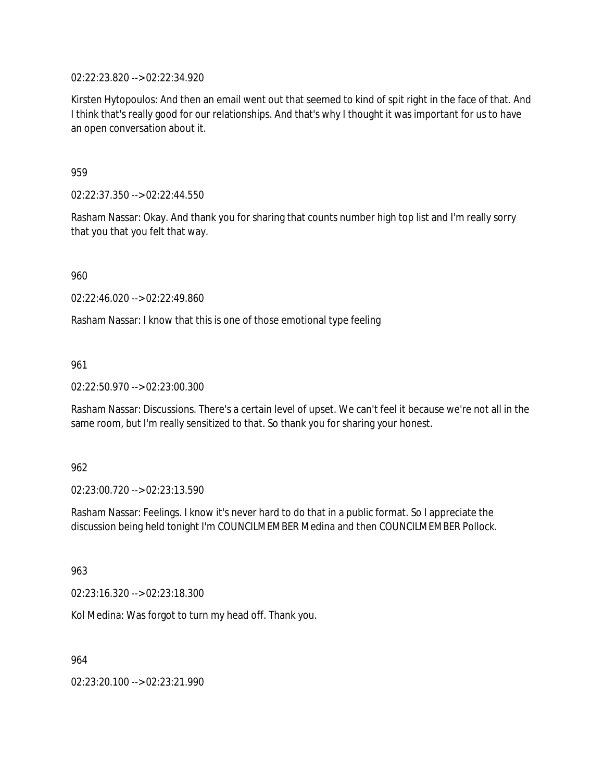02:22:23.820 --> 02:22:34.920

Kirsten Hytopoulos: And then an email went out that seemed to kind of spit right in the face of that. And I think that's really good for our relationships. And that's why I thought it was important for us to have an open conversation about it.

959

02:22:37.350 --> 02:22:44.550

Rasham Nassar: Okay. And thank you for sharing that counts number high top list and I'm really sorry that you that you felt that way.

960

02:22:46.020 --> 02:22:49.860

Rasham Nassar: I know that this is one of those emotional type feeling

961

02:22:50.970 --> 02:23:00.300

Rasham Nassar: Discussions. There's a certain level of upset. We can't feel it because we're not all in the same room, but I'm really sensitized to that. So thank you for sharing your honest.

962

02:23:00.720 --> 02:23:13.590

Rasham Nassar: Feelings. I know it's never hard to do that in a public format. So I appreciate the discussion being held tonight I'm COUNCILMEMBER Medina and then COUNCILMEMBER Pollock.

963

02:23:16.320 --> 02:23:18.300

Kol Medina: Was forgot to turn my head off. Thank you.

964

02:23:20.100 --> 02:23:21.990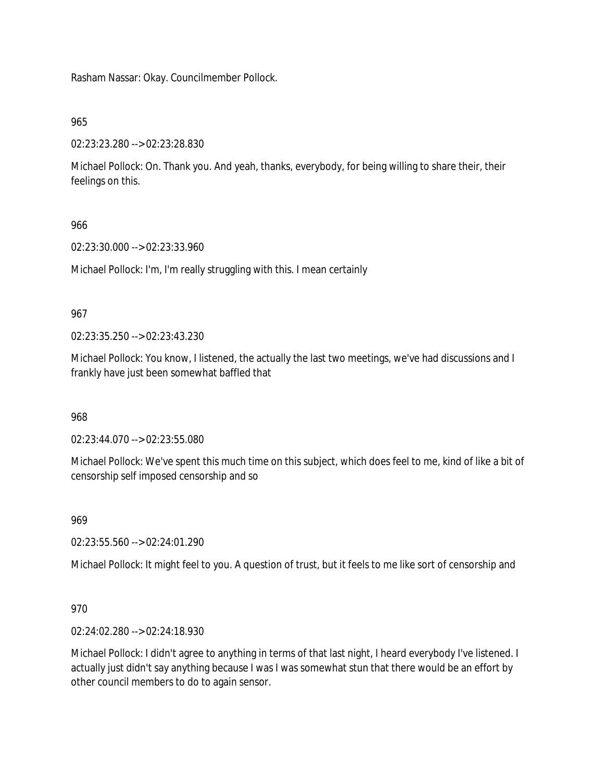Rasham Nassar: Okay. Councilmember Pollock.

965

02:23:23.280 --> 02:23:28.830

Michael Pollock: On. Thank you. And yeah, thanks, everybody, for being willing to share their, their feelings on this.

966

02:23:30.000 --> 02:23:33.960

Michael Pollock: I'm, I'm really struggling with this. I mean certainly

967

02:23:35.250 --> 02:23:43.230

Michael Pollock: You know, I listened, the actually the last two meetings, we've had discussions and I frankly have just been somewhat baffled that

968

02:23:44.070 --> 02:23:55.080

Michael Pollock: We've spent this much time on this subject, which does feel to me, kind of like a bit of censorship self imposed censorship and so

969

02:23:55.560 --> 02:24:01.290

Michael Pollock: It might feel to you. A question of trust, but it feels to me like sort of censorship and

970

02:24:02.280 --> 02:24:18.930

Michael Pollock: I didn't agree to anything in terms of that last night, I heard everybody I've listened. I actually just didn't say anything because I was I was somewhat stun that there would be an effort by other council members to do to again sensor.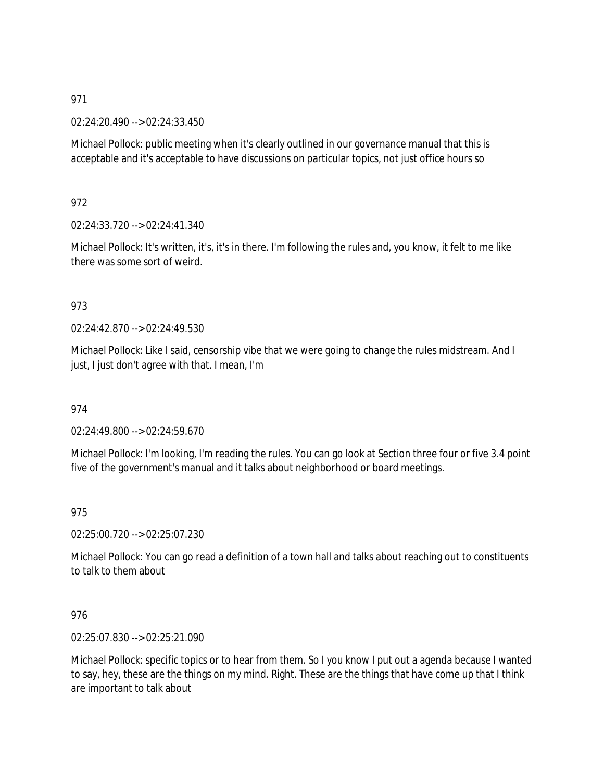02:24:20.490 --> 02:24:33.450

Michael Pollock: public meeting when it's clearly outlined in our governance manual that this is acceptable and it's acceptable to have discussions on particular topics, not just office hours so

972

02:24:33.720 --> 02:24:41.340

Michael Pollock: It's written, it's, it's in there. I'm following the rules and, you know, it felt to me like there was some sort of weird.

### 973

02:24:42.870 --> 02:24:49.530

Michael Pollock: Like I said, censorship vibe that we were going to change the rules midstream. And I just, I just don't agree with that. I mean, I'm

974

02:24:49.800 --> 02:24:59.670

Michael Pollock: I'm looking, I'm reading the rules. You can go look at Section three four or five 3.4 point five of the government's manual and it talks about neighborhood or board meetings.

975

02:25:00.720 --> 02:25:07.230

Michael Pollock: You can go read a definition of a town hall and talks about reaching out to constituents to talk to them about

976

02:25:07.830 --> 02:25:21.090

Michael Pollock: specific topics or to hear from them. So I you know I put out a agenda because I wanted to say, hey, these are the things on my mind. Right. These are the things that have come up that I think are important to talk about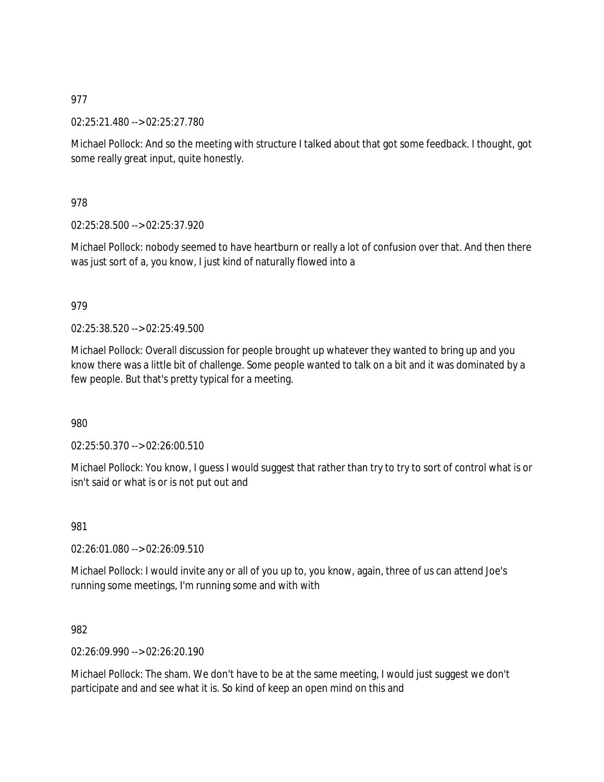02:25:21.480 --> 02:25:27.780

Michael Pollock: And so the meeting with structure I talked about that got some feedback. I thought, got some really great input, quite honestly.

978

02:25:28.500 --> 02:25:37.920

Michael Pollock: nobody seemed to have heartburn or really a lot of confusion over that. And then there was just sort of a, you know, I just kind of naturally flowed into a

### 979

02:25:38.520 --> 02:25:49.500

Michael Pollock: Overall discussion for people brought up whatever they wanted to bring up and you know there was a little bit of challenge. Some people wanted to talk on a bit and it was dominated by a few people. But that's pretty typical for a meeting.

980

02:25:50.370 --> 02:26:00.510

Michael Pollock: You know, I guess I would suggest that rather than try to try to sort of control what is or isn't said or what is or is not put out and

981

02:26:01.080 --> 02:26:09.510

Michael Pollock: I would invite any or all of you up to, you know, again, three of us can attend Joe's running some meetings, I'm running some and with with

982

02:26:09.990 --> 02:26:20.190

Michael Pollock: The sham. We don't have to be at the same meeting, I would just suggest we don't participate and and see what it is. So kind of keep an open mind on this and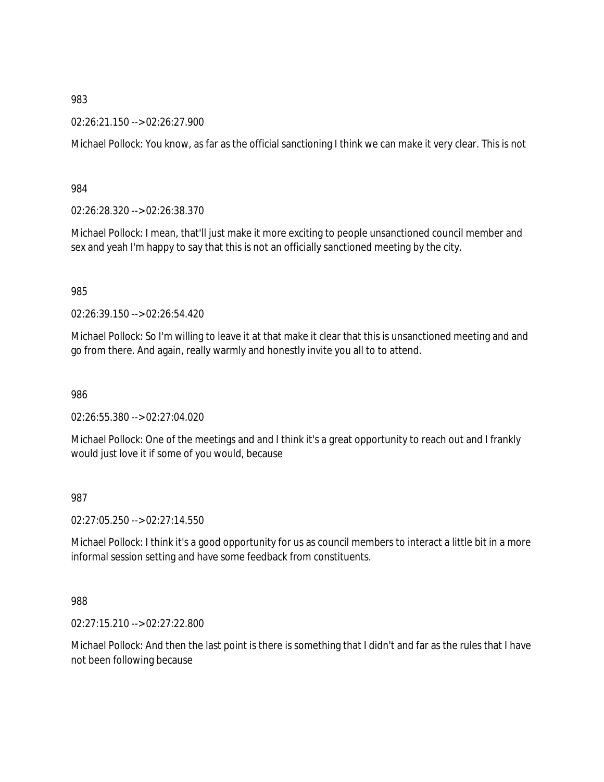02:26:21.150 --> 02:26:27.900

Michael Pollock: You know, as far as the official sanctioning I think we can make it very clear. This is not

984

02:26:28.320 --> 02:26:38.370

Michael Pollock: I mean, that'll just make it more exciting to people unsanctioned council member and sex and yeah I'm happy to say that this is not an officially sanctioned meeting by the city.

985

02:26:39.150 --> 02:26:54.420

Michael Pollock: So I'm willing to leave it at that make it clear that this is unsanctioned meeting and and go from there. And again, really warmly and honestly invite you all to to attend.

986

02:26:55.380 --> 02:27:04.020

Michael Pollock: One of the meetings and and I think it's a great opportunity to reach out and I frankly would just love it if some of you would, because

987

02:27:05.250 --> 02:27:14.550

Michael Pollock: I think it's a good opportunity for us as council members to interact a little bit in a more informal session setting and have some feedback from constituents.

988

02:27:15.210 --> 02:27:22.800

Michael Pollock: And then the last point is there is something that I didn't and far as the rules that I have not been following because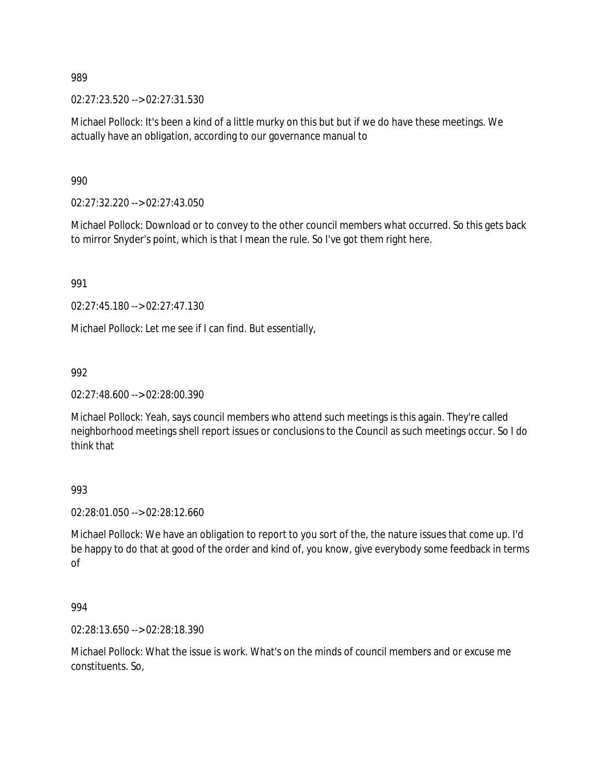02:27:23.520 --> 02:27:31.530

Michael Pollock: It's been a kind of a little murky on this but but if we do have these meetings. We actually have an obligation, according to our governance manual to

990

02:27:32.220 --> 02:27:43.050

Michael Pollock: Download or to convey to the other council members what occurred. So this gets back to mirror Snyder's point, which is that I mean the rule. So I've got them right here.

991

02:27:45.180 --> 02:27:47.130

Michael Pollock: Let me see if I can find. But essentially,

992

02:27:48.600 --> 02:28:00.390

Michael Pollock: Yeah, says council members who attend such meetings is this again. They're called neighborhood meetings shell report issues or conclusions to the Council as such meetings occur. So I do think that

993

02:28:01.050 --> 02:28:12.660

Michael Pollock: We have an obligation to report to you sort of the, the nature issues that come up. I'd be happy to do that at good of the order and kind of, you know, give everybody some feedback in terms of

994

02:28:13.650 --> 02:28:18.390

Michael Pollock: What the issue is work. What's on the minds of council members and or excuse me constituents. So,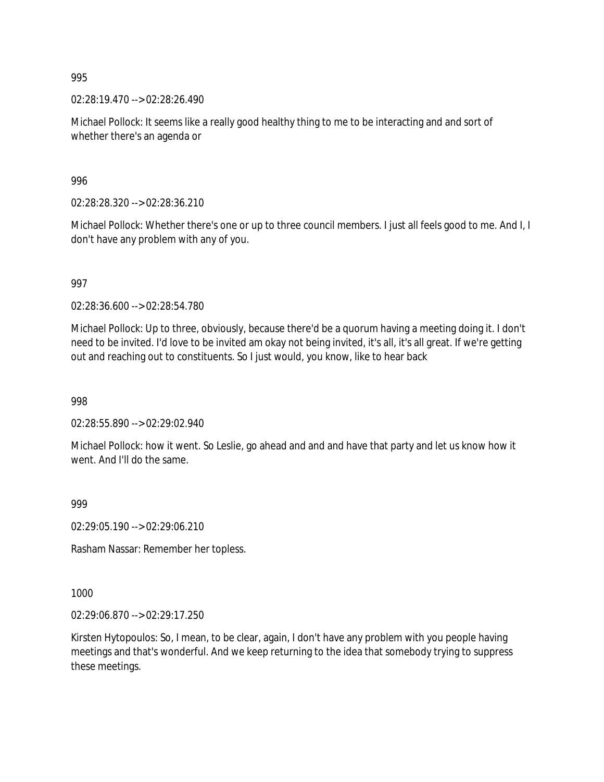02:28:19.470 --> 02:28:26.490

Michael Pollock: It seems like a really good healthy thing to me to be interacting and and sort of whether there's an agenda or

996

02:28:28.320 --> 02:28:36.210

Michael Pollock: Whether there's one or up to three council members. I just all feels good to me. And I, I don't have any problem with any of you.

997

02:28:36.600 --> 02:28:54.780

Michael Pollock: Up to three, obviously, because there'd be a quorum having a meeting doing it. I don't need to be invited. I'd love to be invited am okay not being invited, it's all, it's all great. If we're getting out and reaching out to constituents. So I just would, you know, like to hear back

998

02:28:55.890 --> 02:29:02.940

Michael Pollock: how it went. So Leslie, go ahead and and and have that party and let us know how it went. And I'll do the same.

999

02:29:05.190 --> 02:29:06.210

Rasham Nassar: Remember her topless.

1000

02:29:06.870 --> 02:29:17.250

Kirsten Hytopoulos: So, I mean, to be clear, again, I don't have any problem with you people having meetings and that's wonderful. And we keep returning to the idea that somebody trying to suppress these meetings.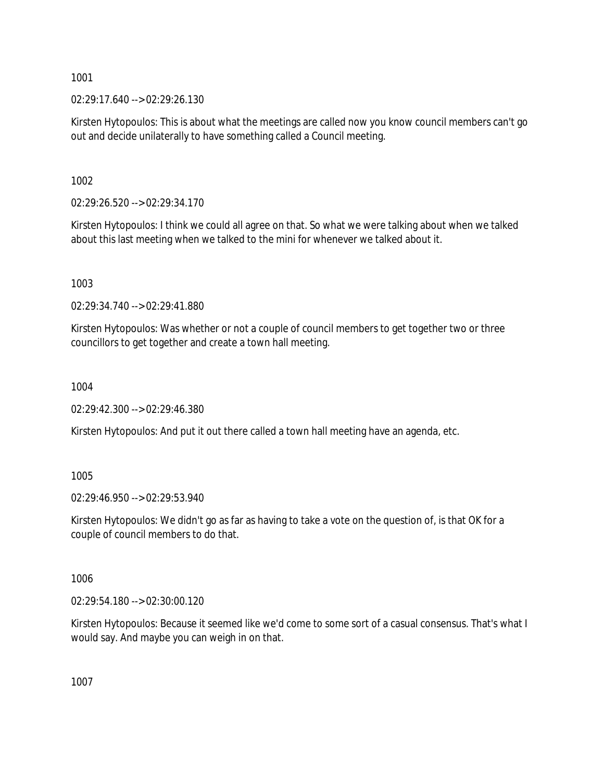02:29:17.640 --> 02:29:26.130

Kirsten Hytopoulos: This is about what the meetings are called now you know council members can't go out and decide unilaterally to have something called a Council meeting.

1002

02:29:26.520 --> 02:29:34.170

Kirsten Hytopoulos: I think we could all agree on that. So what we were talking about when we talked about this last meeting when we talked to the mini for whenever we talked about it.

1003

02:29:34.740 --> 02:29:41.880

Kirsten Hytopoulos: Was whether or not a couple of council members to get together two or three councillors to get together and create a town hall meeting.

1004

02:29:42.300 --> 02:29:46.380

Kirsten Hytopoulos: And put it out there called a town hall meeting have an agenda, etc.

1005

02:29:46.950 --> 02:29:53.940

Kirsten Hytopoulos: We didn't go as far as having to take a vote on the question of, is that OK for a couple of council members to do that.

1006

02:29:54.180 --> 02:30:00.120

Kirsten Hytopoulos: Because it seemed like we'd come to some sort of a casual consensus. That's what I would say. And maybe you can weigh in on that.

1007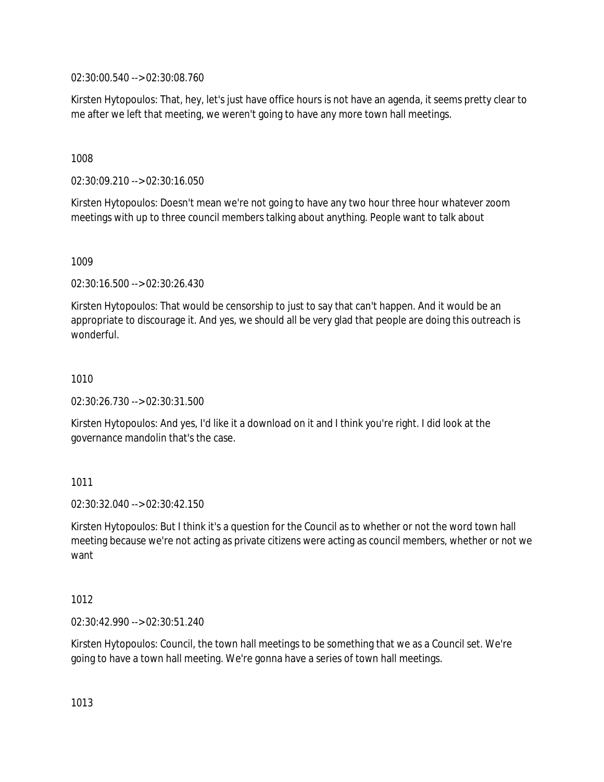02:30:00.540 --> 02:30:08.760

Kirsten Hytopoulos: That, hey, let's just have office hours is not have an agenda, it seems pretty clear to me after we left that meeting, we weren't going to have any more town hall meetings.

1008

02:30:09.210 --> 02:30:16.050

Kirsten Hytopoulos: Doesn't mean we're not going to have any two hour three hour whatever zoom meetings with up to three council members talking about anything. People want to talk about

1009

02:30:16.500 --> 02:30:26.430

Kirsten Hytopoulos: That would be censorship to just to say that can't happen. And it would be an appropriate to discourage it. And yes, we should all be very glad that people are doing this outreach is wonderful.

1010

02:30:26.730 --> 02:30:31.500

Kirsten Hytopoulos: And yes, I'd like it a download on it and I think you're right. I did look at the governance mandolin that's the case.

1011

02:30:32.040 --> 02:30:42.150

Kirsten Hytopoulos: But I think it's a question for the Council as to whether or not the word town hall meeting because we're not acting as private citizens were acting as council members, whether or not we want

1012

02:30:42.990 --> 02:30:51.240

Kirsten Hytopoulos: Council, the town hall meetings to be something that we as a Council set. We're going to have a town hall meeting. We're gonna have a series of town hall meetings.

1013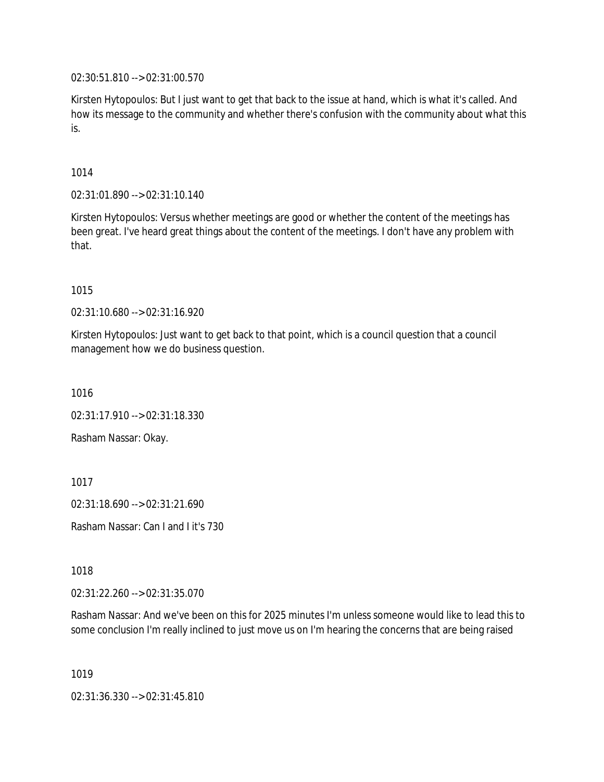02:30:51.810 --> 02:31:00.570

Kirsten Hytopoulos: But I just want to get that back to the issue at hand, which is what it's called. And how its message to the community and whether there's confusion with the community about what this is.

1014

02:31:01.890 --> 02:31:10.140

Kirsten Hytopoulos: Versus whether meetings are good or whether the content of the meetings has been great. I've heard great things about the content of the meetings. I don't have any problem with that.

1015

02:31:10.680 --> 02:31:16.920

Kirsten Hytopoulos: Just want to get back to that point, which is a council question that a council management how we do business question.

1016

02:31:17.910 --> 02:31:18.330

Rasham Nassar: Okay.

1017

02:31:18.690 --> 02:31:21.690

Rasham Nassar: Can I and I it's 730

1018

02:31:22.260 --> 02:31:35.070

Rasham Nassar: And we've been on this for 2025 minutes I'm unless someone would like to lead this to some conclusion I'm really inclined to just move us on I'm hearing the concerns that are being raised

1019

02:31:36.330 --> 02:31:45.810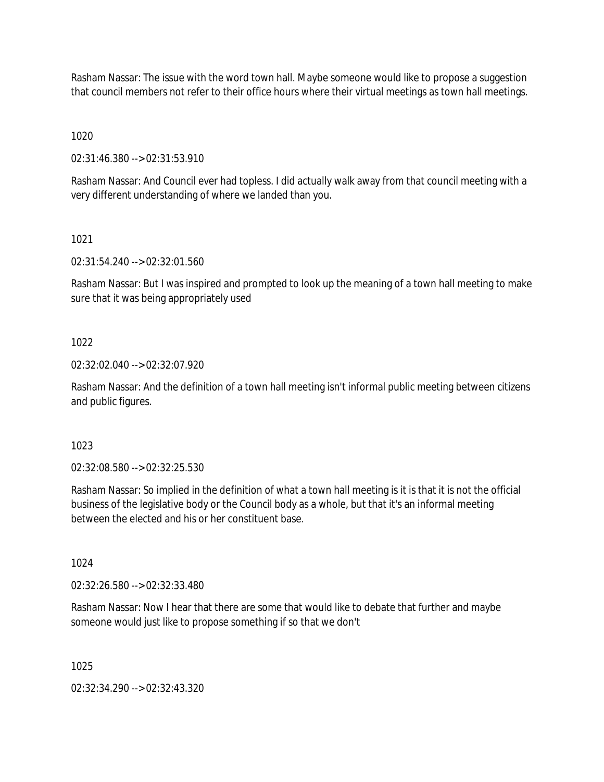Rasham Nassar: The issue with the word town hall. Maybe someone would like to propose a suggestion that council members not refer to their office hours where their virtual meetings as town hall meetings.

1020

02:31:46.380 --> 02:31:53.910

Rasham Nassar: And Council ever had topless. I did actually walk away from that council meeting with a very different understanding of where we landed than you.

1021

02:31:54.240 --> 02:32:01.560

Rasham Nassar: But I was inspired and prompted to look up the meaning of a town hall meeting to make sure that it was being appropriately used

1022

02:32:02.040 --> 02:32:07.920

Rasham Nassar: And the definition of a town hall meeting isn't informal public meeting between citizens and public figures.

1023

02:32:08.580 --> 02:32:25.530

Rasham Nassar: So implied in the definition of what a town hall meeting is it is that it is not the official business of the legislative body or the Council body as a whole, but that it's an informal meeting between the elected and his or her constituent base.

1024

02:32:26.580 --> 02:32:33.480

Rasham Nassar: Now I hear that there are some that would like to debate that further and maybe someone would just like to propose something if so that we don't

1025

02:32:34.290 --> 02:32:43.320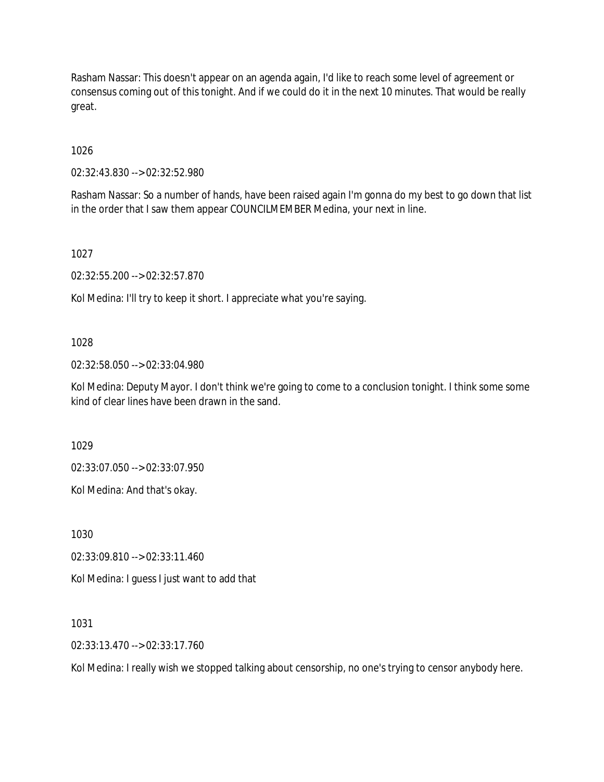Rasham Nassar: This doesn't appear on an agenda again, I'd like to reach some level of agreement or consensus coming out of this tonight. And if we could do it in the next 10 minutes. That would be really great.

1026

02:32:43.830 --> 02:32:52.980

Rasham Nassar: So a number of hands, have been raised again I'm gonna do my best to go down that list in the order that I saw them appear COUNCILMEMBER Medina, your next in line.

1027

02:32:55.200 --> 02:32:57.870

Kol Medina: I'll try to keep it short. I appreciate what you're saying.

#### 1028

02:32:58.050 --> 02:33:04.980

Kol Medina: Deputy Mayor. I don't think we're going to come to a conclusion tonight. I think some some kind of clear lines have been drawn in the sand.

1029

02:33:07.050 --> 02:33:07.950

Kol Medina: And that's okay.

1030

02:33:09.810 --> 02:33:11.460

Kol Medina: I guess I just want to add that

1031

02:33:13.470 --> 02:33:17.760

Kol Medina: I really wish we stopped talking about censorship, no one's trying to censor anybody here.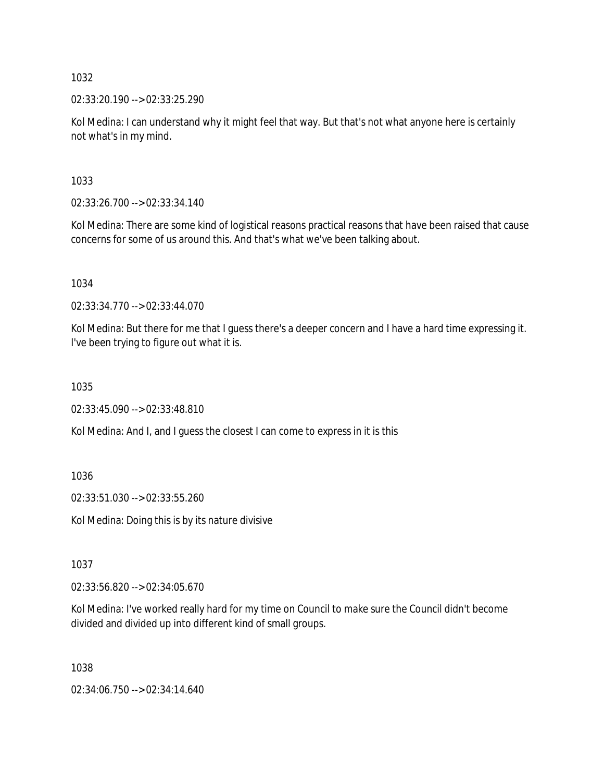02:33:20.190 --> 02:33:25.290

Kol Medina: I can understand why it might feel that way. But that's not what anyone here is certainly not what's in my mind.

1033

02:33:26.700 --> 02:33:34.140

Kol Medina: There are some kind of logistical reasons practical reasons that have been raised that cause concerns for some of us around this. And that's what we've been talking about.

1034

02:33:34.770 --> 02:33:44.070

Kol Medina: But there for me that I guess there's a deeper concern and I have a hard time expressing it. I've been trying to figure out what it is.

1035

02:33:45.090 --> 02:33:48.810

Kol Medina: And I, and I guess the closest I can come to express in it is this

1036

02:33:51.030 --> 02:33:55.260

Kol Medina: Doing this is by its nature divisive

1037

02:33:56.820 --> 02:34:05.670

Kol Medina: I've worked really hard for my time on Council to make sure the Council didn't become divided and divided up into different kind of small groups.

1038

02:34:06.750 --> 02:34:14.640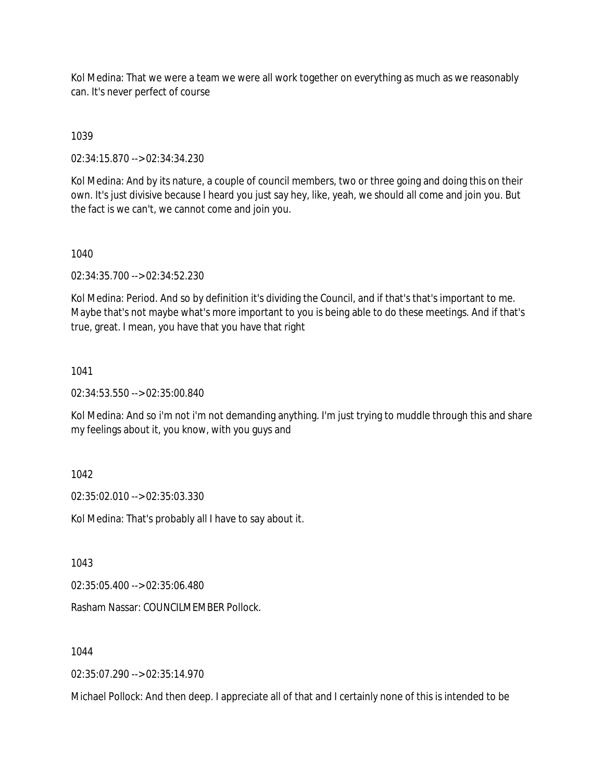Kol Medina: That we were a team we were all work together on everything as much as we reasonably can. It's never perfect of course

# 1039

02:34:15.870 --> 02:34:34.230

Kol Medina: And by its nature, a couple of council members, two or three going and doing this on their own. It's just divisive because I heard you just say hey, like, yeah, we should all come and join you. But the fact is we can't, we cannot come and join you.

### 1040

02:34:35.700 --> 02:34:52.230

Kol Medina: Period. And so by definition it's dividing the Council, and if that's that's important to me. Maybe that's not maybe what's more important to you is being able to do these meetings. And if that's true, great. I mean, you have that you have that right

## 1041

02:34:53.550 --> 02:35:00.840

Kol Medina: And so i'm not i'm not demanding anything. I'm just trying to muddle through this and share my feelings about it, you know, with you guys and

## 1042

02:35:02.010 --> 02:35:03.330

Kol Medina: That's probably all I have to say about it.

1043

02:35:05.400 --> 02:35:06.480

Rasham Nassar: COUNCILMEMBER Pollock.

1044

02:35:07.290 --> 02:35:14.970

Michael Pollock: And then deep. I appreciate all of that and I certainly none of this is intended to be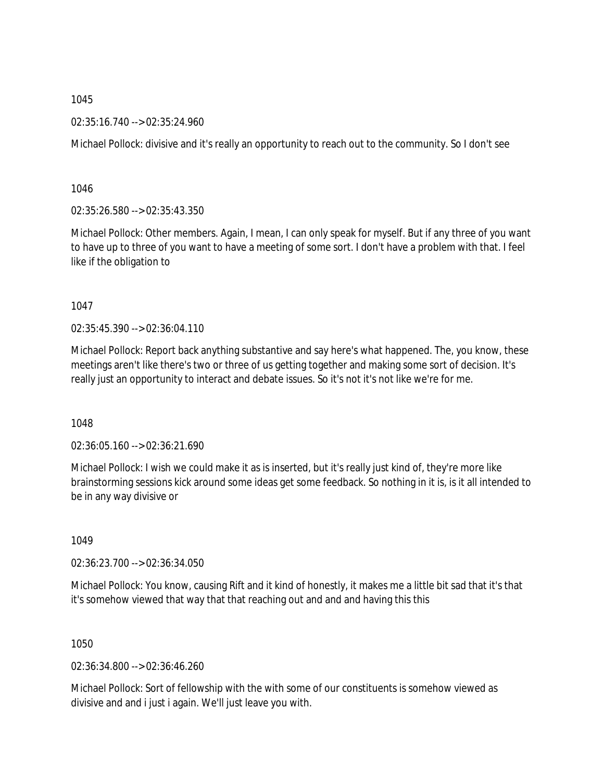02:35:16.740 --> 02:35:24.960

Michael Pollock: divisive and it's really an opportunity to reach out to the community. So I don't see

1046

02:35:26.580 --> 02:35:43.350

Michael Pollock: Other members. Again, I mean, I can only speak for myself. But if any three of you want to have up to three of you want to have a meeting of some sort. I don't have a problem with that. I feel like if the obligation to

1047

02:35:45.390 --> 02:36:04.110

Michael Pollock: Report back anything substantive and say here's what happened. The, you know, these meetings aren't like there's two or three of us getting together and making some sort of decision. It's really just an opportunity to interact and debate issues. So it's not it's not like we're for me.

1048

02:36:05.160 --> 02:36:21.690

Michael Pollock: I wish we could make it as is inserted, but it's really just kind of, they're more like brainstorming sessions kick around some ideas get some feedback. So nothing in it is, is it all intended to be in any way divisive or

1049

02:36:23.700 --> 02:36:34.050

Michael Pollock: You know, causing Rift and it kind of honestly, it makes me a little bit sad that it's that it's somehow viewed that way that that reaching out and and and having this this

1050

02:36:34.800 --> 02:36:46.260

Michael Pollock: Sort of fellowship with the with some of our constituents is somehow viewed as divisive and and i just i again. We'll just leave you with.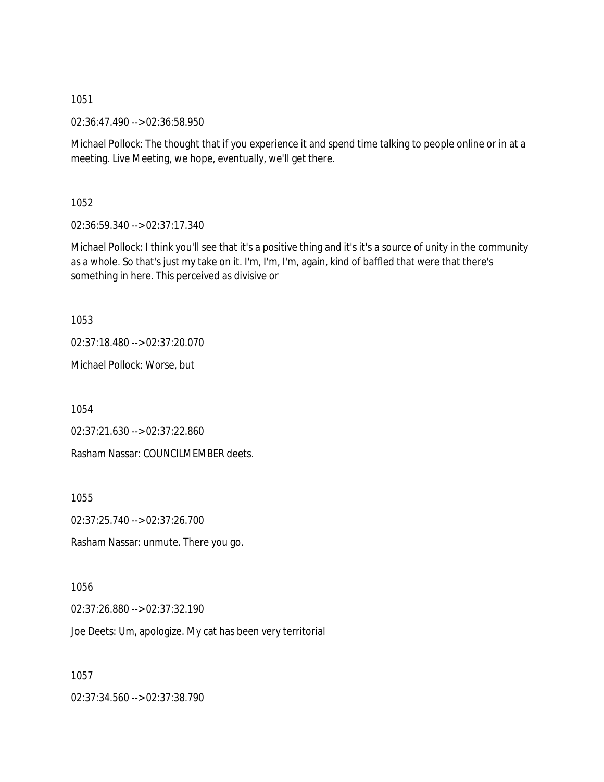02:36:47.490 --> 02:36:58.950

Michael Pollock: The thought that if you experience it and spend time talking to people online or in at a meeting. Live Meeting, we hope, eventually, we'll get there.

1052

02:36:59.340 --> 02:37:17.340

Michael Pollock: I think you'll see that it's a positive thing and it's it's a source of unity in the community as a whole. So that's just my take on it. I'm, I'm, I'm, again, kind of baffled that were that there's something in here. This perceived as divisive or

1053

02:37:18.480 --> 02:37:20.070

Michael Pollock: Worse, but

1054

02:37:21.630 --> 02:37:22.860

Rasham Nassar: COUNCILMEMBER deets.

1055

02:37:25.740 --> 02:37:26.700

Rasham Nassar: unmute. There you go.

1056

02:37:26.880 --> 02:37:32.190

Joe Deets: Um, apologize. My cat has been very territorial

1057

02:37:34.560 --> 02:37:38.790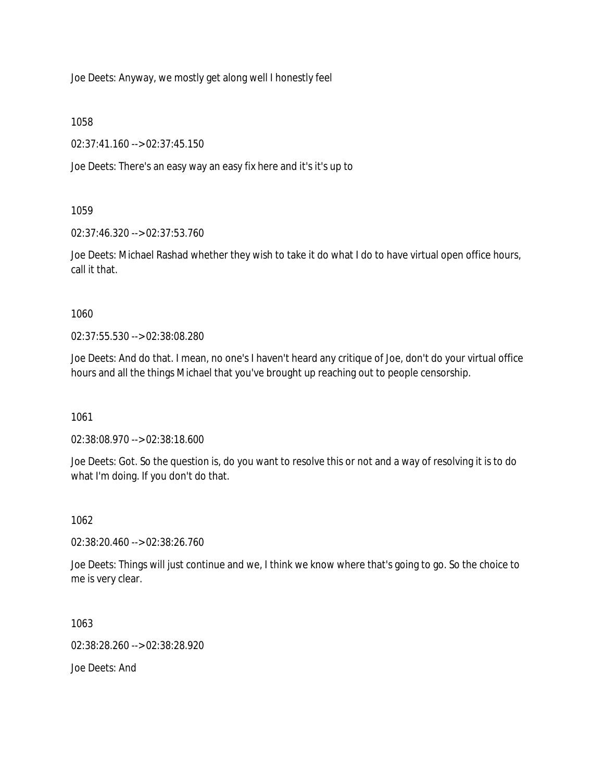Joe Deets: Anyway, we mostly get along well I honestly feel

1058

02:37:41.160 --> 02:37:45.150

Joe Deets: There's an easy way an easy fix here and it's it's up to

1059

02:37:46.320 --> 02:37:53.760

Joe Deets: Michael Rashad whether they wish to take it do what I do to have virtual open office hours, call it that.

1060

02:37:55.530 --> 02:38:08.280

Joe Deets: And do that. I mean, no one's I haven't heard any critique of Joe, don't do your virtual office hours and all the things Michael that you've brought up reaching out to people censorship.

1061

02:38:08.970 --> 02:38:18.600

Joe Deets: Got. So the question is, do you want to resolve this or not and a way of resolving it is to do what I'm doing. If you don't do that.

1062

02:38:20.460 --> 02:38:26.760

Joe Deets: Things will just continue and we, I think we know where that's going to go. So the choice to me is very clear.

1063

02:38:28.260 --> 02:38:28.920

Joe Deets: And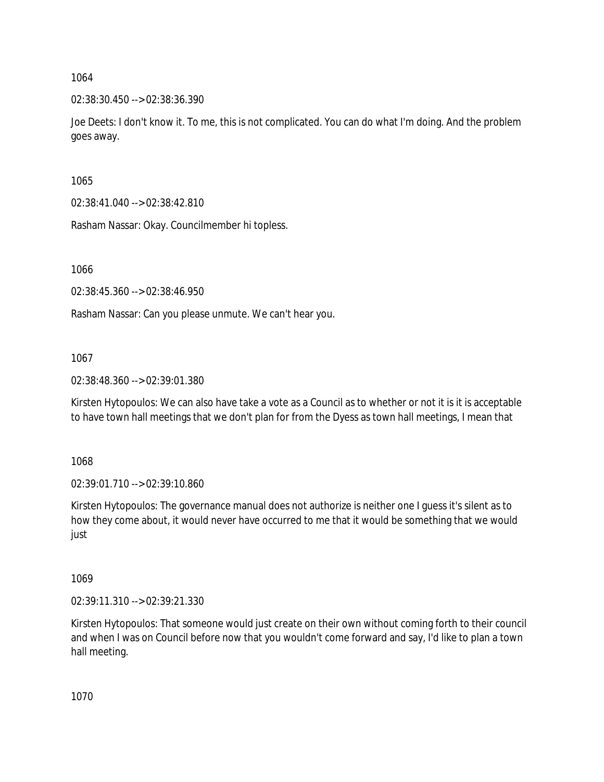02:38:30.450 --> 02:38:36.390

Joe Deets: I don't know it. To me, this is not complicated. You can do what I'm doing. And the problem goes away.

1065

02:38:41.040 --> 02:38:42.810

Rasham Nassar: Okay. Councilmember hi topless.

1066

02:38:45.360 --> 02:38:46.950

Rasham Nassar: Can you please unmute. We can't hear you.

1067

02:38:48.360 --> 02:39:01.380

Kirsten Hytopoulos: We can also have take a vote as a Council as to whether or not it is it is acceptable to have town hall meetings that we don't plan for from the Dyess as town hall meetings, I mean that

1068

02:39:01.710 --> 02:39:10.860

Kirsten Hytopoulos: The governance manual does not authorize is neither one I guess it's silent as to how they come about, it would never have occurred to me that it would be something that we would just

1069

02:39:11.310 --> 02:39:21.330

Kirsten Hytopoulos: That someone would just create on their own without coming forth to their council and when I was on Council before now that you wouldn't come forward and say, I'd like to plan a town hall meeting.

1070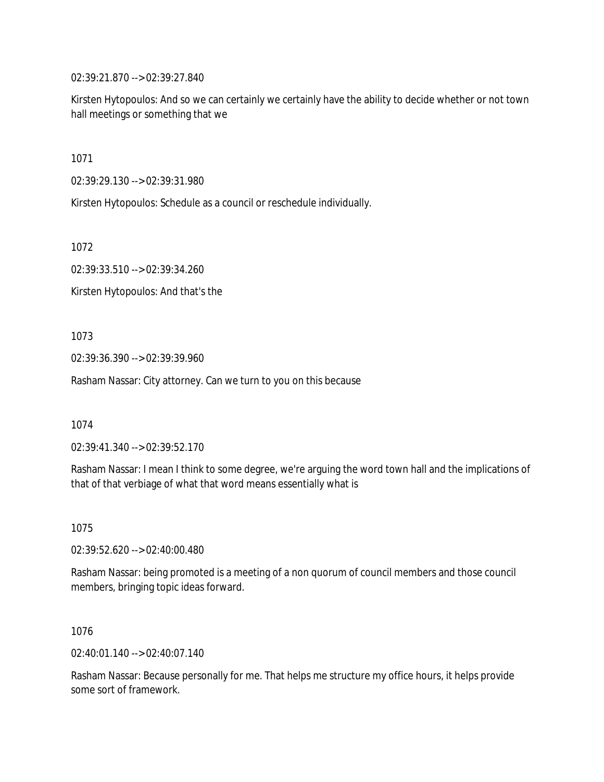02:39:21.870 --> 02:39:27.840

Kirsten Hytopoulos: And so we can certainly we certainly have the ability to decide whether or not town hall meetings or something that we

1071

02:39:29.130 --> 02:39:31.980

Kirsten Hytopoulos: Schedule as a council or reschedule individually.

1072

02:39:33.510 --> 02:39:34.260

Kirsten Hytopoulos: And that's the

1073

02:39:36.390 --> 02:39:39.960

Rasham Nassar: City attorney. Can we turn to you on this because

1074

02:39:41.340 --> 02:39:52.170

Rasham Nassar: I mean I think to some degree, we're arguing the word town hall and the implications of that of that verbiage of what that word means essentially what is

1075

02:39:52.620 --> 02:40:00.480

Rasham Nassar: being promoted is a meeting of a non quorum of council members and those council members, bringing topic ideas forward.

1076

02:40:01.140 --> 02:40:07.140

Rasham Nassar: Because personally for me. That helps me structure my office hours, it helps provide some sort of framework.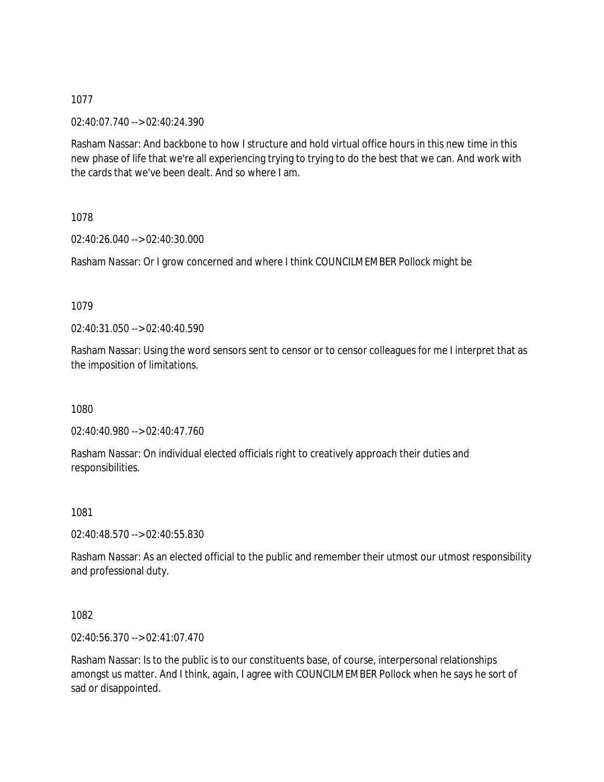02:40:07.740 --> 02:40:24.390

Rasham Nassar: And backbone to how I structure and hold virtual office hours in this new time in this new phase of life that we're all experiencing trying to trying to do the best that we can. And work with the cards that we've been dealt. And so where I am.

1078

02:40:26.040 --> 02:40:30.000

Rasham Nassar: Or I grow concerned and where I think COUNCILMEMBER Pollock might be

### 1079

02:40:31.050 --> 02:40:40.590

Rasham Nassar: Using the word sensors sent to censor or to censor colleagues for me I interpret that as the imposition of limitations.

1080

02:40:40.980 --> 02:40:47.760

Rasham Nassar: On individual elected officials right to creatively approach their duties and responsibilities.

1081

02:40:48.570 --> 02:40:55.830

Rasham Nassar: As an elected official to the public and remember their utmost our utmost responsibility and professional duty.

1082

02:40:56.370 --> 02:41:07.470

Rasham Nassar: Is to the public is to our constituents base, of course, interpersonal relationships amongst us matter. And I think, again, I agree with COUNCILMEMBER Pollock when he says he sort of sad or disappointed.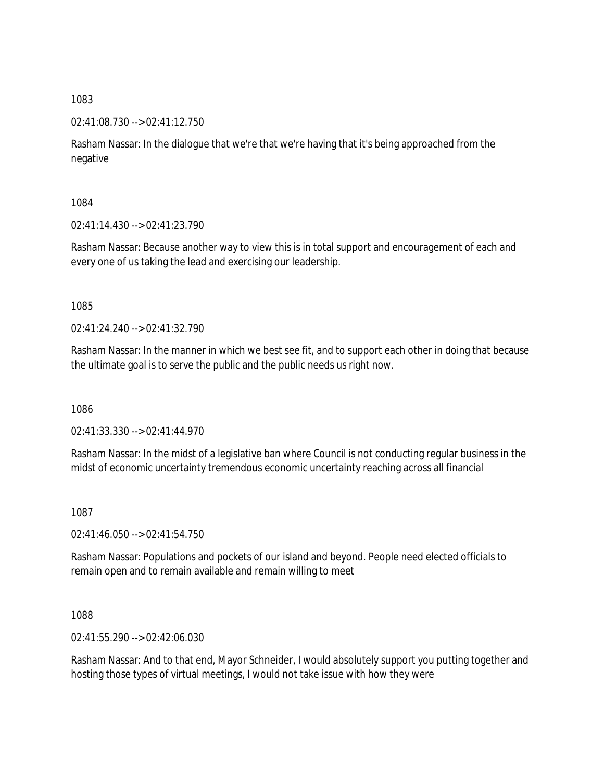### 02:41:08.730 --> 02:41:12.750

Rasham Nassar: In the dialogue that we're that we're having that it's being approached from the negative

1084

02:41:14.430 --> 02:41:23.790

Rasham Nassar: Because another way to view this is in total support and encouragement of each and every one of us taking the lead and exercising our leadership.

1085

 $02.41.24.240 - 02.41.32.790$ 

Rasham Nassar: In the manner in which we best see fit, and to support each other in doing that because the ultimate goal is to serve the public and the public needs us right now.

1086

02:41:33.330 --> 02:41:44.970

Rasham Nassar: In the midst of a legislative ban where Council is not conducting regular business in the midst of economic uncertainty tremendous economic uncertainty reaching across all financial

1087

02:41:46.050 --> 02:41:54.750

Rasham Nassar: Populations and pockets of our island and beyond. People need elected officials to remain open and to remain available and remain willing to meet

1088

02:41:55.290 --> 02:42:06.030

Rasham Nassar: And to that end, Mayor Schneider, I would absolutely support you putting together and hosting those types of virtual meetings, I would not take issue with how they were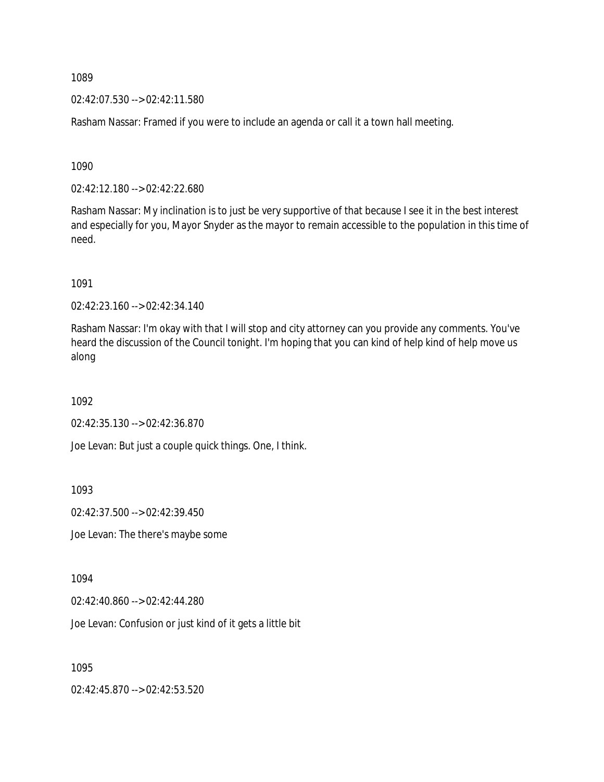02:42:07.530 --> 02:42:11.580

Rasham Nassar: Framed if you were to include an agenda or call it a town hall meeting.

1090

02:42:12.180 --> 02:42:22.680

Rasham Nassar: My inclination is to just be very supportive of that because I see it in the best interest and especially for you, Mayor Snyder as the mayor to remain accessible to the population in this time of need.

1091

02:42:23.160 --> 02:42:34.140

Rasham Nassar: I'm okay with that I will stop and city attorney can you provide any comments. You've heard the discussion of the Council tonight. I'm hoping that you can kind of help kind of help move us along

1092

02:42:35.130 --> 02:42:36.870

Joe Levan: But just a couple quick things. One, I think.

1093

02:42:37.500 --> 02:42:39.450

Joe Levan: The there's maybe some

1094

02:42:40.860 --> 02:42:44.280

Joe Levan: Confusion or just kind of it gets a little bit

1095

02:42:45.870 --> 02:42:53.520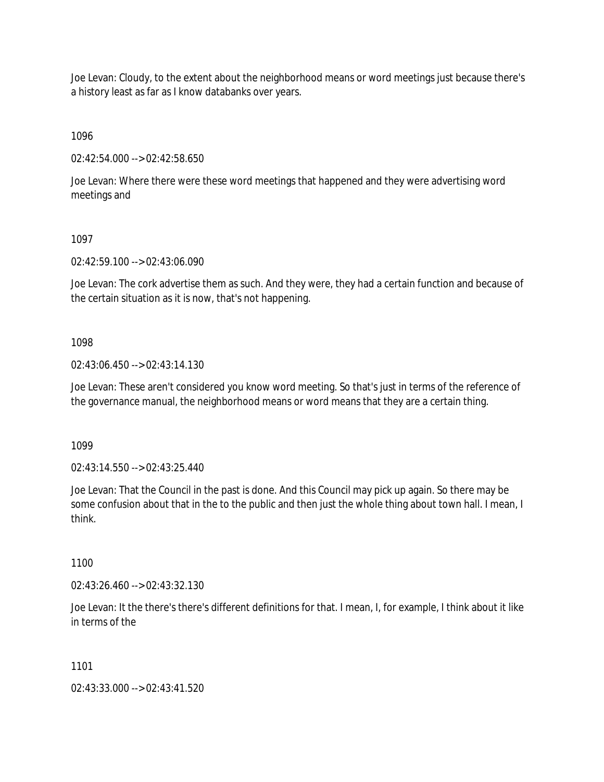Joe Levan: Cloudy, to the extent about the neighborhood means or word meetings just because there's a history least as far as I know databanks over years.

1096

02:42:54.000 --> 02:42:58.650

Joe Levan: Where there were these word meetings that happened and they were advertising word meetings and

#### 1097

02:42:59.100 --> 02:43:06.090

Joe Levan: The cork advertise them as such. And they were, they had a certain function and because of the certain situation as it is now, that's not happening.

### 1098

02:43:06.450 --> 02:43:14.130

Joe Levan: These aren't considered you know word meeting. So that's just in terms of the reference of the governance manual, the neighborhood means or word means that they are a certain thing.

1099

02:43:14.550 --> 02:43:25.440

Joe Levan: That the Council in the past is done. And this Council may pick up again. So there may be some confusion about that in the to the public and then just the whole thing about town hall. I mean, I think.

1100

02:43:26.460 --> 02:43:32.130

Joe Levan: It the there's there's different definitions for that. I mean, I, for example, I think about it like in terms of the

1101

02:43:33.000 --> 02:43:41.520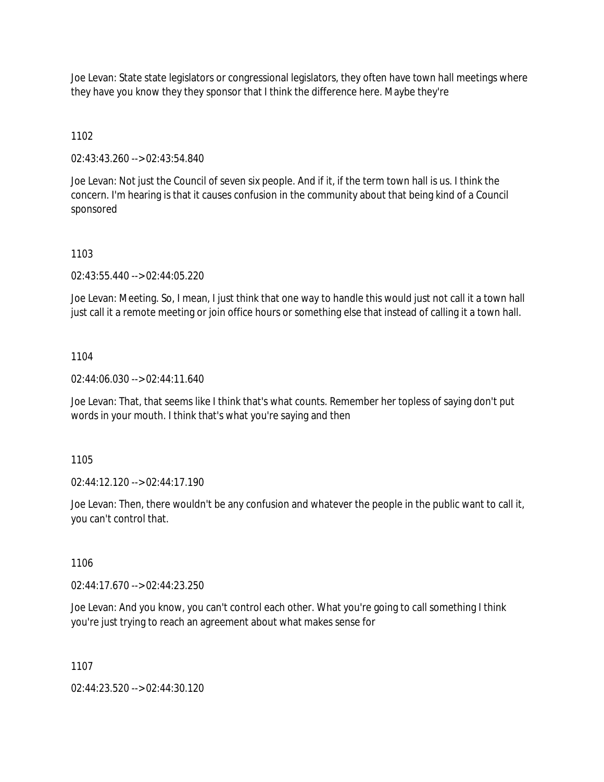Joe Levan: State state legislators or congressional legislators, they often have town hall meetings where they have you know they they sponsor that I think the difference here. Maybe they're

## 1102

02:43:43.260 --> 02:43:54.840

Joe Levan: Not just the Council of seven six people. And if it, if the term town hall is us. I think the concern. I'm hearing is that it causes confusion in the community about that being kind of a Council sponsored

### 1103

02:43:55.440 --> 02:44:05.220

Joe Levan: Meeting. So, I mean, I just think that one way to handle this would just not call it a town hall just call it a remote meeting or join office hours or something else that instead of calling it a town hall.

### 1104

02:44:06.030 --> 02:44:11.640

Joe Levan: That, that seems like I think that's what counts. Remember her topless of saying don't put words in your mouth. I think that's what you're saying and then

### 1105

02:44:12.120 --> 02:44:17.190

Joe Levan: Then, there wouldn't be any confusion and whatever the people in the public want to call it, you can't control that.

1106

02:44:17.670 --> 02:44:23.250

Joe Levan: And you know, you can't control each other. What you're going to call something I think you're just trying to reach an agreement about what makes sense for

1107

02:44:23.520 --> 02:44:30.120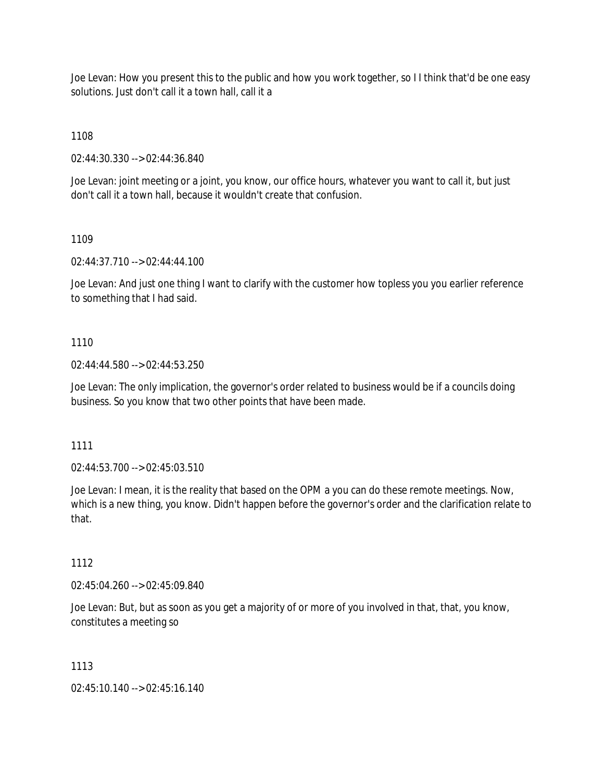Joe Levan: How you present this to the public and how you work together, so I I think that'd be one easy solutions. Just don't call it a town hall, call it a

1108

02:44:30.330 --> 02:44:36.840

Joe Levan: joint meeting or a joint, you know, our office hours, whatever you want to call it, but just don't call it a town hall, because it wouldn't create that confusion.

1109

02:44:37.710 --> 02:44:44.100

Joe Levan: And just one thing I want to clarify with the customer how topless you you earlier reference to something that I had said.

### 1110

02:44:44.580 --> 02:44:53.250

Joe Levan: The only implication, the governor's order related to business would be if a councils doing business. So you know that two other points that have been made.

1111

02:44:53.700 --> 02:45:03.510

Joe Levan: I mean, it is the reality that based on the OPM a you can do these remote meetings. Now, which is a new thing, you know. Didn't happen before the governor's order and the clarification relate to that.

1112

02:45:04.260 --> 02:45:09.840

Joe Levan: But, but as soon as you get a majority of or more of you involved in that, that, you know, constitutes a meeting so

1113

02:45:10.140 --> 02:45:16.140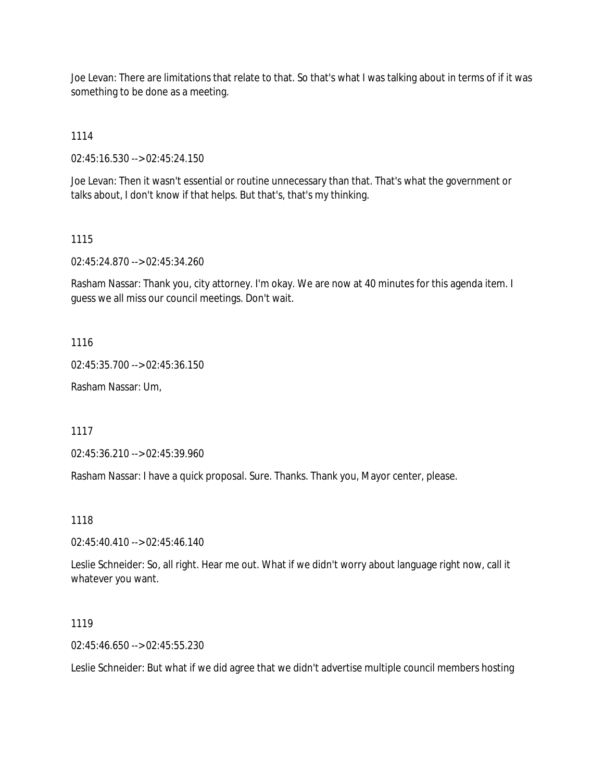Joe Levan: There are limitations that relate to that. So that's what I was talking about in terms of if it was something to be done as a meeting.

1114

02:45:16.530 --> 02:45:24.150

Joe Levan: Then it wasn't essential or routine unnecessary than that. That's what the government or talks about, I don't know if that helps. But that's, that's my thinking.

#### 1115

02:45:24.870 --> 02:45:34.260

Rasham Nassar: Thank you, city attorney. I'm okay. We are now at 40 minutes for this agenda item. I guess we all miss our council meetings. Don't wait.

1116

02:45:35.700 --> 02:45:36.150

Rasham Nassar: Um,

1117

02:45:36.210 --> 02:45:39.960

Rasham Nassar: I have a quick proposal. Sure. Thanks. Thank you, Mayor center, please.

1118

02:45:40.410 --> 02:45:46.140

Leslie Schneider: So, all right. Hear me out. What if we didn't worry about language right now, call it whatever you want.

1119

02:45:46.650 --> 02:45:55.230

Leslie Schneider: But what if we did agree that we didn't advertise multiple council members hosting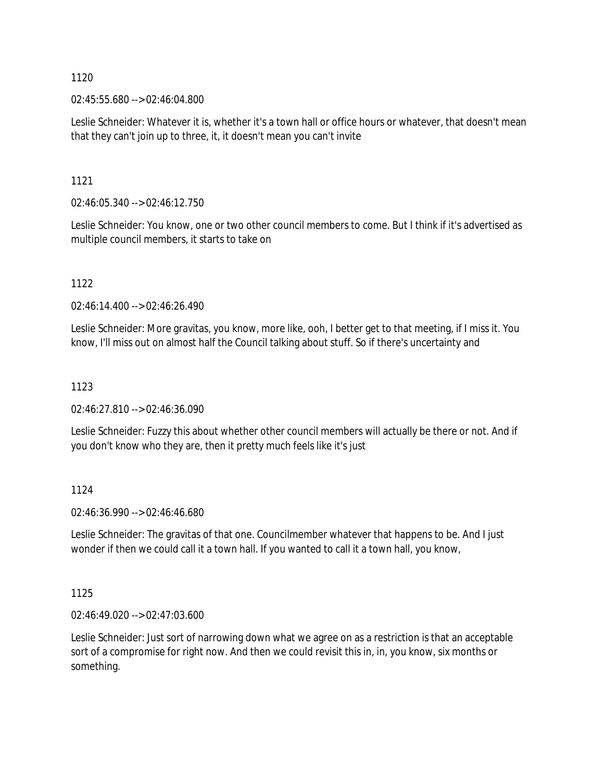02:45:55.680 --> 02:46:04.800

Leslie Schneider: Whatever it is, whether it's a town hall or office hours or whatever, that doesn't mean that they can't join up to three, it, it doesn't mean you can't invite

1121

02:46:05.340 --> 02:46:12.750

Leslie Schneider: You know, one or two other council members to come. But I think if it's advertised as multiple council members, it starts to take on

1122

02:46:14.400 --> 02:46:26.490

Leslie Schneider: More gravitas, you know, more like, ooh, I better get to that meeting, if I miss it. You know, I'll miss out on almost half the Council talking about stuff. So if there's uncertainty and

## 1123

02:46:27.810 --> 02:46:36.090

Leslie Schneider: Fuzzy this about whether other council members will actually be there or not. And if you don't know who they are, then it pretty much feels like it's just

### 1124

02:46:36.990 --> 02:46:46.680

Leslie Schneider: The gravitas of that one. Councilmember whatever that happens to be. And I just wonder if then we could call it a town hall. If you wanted to call it a town hall, you know,

1125

02:46:49.020 --> 02:47:03.600

Leslie Schneider: Just sort of narrowing down what we agree on as a restriction is that an acceptable sort of a compromise for right now. And then we could revisit this in, in, you know, six months or something.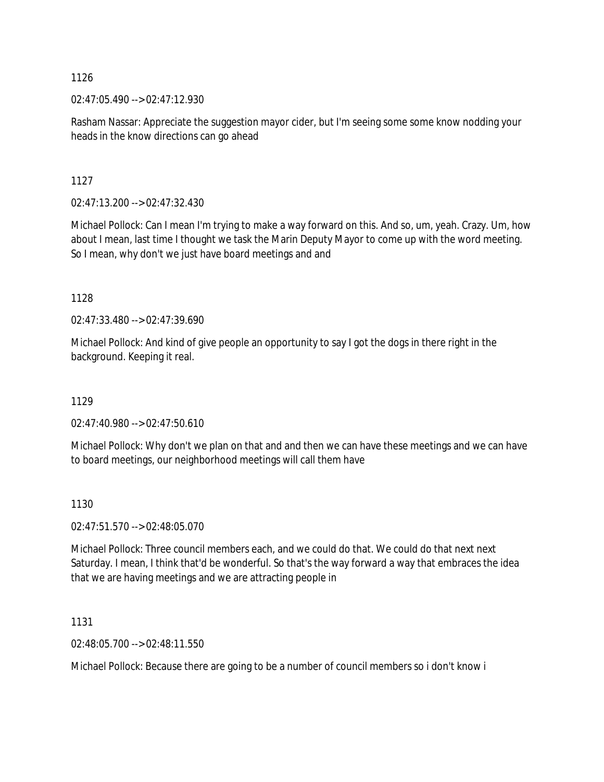02:47:05.490 --> 02:47:12.930

Rasham Nassar: Appreciate the suggestion mayor cider, but I'm seeing some some know nodding your heads in the know directions can go ahead

1127

02:47:13.200 --> 02:47:32.430

Michael Pollock: Can I mean I'm trying to make a way forward on this. And so, um, yeah. Crazy. Um, how about I mean, last time I thought we task the Marin Deputy Mayor to come up with the word meeting. So I mean, why don't we just have board meetings and and

1128

02:47:33.480 --> 02:47:39.690

Michael Pollock: And kind of give people an opportunity to say I got the dogs in there right in the background. Keeping it real.

1129

02:47:40.980 --> 02:47:50.610

Michael Pollock: Why don't we plan on that and and then we can have these meetings and we can have to board meetings, our neighborhood meetings will call them have

### 1130

02:47:51.570 --> 02:48:05.070

Michael Pollock: Three council members each, and we could do that. We could do that next next Saturday. I mean, I think that'd be wonderful. So that's the way forward a way that embraces the idea that we are having meetings and we are attracting people in

1131

02:48:05.700 --> 02:48:11.550

Michael Pollock: Because there are going to be a number of council members so i don't know i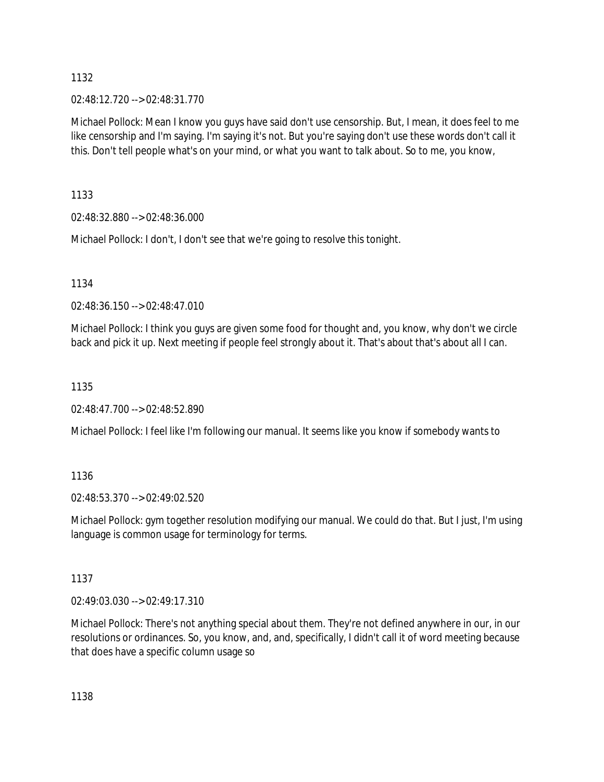02:48:12.720 --> 02:48:31.770

Michael Pollock: Mean I know you guys have said don't use censorship. But, I mean, it does feel to me like censorship and I'm saying. I'm saying it's not. But you're saying don't use these words don't call it this. Don't tell people what's on your mind, or what you want to talk about. So to me, you know,

1133

02:48:32.880 --> 02:48:36.000

Michael Pollock: I don't, I don't see that we're going to resolve this tonight.

1134

02:48:36.150 --> 02:48:47.010

Michael Pollock: I think you guys are given some food for thought and, you know, why don't we circle back and pick it up. Next meeting if people feel strongly about it. That's about that's about all I can.

1135

02:48:47.700 --> 02:48:52.890

Michael Pollock: I feel like I'm following our manual. It seems like you know if somebody wants to

1136

02:48:53.370 --> 02:49:02.520

Michael Pollock: gym together resolution modifying our manual. We could do that. But I just, I'm using language is common usage for terminology for terms.

1137

02:49:03.030 --> 02:49:17.310

Michael Pollock: There's not anything special about them. They're not defined anywhere in our, in our resolutions or ordinances. So, you know, and, and, specifically, I didn't call it of word meeting because that does have a specific column usage so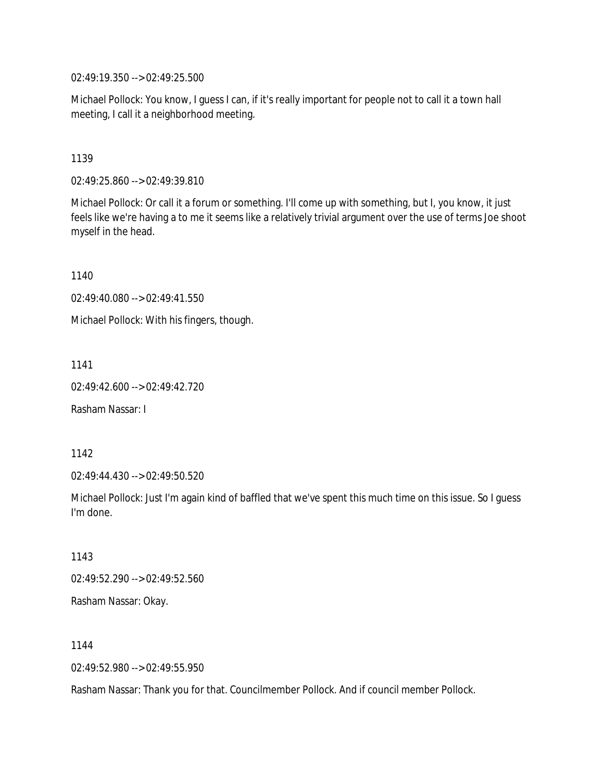02:49:19.350 --> 02:49:25.500

Michael Pollock: You know, I guess I can, if it's really important for people not to call it a town hall meeting, I call it a neighborhood meeting.

1139

02:49:25.860 --> 02:49:39.810

Michael Pollock: Or call it a forum or something. I'll come up with something, but I, you know, it just feels like we're having a to me it seems like a relatively trivial argument over the use of terms Joe shoot myself in the head.

1140

02:49:40.080 --> 02:49:41.550

Michael Pollock: With his fingers, though.

1141

02:49:42.600 --> 02:49:42.720

Rasham Nassar: I

1142

02:49:44.430 --> 02:49:50.520

Michael Pollock: Just I'm again kind of baffled that we've spent this much time on this issue. So I guess I'm done.

1143 02:49:52.290 --> 02:49:52.560 Rasham Nassar: Okay.

1144

02:49:52.980 --> 02:49:55.950

Rasham Nassar: Thank you for that. Councilmember Pollock. And if council member Pollock.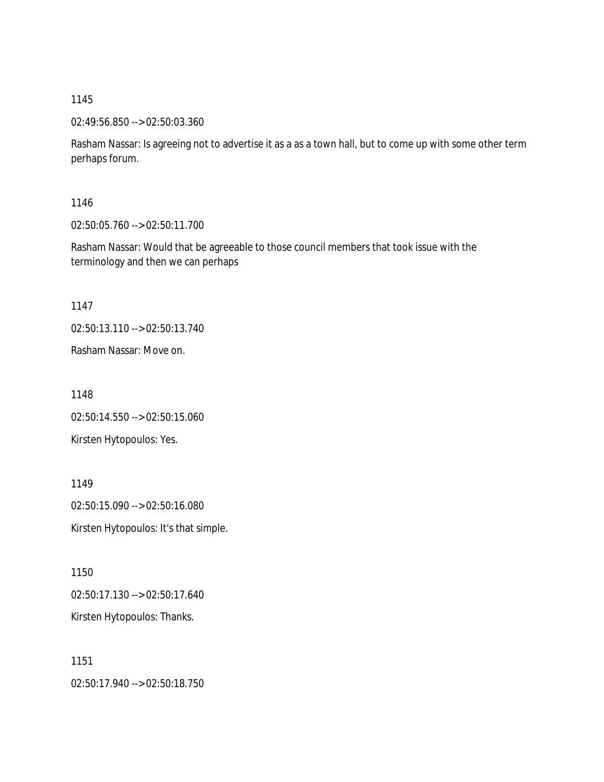02:49:56.850 --> 02:50:03.360

Rasham Nassar: Is agreeing not to advertise it as a as a town hall, but to come up with some other term perhaps forum.

1146

02:50:05.760 --> 02:50:11.700

Rasham Nassar: Would that be agreeable to those council members that took issue with the terminology and then we can perhaps

1147

02:50:13.110 --> 02:50:13.740

Rasham Nassar: Move on.

1148

02:50:14.550 --> 02:50:15.060 Kirsten Hytopoulos: Yes.

1149 02:50:15.090 --> 02:50:16.080 Kirsten Hytopoulos: It's that simple.

1150 02:50:17.130 --> 02:50:17.640 Kirsten Hytopoulos: Thanks.

1151 02:50:17.940 --> 02:50:18.750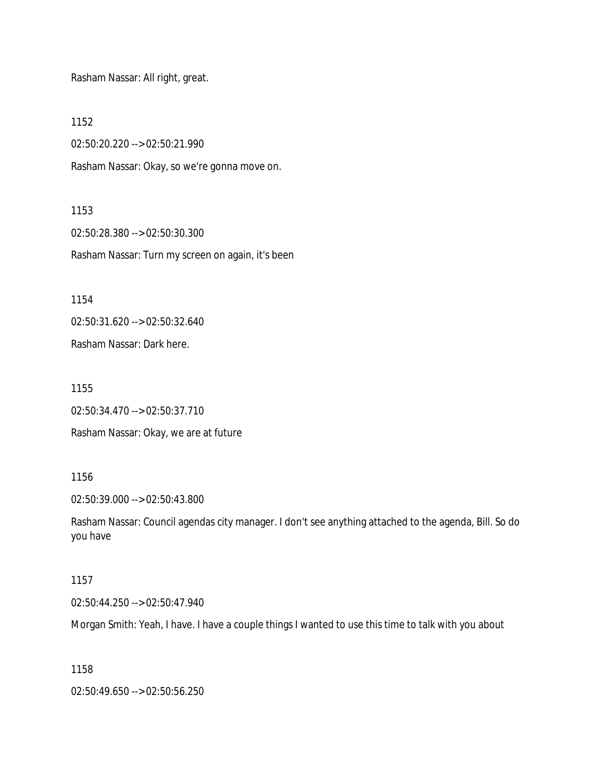Rasham Nassar: All right, great.

1152

02:50:20.220 --> 02:50:21.990

Rasham Nassar: Okay, so we're gonna move on.

1153

02:50:28.380 --> 02:50:30.300 Rasham Nassar: Turn my screen on again, it's been

1154

02:50:31.620 --> 02:50:32.640

Rasham Nassar: Dark here.

1155

02:50:34.470 --> 02:50:37.710

Rasham Nassar: Okay, we are at future

1156

02:50:39.000 --> 02:50:43.800

Rasham Nassar: Council agendas city manager. I don't see anything attached to the agenda, Bill. So do you have

1157

02:50:44.250 --> 02:50:47.940

Morgan Smith: Yeah, I have. I have a couple things I wanted to use this time to talk with you about

1158

02:50:49.650 --> 02:50:56.250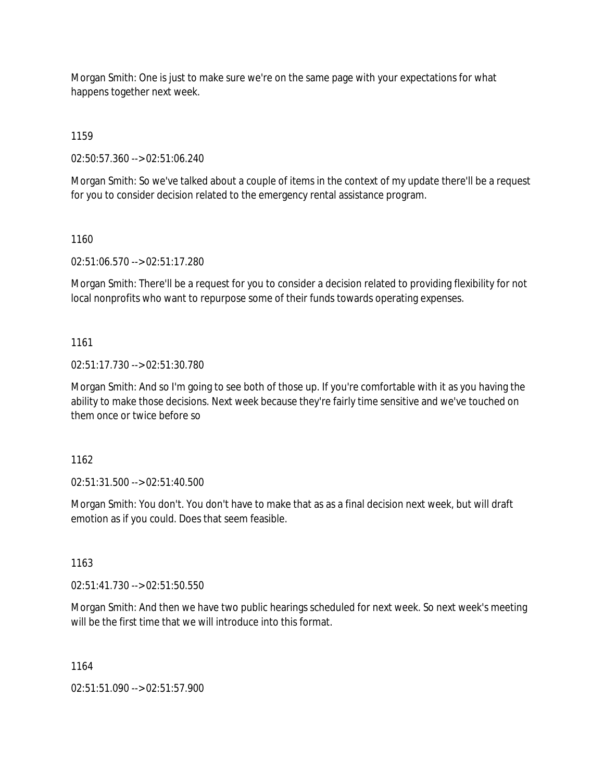Morgan Smith: One is just to make sure we're on the same page with your expectations for what happens together next week.

1159

02:50:57.360 --> 02:51:06.240

Morgan Smith: So we've talked about a couple of items in the context of my update there'll be a request for you to consider decision related to the emergency rental assistance program.

1160

02:51:06.570 --> 02:51:17.280

Morgan Smith: There'll be a request for you to consider a decision related to providing flexibility for not local nonprofits who want to repurpose some of their funds towards operating expenses.

1161

02:51:17.730 --> 02:51:30.780

Morgan Smith: And so I'm going to see both of those up. If you're comfortable with it as you having the ability to make those decisions. Next week because they're fairly time sensitive and we've touched on them once or twice before so

1162

02:51:31.500 --> 02:51:40.500

Morgan Smith: You don't. You don't have to make that as as a final decision next week, but will draft emotion as if you could. Does that seem feasible.

1163

02:51:41.730 --> 02:51:50.550

Morgan Smith: And then we have two public hearings scheduled for next week. So next week's meeting will be the first time that we will introduce into this format.

1164

02:51:51.090 --> 02:51:57.900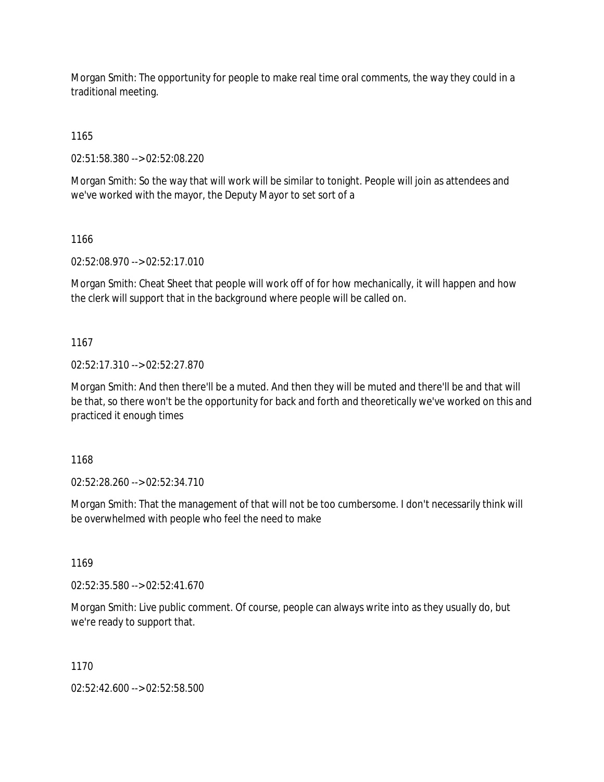Morgan Smith: The opportunity for people to make real time oral comments, the way they could in a traditional meeting.

1165

02:51:58.380 --> 02:52:08.220

Morgan Smith: So the way that will work will be similar to tonight. People will join as attendees and we've worked with the mayor, the Deputy Mayor to set sort of a

1166

02:52:08.970 --> 02:52:17.010

Morgan Smith: Cheat Sheet that people will work off of for how mechanically, it will happen and how the clerk will support that in the background where people will be called on.

1167

02:52:17.310 --> 02:52:27.870

Morgan Smith: And then there'll be a muted. And then they will be muted and there'll be and that will be that, so there won't be the opportunity for back and forth and theoretically we've worked on this and practiced it enough times

1168

02:52:28.260 --> 02:52:34.710

Morgan Smith: That the management of that will not be too cumbersome. I don't necessarily think will be overwhelmed with people who feel the need to make

1169

02:52:35.580 --> 02:52:41.670

Morgan Smith: Live public comment. Of course, people can always write into as they usually do, but we're ready to support that.

1170

02:52:42.600 --> 02:52:58.500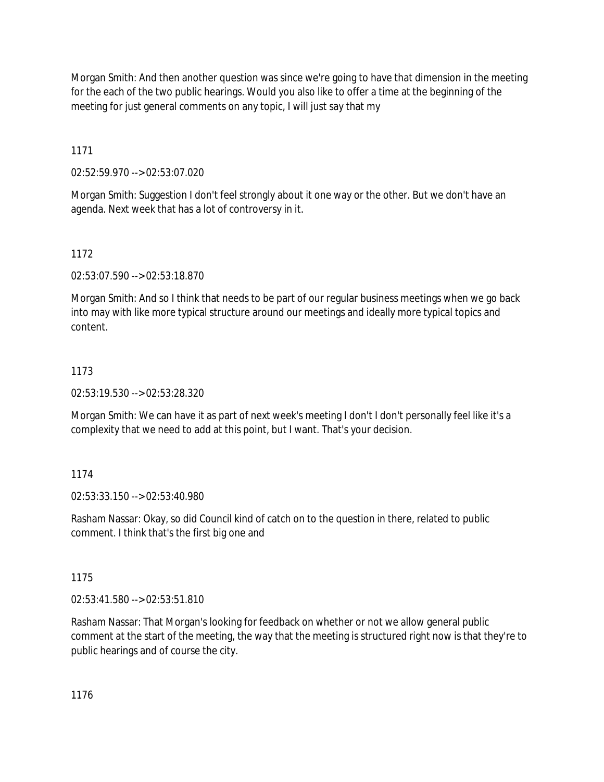Morgan Smith: And then another question was since we're going to have that dimension in the meeting for the each of the two public hearings. Would you also like to offer a time at the beginning of the meeting for just general comments on any topic, I will just say that my

1171

02:52:59.970 --> 02:53:07.020

Morgan Smith: Suggestion I don't feel strongly about it one way or the other. But we don't have an agenda. Next week that has a lot of controversy in it.

1172

02:53:07.590 --> 02:53:18.870

Morgan Smith: And so I think that needs to be part of our regular business meetings when we go back into may with like more typical structure around our meetings and ideally more typical topics and content.

# 1173

02:53:19.530 --> 02:53:28.320

Morgan Smith: We can have it as part of next week's meeting I don't I don't personally feel like it's a complexity that we need to add at this point, but I want. That's your decision.

## 1174

02:53:33.150 --> 02:53:40.980

Rasham Nassar: Okay, so did Council kind of catch on to the question in there, related to public comment. I think that's the first big one and

1175

02:53:41.580 --> 02:53:51.810

Rasham Nassar: That Morgan's looking for feedback on whether or not we allow general public comment at the start of the meeting, the way that the meeting is structured right now is that they're to public hearings and of course the city.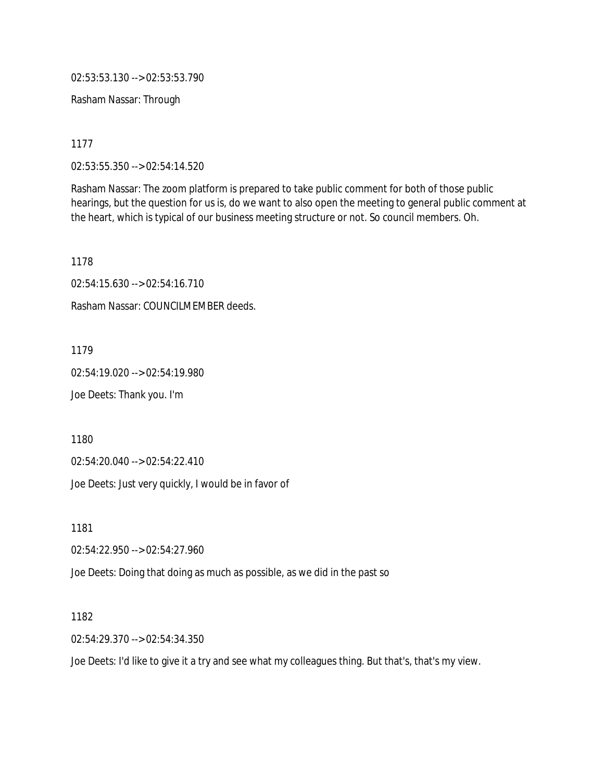02:53:53.130 --> 02:53:53.790

Rasham Nassar: Through

1177

02:53:55.350 --> 02:54:14.520

Rasham Nassar: The zoom platform is prepared to take public comment for both of those public hearings, but the question for us is, do we want to also open the meeting to general public comment at the heart, which is typical of our business meeting structure or not. So council members. Oh.

1178

02:54:15.630 --> 02:54:16.710

Rasham Nassar: COUNCILMEMBER deeds.

1179

02:54:19.020 --> 02:54:19.980

Joe Deets: Thank you. I'm

1180

02:54:20.040 --> 02:54:22.410

Joe Deets: Just very quickly, I would be in favor of

1181

02:54:22.950 --> 02:54:27.960

Joe Deets: Doing that doing as much as possible, as we did in the past so

1182

02:54:29.370 --> 02:54:34.350

Joe Deets: I'd like to give it a try and see what my colleagues thing. But that's, that's my view.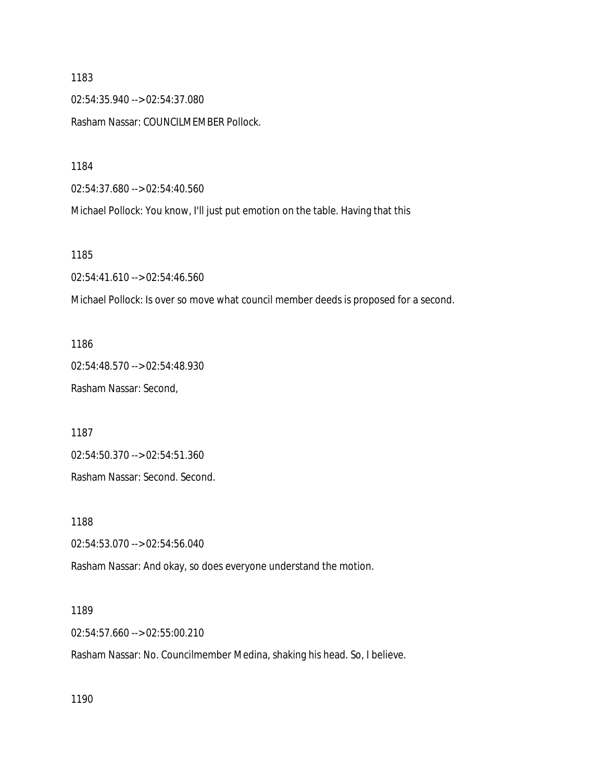02:54:35.940 --> 02:54:37.080

Rasham Nassar: COUNCILMEMBER Pollock.

1184

02:54:37.680 --> 02:54:40.560

Michael Pollock: You know, I'll just put emotion on the table. Having that this

1185

02:54:41.610 --> 02:54:46.560

Michael Pollock: Is over so move what council member deeds is proposed for a second.

1186 02:54:48.570 --> 02:54:48.930 Rasham Nassar: Second,

1187

02:54:50.370 --> 02:54:51.360

Rasham Nassar: Second. Second.

1188

02:54:53.070 --> 02:54:56.040

Rasham Nassar: And okay, so does everyone understand the motion.

1189

02:54:57.660 --> 02:55:00.210

Rasham Nassar: No. Councilmember Medina, shaking his head. So, I believe.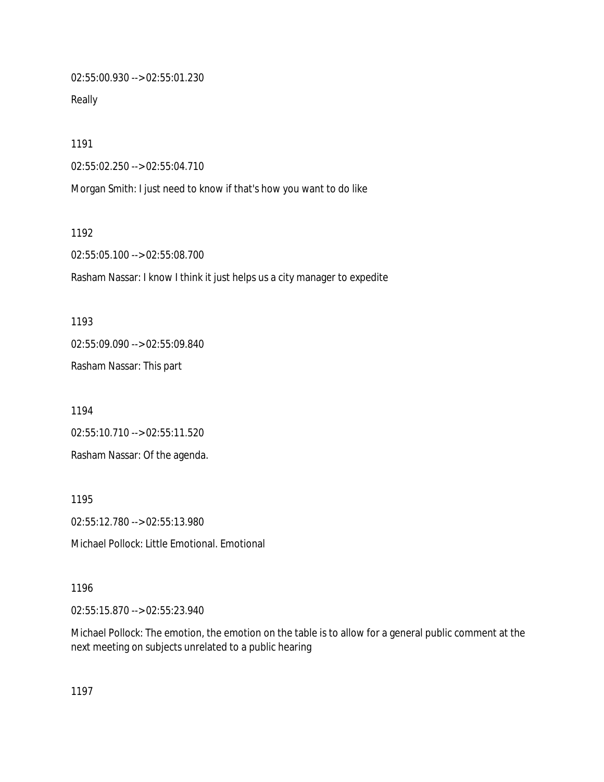02:55:00.930 --> 02:55:01.230

Really

1191

02:55:02.250 --> 02:55:04.710

Morgan Smith: I just need to know if that's how you want to do like

1192

02:55:05.100 --> 02:55:08.700

Rasham Nassar: I know I think it just helps us a city manager to expedite

1193 02:55:09.090 --> 02:55:09.840 Rasham Nassar: This part

1194 02:55:10.710 --> 02:55:11.520 Rasham Nassar: Of the agenda.

1195 02:55:12.780 --> 02:55:13.980 Michael Pollock: Little Emotional. Emotional

1196

02:55:15.870 --> 02:55:23.940

Michael Pollock: The emotion, the emotion on the table is to allow for a general public comment at the next meeting on subjects unrelated to a public hearing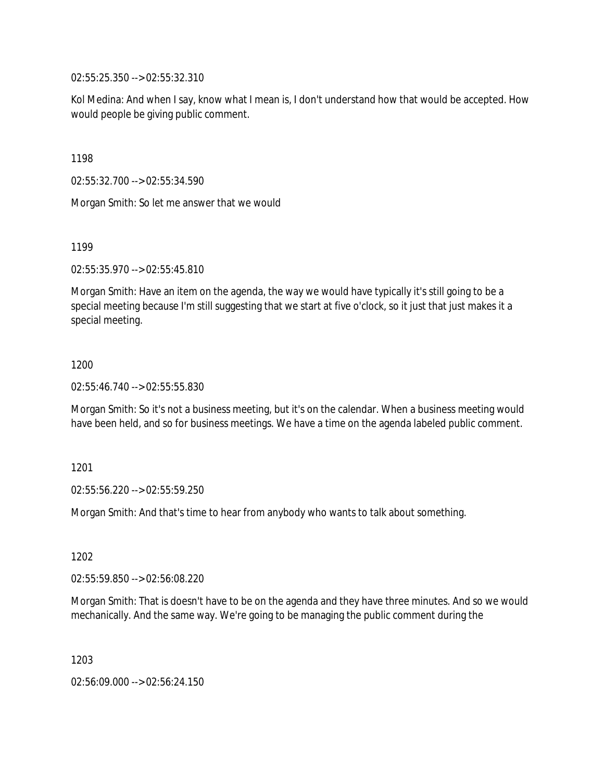02:55:25.350 --> 02:55:32.310

Kol Medina: And when I say, know what I mean is, I don't understand how that would be accepted. How would people be giving public comment.

1198

02:55:32.700 --> 02:55:34.590

Morgan Smith: So let me answer that we would

1199

02:55:35.970 --> 02:55:45.810

Morgan Smith: Have an item on the agenda, the way we would have typically it's still going to be a special meeting because I'm still suggesting that we start at five o'clock, so it just that just makes it a special meeting.

### 1200

02:55:46.740 --> 02:55:55.830

Morgan Smith: So it's not a business meeting, but it's on the calendar. When a business meeting would have been held, and so for business meetings. We have a time on the agenda labeled public comment.

### 1201

02:55:56.220 --> 02:55:59.250

Morgan Smith: And that's time to hear from anybody who wants to talk about something.

1202

02:55:59.850 --> 02:56:08.220

Morgan Smith: That is doesn't have to be on the agenda and they have three minutes. And so we would mechanically. And the same way. We're going to be managing the public comment during the

1203

02:56:09.000 --> 02:56:24.150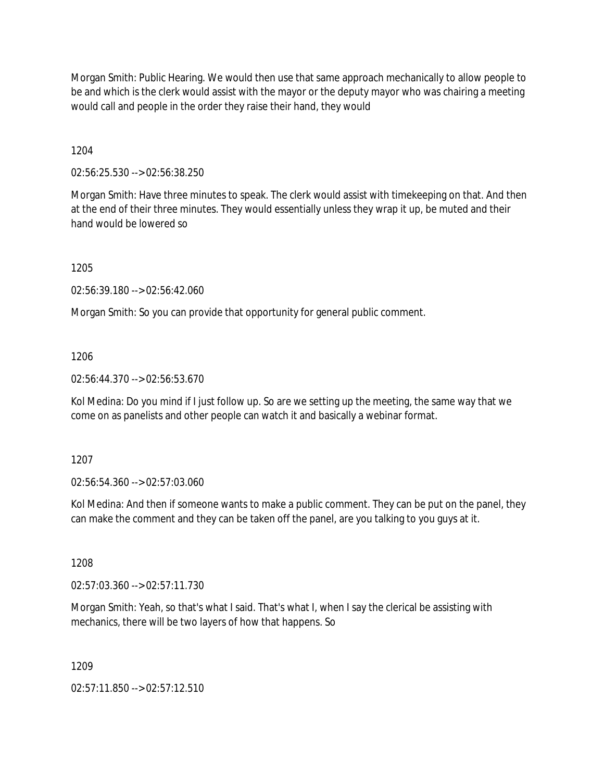Morgan Smith: Public Hearing. We would then use that same approach mechanically to allow people to be and which is the clerk would assist with the mayor or the deputy mayor who was chairing a meeting would call and people in the order they raise their hand, they would

1204

02:56:25.530 --> 02:56:38.250

Morgan Smith: Have three minutes to speak. The clerk would assist with timekeeping on that. And then at the end of their three minutes. They would essentially unless they wrap it up, be muted and their hand would be lowered so

1205

02:56:39.180 --> 02:56:42.060

Morgan Smith: So you can provide that opportunity for general public comment.

1206

02:56:44.370 --> 02:56:53.670

Kol Medina: Do you mind if I just follow up. So are we setting up the meeting, the same way that we come on as panelists and other people can watch it and basically a webinar format.

1207

02:56:54.360 --> 02:57:03.060

Kol Medina: And then if someone wants to make a public comment. They can be put on the panel, they can make the comment and they can be taken off the panel, are you talking to you guys at it.

1208

02:57:03.360 --> 02:57:11.730

Morgan Smith: Yeah, so that's what I said. That's what I, when I say the clerical be assisting with mechanics, there will be two layers of how that happens. So

1209

02:57:11.850 --> 02:57:12.510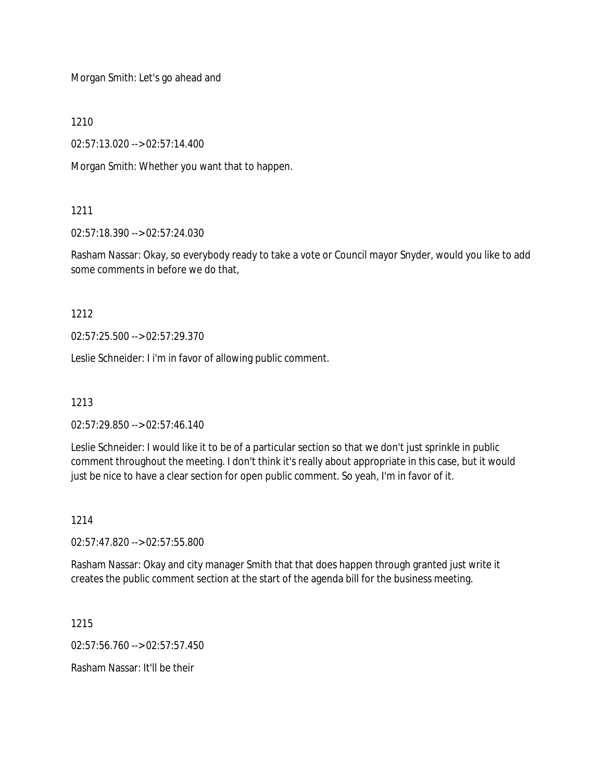Morgan Smith: Let's go ahead and

1210

02:57:13.020 --> 02:57:14.400

Morgan Smith: Whether you want that to happen.

## 1211

02:57:18.390 --> 02:57:24.030

Rasham Nassar: Okay, so everybody ready to take a vote or Council mayor Snyder, would you like to add some comments in before we do that,

## 1212

02:57:25.500 --> 02:57:29.370

Leslie Schneider: I i'm in favor of allowing public comment.

1213

02:57:29.850 --> 02:57:46.140

Leslie Schneider: I would like it to be of a particular section so that we don't just sprinkle in public comment throughout the meeting. I don't think it's really about appropriate in this case, but it would just be nice to have a clear section for open public comment. So yeah, I'm in favor of it.

## 1214

02:57:47.820 --> 02:57:55.800

Rasham Nassar: Okay and city manager Smith that that does happen through granted just write it creates the public comment section at the start of the agenda bill for the business meeting.

1215

02:57:56.760 --> 02:57:57.450

Rasham Nassar: It'll be their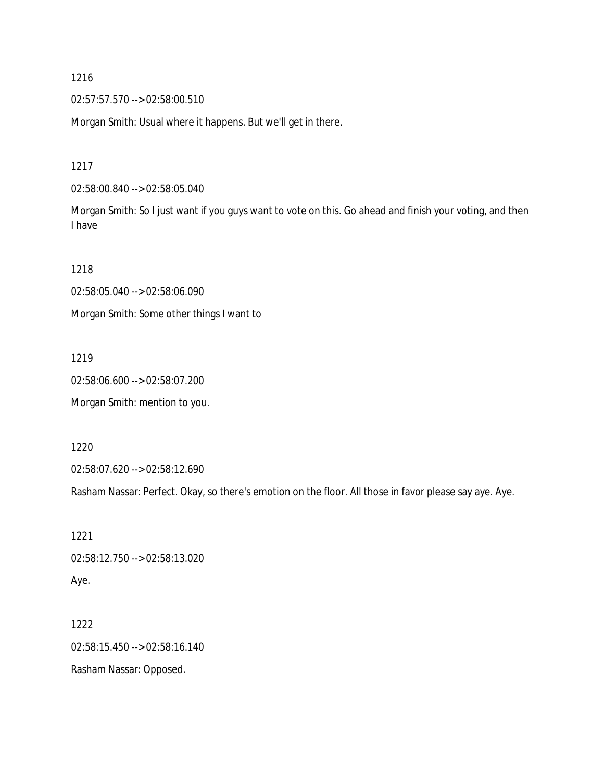02:57:57.570 --> 02:58:00.510

Morgan Smith: Usual where it happens. But we'll get in there.

1217

02:58:00.840 --> 02:58:05.040

Morgan Smith: So I just want if you guys want to vote on this. Go ahead and finish your voting, and then I have

1218

02:58:05.040 --> 02:58:06.090

Morgan Smith: Some other things I want to

1219

02:58:06.600 --> 02:58:07.200

Morgan Smith: mention to you.

1220

02:58:07.620 --> 02:58:12.690

Rasham Nassar: Perfect. Okay, so there's emotion on the floor. All those in favor please say aye. Aye.

1221 02:58:12.750 --> 02:58:13.020 Aye.

1222 02:58:15.450 --> 02:58:16.140 Rasham Nassar: Opposed.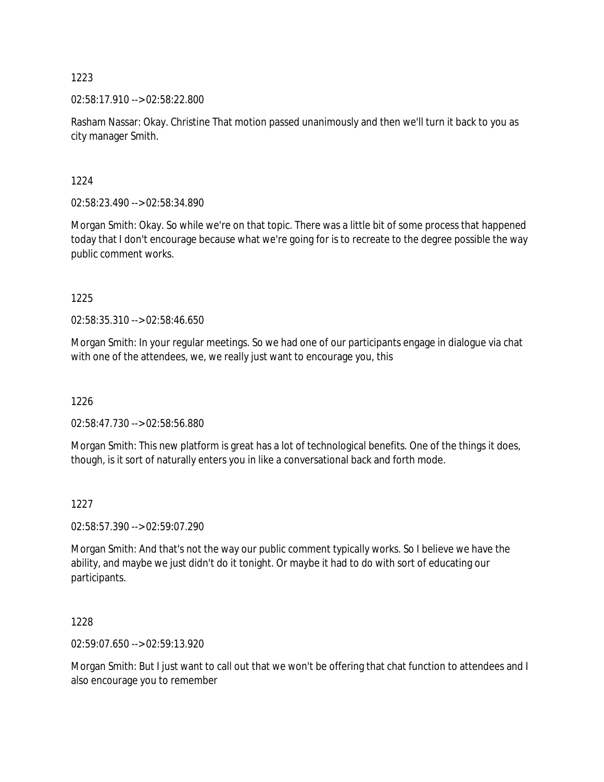02:58:17.910 --> 02:58:22.800

Rasham Nassar: Okay. Christine That motion passed unanimously and then we'll turn it back to you as city manager Smith.

1224

02:58:23.490 --> 02:58:34.890

Morgan Smith: Okay. So while we're on that topic. There was a little bit of some process that happened today that I don't encourage because what we're going for is to recreate to the degree possible the way public comment works.

1225

02:58:35.310 --> 02:58:46.650

Morgan Smith: In your regular meetings. So we had one of our participants engage in dialogue via chat with one of the attendees, we, we really just want to encourage you, this

1226

02:58:47.730 --> 02:58:56.880

Morgan Smith: This new platform is great has a lot of technological benefits. One of the things it does, though, is it sort of naturally enters you in like a conversational back and forth mode.

### 1227

02:58:57.390 --> 02:59:07.290

Morgan Smith: And that's not the way our public comment typically works. So I believe we have the ability, and maybe we just didn't do it tonight. Or maybe it had to do with sort of educating our participants.

1228

02:59:07.650 --> 02:59:13.920

Morgan Smith: But I just want to call out that we won't be offering that chat function to attendees and I also encourage you to remember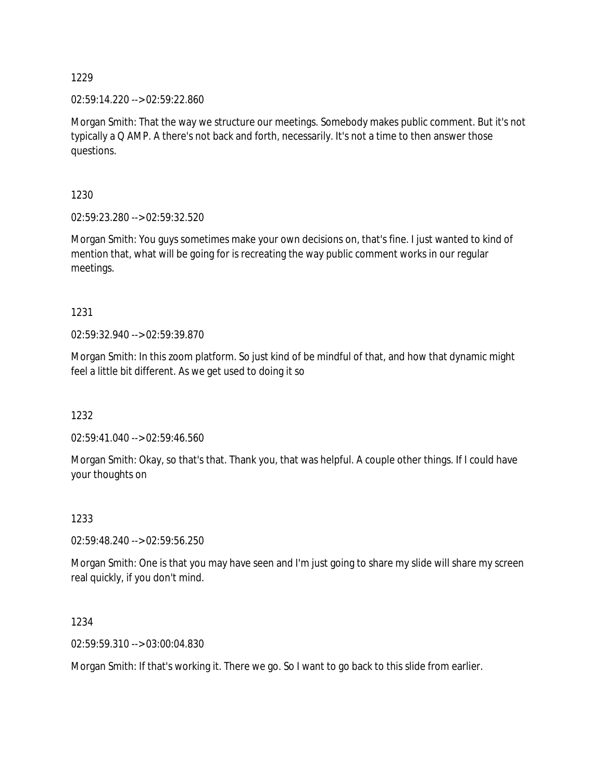02:59:14.220 --> 02:59:22.860

Morgan Smith: That the way we structure our meetings. Somebody makes public comment. But it's not typically a Q AMP. A there's not back and forth, necessarily. It's not a time to then answer those questions.

1230

02:59:23.280 --> 02:59:32.520

Morgan Smith: You guys sometimes make your own decisions on, that's fine. I just wanted to kind of mention that, what will be going for is recreating the way public comment works in our regular meetings.

1231

02:59:32.940 --> 02:59:39.870

Morgan Smith: In this zoom platform. So just kind of be mindful of that, and how that dynamic might feel a little bit different. As we get used to doing it so

1232

02:59:41.040 --> 02:59:46.560

Morgan Smith: Okay, so that's that. Thank you, that was helpful. A couple other things. If I could have your thoughts on

1233

02:59:48.240 --> 02:59:56.250

Morgan Smith: One is that you may have seen and I'm just going to share my slide will share my screen real quickly, if you don't mind.

1234

02:59:59.310 --> 03:00:04.830

Morgan Smith: If that's working it. There we go. So I want to go back to this slide from earlier.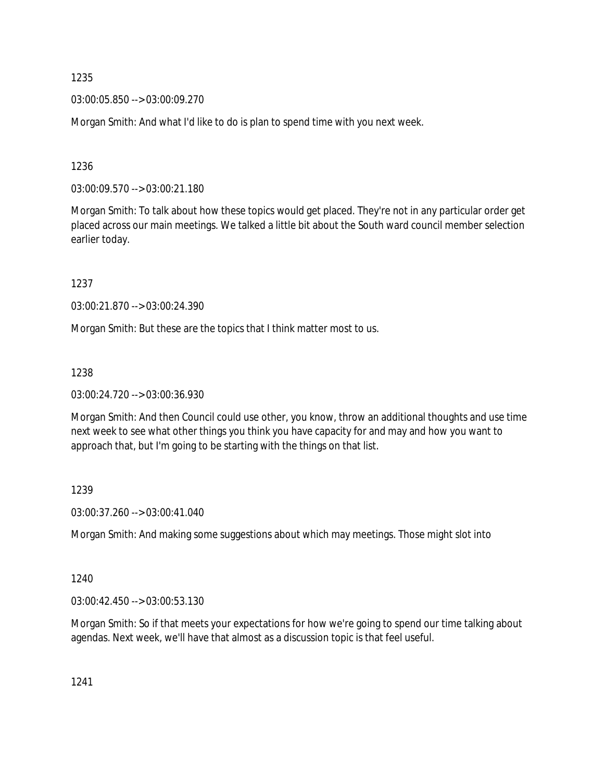03:00:05.850 --> 03:00:09.270

Morgan Smith: And what I'd like to do is plan to spend time with you next week.

1236

03:00:09.570 --> 03:00:21.180

Morgan Smith: To talk about how these topics would get placed. They're not in any particular order get placed across our main meetings. We talked a little bit about the South ward council member selection earlier today.

1237

03:00:21.870 --> 03:00:24.390

Morgan Smith: But these are the topics that I think matter most to us.

1238

03:00:24.720 --> 03:00:36.930

Morgan Smith: And then Council could use other, you know, throw an additional thoughts and use time next week to see what other things you think you have capacity for and may and how you want to approach that, but I'm going to be starting with the things on that list.

1239

03:00:37.260 --> 03:00:41.040

Morgan Smith: And making some suggestions about which may meetings. Those might slot into

1240

03:00:42.450 --> 03:00:53.130

Morgan Smith: So if that meets your expectations for how we're going to spend our time talking about agendas. Next week, we'll have that almost as a discussion topic is that feel useful.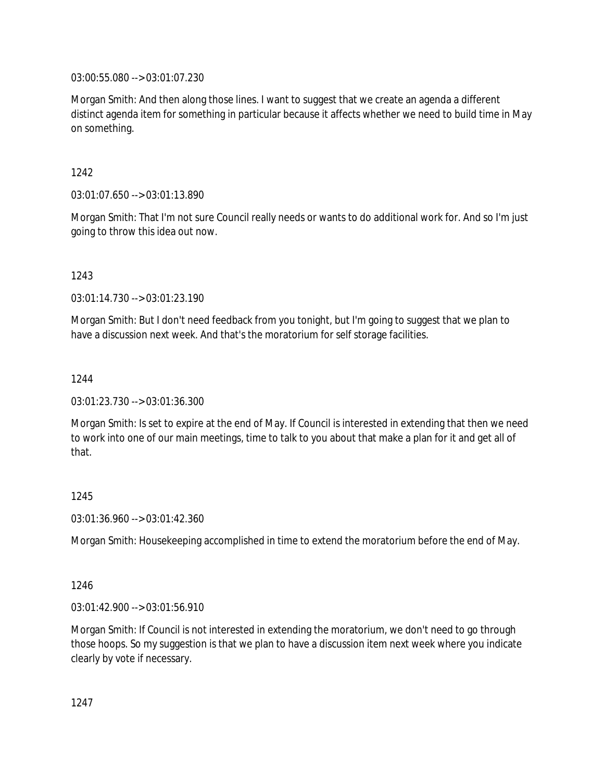03:00:55.080 --> 03:01:07.230

Morgan Smith: And then along those lines. I want to suggest that we create an agenda a different distinct agenda item for something in particular because it affects whether we need to build time in May on something.

1242

03:01:07.650 --> 03:01:13.890

Morgan Smith: That I'm not sure Council really needs or wants to do additional work for. And so I'm just going to throw this idea out now.

1243

03:01:14.730 --> 03:01:23.190

Morgan Smith: But I don't need feedback from you tonight, but I'm going to suggest that we plan to have a discussion next week. And that's the moratorium for self storage facilities.

1244

03:01:23.730 --> 03:01:36.300

Morgan Smith: Is set to expire at the end of May. If Council is interested in extending that then we need to work into one of our main meetings, time to talk to you about that make a plan for it and get all of that.

1245

03:01:36.960 --> 03:01:42.360

Morgan Smith: Housekeeping accomplished in time to extend the moratorium before the end of May.

1246

03:01:42.900 --> 03:01:56.910

Morgan Smith: If Council is not interested in extending the moratorium, we don't need to go through those hoops. So my suggestion is that we plan to have a discussion item next week where you indicate clearly by vote if necessary.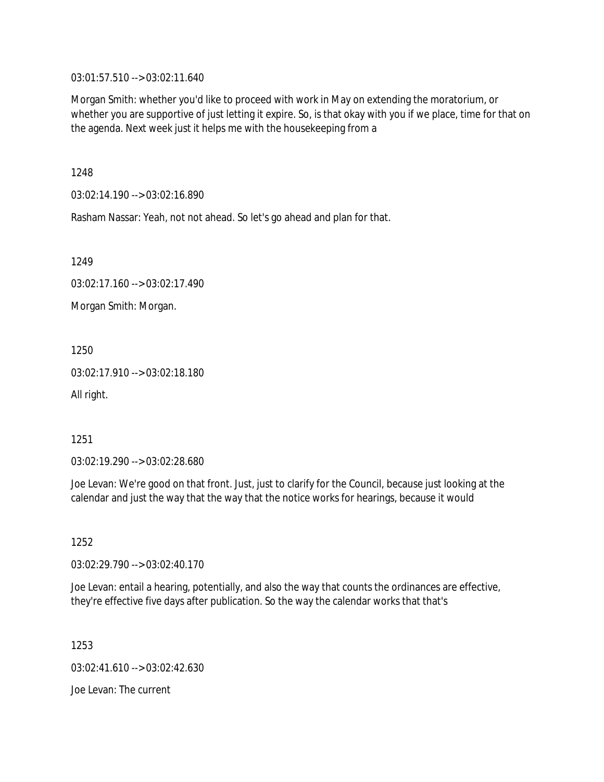03:01:57.510 --> 03:02:11.640

Morgan Smith: whether you'd like to proceed with work in May on extending the moratorium, or whether you are supportive of just letting it expire. So, is that okay with you if we place, time for that on the agenda. Next week just it helps me with the housekeeping from a

1248

03:02:14.190 --> 03:02:16.890

Rasham Nassar: Yeah, not not ahead. So let's go ahead and plan for that.

1249

03:02:17.160 --> 03:02:17.490

Morgan Smith: Morgan.

1250

03:02:17.910 --> 03:02:18.180

All right.

1251

03:02:19.290 --> 03:02:28.680

Joe Levan: We're good on that front. Just, just to clarify for the Council, because just looking at the calendar and just the way that the way that the notice works for hearings, because it would

1252

03:02:29.790 --> 03:02:40.170

Joe Levan: entail a hearing, potentially, and also the way that counts the ordinances are effective, they're effective five days after publication. So the way the calendar works that that's

1253

03:02:41.610 --> 03:02:42.630

Joe Levan: The current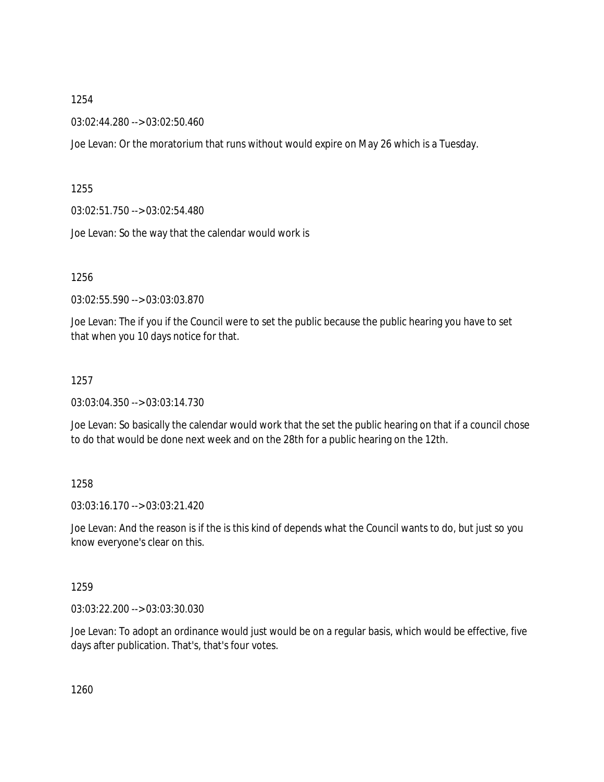03:02:44.280 --> 03:02:50.460

Joe Levan: Or the moratorium that runs without would expire on May 26 which is a Tuesday.

1255

03:02:51.750 --> 03:02:54.480

Joe Levan: So the way that the calendar would work is

1256

03:02:55.590 --> 03:03:03.870

Joe Levan: The if you if the Council were to set the public because the public hearing you have to set that when you 10 days notice for that.

1257

03:03:04.350 --> 03:03:14.730

Joe Levan: So basically the calendar would work that the set the public hearing on that if a council chose to do that would be done next week and on the 28th for a public hearing on the 12th.

1258

03:03:16.170 --> 03:03:21.420

Joe Levan: And the reason is if the is this kind of depends what the Council wants to do, but just so you know everyone's clear on this.

1259

03:03:22.200 --> 03:03:30.030

Joe Levan: To adopt an ordinance would just would be on a regular basis, which would be effective, five days after publication. That's, that's four votes.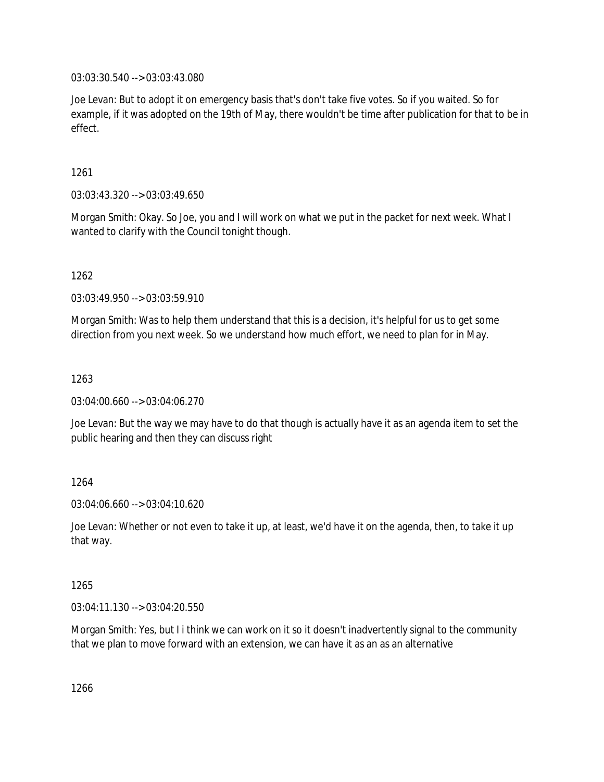03:03:30.540 --> 03:03:43.080

Joe Levan: But to adopt it on emergency basis that's don't take five votes. So if you waited. So for example, if it was adopted on the 19th of May, there wouldn't be time after publication for that to be in effect.

1261

03:03:43.320 --> 03:03:49.650

Morgan Smith: Okay. So Joe, you and I will work on what we put in the packet for next week. What I wanted to clarify with the Council tonight though.

1262

03:03:49.950 --> 03:03:59.910

Morgan Smith: Was to help them understand that this is a decision, it's helpful for us to get some direction from you next week. So we understand how much effort, we need to plan for in May.

1263

03:04:00.660 --> 03:04:06.270

Joe Levan: But the way we may have to do that though is actually have it as an agenda item to set the public hearing and then they can discuss right

1264

03:04:06.660 --> 03:04:10.620

Joe Levan: Whether or not even to take it up, at least, we'd have it on the agenda, then, to take it up that way.

1265

03:04:11.130 --> 03:04:20.550

Morgan Smith: Yes, but I i think we can work on it so it doesn't inadvertently signal to the community that we plan to move forward with an extension, we can have it as an as an alternative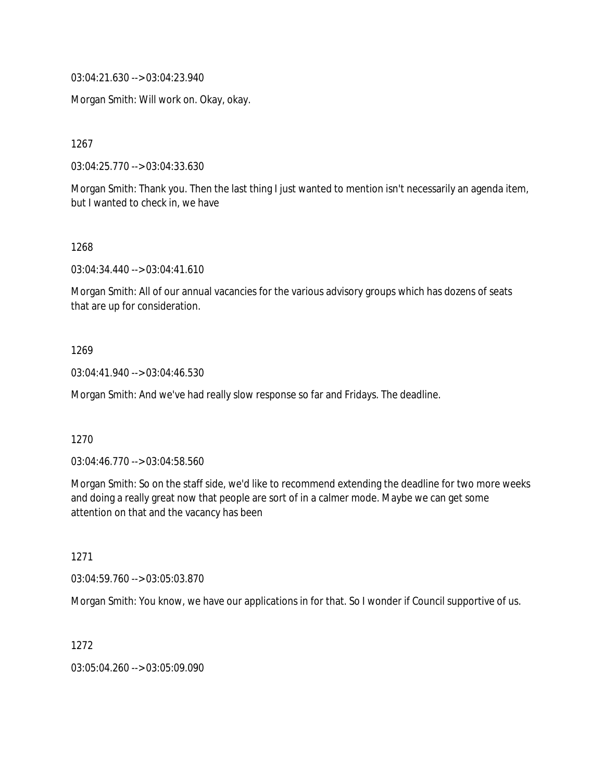03:04:21.630 --> 03:04:23.940

Morgan Smith: Will work on. Okay, okay.

1267

03:04:25.770 --> 03:04:33.630

Morgan Smith: Thank you. Then the last thing I just wanted to mention isn't necessarily an agenda item, but I wanted to check in, we have

1268

03:04:34.440 --> 03:04:41.610

Morgan Smith: All of our annual vacancies for the various advisory groups which has dozens of seats that are up for consideration.

1269

03:04:41.940 --> 03:04:46.530

Morgan Smith: And we've had really slow response so far and Fridays. The deadline.

1270

03:04:46.770 --> 03:04:58.560

Morgan Smith: So on the staff side, we'd like to recommend extending the deadline for two more weeks and doing a really great now that people are sort of in a calmer mode. Maybe we can get some attention on that and the vacancy has been

1271

03:04:59.760 --> 03:05:03.870

Morgan Smith: You know, we have our applications in for that. So I wonder if Council supportive of us.

1272

03:05:04.260 --> 03:05:09.090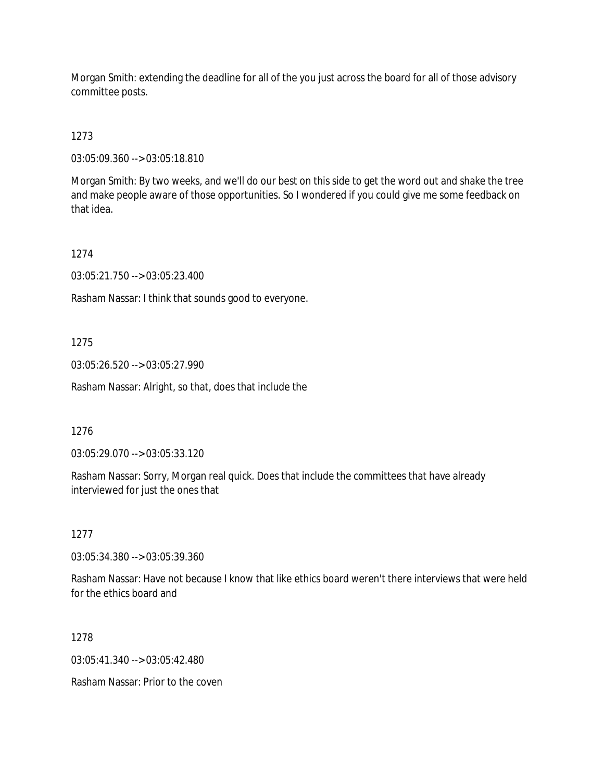Morgan Smith: extending the deadline for all of the you just across the board for all of those advisory committee posts.

1273

03:05:09.360 --> 03:05:18.810

Morgan Smith: By two weeks, and we'll do our best on this side to get the word out and shake the tree and make people aware of those opportunities. So I wondered if you could give me some feedback on that idea.

1274

03:05:21.750 --> 03:05:23.400

Rasham Nassar: I think that sounds good to everyone.

1275

03:05:26.520 --> 03:05:27.990

Rasham Nassar: Alright, so that, does that include the

1276

03:05:29.070 --> 03:05:33.120

Rasham Nassar: Sorry, Morgan real quick. Does that include the committees that have already interviewed for just the ones that

1277

03:05:34.380 --> 03:05:39.360

Rasham Nassar: Have not because I know that like ethics board weren't there interviews that were held for the ethics board and

1278

 $03:05:41.340 \rightarrow 03:05:42.480$ 

Rasham Nassar: Prior to the coven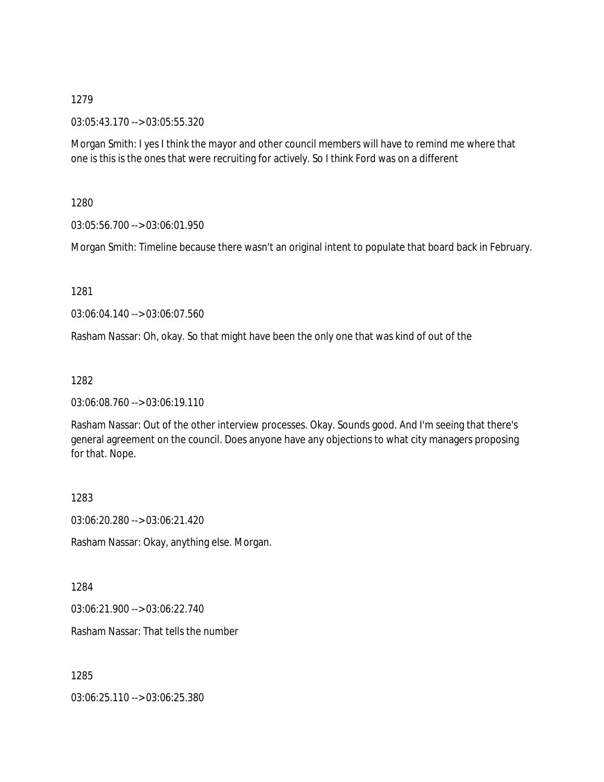03:05:43.170 --> 03:05:55.320

Morgan Smith: I yes I think the mayor and other council members will have to remind me where that one is this is the ones that were recruiting for actively. So I think Ford was on a different

1280

03:05:56.700 --> 03:06:01.950

Morgan Smith: Timeline because there wasn't an original intent to populate that board back in February.

1281

03:06:04.140 --> 03:06:07.560

Rasham Nassar: Oh, okay. So that might have been the only one that was kind of out of the

1282

03:06:08.760 --> 03:06:19.110

Rasham Nassar: Out of the other interview processes. Okay. Sounds good. And I'm seeing that there's general agreement on the council. Does anyone have any objections to what city managers proposing for that. Nope.

1283

03:06:20.280 --> 03:06:21.420

Rasham Nassar: Okay, anything else. Morgan.

1284

03:06:21.900 --> 03:06:22.740

Rasham Nassar: That tells the number

1285

03:06:25.110 --> 03:06:25.380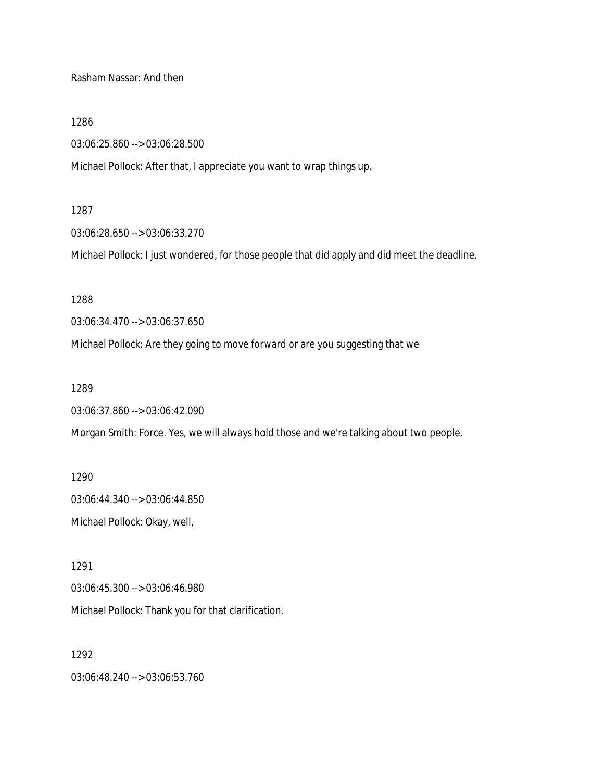Rasham Nassar: And then

1286

03:06:25.860 --> 03:06:28.500

Michael Pollock: After that, I appreciate you want to wrap things up.

#### 1287

03:06:28.650 --> 03:06:33.270

Michael Pollock: I just wondered, for those people that did apply and did meet the deadline.

1288

03:06:34.470 --> 03:06:37.650

Michael Pollock: Are they going to move forward or are you suggesting that we

1289

03:06:37.860 --> 03:06:42.090

Morgan Smith: Force. Yes, we will always hold those and we're talking about two people.

1290 03:06:44.340 --> 03:06:44.850 Michael Pollock: Okay, well,

1291 03:06:45.300 --> 03:06:46.980 Michael Pollock: Thank you for that clarification.

1292 03:06:48.240 --> 03:06:53.760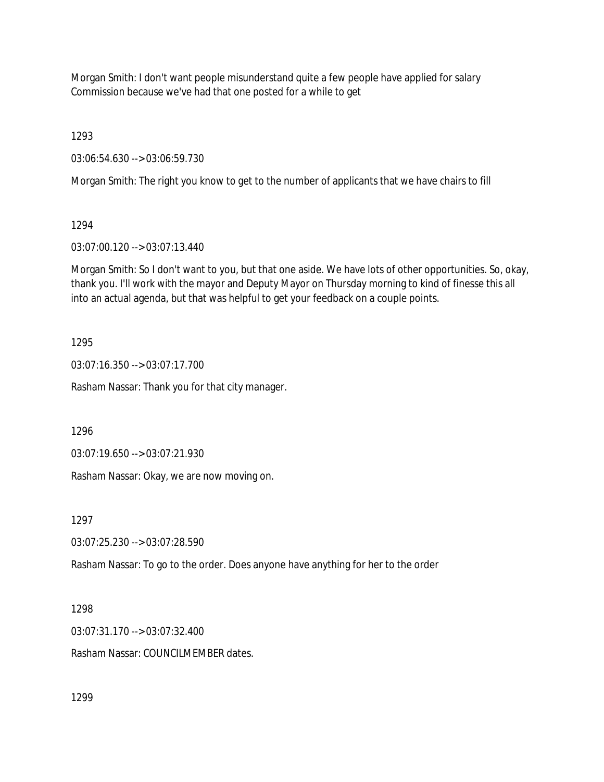Morgan Smith: I don't want people misunderstand quite a few people have applied for salary Commission because we've had that one posted for a while to get

1293

03:06:54.630 --> 03:06:59.730

Morgan Smith: The right you know to get to the number of applicants that we have chairs to fill

1294

03:07:00.120 --> 03:07:13.440

Morgan Smith: So I don't want to you, but that one aside. We have lots of other opportunities. So, okay, thank you. I'll work with the mayor and Deputy Mayor on Thursday morning to kind of finesse this all into an actual agenda, but that was helpful to get your feedback on a couple points.

1295

03:07:16.350 --> 03:07:17.700

Rasham Nassar: Thank you for that city manager.

1296

03:07:19.650 --> 03:07:21.930

Rasham Nassar: Okay, we are now moving on.

1297

03:07:25.230 --> 03:07:28.590

Rasham Nassar: To go to the order. Does anyone have anything for her to the order

1298

03:07:31.170 --> 03:07:32.400

Rasham Nassar: COUNCILMEMBER dates.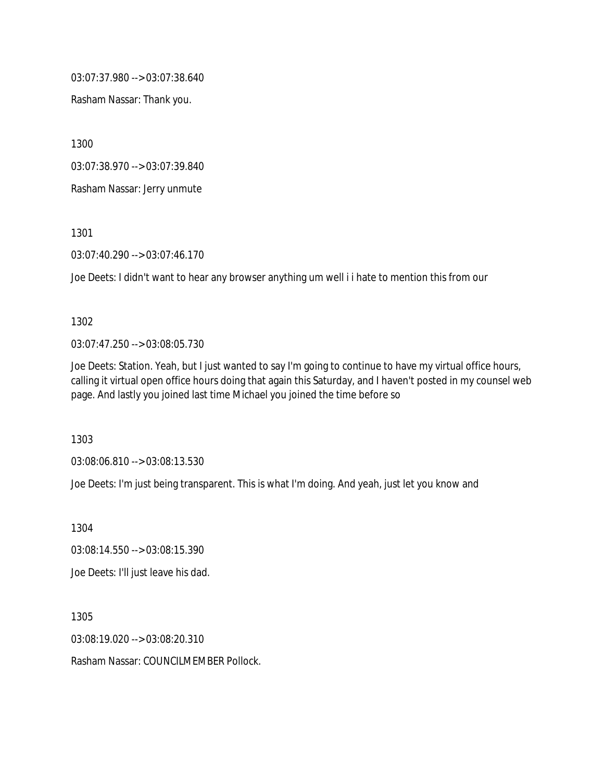03:07:37.980 --> 03:07:38.640

Rasham Nassar: Thank you.

1300

03:07:38.970 --> 03:07:39.840

Rasham Nassar: Jerry unmute

1301

03:07:40.290 --> 03:07:46.170

Joe Deets: I didn't want to hear any browser anything um well i i hate to mention this from our

1302

03:07:47.250 --> 03:08:05.730

Joe Deets: Station. Yeah, but I just wanted to say I'm going to continue to have my virtual office hours, calling it virtual open office hours doing that again this Saturday, and I haven't posted in my counsel web page. And lastly you joined last time Michael you joined the time before so

1303

03:08:06.810 --> 03:08:13.530

Joe Deets: I'm just being transparent. This is what I'm doing. And yeah, just let you know and

1304

03:08:14.550 --> 03:08:15.390

Joe Deets: I'll just leave his dad.

1305

03:08:19.020 --> 03:08:20.310

Rasham Nassar: COUNCILMEMBER Pollock.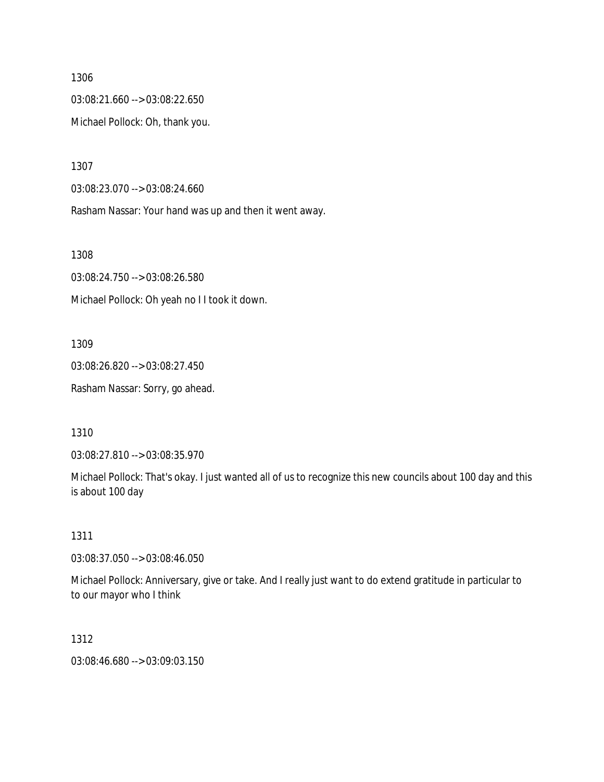03:08:21.660 --> 03:08:22.650 Michael Pollock: Oh, thank you.

1307

03:08:23.070 --> 03:08:24.660

Rasham Nassar: Your hand was up and then it went away.

1308

03:08:24.750 --> 03:08:26.580 Michael Pollock: Oh yeah no I I took it down.

1309

03:08:26.820 --> 03:08:27.450 Rasham Nassar: Sorry, go ahead.

1310

03:08:27.810 --> 03:08:35.970

Michael Pollock: That's okay. I just wanted all of us to recognize this new councils about 100 day and this is about 100 day

1311

03:08:37.050 --> 03:08:46.050

Michael Pollock: Anniversary, give or take. And I really just want to do extend gratitude in particular to to our mayor who I think

1312

03:08:46.680 --> 03:09:03.150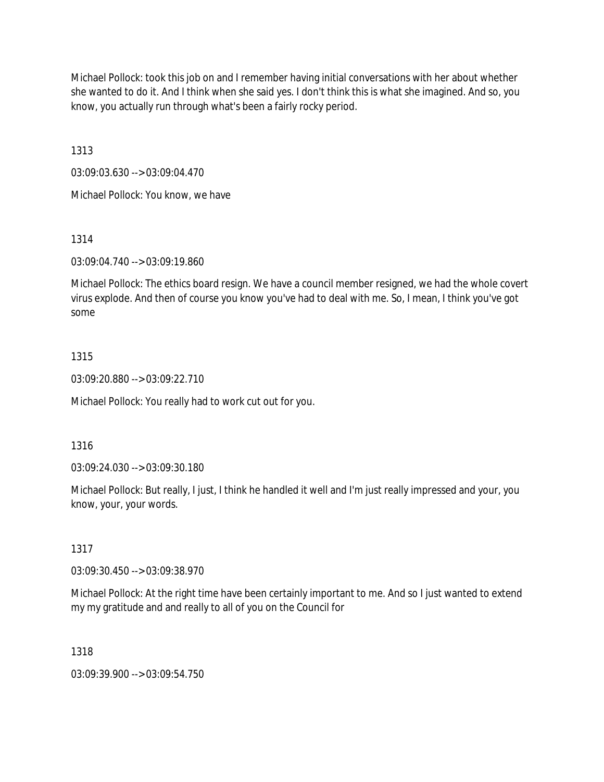Michael Pollock: took this job on and I remember having initial conversations with her about whether she wanted to do it. And I think when she said yes. I don't think this is what she imagined. And so, you know, you actually run through what's been a fairly rocky period.

1313

03:09:03.630 --> 03:09:04.470

Michael Pollock: You know, we have

1314

03:09:04.740 --> 03:09:19.860

Michael Pollock: The ethics board resign. We have a council member resigned, we had the whole covert virus explode. And then of course you know you've had to deal with me. So, I mean, I think you've got some

## 1315

03:09:20.880 --> 03:09:22.710

Michael Pollock: You really had to work cut out for you.

## 1316

03:09:24.030 --> 03:09:30.180

Michael Pollock: But really, I just, I think he handled it well and I'm just really impressed and your, you know, your, your words.

### 1317

03:09:30.450 --> 03:09:38.970

Michael Pollock: At the right time have been certainly important to me. And so I just wanted to extend my my gratitude and and really to all of you on the Council for

### 1318

03:09:39.900 --> 03:09:54.750